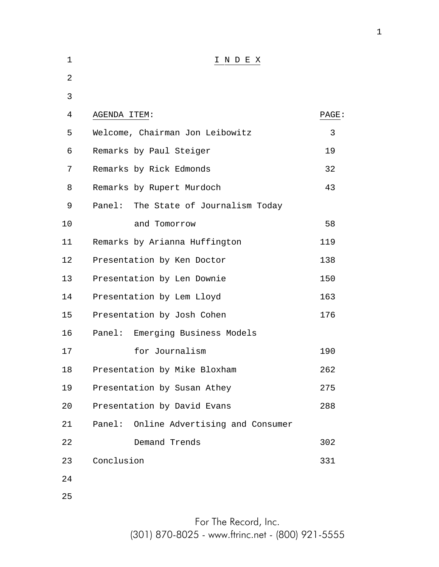| 1  | INDEX                                     |       |
|----|-------------------------------------------|-------|
| 2  |                                           |       |
| 3  |                                           |       |
| 4  | AGENDA ITEM:                              | PAGE: |
| 5  | Welcome, Chairman Jon Leibowitz           | 3     |
| 6  | Remarks by Paul Steiger                   | 19    |
| 7  | Remarks by Rick Edmonds                   | 32    |
| 8  | Remarks by Rupert Murdoch                 | 43    |
| 9  | Panel:<br>The State of Journalism Today   |       |
| 10 | and Tomorrow                              | 58    |
| 11 | Remarks by Arianna Huffington             | 119   |
| 12 | Presentation by Ken Doctor                | 138   |
| 13 | Presentation by Len Downie                | 150   |
| 14 | Presentation by Lem Lloyd                 | 163   |
| 15 | Presentation by Josh Cohen                | 176   |
| 16 | Emerging Business Models<br>Panel:        |       |
| 17 | for Journalism                            | 190   |
| 18 | Presentation by Mike Bloxham              | 262   |
| 19 | Presentation by Susan Athey               | 275   |
| 20 | Presentation by David Evans               | 288   |
| 21 | Online Advertising and Consumer<br>Panel: |       |
| 22 | Demand Trends                             | 302   |
| 23 | Conclusion                                | 331   |
| 24 |                                           |       |
| 25 |                                           |       |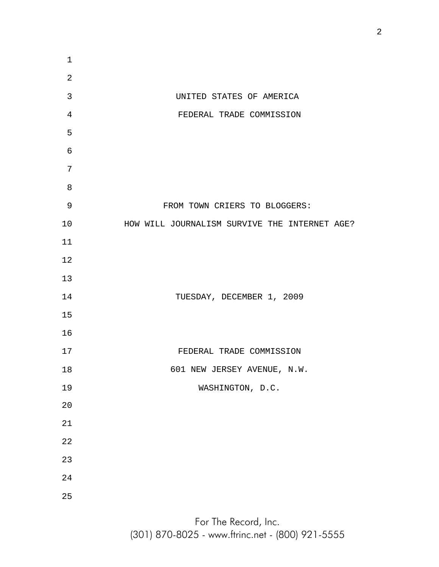UNITED STATES OF AMERICA FEDERAL TRADE COMMISSION FROM TOWN CRIERS TO BLOGGERS: HOW WILL JOURNALISM SURVIVE THE INTERNET AGE? TUESDAY, DECEMBER 1, 2009 FEDERAL TRADE COMMISSION 601 NEW JERSEY AVENUE, N.W. WASHINGTON, D.C.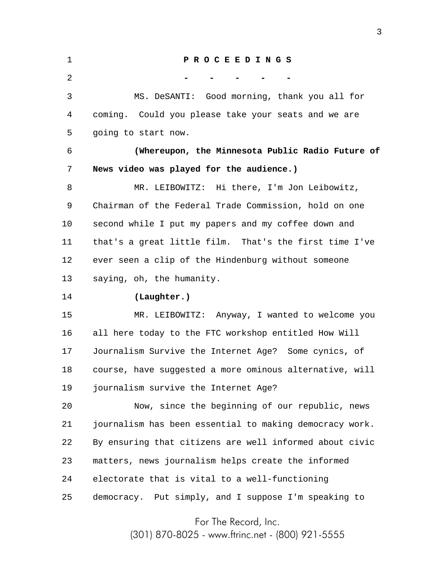1 2 3 4 5 6 7 8 9 10 11 12 13 14 15 16 17 18 19 20 21 22 23 24 25 **P R O C E E D I N G S - - - - -** MS. DeSANTI: Good morning, thank you all for coming. Could you please take your seats and we are going to start now. **(Whereupon, the Minnesota Public Radio Future of News video was played for the audience.)** MR. LEIBOWITZ: Hi there, I'm Jon Leibowitz, Chairman of the Federal Trade Commission, hold on one second while I put my papers and my coffee down and that's a great little film. That's the first time I've ever seen a clip of the Hindenburg without someone saying, oh, the humanity. **(Laughter.)** MR. LEIBOWITZ: Anyway, I wanted to welcome you all here today to the FTC workshop entitled How Will Journalism Survive the Internet Age? Some cynics, of course, have suggested a more ominous alternative, will journalism survive the Internet Age? Now, since the beginning of our republic, news journalism has been essential to making democracy work. By ensuring that citizens are well informed about civic matters, news journalism helps create the informed electorate that is vital to a well-functioning democracy. Put simply, and I suppose I'm speaking to

For The Record, Inc.

(301) 870-8025 - www.ftrinc.net - (800) 921-5555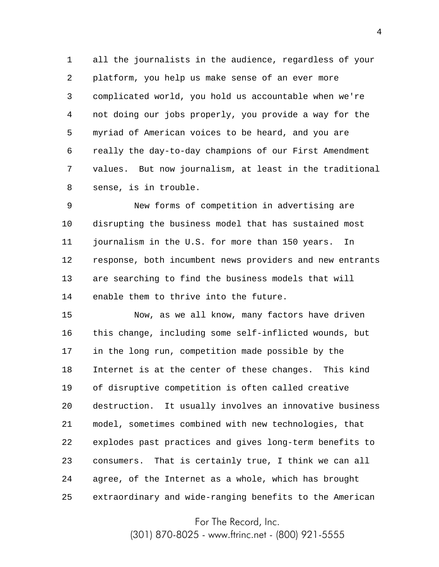1 2 3 4 5 6 7 8 all the journalists in the audience, regardless of your platform, you help us make sense of an ever more complicated world, you hold us accountable when we're not doing our jobs properly, you provide a way for the myriad of American voices to be heard, and you are really the day-to-day champions of our First Amendment values. But now journalism, at least in the traditional sense, is in trouble.

9 10 11 12 13 14 New forms of competition in advertising are disrupting the business model that has sustained most journalism in the U.S. for more than 150 years. In response, both incumbent news providers and new entrants are searching to find the business models that will enable them to thrive into the future.

15 16 17 18 19 20 21 22 23 24 25 Now, as we all know, many factors have driven this change, including some self-inflicted wounds, but in the long run, competition made possible by the Internet is at the center of these changes. This kind of disruptive competition is often called creative destruction. It usually involves an innovative business model, sometimes combined with new technologies, that explodes past practices and gives long-term benefits to consumers. That is certainly true, I think we can all agree, of the Internet as a whole, which has brought extraordinary and wide-ranging benefits to the American

For The Record, Inc.

(301) 870-8025 - www.ftrinc.net - (800) 921-5555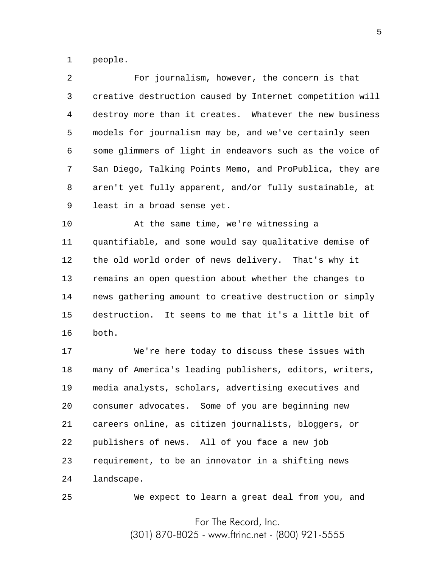1 people.

25

2 3 4 5 6 7 8 9 For journalism, however, the concern is that creative destruction caused by Internet competition will destroy more than it creates. Whatever the new business models for journalism may be, and we've certainly seen some glimmers of light in endeavors such as the voice of San Diego, Talking Points Memo, and ProPublica, they are aren't yet fully apparent, and/or fully sustainable, at least in a broad sense yet.

10 11 12 13 14 15 16 At the same time, we're witnessing a quantifiable, and some would say qualitative demise of the old world order of news delivery. That's why it remains an open question about whether the changes to news gathering amount to creative destruction or simply destruction. It seems to me that it's a little bit of both.

17 18 19 20 21 22 23 24 We're here today to discuss these issues with many of America's leading publishers, editors, writers, media analysts, scholars, advertising executives and consumer advocates. Some of you are beginning new careers online, as citizen journalists, bloggers, or publishers of news. All of you face a new job requirement, to be an innovator in a shifting news landscape.

We expect to learn a great deal from you, and

For The Record, Inc.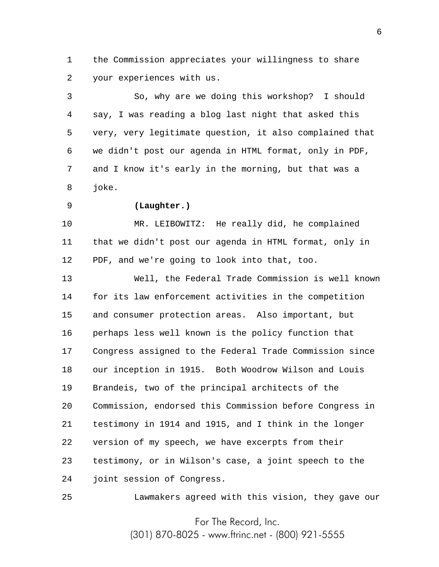1 2 the Commission appreciates your willingness to share your experiences with us.

3 4 5 6 7 8 So, why are we doing this workshop? I should say, I was reading a blog last night that asked this very, very legitimate question, it also complained that we didn't post our agenda in HTML format, only in PDF, and I know it's early in the morning, but that was a joke.

9

## **(Laughter.)**

10 11 12 MR. LEIBOWITZ: He really did, he complained that we didn't post our agenda in HTML format, only in PDF, and we're going to look into that, too.

13 14 15 16 17 18 19 20 21 22 23 24 Well, the Federal Trade Commission is well known for its law enforcement activities in the competition and consumer protection areas. Also important, but perhaps less well known is the policy function that Congress assigned to the Federal Trade Commission since our inception in 1915. Both Woodrow Wilson and Louis Brandeis, two of the principal architects of the Commission, endorsed this Commission before Congress in testimony in 1914 and 1915, and I think in the longer version of my speech, we have excerpts from their testimony, or in Wilson's case, a joint speech to the joint session of Congress.

25 Lawmakers agreed with this vision, they gave our

> For The Record, Inc. (301) 870-8025 - www.ftrinc.net - (800) 921-5555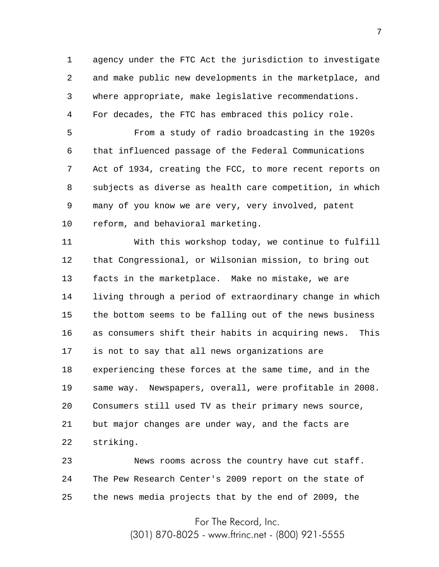1 2 3 4 agency under the FTC Act the jurisdiction to investigate and make public new developments in the marketplace, and where appropriate, make legislative recommendations. For decades, the FTC has embraced this policy role.

5 6 7 8 9 10 From a study of radio broadcasting in the 1920s that influenced passage of the Federal Communications Act of 1934, creating the FCC, to more recent reports on subjects as diverse as health care competition, in which many of you know we are very, very involved, patent reform, and behavioral marketing.

11 12 13 14 15 16 17 18 19 20 21 22 With this workshop today, we continue to fulfill that Congressional, or Wilsonian mission, to bring out facts in the marketplace. Make no mistake, we are living through a period of extraordinary change in which the bottom seems to be falling out of the news business as consumers shift their habits in acquiring news. This is not to say that all news organizations are experiencing these forces at the same time, and in the same way. Newspapers, overall, were profitable in 2008. Consumers still used TV as their primary news source, but major changes are under way, and the facts are striking.

23 24 25 News rooms across the country have cut staff. The Pew Research Center's 2009 report on the state of the news media projects that by the end of 2009, the

For The Record, Inc.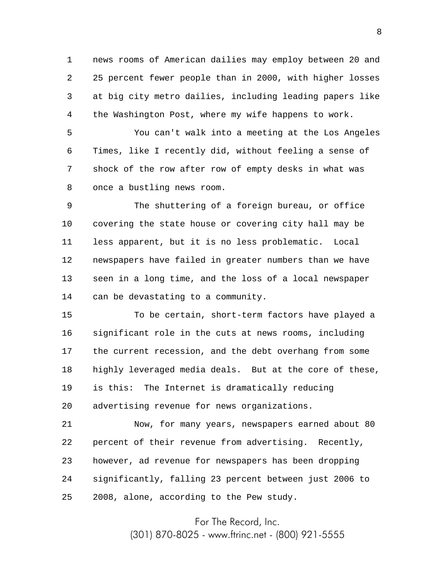1 2 3 4 news rooms of American dailies may employ between 20 and 25 percent fewer people than in 2000, with higher losses at big city metro dailies, including leading papers like the Washington Post, where my wife happens to work.

5 6 7 8 You can't walk into a meeting at the Los Angeles Times, like I recently did, without feeling a sense of shock of the row after row of empty desks in what was once a bustling news room.

9 10 11 12 13 14 The shuttering of a foreign bureau, or office covering the state house or covering city hall may be less apparent, but it is no less problematic. Local newspapers have failed in greater numbers than we have seen in a long time, and the loss of a local newspaper can be devastating to a community.

15 16 17 18 19 20 To be certain, short-term factors have played a significant role in the cuts at news rooms, including the current recession, and the debt overhang from some highly leveraged media deals. But at the core of these, is this: The Internet is dramatically reducing advertising revenue for news organizations.

21 22 23 24 25 Now, for many years, newspapers earned about 80 percent of their revenue from advertising. Recently, however, ad revenue for newspapers has been dropping significantly, falling 23 percent between just 2006 to 2008, alone, according to the Pew study.

For The Record, Inc.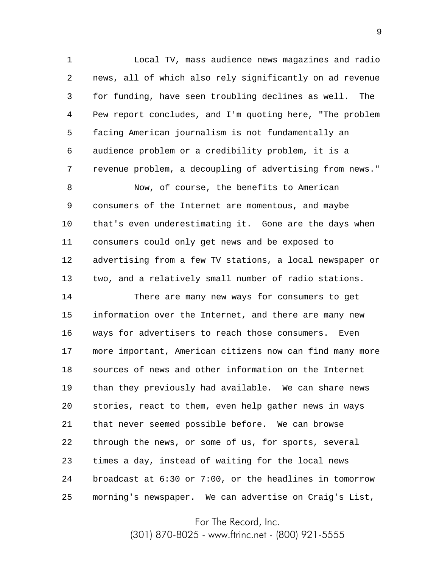1 2 3 4 5 6 7 Local TV, mass audience news magazines and radio news, all of which also rely significantly on ad revenue for funding, have seen troubling declines as well. The Pew report concludes, and I'm quoting here, "The problem facing American journalism is not fundamentally an audience problem or a credibility problem, it is a revenue problem, a decoupling of advertising from news."

8 9 10 11 12 13 Now, of course, the benefits to American consumers of the Internet are momentous, and maybe that's even underestimating it. Gone are the days when consumers could only get news and be exposed to advertising from a few TV stations, a local newspaper or two, and a relatively small number of radio stations.

14 15 16 17 18 19 20 21 22 23 24 25 There are many new ways for consumers to get information over the Internet, and there are many new ways for advertisers to reach those consumers. Even more important, American citizens now can find many more sources of news and other information on the Internet than they previously had available. We can share news stories, react to them, even help gather news in ways that never seemed possible before. We can browse through the news, or some of us, for sports, several times a day, instead of waiting for the local news broadcast at 6:30 or 7:00, or the headlines in tomorrow morning's newspaper. We can advertise on Craig's List,

For The Record, Inc.

(301) 870-8025 - www.ftrinc.net - (800) 921-5555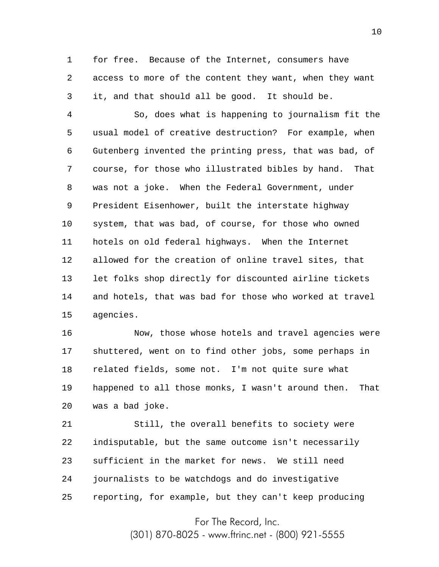1 2 3 for free. Because of the Internet, consumers have access to more of the content they want, when they want it, and that should all be good. It should be.

4 5 6 7 8 9 10 11 12 13 14 15 So, does what is happening to journalism fit the usual model of creative destruction? For example, when Gutenberg invented the printing press, that was bad, of course, for those who illustrated bibles by hand. That was not a joke. When the Federal Government, under President Eisenhower, built the interstate highway system, that was bad, of course, for those who owned hotels on old federal highways. When the Internet allowed for the creation of online travel sites, that let folks shop directly for discounted airline tickets and hotels, that was bad for those who worked at travel agencies.

16 17 18 19 20 Now, those whose hotels and travel agencies were shuttered, went on to find other jobs, some perhaps in related fields, some not. I'm not quite sure what happened to all those monks, I wasn't around then. That was a bad joke.

21 22 23 24 25 Still, the overall benefits to society were indisputable, but the same outcome isn't necessarily sufficient in the market for news. We still need journalists to be watchdogs and do investigative reporting, for example, but they can't keep producing

For The Record, Inc.

(301) 870-8025 - www.ftrinc.net - (800) 921-5555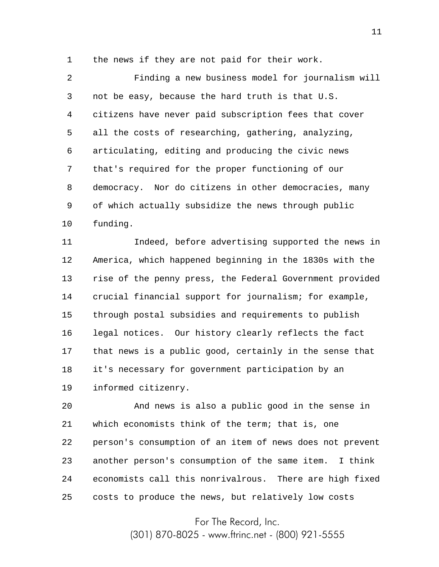1 the news if they are not paid for their work.

2 3 4 5 6 7 8 9 10 Finding a new business model for journalism will not be easy, because the hard truth is that U.S. citizens have never paid subscription fees that cover all the costs of researching, gathering, analyzing, articulating, editing and producing the civic news that's required for the proper functioning of our democracy. Nor do citizens in other democracies, many of which actually subsidize the news through public funding.

11 12 13 14 15 16 17 18 19 Indeed, before advertising supported the news in America, which happened beginning in the 1830s with the rise of the penny press, the Federal Government provided crucial financial support for journalism; for example, through postal subsidies and requirements to publish legal notices. Our history clearly reflects the fact that news is a public good, certainly in the sense that it's necessary for government participation by an informed citizenry.

20 21 22 23 24 25 And news is also a public good in the sense in which economists think of the term; that is, one person's consumption of an item of news does not prevent another person's consumption of the same item. I think economists call this nonrivalrous. There are high fixed costs to produce the news, but relatively low costs

For The Record, Inc.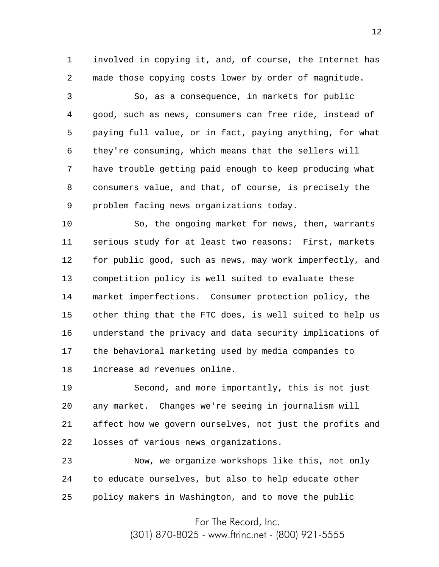1 2 involved in copying it, and, of course, the Internet has made those copying costs lower by order of magnitude.

3 4 5 6 7 8 9 So, as a consequence, in markets for public good, such as news, consumers can free ride, instead of paying full value, or in fact, paying anything, for what they're consuming, which means that the sellers will have trouble getting paid enough to keep producing what consumers value, and that, of course, is precisely the problem facing news organizations today.

10 11 12 13 14 15 16 17 18 So, the ongoing market for news, then, warrants serious study for at least two reasons: First, markets for public good, such as news, may work imperfectly, and competition policy is well suited to evaluate these market imperfections. Consumer protection policy, the other thing that the FTC does, is well suited to help us understand the privacy and data security implications of the behavioral marketing used by media companies to increase ad revenues online.

19 20 21 22 Second, and more importantly, this is not just any market. Changes we're seeing in journalism will affect how we govern ourselves, not just the profits and losses of various news organizations.

23 24 25 Now, we organize workshops like this, not only to educate ourselves, but also to help educate other policy makers in Washington, and to move the public

For The Record, Inc.

(301) 870-8025 - www.ftrinc.net - (800) 921-5555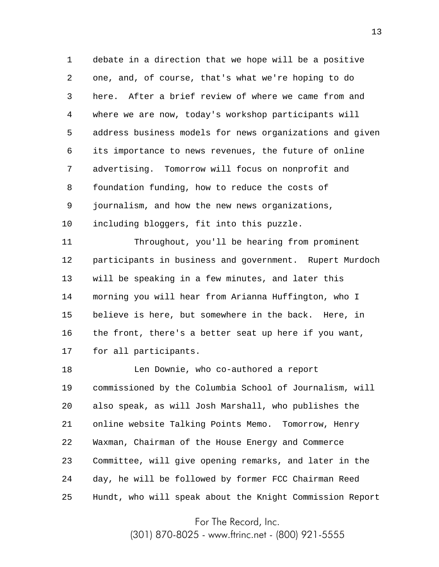1 2 3 4 5 6 7 8 9 10 debate in a direction that we hope will be a positive one, and, of course, that's what we're hoping to do here. After a brief review of where we came from and where we are now, today's workshop participants will address business models for news organizations and given its importance to news revenues, the future of online advertising. Tomorrow will focus on nonprofit and foundation funding, how to reduce the costs of journalism, and how the new news organizations, including bloggers, fit into this puzzle.

11 12 13 14 15 16 17 Throughout, you'll be hearing from prominent participants in business and government. Rupert Murdoch will be speaking in a few minutes, and later this morning you will hear from Arianna Huffington, who I believe is here, but somewhere in the back. Here, in the front, there's a better seat up here if you want, for all participants.

18 19 20 21 22 23 24 25 Len Downie, who co-authored a report commissioned by the Columbia School of Journalism, will also speak, as will Josh Marshall, who publishes the online website Talking Points Memo. Tomorrow, Henry Waxman, Chairman of the House Energy and Commerce Committee, will give opening remarks, and later in the day, he will be followed by former FCC Chairman Reed Hundt, who will speak about the Knight Commission Report

For The Record, Inc.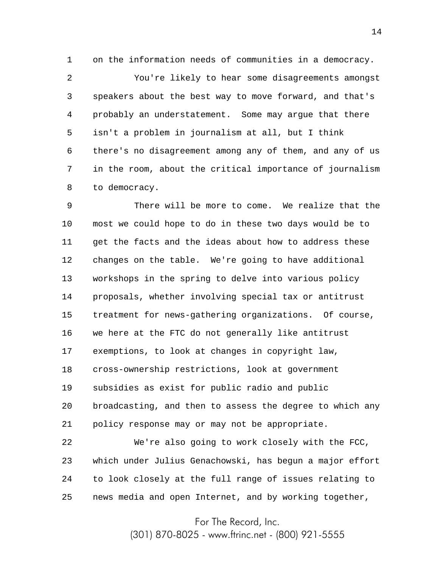1 on the information needs of communities in a democracy.

2 3 4 5 6 7 8 You're likely to hear some disagreements amongst speakers about the best way to move forward, and that's probably an understatement. Some may argue that there isn't a problem in journalism at all, but I think there's no disagreement among any of them, and any of us in the room, about the critical importance of journalism to democracy.

9 10 11 12 13 14 15 16 17 18 19 20 21 There will be more to come. We realize that the most we could hope to do in these two days would be to get the facts and the ideas about how to address these changes on the table. We're going to have additional workshops in the spring to delve into various policy proposals, whether involving special tax or antitrust treatment for news-gathering organizations. Of course, we here at the FTC do not generally like antitrust exemptions, to look at changes in copyright law, cross-ownership restrictions, look at government subsidies as exist for public radio and public broadcasting, and then to assess the degree to which any policy response may or may not be appropriate.

22 23 24 25 We're also going to work closely with the FCC, which under Julius Genachowski, has begun a major effort to look closely at the full range of issues relating to news media and open Internet, and by working together,

For The Record, Inc.

(301) 870-8025 - www.ftrinc.net - (800) 921-5555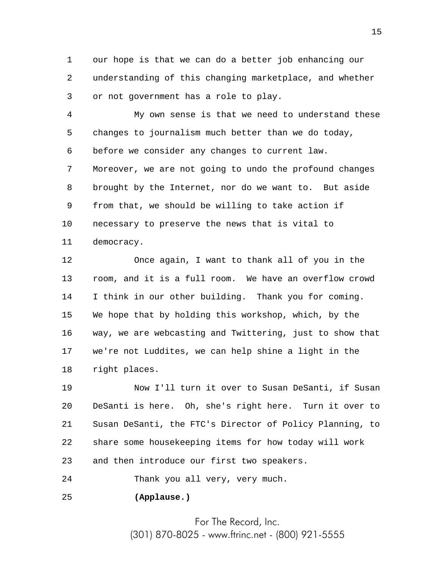1 2 3 our hope is that we can do a better job enhancing our understanding of this changing marketplace, and whether or not government has a role to play.

4 5 6 7 8 9 10 11 My own sense is that we need to understand these changes to journalism much better than we do today, before we consider any changes to current law. Moreover, we are not going to undo the profound changes brought by the Internet, nor do we want to. But aside from that, we should be willing to take action if necessary to preserve the news that is vital to democracy.

12 13 14 15 16 17 18 Once again, I want to thank all of you in the room, and it is a full room. We have an overflow crowd I think in our other building. Thank you for coming. We hope that by holding this workshop, which, by the way, we are webcasting and Twittering, just to show that we're not Luddites, we can help shine a light in the right places.

19 20 21 22 23 Now I'll turn it over to Susan DeSanti, if Susan DeSanti is here. Oh, she's right here. Turn it over to Susan DeSanti, the FTC's Director of Policy Planning, to share some housekeeping items for how today will work and then introduce our first two speakers.

24 Thank you all very, very much.

25 **(Applause.)**

> For The Record, Inc. (301) 870-8025 - www.ftrinc.net - (800) 921-5555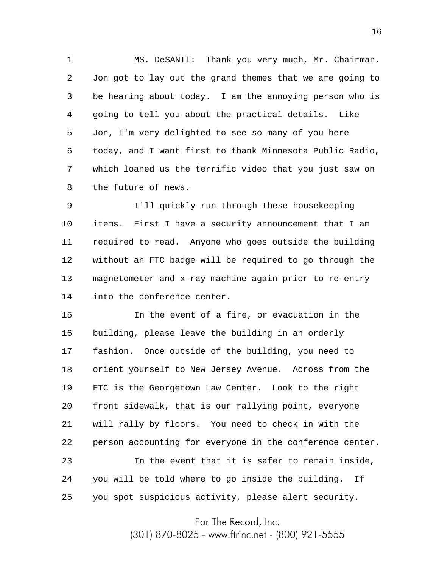1 2 3 4 5 6 7 8 MS. DeSANTI: Thank you very much, Mr. Chairman. Jon got to lay out the grand themes that we are going to be hearing about today. I am the annoying person who is going to tell you about the practical details. Like Jon, I'm very delighted to see so many of you here today, and I want first to thank Minnesota Public Radio, which loaned us the terrific video that you just saw on the future of news.

9 10 11 12 13 14 I'll quickly run through these housekeeping items. First I have a security announcement that I am required to read. Anyone who goes outside the building without an FTC badge will be required to go through the magnetometer and x-ray machine again prior to re-entry into the conference center.

15 16 17 18 19 20 21 22 23 24 In the event of a fire, or evacuation in the building, please leave the building in an orderly fashion. Once outside of the building, you need to orient yourself to New Jersey Avenue. Across from the FTC is the Georgetown Law Center. Look to the right front sidewalk, that is our rallying point, everyone will rally by floors. You need to check in with the person accounting for everyone in the conference center. In the event that it is safer to remain inside, you will be told where to go inside the building. If

25 you spot suspicious activity, please alert security.

For The Record, Inc.

(301) 870-8025 - www.ftrinc.net - (800) 921-5555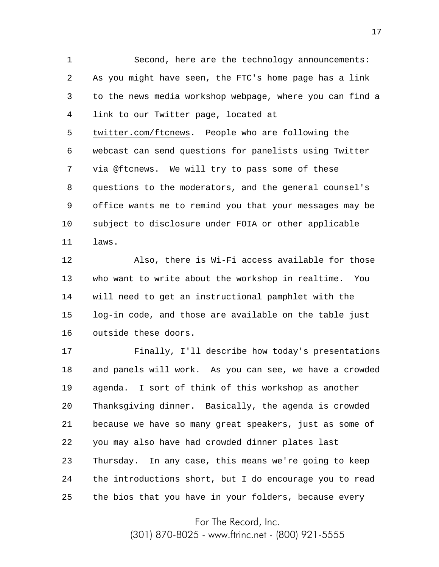1 2 3 4 5 6 7 8 9 10 11 Second, here are the technology announcements: As you might have seen, the FTC's home page has a link to the news media workshop webpage, where you can find a link to our Twitter page, located at twitter.com/ftcnews. People who are following the webcast can send questions for panelists using Twitter via @ftcnews. We will try to pass some of these questions to the moderators, and the general counsel's office wants me to remind you that your messages may be subject to disclosure under FOIA or other applicable laws.

12 13 14 15 16 Also, there is Wi-Fi access available for those who want to write about the workshop in realtime. You will need to get an instructional pamphlet with the log-in code, and those are available on the table just outside these doors.

17 18 19 20 21 22 23 24 25 Finally, I'll describe how today's presentations and panels will work. As you can see, we have a crowded agenda. I sort of think of this workshop as another Thanksgiving dinner. Basically, the agenda is crowded because we have so many great speakers, just as some of you may also have had crowded dinner plates last Thursday. In any case, this means we're going to keep the introductions short, but I do encourage you to read the bios that you have in your folders, because every

For The Record, Inc.

(301) 870-8025 - www.ftrinc.net - (800) 921-5555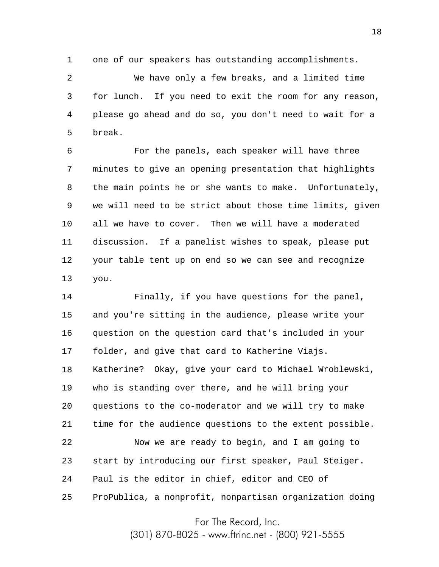1 one of our speakers has outstanding accomplishments.

2 3 4 5 We have only a few breaks, and a limited time for lunch. If you need to exit the room for any reason, please go ahead and do so, you don't need to wait for a break.

6 7 8 9 10 11 12 13 For the panels, each speaker will have three minutes to give an opening presentation that highlights the main points he or she wants to make. Unfortunately, we will need to be strict about those time limits, given all we have to cover. Then we will have a moderated discussion. If a panelist wishes to speak, please put your table tent up on end so we can see and recognize you.

14 15 16 17 18 19 20 21 22 23 24 25 Finally, if you have questions for the panel, and you're sitting in the audience, please write your question on the question card that's included in your folder, and give that card to Katherine Viajs. Katherine? Okay, give your card to Michael Wroblewski, who is standing over there, and he will bring your questions to the co-moderator and we will try to make time for the audience questions to the extent possible. Now we are ready to begin, and I am going to start by introducing our first speaker, Paul Steiger. Paul is the editor in chief, editor and CEO of ProPublica, a nonprofit, nonpartisan organization doing

For The Record, Inc.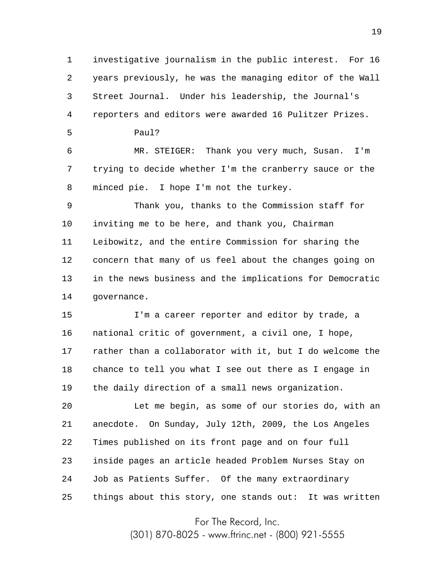1 2 3 4 investigative journalism in the public interest. For 16 years previously, he was the managing editor of the Wall Street Journal. Under his leadership, the Journal's reporters and editors were awarded 16 Pulitzer Prizes.

Paul?

5

6 7 8 MR. STEIGER: Thank you very much, Susan. I'm trying to decide whether I'm the cranberry sauce or the minced pie. I hope I'm not the turkey.

9 10 11 12 13 14 Thank you, thanks to the Commission staff for inviting me to be here, and thank you, Chairman Leibowitz, and the entire Commission for sharing the concern that many of us feel about the changes going on in the news business and the implications for Democratic governance.

15 16 17 18 19 I'm a career reporter and editor by trade, a national critic of government, a civil one, I hope, rather than a collaborator with it, but I do welcome the chance to tell you what I see out there as I engage in the daily direction of a small news organization.

20 21 22 23 24 25 Let me begin, as some of our stories do, with an anecdote. On Sunday, July 12th, 2009, the Los Angeles Times published on its front page and on four full inside pages an article headed Problem Nurses Stay on Job as Patients Suffer. Of the many extraordinary things about this story, one stands out: It was written

For The Record, Inc.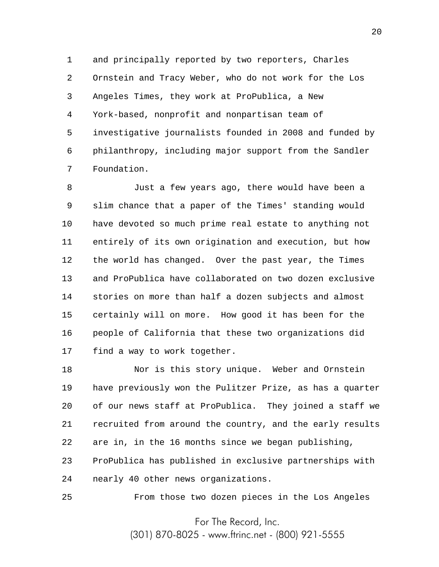1 2 3 4 5 6 7 and principally reported by two reporters, Charles Ornstein and Tracy Weber, who do not work for the Los Angeles Times, they work at ProPublica, a New York-based, nonprofit and nonpartisan team of investigative journalists founded in 2008 and funded by philanthropy, including major support from the Sandler Foundation.

8 9 10 11 12 13 14 15 16 17 Just a few years ago, there would have been a slim chance that a paper of the Times' standing would have devoted so much prime real estate to anything not entirely of its own origination and execution, but how the world has changed. Over the past year, the Times and ProPublica have collaborated on two dozen exclusive stories on more than half a dozen subjects and almost certainly will on more. How good it has been for the people of California that these two organizations did find a way to work together.

18 19 20 21 22 23 24 Nor is this story unique. Weber and Ornstein have previously won the Pulitzer Prize, as has a quarter of our news staff at ProPublica. They joined a staff we recruited from around the country, and the early results are in, in the 16 months since we began publishing, ProPublica has published in exclusive partnerships with nearly 40 other news organizations.

25 From those two dozen pieces in the Los Angeles

For The Record, Inc.

(301) 870-8025 - www.ftrinc.net - (800) 921-5555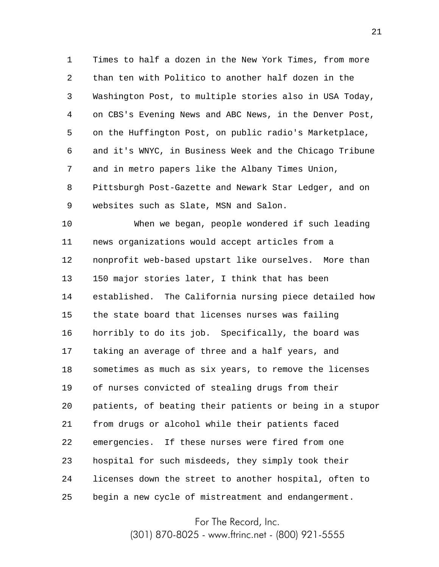1 2 3 4 5 6 7 8 9 Times to half a dozen in the New York Times, from more than ten with Politico to another half dozen in the Washington Post, to multiple stories also in USA Today, on CBS's Evening News and ABC News, in the Denver Post, on the Huffington Post, on public radio's Marketplace, and it's WNYC, in Business Week and the Chicago Tribune and in metro papers like the Albany Times Union, Pittsburgh Post-Gazette and Newark Star Ledger, and on websites such as Slate, MSN and Salon.

10 11 12 13 14 15 16 17 18 19 20 21 22 23 24 25 When we began, people wondered if such leading news organizations would accept articles from a nonprofit web-based upstart like ourselves. More than 150 major stories later, I think that has been established. The California nursing piece detailed how the state board that licenses nurses was failing horribly to do its job. Specifically, the board was taking an average of three and a half years, and sometimes as much as six years, to remove the licenses of nurses convicted of stealing drugs from their patients, of beating their patients or being in a stupor from drugs or alcohol while their patients faced emergencies. If these nurses were fired from one hospital for such misdeeds, they simply took their licenses down the street to another hospital, often to begin a new cycle of mistreatment and endangerment.

For The Record, Inc.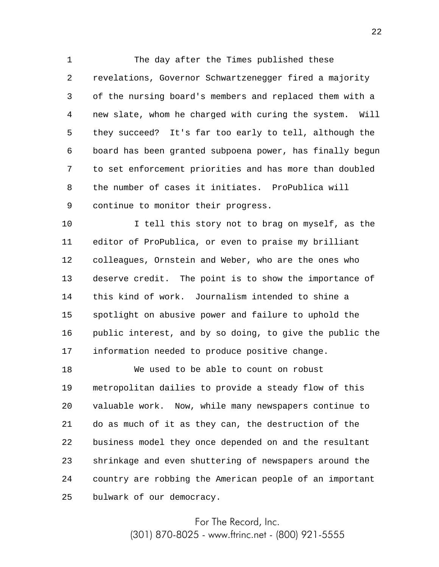1 2 3 4 5 6 7 8 9 The day after the Times published these revelations, Governor Schwartzenegger fired a majority of the nursing board's members and replaced them with a new slate, whom he charged with curing the system. Will they succeed? It's far too early to tell, although the board has been granted subpoena power, has finally begun to set enforcement priorities and has more than doubled the number of cases it initiates. ProPublica will continue to monitor their progress.

10 11 12 13 14 15 16 17 I tell this story not to brag on myself, as the editor of ProPublica, or even to praise my brilliant colleagues, Ornstein and Weber, who are the ones who deserve credit. The point is to show the importance of this kind of work. Journalism intended to shine a spotlight on abusive power and failure to uphold the public interest, and by so doing, to give the public the information needed to produce positive change.

18 19 20 21 22 23 24 25 We used to be able to count on robust metropolitan dailies to provide a steady flow of this valuable work. Now, while many newspapers continue to do as much of it as they can, the destruction of the business model they once depended on and the resultant shrinkage and even shuttering of newspapers around the country are robbing the American people of an important bulwark of our democracy.

> For The Record, Inc. (301) 870-8025 - www.ftrinc.net - (800) 921-5555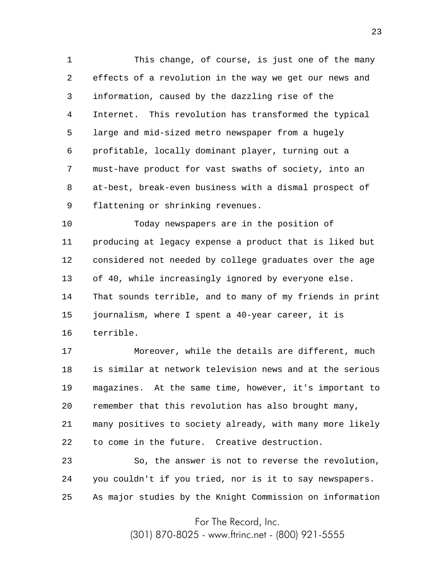1 2 3 4 5 6 7 8 9 This change, of course, is just one of the many effects of a revolution in the way we get our news and information, caused by the dazzling rise of the Internet. This revolution has transformed the typical large and mid-sized metro newspaper from a hugely profitable, locally dominant player, turning out a must-have product for vast swaths of society, into an at-best, break-even business with a dismal prospect of flattening or shrinking revenues.

10 11 12 13 14 15 16 Today newspapers are in the position of producing at legacy expense a product that is liked but considered not needed by college graduates over the age of 40, while increasingly ignored by everyone else. That sounds terrible, and to many of my friends in print journalism, where I spent a 40-year career, it is terrible.

17 18 19 20 21 22 Moreover, while the details are different, much is similar at network television news and at the serious magazines. At the same time, however, it's important to remember that this revolution has also brought many, many positives to society already, with many more likely to come in the future. Creative destruction.

23 24 25 So, the answer is not to reverse the revolution, you couldn't if you tried, nor is it to say newspapers. As major studies by the Knight Commission on information

For The Record, Inc.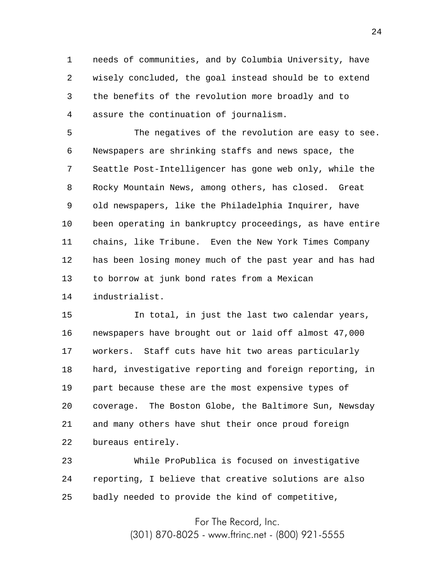1 2 3 4 needs of communities, and by Columbia University, have wisely concluded, the goal instead should be to extend the benefits of the revolution more broadly and to assure the continuation of journalism.

5 6 7 8 9 10 11 12 13 14 The negatives of the revolution are easy to see. Newspapers are shrinking staffs and news space, the Seattle Post-Intelligencer has gone web only, while the Rocky Mountain News, among others, has closed. Great old newspapers, like the Philadelphia Inquirer, have been operating in bankruptcy proceedings, as have entire chains, like Tribune. Even the New York Times Company has been losing money much of the past year and has had to borrow at junk bond rates from a Mexican industrialist.

15 16 17 18 19 20 21 22 In total, in just the last two calendar years, newspapers have brought out or laid off almost 47,000 workers. Staff cuts have hit two areas particularly hard, investigative reporting and foreign reporting, in part because these are the most expensive types of coverage. The Boston Globe, the Baltimore Sun, Newsday and many others have shut their once proud foreign bureaus entirely.

23 24 25 While ProPublica is focused on investigative reporting, I believe that creative solutions are also badly needed to provide the kind of competitive,

> For The Record, Inc. (301) 870-8025 - www.ftrinc.net - (800) 921-5555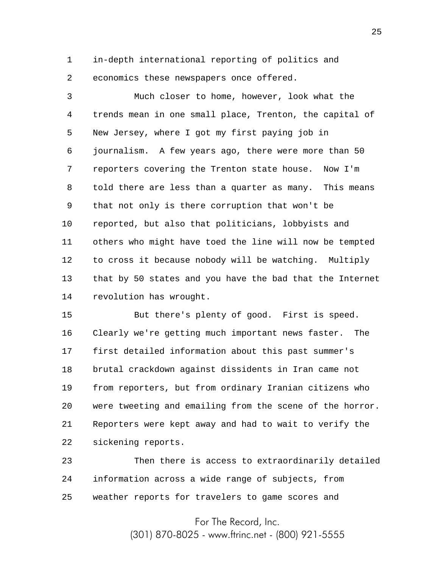1 2 in-depth international reporting of politics and economics these newspapers once offered.

3 4 5 6 7 8 9 10 11 12 13 14 Much closer to home, however, look what the trends mean in one small place, Trenton, the capital of New Jersey, where I got my first paying job in journalism. A few years ago, there were more than 50 reporters covering the Trenton state house. Now I'm told there are less than a quarter as many. This means that not only is there corruption that won't be reported, but also that politicians, lobbyists and others who might have toed the line will now be tempted to cross it because nobody will be watching. Multiply that by 50 states and you have the bad that the Internet revolution has wrought.

15 16 17 18 19 20 21 22 But there's plenty of good. First is speed. Clearly we're getting much important news faster. The first detailed information about this past summer's brutal crackdown against dissidents in Iran came not from reporters, but from ordinary Iranian citizens who were tweeting and emailing from the scene of the horror. Reporters were kept away and had to wait to verify the sickening reports.

23 24 25 Then there is access to extraordinarily detailed information across a wide range of subjects, from weather reports for travelers to game scores and

> For The Record, Inc. (301) 870-8025 - www.ftrinc.net - (800) 921-5555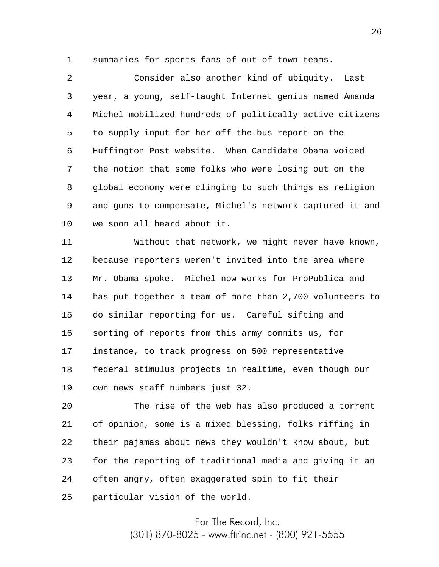1 summaries for sports fans of out-of-town teams.

2 3 4 5 6 7 8 9 10 Consider also another kind of ubiquity. Last year, a young, self-taught Internet genius named Amanda Michel mobilized hundreds of politically active citizens to supply input for her off-the-bus report on the Huffington Post website. When Candidate Obama voiced the notion that some folks who were losing out on the global economy were clinging to such things as religion and guns to compensate, Michel's network captured it and we soon all heard about it.

11 12 13 14 15 16 17 18 19 Without that network, we might never have known, because reporters weren't invited into the area where Mr. Obama spoke. Michel now works for ProPublica and has put together a team of more than 2,700 volunteers to do similar reporting for us. Careful sifting and sorting of reports from this army commits us, for instance, to track progress on 500 representative federal stimulus projects in realtime, even though our own news staff numbers just 32.

20 21 22 23 24 25 The rise of the web has also produced a torrent of opinion, some is a mixed blessing, folks riffing in their pajamas about news they wouldn't know about, but for the reporting of traditional media and giving it an often angry, often exaggerated spin to fit their particular vision of the world.

For The Record, Inc.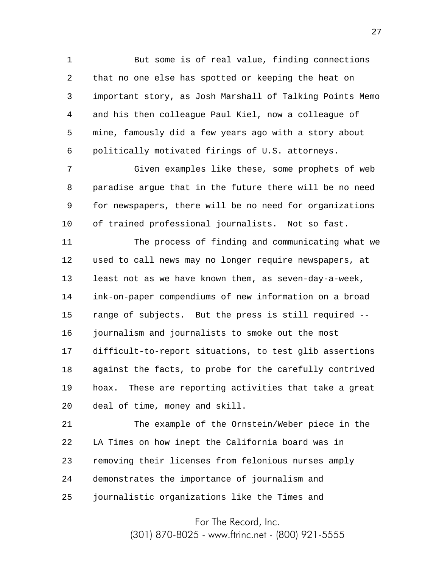1 2 3 4 5 6 But some is of real value, finding connections that no one else has spotted or keeping the heat on important story, as Josh Marshall of Talking Points Memo and his then colleague Paul Kiel, now a colleague of mine, famously did a few years ago with a story about politically motivated firings of U.S. attorneys.

7 8 9 10 Given examples like these, some prophets of web paradise argue that in the future there will be no need for newspapers, there will be no need for organizations of trained professional journalists. Not so fast.

11 12 13 14 15 16 17 18 19 20 The process of finding and communicating what we used to call news may no longer require newspapers, at least not as we have known them, as seven-day-a-week, ink-on-paper compendiums of new information on a broad range of subjects. But the press is still required - journalism and journalists to smoke out the most difficult-to-report situations, to test glib assertions against the facts, to probe for the carefully contrived hoax. These are reporting activities that take a great deal of time, money and skill.

21 22 23 24 25 The example of the Ornstein/Weber piece in the LA Times on how inept the California board was in removing their licenses from felonious nurses amply demonstrates the importance of journalism and journalistic organizations like the Times and

For The Record, Inc.

(301) 870-8025 - www.ftrinc.net - (800) 921-5555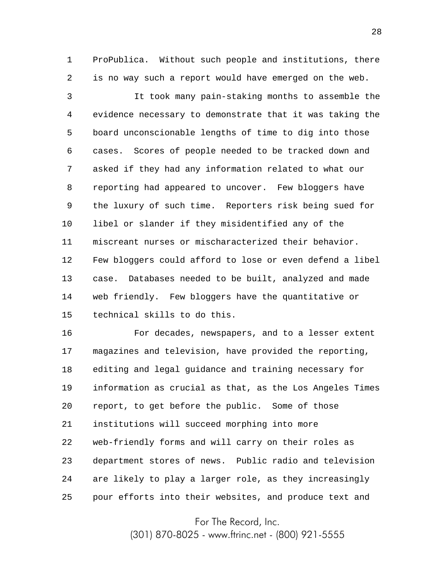1 2 ProPublica. Without such people and institutions, there is no way such a report would have emerged on the web.

3 4 5 6 7 8 9 10 11 12 13 14 15 It took many pain-staking months to assemble the evidence necessary to demonstrate that it was taking the board unconscionable lengths of time to dig into those cases. Scores of people needed to be tracked down and asked if they had any information related to what our reporting had appeared to uncover. Few bloggers have the luxury of such time. Reporters risk being sued for libel or slander if they misidentified any of the miscreant nurses or mischaracterized their behavior. Few bloggers could afford to lose or even defend a libel case. Databases needed to be built, analyzed and made web friendly. Few bloggers have the quantitative or technical skills to do this.

16 17 18 19 20 21 22 23 24 25 For decades, newspapers, and to a lesser extent magazines and television, have provided the reporting, editing and legal guidance and training necessary for information as crucial as that, as the Los Angeles Times report, to get before the public. Some of those institutions will succeed morphing into more web-friendly forms and will carry on their roles as department stores of news. Public radio and television are likely to play a larger role, as they increasingly pour efforts into their websites, and produce text and

For The Record, Inc.

(301) 870-8025 - www.ftrinc.net - (800) 921-5555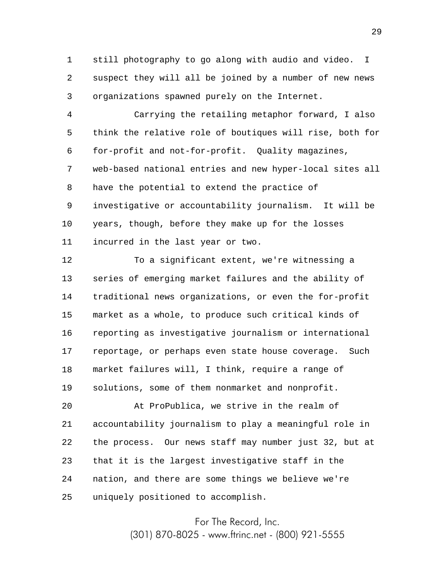1 2 3 still photography to go along with audio and video. I suspect they will all be joined by a number of new news organizations spawned purely on the Internet.

4 5 6 7 8 9 10 11 Carrying the retailing metaphor forward, I also think the relative role of boutiques will rise, both for for-profit and not-for-profit. Quality magazines, web-based national entries and new hyper-local sites all have the potential to extend the practice of investigative or accountability journalism. It will be years, though, before they make up for the losses incurred in the last year or two.

12 13 14 15 16 17 18 19 To a significant extent, we're witnessing a series of emerging market failures and the ability of traditional news organizations, or even the for-profit market as a whole, to produce such critical kinds of reporting as investigative journalism or international reportage, or perhaps even state house coverage. Such market failures will, I think, require a range of solutions, some of them nonmarket and nonprofit.

20 21 22 23 24 25 At ProPublica, we strive in the realm of accountability journalism to play a meaningful role in the process. Our news staff may number just 32, but at that it is the largest investigative staff in the nation, and there are some things we believe we're uniquely positioned to accomplish.

> For The Record, Inc. (301) 870-8025 - www.ftrinc.net - (800) 921-5555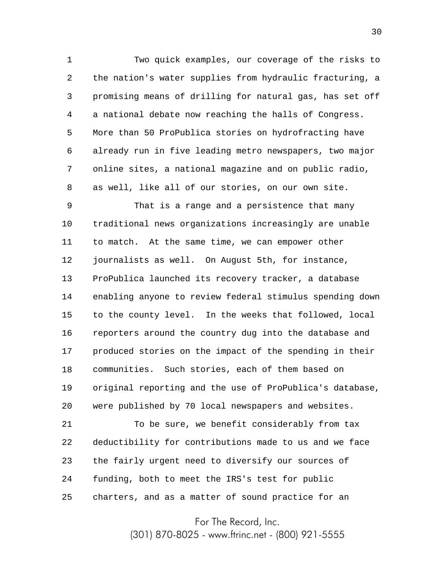1 2 3 4 5 6 7 8 Two quick examples, our coverage of the risks to the nation's water supplies from hydraulic fracturing, a promising means of drilling for natural gas, has set off a national debate now reaching the halls of Congress. More than 50 ProPublica stories on hydrofracting have already run in five leading metro newspapers, two major online sites, a national magazine and on public radio, as well, like all of our stories, on our own site.

9 10 11 12 13 14 15 16 17 18 19 20 That is a range and a persistence that many traditional news organizations increasingly are unable to match. At the same time, we can empower other journalists as well. On August 5th, for instance, ProPublica launched its recovery tracker, a database enabling anyone to review federal stimulus spending down to the county level. In the weeks that followed, local reporters around the country dug into the database and produced stories on the impact of the spending in their communities. Such stories, each of them based on original reporting and the use of ProPublica's database, were published by 70 local newspapers and websites.

21 22 23 24 25 To be sure, we benefit considerably from tax deductibility for contributions made to us and we face the fairly urgent need to diversify our sources of funding, both to meet the IRS's test for public charters, and as a matter of sound practice for an

For The Record, Inc.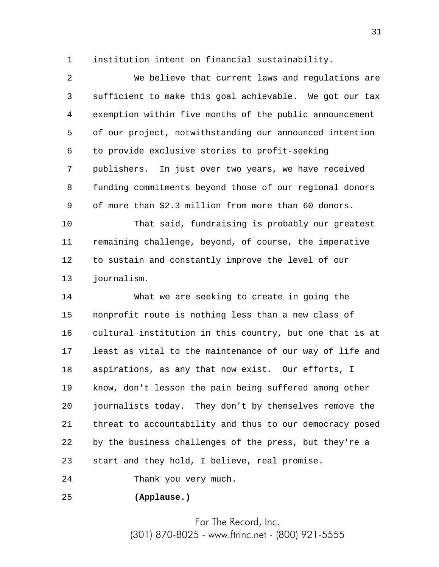1 institution intent on financial sustainability.

2 3 4 5 6 7 8 9 We believe that current laws and regulations are sufficient to make this goal achievable. We got our tax exemption within five months of the public announcement of our project, notwithstanding our announced intention to provide exclusive stories to profit-seeking publishers. In just over two years, we have received funding commitments beyond those of our regional donors of more than \$2.3 million from more than 60 donors.

10 11 12 13 That said, fundraising is probably our greatest remaining challenge, beyond, of course, the imperative to sustain and constantly improve the level of our journalism.

14 15 16 17 18 19 20 21 22 23 What we are seeking to create in going the nonprofit route is nothing less than a new class of cultural institution in this country, but one that is at least as vital to the maintenance of our way of life and aspirations, as any that now exist. Our efforts, I know, don't lesson the pain being suffered among other journalists today. They don't by themselves remove the threat to accountability and thus to our democracy posed by the business challenges of the press, but they're a start and they hold, I believe, real promise.

24 Thank you very much.

25 **(Applause.)**

> For The Record, Inc. (301) 870-8025 - www.ftrinc.net - (800) 921-5555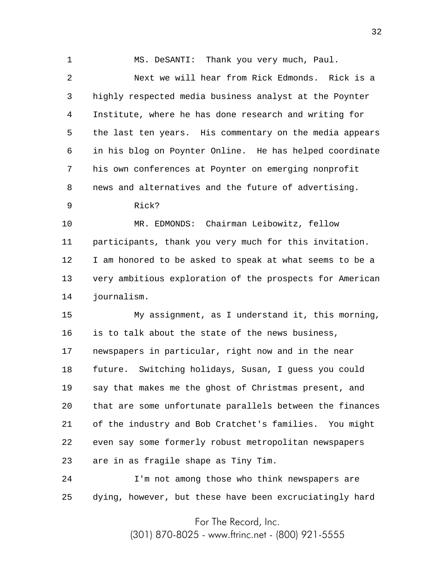1 2 3 4 5 6 7 8 9 10 11 12 13 14 15 16 17 18 19 20 21 22 23 24 25 MS. DeSANTI: Thank you very much, Paul. Next we will hear from Rick Edmonds. Rick is a highly respected media business analyst at the Poynter Institute, where he has done research and writing for the last ten years. His commentary on the media appears in his blog on Poynter Online. He has helped coordinate his own conferences at Poynter on emerging nonprofit news and alternatives and the future of advertising. Rick? MR. EDMONDS: Chairman Leibowitz, fellow participants, thank you very much for this invitation. I am honored to be asked to speak at what seems to be a very ambitious exploration of the prospects for American journalism. My assignment, as I understand it, this morning, is to talk about the state of the news business, newspapers in particular, right now and in the near future. Switching holidays, Susan, I guess you could say that makes me the ghost of Christmas present, and that are some unfortunate parallels between the finances of the industry and Bob Cratchet's families. You might even say some formerly robust metropolitan newspapers are in as fragile shape as Tiny Tim. I'm not among those who think newspapers are dying, however, but these have been excruciatingly hard

For The Record, Inc.

(301) 870-8025 - www.ftrinc.net - (800) 921-5555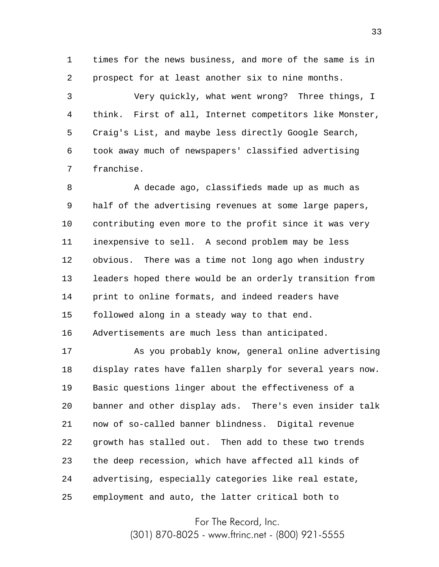1 2 times for the news business, and more of the same is in prospect for at least another six to nine months.

3 4 5 6 7 Very quickly, what went wrong? Three things, I think. First of all, Internet competitors like Monster, Craig's List, and maybe less directly Google Search, took away much of newspapers' classified advertising franchise.

8 9 10 11 12 13 14 15 16 A decade ago, classifieds made up as much as half of the advertising revenues at some large papers, contributing even more to the profit since it was very inexpensive to sell. A second problem may be less obvious. There was a time not long ago when industry leaders hoped there would be an orderly transition from print to online formats, and indeed readers have followed along in a steady way to that end. Advertisements are much less than anticipated.

17 18 19 20 21 22 23 24 25 As you probably know, general online advertising display rates have fallen sharply for several years now. Basic questions linger about the effectiveness of a banner and other display ads. There's even insider talk now of so-called banner blindness. Digital revenue growth has stalled out. Then add to these two trends the deep recession, which have affected all kinds of advertising, especially categories like real estate, employment and auto, the latter critical both to

For The Record, Inc.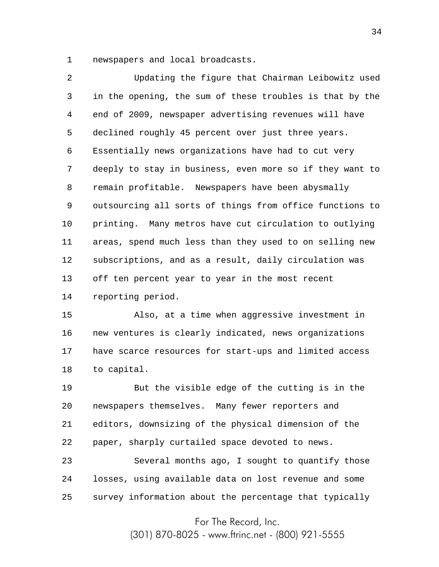1 newspapers and local broadcasts.

2 3 4 5 6 7 8 9 10 11 12 13 14 Updating the figure that Chairman Leibowitz used in the opening, the sum of these troubles is that by the end of 2009, newspaper advertising revenues will have declined roughly 45 percent over just three years. Essentially news organizations have had to cut very deeply to stay in business, even more so if they want to remain profitable. Newspapers have been abysmally outsourcing all sorts of things from office functions to printing. Many metros have cut circulation to outlying areas, spend much less than they used to on selling new subscriptions, and as a result, daily circulation was off ten percent year to year in the most recent reporting period.

15 16 17 18 Also, at a time when aggressive investment in new ventures is clearly indicated, news organizations have scarce resources for start-ups and limited access to capital.

19 20 21 22 23 But the visible edge of the cutting is in the newspapers themselves. Many fewer reporters and editors, downsizing of the physical dimension of the paper, sharply curtailed space devoted to news. Several months ago, I sought to quantify those

24 25 losses, using available data on lost revenue and some survey information about the percentage that typically

For The Record, Inc.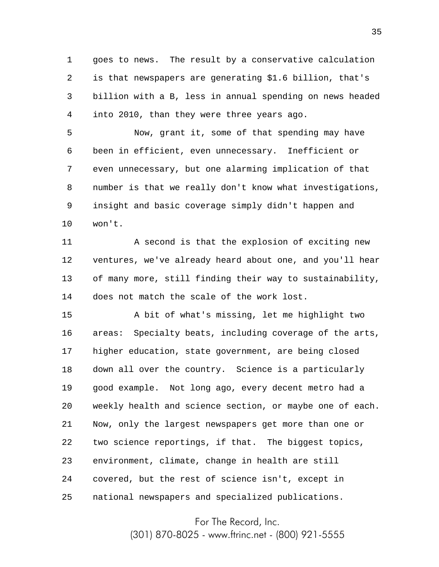1 2 3 4 goes to news. The result by a conservative calculation is that newspapers are generating \$1.6 billion, that's billion with a B, less in annual spending on news headed into 2010, than they were three years ago.

5 6 7 8 9 10 Now, grant it, some of that spending may have been in efficient, even unnecessary. Inefficient or even unnecessary, but one alarming implication of that number is that we really don't know what investigations, insight and basic coverage simply didn't happen and won't.

11 12 13 14 A second is that the explosion of exciting new ventures, we've already heard about one, and you'll hear of many more, still finding their way to sustainability, does not match the scale of the work lost.

15 16 17 18 19 20 21 22 23 24 25 A bit of what's missing, let me highlight two areas: Specialty beats, including coverage of the arts, higher education, state government, are being closed down all over the country. Science is a particularly good example. Not long ago, every decent metro had a weekly health and science section, or maybe one of each. Now, only the largest newspapers get more than one or two science reportings, if that. The biggest topics, environment, climate, change in health are still covered, but the rest of science isn't, except in national newspapers and specialized publications.

For The Record, Inc.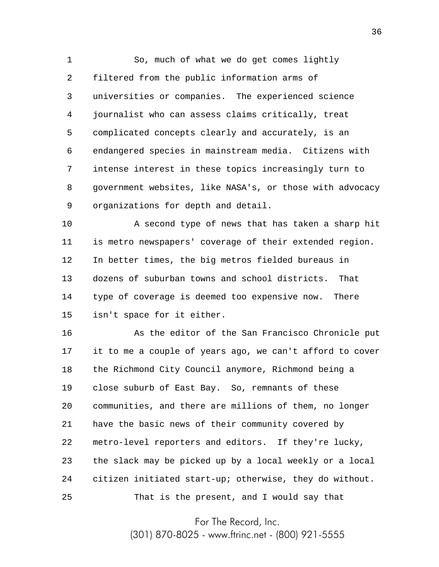1 2 3 4 5 6 7 8 9 So, much of what we do get comes lightly filtered from the public information arms of universities or companies. The experienced science journalist who can assess claims critically, treat complicated concepts clearly and accurately, is an endangered species in mainstream media. Citizens with intense interest in these topics increasingly turn to government websites, like NASA's, or those with advocacy organizations for depth and detail.

10 11 12 13 14 15 A second type of news that has taken a sharp hit is metro newspapers' coverage of their extended region. In better times, the big metros fielded bureaus in dozens of suburban towns and school districts. That type of coverage is deemed too expensive now. There isn't space for it either.

16 17 18 19 20 21 22 23 24 25 As the editor of the San Francisco Chronicle put it to me a couple of years ago, we can't afford to cover the Richmond City Council anymore, Richmond being a close suburb of East Bay. So, remnants of these communities, and there are millions of them, no longer have the basic news of their community covered by metro-level reporters and editors. If they're lucky, the slack may be picked up by a local weekly or a local citizen initiated start-up; otherwise, they do without. That is the present, and I would say that

For The Record, Inc.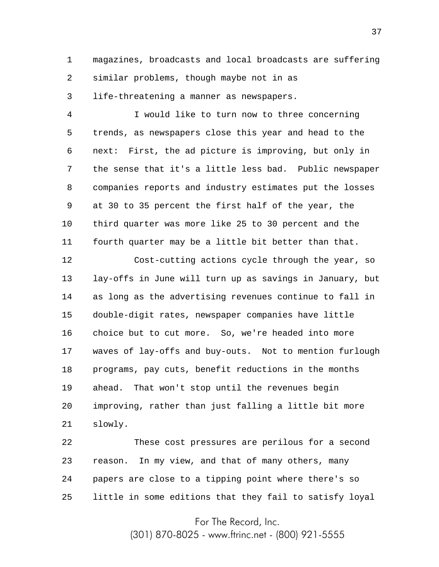1 2 3 magazines, broadcasts and local broadcasts are suffering similar problems, though maybe not in as life-threatening a manner as newspapers.

4 5 6 7 8 9 10 11 I would like to turn now to three concerning trends, as newspapers close this year and head to the next: First, the ad picture is improving, but only in the sense that it's a little less bad. Public newspaper companies reports and industry estimates put the losses at 30 to 35 percent the first half of the year, the third quarter was more like 25 to 30 percent and the fourth quarter may be a little bit better than that.

12 13 14 15 16 17 18 19 20 21 Cost-cutting actions cycle through the year, so lay-offs in June will turn up as savings in January, but as long as the advertising revenues continue to fall in double-digit rates, newspaper companies have little choice but to cut more. So, we're headed into more waves of lay-offs and buy-outs. Not to mention furlough programs, pay cuts, benefit reductions in the months ahead. That won't stop until the revenues begin improving, rather than just falling a little bit more slowly.

22 23 24 25 These cost pressures are perilous for a second reason. In my view, and that of many others, many papers are close to a tipping point where there's so little in some editions that they fail to satisfy loyal

For The Record, Inc.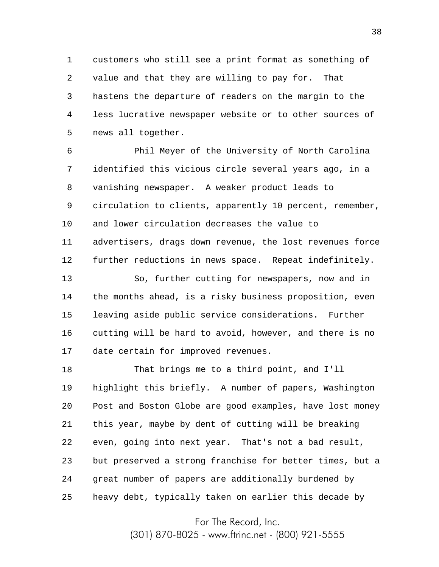1 2 3 4 5 customers who still see a print format as something of value and that they are willing to pay for. That hastens the departure of readers on the margin to the less lucrative newspaper website or to other sources of news all together.

6 7 8 9 10 11 12 Phil Meyer of the University of North Carolina identified this vicious circle several years ago, in a vanishing newspaper. A weaker product leads to circulation to clients, apparently 10 percent, remember, and lower circulation decreases the value to advertisers, drags down revenue, the lost revenues force further reductions in news space. Repeat indefinitely.

13 14 15 16 17 So, further cutting for newspapers, now and in the months ahead, is a risky business proposition, even leaving aside public service considerations. Further cutting will be hard to avoid, however, and there is no date certain for improved revenues.

18 19 20 21 22 23 24 25 That brings me to a third point, and I'll highlight this briefly. A number of papers, Washington Post and Boston Globe are good examples, have lost money this year, maybe by dent of cutting will be breaking even, going into next year. That's not a bad result, but preserved a strong franchise for better times, but a great number of papers are additionally burdened by heavy debt, typically taken on earlier this decade by

For The Record, Inc.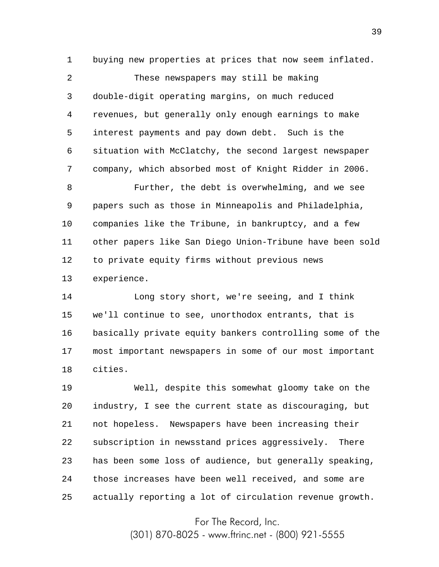1 buying new properties at prices that now seem inflated.

2 3 4 5 6 7 These newspapers may still be making double-digit operating margins, on much reduced revenues, but generally only enough earnings to make interest payments and pay down debt. Such is the situation with McClatchy, the second largest newspaper company, which absorbed most of Knight Ridder in 2006.

8 9 10 11 12 13 Further, the debt is overwhelming, and we see papers such as those in Minneapolis and Philadelphia, companies like the Tribune, in bankruptcy, and a few other papers like San Diego Union-Tribune have been sold to private equity firms without previous news experience.

14 15 16 17 18 Long story short, we're seeing, and I think we'll continue to see, unorthodox entrants, that is basically private equity bankers controlling some of the most important newspapers in some of our most important cities.

19 20 21 22 23 24 25 Well, despite this somewhat gloomy take on the industry, I see the current state as discouraging, but not hopeless. Newspapers have been increasing their subscription in newsstand prices aggressively. There has been some loss of audience, but generally speaking, those increases have been well received, and some are actually reporting a lot of circulation revenue growth.

For The Record, Inc.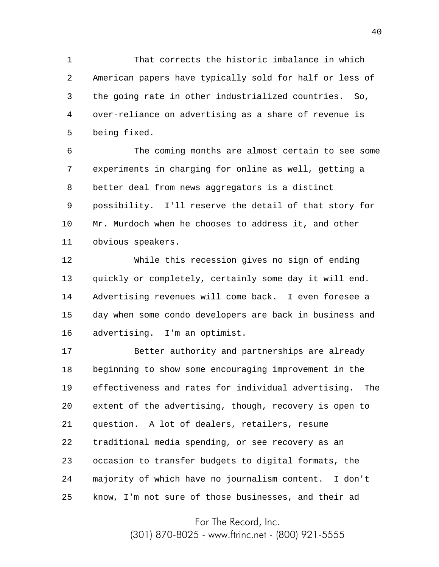1 2 3 4 5 That corrects the historic imbalance in which American papers have typically sold for half or less of the going rate in other industrialized countries. So, over-reliance on advertising as a share of revenue is being fixed.

6 7 8 9 10 11 The coming months are almost certain to see some experiments in charging for online as well, getting a better deal from news aggregators is a distinct possibility. I'll reserve the detail of that story for Mr. Murdoch when he chooses to address it, and other obvious speakers.

12 13 14 15 16 While this recession gives no sign of ending quickly or completely, certainly some day it will end. Advertising revenues will come back. I even foresee a day when some condo developers are back in business and advertising. I'm an optimist.

17 18 19 20 21 22 23 24 25 Better authority and partnerships are already beginning to show some encouraging improvement in the effectiveness and rates for individual advertising. The extent of the advertising, though, recovery is open to question. A lot of dealers, retailers, resume traditional media spending, or see recovery as an occasion to transfer budgets to digital formats, the majority of which have no journalism content. I don't know, I'm not sure of those businesses, and their ad

For The Record, Inc.

(301) 870-8025 - www.ftrinc.net - (800) 921-5555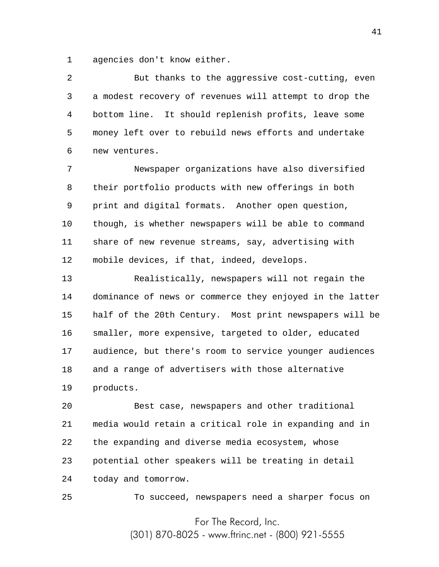1 agencies don't know either.

2 3 4 5 6 But thanks to the aggressive cost-cutting, even a modest recovery of revenues will attempt to drop the bottom line. It should replenish profits, leave some money left over to rebuild news efforts and undertake new ventures.

7 8 9 10 11 12 Newspaper organizations have also diversified their portfolio products with new offerings in both print and digital formats. Another open question, though, is whether newspapers will be able to command share of new revenue streams, say, advertising with mobile devices, if that, indeed, develops.

13 14 15 16 17 18 19 Realistically, newspapers will not regain the dominance of news or commerce they enjoyed in the latter half of the 20th Century. Most print newspapers will be smaller, more expensive, targeted to older, educated audience, but there's room to service younger audiences and a range of advertisers with those alternative products.

20 21 22 23 24 Best case, newspapers and other traditional media would retain a critical role in expanding and in the expanding and diverse media ecosystem, whose potential other speakers will be treating in detail today and tomorrow.

25

To succeed, newspapers need a sharper focus on

For The Record, Inc. (301) 870-8025 - www.ftrinc.net - (800) 921-5555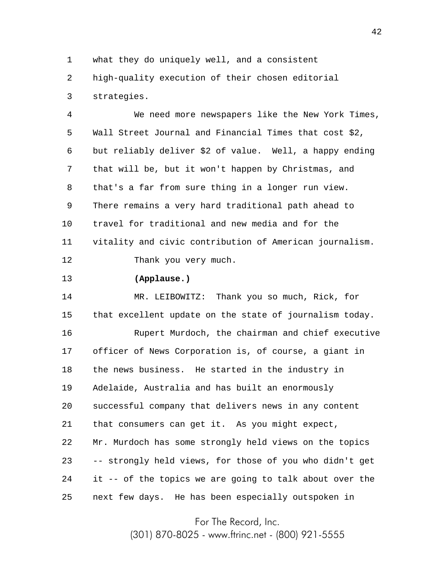1 what they do uniquely well, and a consistent

2 3 high-quality execution of their chosen editorial strategies.

4 5 6 7 8 9 10 11 12 We need more newspapers like the New York Times, Wall Street Journal and Financial Times that cost \$2, but reliably deliver \$2 of value. Well, a happy ending that will be, but it won't happen by Christmas, and that's a far from sure thing in a longer run view. There remains a very hard traditional path ahead to travel for traditional and new media and for the vitality and civic contribution of American journalism. Thank you very much.

13 **(Applause.)**

14 15 16 17 18 19 20 21 22 23 24 25 MR. LEIBOWITZ: Thank you so much, Rick, for that excellent update on the state of journalism today. Rupert Murdoch, the chairman and chief executive officer of News Corporation is, of course, a giant in the news business. He started in the industry in Adelaide, Australia and has built an enormously successful company that delivers news in any content that consumers can get it. As you might expect, Mr. Murdoch has some strongly held views on the topics -- strongly held views, for those of you who didn't get it -- of the topics we are going to talk about over the next few days. He has been especially outspoken in

For The Record, Inc.

(301) 870-8025 - www.ftrinc.net - (800) 921-5555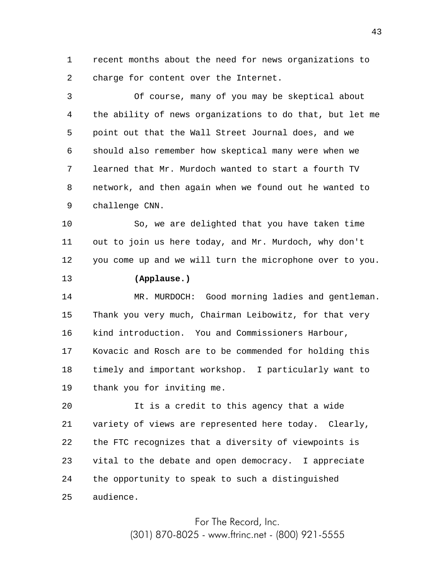1 2 recent months about the need for news organizations to charge for content over the Internet.

3 4 5 6 7 8 9 Of course, many of you may be skeptical about the ability of news organizations to do that, but let me point out that the Wall Street Journal does, and we should also remember how skeptical many were when we learned that Mr. Murdoch wanted to start a fourth TV network, and then again when we found out he wanted to challenge CNN.

10 11 12 So, we are delighted that you have taken time out to join us here today, and Mr. Murdoch, why don't you come up and we will turn the microphone over to you.

## 13 **(Applause.)**

14 15 16 17 18 19 MR. MURDOCH: Good morning ladies and gentleman. Thank you very much, Chairman Leibowitz, for that very kind introduction. You and Commissioners Harbour, Kovacic and Rosch are to be commended for holding this timely and important workshop. I particularly want to thank you for inviting me.

20 21 22 23 24 25 It is a credit to this agency that a wide variety of views are represented here today. Clearly, the FTC recognizes that a diversity of viewpoints is vital to the debate and open democracy. I appreciate the opportunity to speak to such a distinguished audience.

> For The Record, Inc. (301) 870-8025 - www.ftrinc.net - (800) 921-5555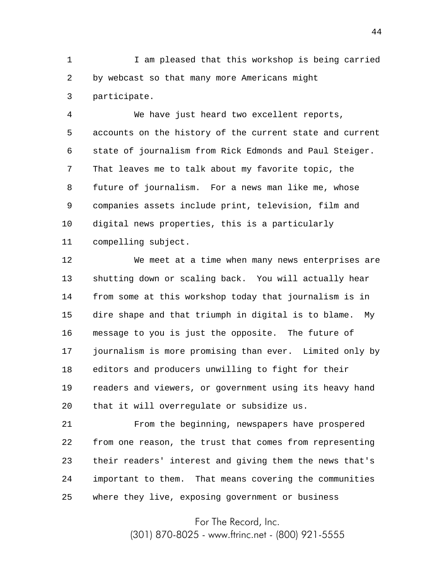1 2 3 I am pleased that this workshop is being carried by webcast so that many more Americans might participate.

4 5 6 7 8 9 10 11 We have just heard two excellent reports, accounts on the history of the current state and current state of journalism from Rick Edmonds and Paul Steiger. That leaves me to talk about my favorite topic, the future of journalism. For a news man like me, whose companies assets include print, television, film and digital news properties, this is a particularly compelling subject.

12 13 14 15 16 17 18 19 20 We meet at a time when many news enterprises are shutting down or scaling back. You will actually hear from some at this workshop today that journalism is in dire shape and that triumph in digital is to blame. My message to you is just the opposite. The future of journalism is more promising than ever. Limited only by editors and producers unwilling to fight for their readers and viewers, or government using its heavy hand that it will overregulate or subsidize us.

21 22 23 24 25 From the beginning, newspapers have prospered from one reason, the trust that comes from representing their readers' interest and giving them the news that's important to them. That means covering the communities where they live, exposing government or business

For The Record, Inc.

(301) 870-8025 - www.ftrinc.net - (800) 921-5555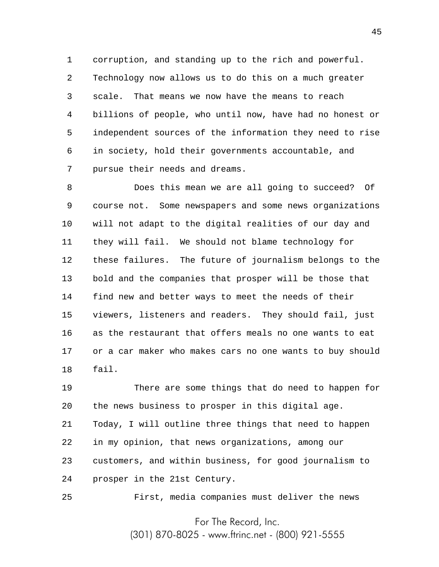1 2 3 4 5 6 7 corruption, and standing up to the rich and powerful. Technology now allows us to do this on a much greater scale. That means we now have the means to reach billions of people, who until now, have had no honest or independent sources of the information they need to rise in society, hold their governments accountable, and pursue their needs and dreams.

8 9 10 11 12 13 14 15 16 17 18 Does this mean we are all going to succeed? Of course not. Some newspapers and some news organizations will not adapt to the digital realities of our day and they will fail. We should not blame technology for these failures. The future of journalism belongs to the bold and the companies that prosper will be those that find new and better ways to meet the needs of their viewers, listeners and readers. They should fail, just as the restaurant that offers meals no one wants to eat or a car maker who makes cars no one wants to buy should fail.

19 20 21 22 23 24 There are some things that do need to happen for the news business to prosper in this digital age. Today, I will outline three things that need to happen in my opinion, that news organizations, among our customers, and within business, for good journalism to prosper in the 21st Century.

First, media companies must deliver the news

25

For The Record, Inc.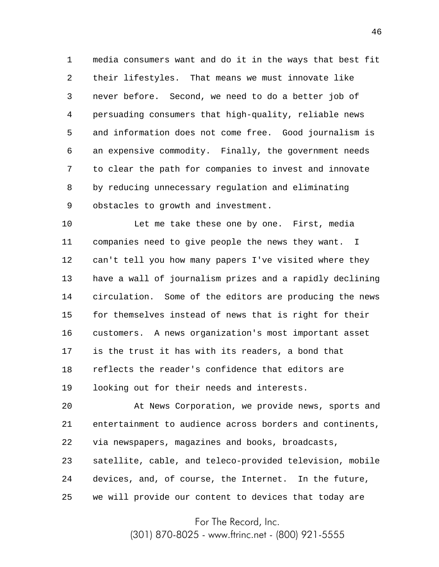1 2 3 4 5 6 7 8 9 media consumers want and do it in the ways that best fit their lifestyles. That means we must innovate like never before. Second, we need to do a better job of persuading consumers that high-quality, reliable news and information does not come free. Good journalism is an expensive commodity. Finally, the government needs to clear the path for companies to invest and innovate by reducing unnecessary regulation and eliminating obstacles to growth and investment.

10 11 12 13 14 15 16 17 18 19 Let me take these one by one. First, media companies need to give people the news they want. I can't tell you how many papers I've visited where they have a wall of journalism prizes and a rapidly declining circulation. Some of the editors are producing the news for themselves instead of news that is right for their customers. A news organization's most important asset is the trust it has with its readers, a bond that reflects the reader's confidence that editors are looking out for their needs and interests.

20 21 22 23 24 25 At News Corporation, we provide news, sports and entertainment to audience across borders and continents, via newspapers, magazines and books, broadcasts, satellite, cable, and teleco-provided television, mobile devices, and, of course, the Internet. In the future, we will provide our content to devices that today are

For The Record, Inc.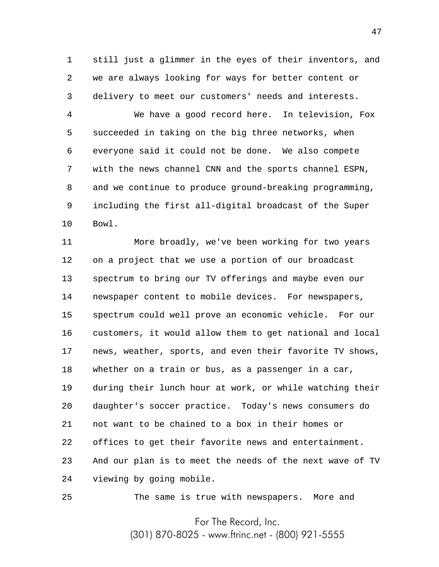1 2 3 still just a glimmer in the eyes of their inventors, and we are always looking for ways for better content or delivery to meet our customers' needs and interests.

4 5 6 7 8 9 10 We have a good record here. In television, Fox succeeded in taking on the big three networks, when everyone said it could not be done. We also compete with the news channel CNN and the sports channel ESPN, and we continue to produce ground-breaking programming, including the first all-digital broadcast of the Super Bowl.

11 12 13 14 15 16 17 18 19 20 21 22 23 24 More broadly, we've been working for two years on a project that we use a portion of our broadcast spectrum to bring our TV offerings and maybe even our newspaper content to mobile devices. For newspapers, spectrum could well prove an economic vehicle. For our customers, it would allow them to get national and local news, weather, sports, and even their favorite TV shows, whether on a train or bus, as a passenger in a car, during their lunch hour at work, or while watching their daughter's soccer practice. Today's news consumers do not want to be chained to a box in their homes or offices to get their favorite news and entertainment. And our plan is to meet the needs of the next wave of TV viewing by going mobile.

25

The same is true with newspapers. More and

For The Record, Inc.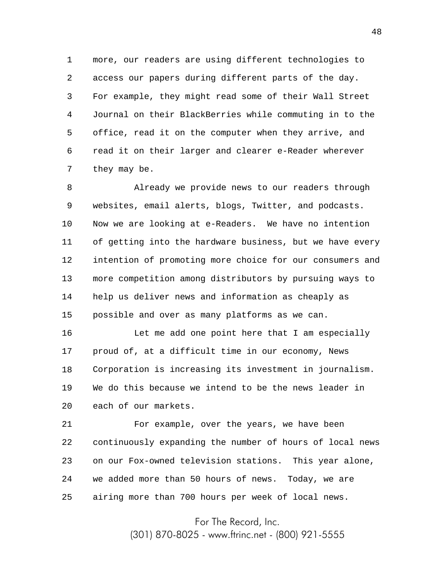1 2 3 4 5 6 7 more, our readers are using different technologies to access our papers during different parts of the day. For example, they might read some of their Wall Street Journal on their BlackBerries while commuting in to the office, read it on the computer when they arrive, and read it on their larger and clearer e-Reader wherever they may be.

8 9 10 11 12 13 14 15 Already we provide news to our readers through websites, email alerts, blogs, Twitter, and podcasts. Now we are looking at e-Readers. We have no intention of getting into the hardware business, but we have every intention of promoting more choice for our consumers and more competition among distributors by pursuing ways to help us deliver news and information as cheaply as possible and over as many platforms as we can.

16 17 18 19 20 Let me add one point here that I am especially proud of, at a difficult time in our economy, News Corporation is increasing its investment in journalism. We do this because we intend to be the news leader in each of our markets.

21 22 23 24 25 For example, over the years, we have been continuously expanding the number of hours of local news on our Fox-owned television stations. This year alone, we added more than 50 hours of news. Today, we are airing more than 700 hours per week of local news.

> For The Record, Inc. (301) 870-8025 - www.ftrinc.net - (800) 921-5555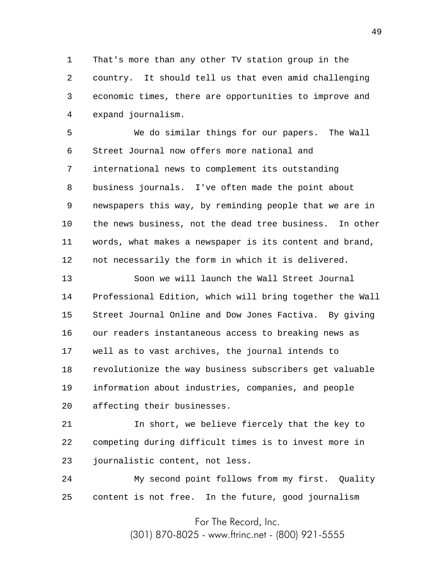1 2 3 4 That's more than any other TV station group in the country. It should tell us that even amid challenging economic times, there are opportunities to improve and expand journalism.

5 6 7 8 9 10 11 12 We do similar things for our papers. The Wall Street Journal now offers more national and international news to complement its outstanding business journals. I've often made the point about newspapers this way, by reminding people that we are in the news business, not the dead tree business. In other words, what makes a newspaper is its content and brand, not necessarily the form in which it is delivered.

13 14 15 16 17 18 19 20 Soon we will launch the Wall Street Journal Professional Edition, which will bring together the Wall Street Journal Online and Dow Jones Factiva. By giving our readers instantaneous access to breaking news as well as to vast archives, the journal intends to revolutionize the way business subscribers get valuable information about industries, companies, and people affecting their businesses.

21 22 23 In short, we believe fiercely that the key to competing during difficult times is to invest more in journalistic content, not less.

24 25 My second point follows from my first. Quality content is not free. In the future, good journalism

For The Record, Inc.

(301) 870-8025 - www.ftrinc.net - (800) 921-5555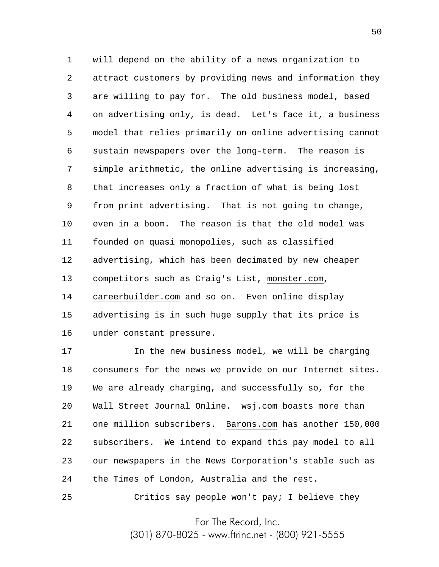1 2 3 4 5 6 7 8 9 10 11 12 13 14 15 16 will depend on the ability of a news organization to attract customers by providing news and information they are willing to pay for. The old business model, based on advertising only, is dead. Let's face it, a business model that relies primarily on online advertising cannot sustain newspapers over the long-term. The reason is simple arithmetic, the online advertising is increasing, that increases only a fraction of what is being lost from print advertising. That is not going to change, even in a boom. The reason is that the old model was founded on quasi monopolies, such as classified advertising, which has been decimated by new cheaper competitors such as Craig's List, monster.com, careerbuilder.com and so on. Even online display advertising is in such huge supply that its price is under constant pressure.

17 18 19 20 21 22 23 24 In the new business model, we will be charging consumers for the news we provide on our Internet sites. We are already charging, and successfully so, for the Wall Street Journal Online. wsj.com boasts more than one million subscribers. Barons.com has another 150,000 subscribers. We intend to expand this pay model to all our newspapers in the News Corporation's stable such as the Times of London, Australia and the rest.

25 Critics say people won't pay; I believe they

For The Record, Inc.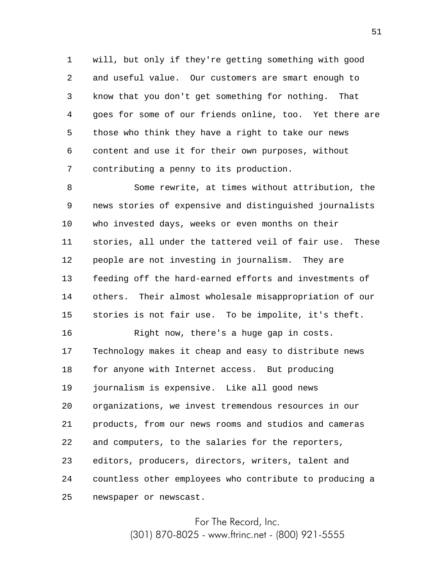1 2 3 4 5 6 7 will, but only if they're getting something with good and useful value. Our customers are smart enough to know that you don't get something for nothing. That goes for some of our friends online, too. Yet there are those who think they have a right to take our news content and use it for their own purposes, without contributing a penny to its production.

8 9 10 11 12 13 14 15 Some rewrite, at times without attribution, the news stories of expensive and distinguished journalists who invested days, weeks or even months on their stories, all under the tattered veil of fair use. These people are not investing in journalism. They are feeding off the hard-earned efforts and investments of others. Their almost wholesale misappropriation of our stories is not fair use. To be impolite, it's theft.

16 17 18 19 20 21 22 23 24 25 Right now, there's a huge gap in costs. Technology makes it cheap and easy to distribute news for anyone with Internet access. But producing journalism is expensive. Like all good news organizations, we invest tremendous resources in our products, from our news rooms and studios and cameras and computers, to the salaries for the reporters, editors, producers, directors, writers, talent and countless other employees who contribute to producing a newspaper or newscast.

> For The Record, Inc. (301) 870-8025 - www.ftrinc.net - (800) 921-5555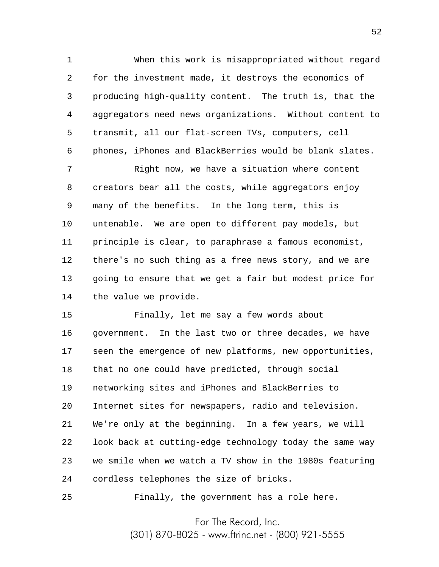1 2 3 4 5 6 When this work is misappropriated without regard for the investment made, it destroys the economics of producing high-quality content. The truth is, that the aggregators need news organizations. Without content to transmit, all our flat-screen TVs, computers, cell phones, iPhones and BlackBerries would be blank slates.

7 8 9 10 11 12 13 14 Right now, we have a situation where content creators bear all the costs, while aggregators enjoy many of the benefits. In the long term, this is untenable. We are open to different pay models, but principle is clear, to paraphrase a famous economist, there's no such thing as a free news story, and we are going to ensure that we get a fair but modest price for the value we provide.

15 16 17 18 19 20 21 22 23 24 Finally, let me say a few words about government. In the last two or three decades, we have seen the emergence of new platforms, new opportunities, that no one could have predicted, through social networking sites and iPhones and BlackBerries to Internet sites for newspapers, radio and television. We're only at the beginning. In a few years, we will look back at cutting-edge technology today the same way we smile when we watch a TV show in the 1980s featuring cordless telephones the size of bricks.

25 Finally, the government has a role here.

For The Record, Inc.

(301) 870-8025 - www.ftrinc.net - (800) 921-5555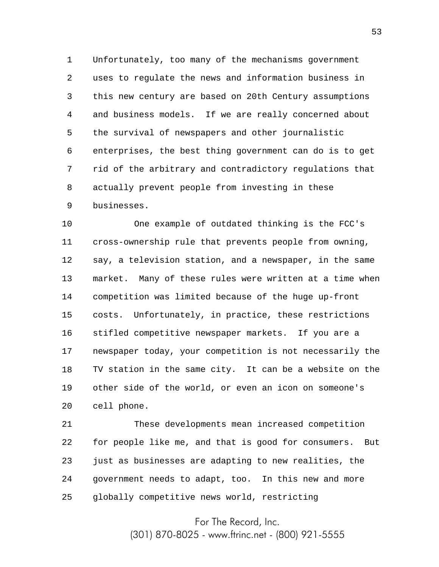1 2 3 4 5 6 7 8 9 Unfortunately, too many of the mechanisms government uses to regulate the news and information business in this new century are based on 20th Century assumptions and business models. If we are really concerned about the survival of newspapers and other journalistic enterprises, the best thing government can do is to get rid of the arbitrary and contradictory regulations that actually prevent people from investing in these businesses.

10 11 12 13 14 15 16 17 18 19 20 One example of outdated thinking is the FCC's cross-ownership rule that prevents people from owning, say, a television station, and a newspaper, in the same market. Many of these rules were written at a time when competition was limited because of the huge up-front costs. Unfortunately, in practice, these restrictions stifled competitive newspaper markets. If you are a newspaper today, your competition is not necessarily the TV station in the same city. It can be a website on the other side of the world, or even an icon on someone's cell phone.

21 22 23 24 25 These developments mean increased competition for people like me, and that is good for consumers. But just as businesses are adapting to new realities, the government needs to adapt, too. In this new and more globally competitive news world, restricting

> For The Record, Inc. (301) 870-8025 - www.ftrinc.net - (800) 921-5555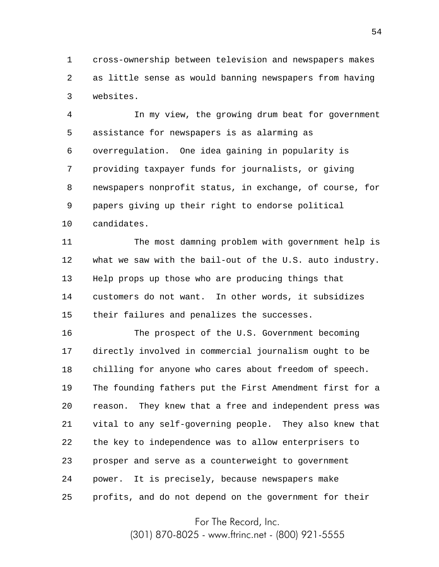1 2 3 cross-ownership between television and newspapers makes as little sense as would banning newspapers from having websites.

4 5 6 7 8 9 10 In my view, the growing drum beat for government assistance for newspapers is as alarming as overregulation. One idea gaining in popularity is providing taxpayer funds for journalists, or giving newspapers nonprofit status, in exchange, of course, for papers giving up their right to endorse political candidates.

11 12 13 14 15 The most damning problem with government help is what we saw with the bail-out of the U.S. auto industry. Help props up those who are producing things that customers do not want. In other words, it subsidizes their failures and penalizes the successes.

16 17 18 19 20 21 22 23 24 25 The prospect of the U.S. Government becoming directly involved in commercial journalism ought to be chilling for anyone who cares about freedom of speech. The founding fathers put the First Amendment first for a reason. They knew that a free and independent press was vital to any self-governing people. They also knew that the key to independence was to allow enterprisers to prosper and serve as a counterweight to government power. It is precisely, because newspapers make profits, and do not depend on the government for their

For The Record, Inc.

(301) 870-8025 - www.ftrinc.net - (800) 921-5555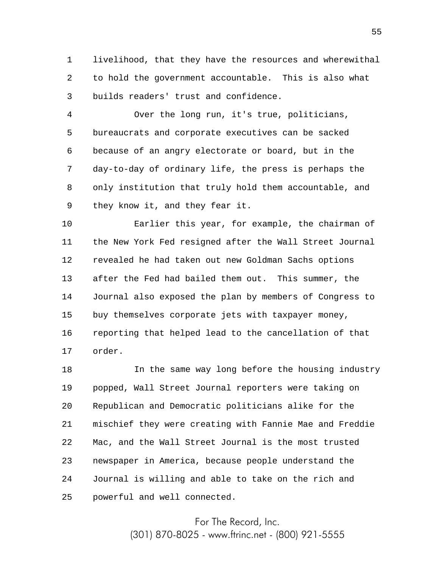1 2 3 livelihood, that they have the resources and wherewithal to hold the government accountable. This is also what builds readers' trust and confidence.

4 5 6 7 8 9 Over the long run, it's true, politicians, bureaucrats and corporate executives can be sacked because of an angry electorate or board, but in the day-to-day of ordinary life, the press is perhaps the only institution that truly hold them accountable, and they know it, and they fear it.

10 11 12 13 14 15 16 17 Earlier this year, for example, the chairman of the New York Fed resigned after the Wall Street Journal revealed he had taken out new Goldman Sachs options after the Fed had bailed them out. This summer, the Journal also exposed the plan by members of Congress to buy themselves corporate jets with taxpayer money, reporting that helped lead to the cancellation of that order.

18 19 20 21 22 23 24 25 In the same way long before the housing industry popped, Wall Street Journal reporters were taking on Republican and Democratic politicians alike for the mischief they were creating with Fannie Mae and Freddie Mac, and the Wall Street Journal is the most trusted newspaper in America, because people understand the Journal is willing and able to take on the rich and powerful and well connected.

> For The Record, Inc. (301) 870-8025 - www.ftrinc.net - (800) 921-5555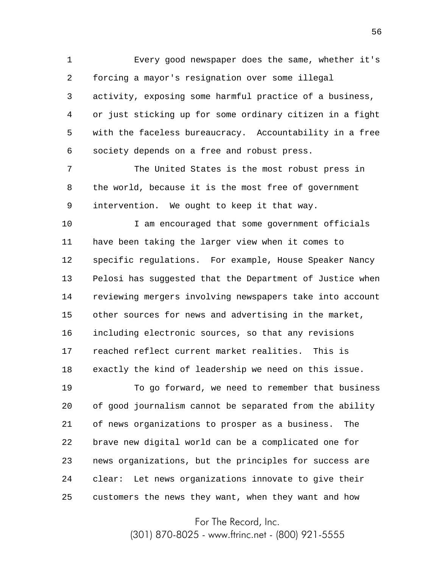1 2 3 4 5 6 Every good newspaper does the same, whether it's forcing a mayor's resignation over some illegal activity, exposing some harmful practice of a business, or just sticking up for some ordinary citizen in a fight with the faceless bureaucracy. Accountability in a free society depends on a free and robust press.

7 8 9 The United States is the most robust press in the world, because it is the most free of government intervention. We ought to keep it that way.

10 11 12 13 14 15 16 17 18 I am encouraged that some government officials have been taking the larger view when it comes to specific regulations. For example, House Speaker Nancy Pelosi has suggested that the Department of Justice when reviewing mergers involving newspapers take into account other sources for news and advertising in the market, including electronic sources, so that any revisions reached reflect current market realities. This is exactly the kind of leadership we need on this issue.

19 20 21 22 23 24 25 To go forward, we need to remember that business of good journalism cannot be separated from the ability of news organizations to prosper as a business. The brave new digital world can be a complicated one for news organizations, but the principles for success are clear: Let news organizations innovate to give their customers the news they want, when they want and how

For The Record, Inc.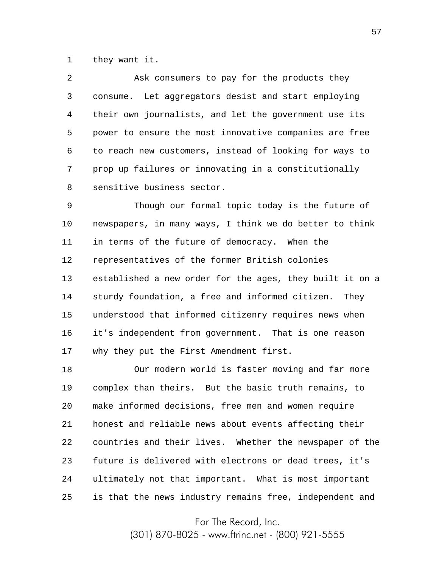1 they want it.

| $\overline{a}$ | Ask consumers to pay for the products they               |
|----------------|----------------------------------------------------------|
| 3              | consume. Let aggregators desist and start employing      |
| 4              | their own journalists, and let the government use its    |
| 5              | power to ensure the most innovative companies are free   |
| 6              | to reach new customers, instead of looking for ways to   |
| 7              | prop up failures or innovating in a constitutionally     |
| 8              | sensitive business sector.                               |
| 9              | Though our formal topic today is the future of           |
| 10             | newspapers, in many ways, I think we do better to think  |
| 11             | in terms of the future of democracy. When the            |
| 12             | representatives of the former British colonies           |
| 13             | established a new order for the ages, they built it on a |
| 14             | sturdy foundation, a free and informed citizen.<br>Thev  |

15 16 17 understood that informed citizenry requires news when it's independent from government. That is one reason why they put the First Amendment first.

18 19 20 21 22 23 24 25 Our modern world is faster moving and far more complex than theirs. But the basic truth remains, to make informed decisions, free men and women require honest and reliable news about events affecting their countries and their lives. Whether the newspaper of the future is delivered with electrons or dead trees, it's ultimately not that important. What is most important is that the news industry remains free, independent and

For The Record, Inc.

(301) 870-8025 - www.ftrinc.net - (800) 921-5555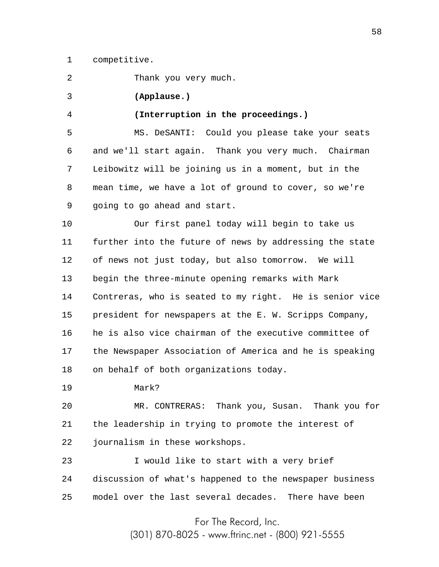1 competitive.

2 Thank you very much.

3 **(Applause.)**

4 **(Interruption in the proceedings.)**

5 6 7 8 9 MS. DeSANTI: Could you please take your seats and we'll start again. Thank you very much. Chairman Leibowitz will be joining us in a moment, but in the mean time, we have a lot of ground to cover, so we're going to go ahead and start.

10 11 12 13 14 15 16 17 18 Our first panel today will begin to take us further into the future of news by addressing the state of news not just today, but also tomorrow. We will begin the three-minute opening remarks with Mark Contreras, who is seated to my right. He is senior vice president for newspapers at the E. W. Scripps Company, he is also vice chairman of the executive committee of the Newspaper Association of America and he is speaking on behalf of both organizations today.

19 Mark?

20 21 22 MR. CONTRERAS: Thank you, Susan. Thank you for the leadership in trying to promote the interest of journalism in these workshops.

23 24 25 I would like to start with a very brief discussion of what's happened to the newspaper business model over the last several decades. There have been

> For The Record, Inc. (301) 870-8025 - www.ftrinc.net - (800) 921-5555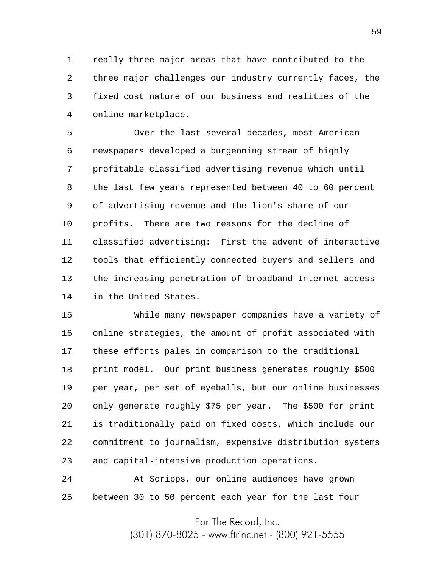1 2 3 4 really three major areas that have contributed to the three major challenges our industry currently faces, the fixed cost nature of our business and realities of the online marketplace.

5 6 7 8 9 10 11 12 13 14 Over the last several decades, most American newspapers developed a burgeoning stream of highly profitable classified advertising revenue which until the last few years represented between 40 to 60 percent of advertising revenue and the lion's share of our profits. There are two reasons for the decline of classified advertising: First the advent of interactive tools that efficiently connected buyers and sellers and the increasing penetration of broadband Internet access in the United States.

15 16 17 18 19 20 21 22 23 While many newspaper companies have a variety of online strategies, the amount of profit associated with these efforts pales in comparison to the traditional print model. Our print business generates roughly \$500 per year, per set of eyeballs, but our online businesses only generate roughly \$75 per year. The \$500 for print is traditionally paid on fixed costs, which include our commitment to journalism, expensive distribution systems and capital-intensive production operations.

24 25 At Scripps, our online audiences have grown between 30 to 50 percent each year for the last four

For The Record, Inc.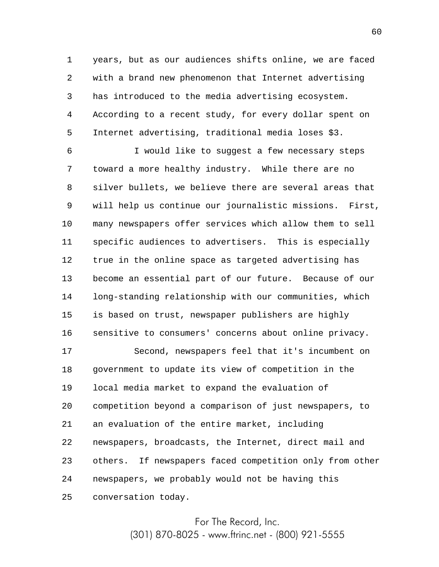1 2 3 4 5 years, but as our audiences shifts online, we are faced with a brand new phenomenon that Internet advertising has introduced to the media advertising ecosystem. According to a recent study, for every dollar spent on Internet advertising, traditional media loses \$3.

6 7 8 9 10 11 12 13 14 15 16 I would like to suggest a few necessary steps toward a more healthy industry. While there are no silver bullets, we believe there are several areas that will help us continue our journalistic missions. First, many newspapers offer services which allow them to sell specific audiences to advertisers. This is especially true in the online space as targeted advertising has become an essential part of our future. Because of our long-standing relationship with our communities, which is based on trust, newspaper publishers are highly sensitive to consumers' concerns about online privacy.

17 18 19 20 21 22 23 24 25 Second, newspapers feel that it's incumbent on government to update its view of competition in the local media market to expand the evaluation of competition beyond a comparison of just newspapers, to an evaluation of the entire market, including newspapers, broadcasts, the Internet, direct mail and others. If newspapers faced competition only from other newspapers, we probably would not be having this conversation today.

> For The Record, Inc. (301) 870-8025 - www.ftrinc.net - (800) 921-5555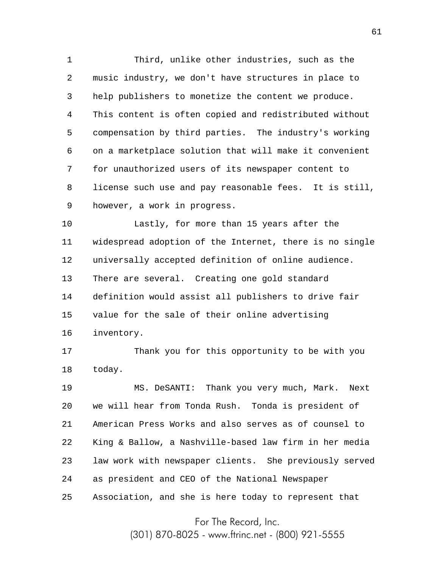1 2 3 4 5 6 7 8 9 Third, unlike other industries, such as the music industry, we don't have structures in place to help publishers to monetize the content we produce. This content is often copied and redistributed without compensation by third parties. The industry's working on a marketplace solution that will make it convenient for unauthorized users of its newspaper content to license such use and pay reasonable fees. It is still, however, a work in progress.

10 11 12 13 14 15 16 Lastly, for more than 15 years after the widespread adoption of the Internet, there is no single universally accepted definition of online audience. There are several. Creating one gold standard definition would assist all publishers to drive fair value for the sale of their online advertising inventory.

17 18 Thank you for this opportunity to be with you today.

19 20 21 22 23 24 25 MS. DeSANTI: Thank you very much, Mark. Next we will hear from Tonda Rush. Tonda is president of American Press Works and also serves as of counsel to King & Ballow, a Nashville-based law firm in her media law work with newspaper clients. She previously served as president and CEO of the National Newspaper Association, and she is here today to represent that

For The Record, Inc.

(301) 870-8025 - www.ftrinc.net - (800) 921-5555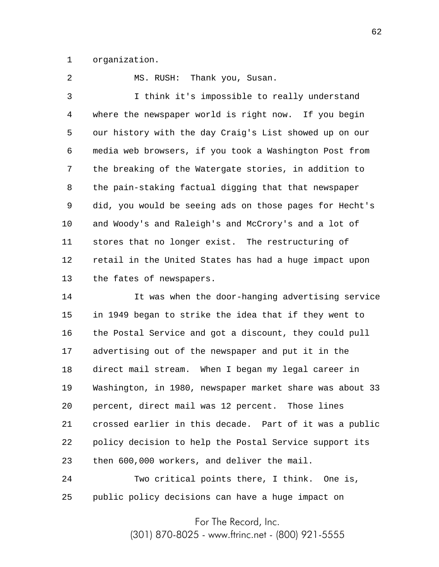1 organization.

2 MS. RUSH: Thank you, Susan.

3 4 5 6 7 8 9 10 11 12 13 I think it's impossible to really understand where the newspaper world is right now. If you begin our history with the day Craig's List showed up on our media web browsers, if you took a Washington Post from the breaking of the Watergate stories, in addition to the pain-staking factual digging that that newspaper did, you would be seeing ads on those pages for Hecht's and Woody's and Raleigh's and McCrory's and a lot of stores that no longer exist. The restructuring of retail in the United States has had a huge impact upon the fates of newspapers.

14 15 16 17 18 19 20 21 22 23 It was when the door-hanging advertising service in 1949 began to strike the idea that if they went to the Postal Service and got a discount, they could pull advertising out of the newspaper and put it in the direct mail stream. When I began my legal career in Washington, in 1980, newspaper market share was about 33 percent, direct mail was 12 percent. Those lines crossed earlier in this decade. Part of it was a public policy decision to help the Postal Service support its then 600,000 workers, and deliver the mail.

24 25 Two critical points there, I think. One is, public policy decisions can have a huge impact on

For The Record, Inc.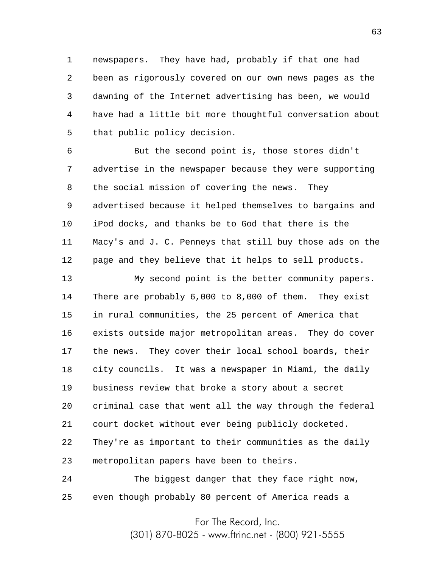1 2 3 4 5 newspapers. They have had, probably if that one had been as rigorously covered on our own news pages as the dawning of the Internet advertising has been, we would have had a little bit more thoughtful conversation about that public policy decision.

6 7 8 9 10 11 12 But the second point is, those stores didn't advertise in the newspaper because they were supporting the social mission of covering the news. They advertised because it helped themselves to bargains and iPod docks, and thanks be to God that there is the Macy's and J. C. Penneys that still buy those ads on the page and they believe that it helps to sell products.

13 14 15 16 17 18 19 20 21 22 23 My second point is the better community papers. There are probably 6,000 to 8,000 of them. They exist in rural communities, the 25 percent of America that exists outside major metropolitan areas. They do cover the news. They cover their local school boards, their city councils. It was a newspaper in Miami, the daily business review that broke a story about a secret criminal case that went all the way through the federal court docket without ever being publicly docketed. They're as important to their communities as the daily metropolitan papers have been to theirs.

24 25 The biggest danger that they face right now, even though probably 80 percent of America reads a

For The Record, Inc.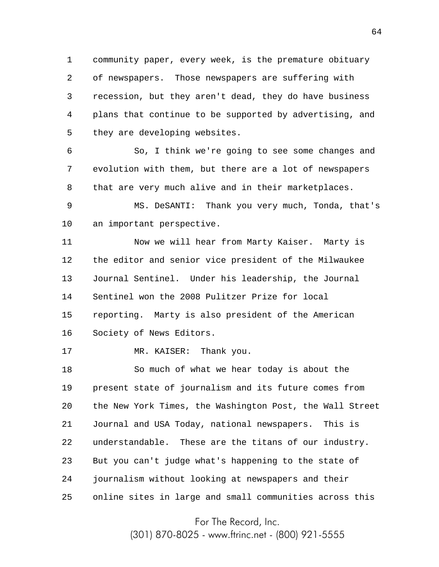1 2 3 4 5 community paper, every week, is the premature obituary of newspapers. Those newspapers are suffering with recession, but they aren't dead, they do have business plans that continue to be supported by advertising, and they are developing websites.

6 7 8 So, I think we're going to see some changes and evolution with them, but there are a lot of newspapers that are very much alive and in their marketplaces.

9 10 MS. DeSANTI: Thank you very much, Tonda, that's an important perspective.

11 12 13 14 15 16 Now we will hear from Marty Kaiser. Marty is the editor and senior vice president of the Milwaukee Journal Sentinel. Under his leadership, the Journal Sentinel won the 2008 Pulitzer Prize for local reporting. Marty is also president of the American Society of News Editors.

17 MR. KAISER: Thank you.

18 19 20 21 22 23 24 25 So much of what we hear today is about the present state of journalism and its future comes from the New York Times, the Washington Post, the Wall Street Journal and USA Today, national newspapers. This is understandable. These are the titans of our industry. But you can't judge what's happening to the state of journalism without looking at newspapers and their online sites in large and small communities across this

For The Record, Inc.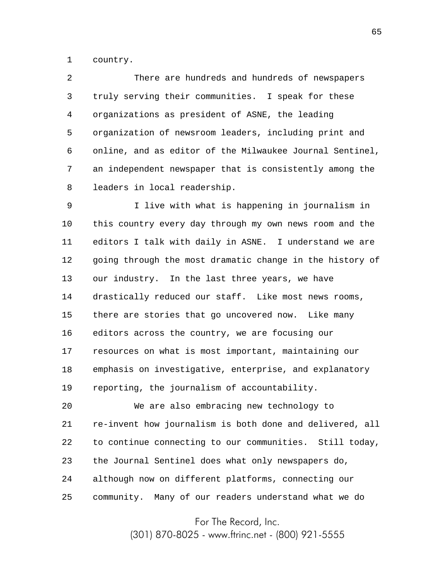1 country.

| 2 | There are hundreds and hundreds of newspapers            |
|---|----------------------------------------------------------|
| 3 | truly serving their communities. I speak for these       |
| 4 | organizations as president of ASNE, the leading          |
| 5 | organization of newsroom leaders, including print and    |
| 6 | online, and as editor of the Milwaukee Journal Sentinel, |
| 7 | an independent newspaper that is consistently among the  |
| 8 | leaders in local readership.                             |

9 10 11 12 13 14 15 16 17 18 19 I live with what is happening in journalism in this country every day through my own news room and the editors I talk with daily in ASNE. I understand we are going through the most dramatic change in the history of our industry. In the last three years, we have drastically reduced our staff. Like most news rooms, there are stories that go uncovered now. Like many editors across the country, we are focusing our resources on what is most important, maintaining our emphasis on investigative, enterprise, and explanatory reporting, the journalism of accountability.

20 21 22 23 24 25 We are also embracing new technology to re-invent how journalism is both done and delivered, all to continue connecting to our communities. Still today, the Journal Sentinel does what only newspapers do, although now on different platforms, connecting our community. Many of our readers understand what we do

For The Record, Inc.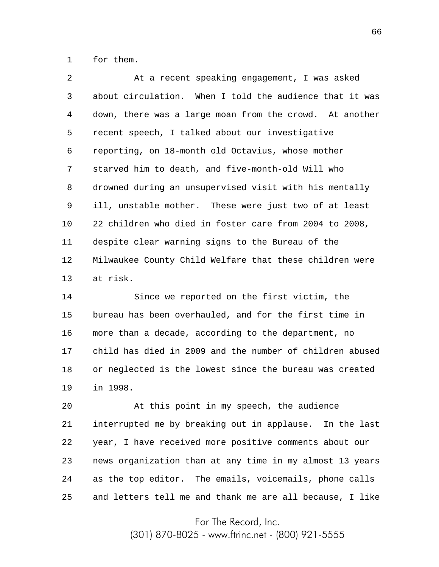1 for them.

2 3 4 5 6 7 8 9 10 11 12 13 At a recent speaking engagement, I was asked about circulation. When I told the audience that it was down, there was a large moan from the crowd. At another recent speech, I talked about our investigative reporting, on 18-month old Octavius, whose mother starved him to death, and five-month-old Will who drowned during an unsupervised visit with his mentally ill, unstable mother. These were just two of at least 22 children who died in foster care from 2004 to 2008, despite clear warning signs to the Bureau of the Milwaukee County Child Welfare that these children were at risk.

14 15 16 17 18 19 Since we reported on the first victim, the bureau has been overhauled, and for the first time in more than a decade, according to the department, no child has died in 2009 and the number of children abused or neglected is the lowest since the bureau was created in 1998.

20 21 22 23 24 25 At this point in my speech, the audience interrupted me by breaking out in applause. In the last year, I have received more positive comments about our news organization than at any time in my almost 13 years as the top editor. The emails, voicemails, phone calls and letters tell me and thank me are all because, I like

For The Record, Inc.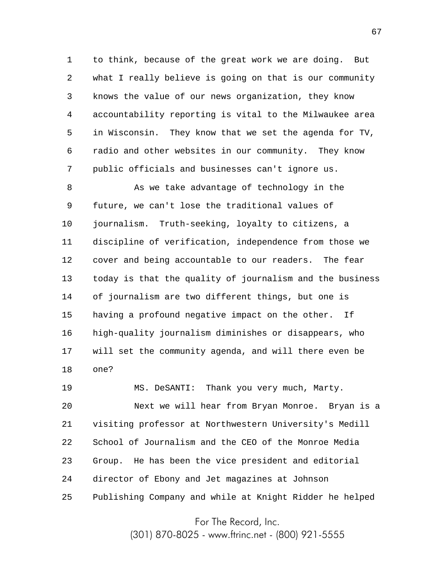1 2 3 4 5 6 7 to think, because of the great work we are doing. But what I really believe is going on that is our community knows the value of our news organization, they know accountability reporting is vital to the Milwaukee area in Wisconsin. They know that we set the agenda for TV, radio and other websites in our community. They know public officials and businesses can't ignore us.

8 9 10 11 12 13 14 15 16 17 18 As we take advantage of technology in the future, we can't lose the traditional values of journalism. Truth-seeking, loyalty to citizens, a discipline of verification, independence from those we cover and being accountable to our readers. The fear today is that the quality of journalism and the business of journalism are two different things, but one is having a profound negative impact on the other. If high-quality journalism diminishes or disappears, who will set the community agenda, and will there even be one?

19 20 21 22 23 24 25 MS. DeSANTI: Thank you very much, Marty. Next we will hear from Bryan Monroe. Bryan is a visiting professor at Northwestern University's Medill School of Journalism and the CEO of the Monroe Media Group. He has been the vice president and editorial director of Ebony and Jet magazines at Johnson Publishing Company and while at Knight Ridder he helped

For The Record, Inc.

(301) 870-8025 - www.ftrinc.net - (800) 921-5555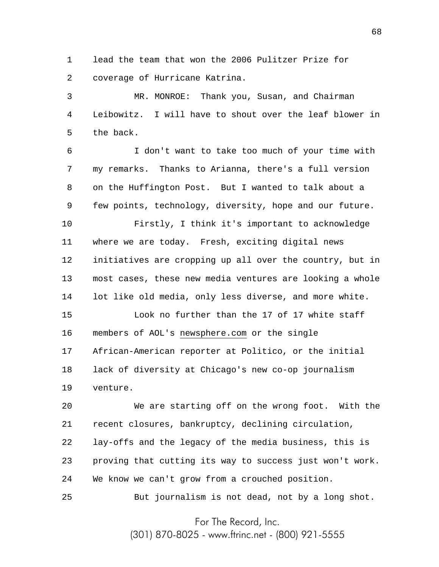1 2 lead the team that won the 2006 Pulitzer Prize for coverage of Hurricane Katrina.

3 4 5 MR. MONROE: Thank you, Susan, and Chairman Leibowitz. I will have to shout over the leaf blower in the back.

6 7 8 9 I don't want to take too much of your time with my remarks. Thanks to Arianna, there's a full version on the Huffington Post. But I wanted to talk about a few points, technology, diversity, hope and our future.

10 11 12 13 14 Firstly, I think it's important to acknowledge where we are today. Fresh, exciting digital news initiatives are cropping up all over the country, but in most cases, these new media ventures are looking a whole lot like old media, only less diverse, and more white. Look no further than the 17 of 17 white staff

15 16 17 18 19 members of AOL's newsphere.com or the single African-American reporter at Politico, or the initial lack of diversity at Chicago's new co-op journalism venture.

20 21 22 23 24 25 We are starting off on the wrong foot. With the recent closures, bankruptcy, declining circulation, lay-offs and the legacy of the media business, this is proving that cutting its way to success just won't work. We know we can't grow from a crouched position. But journalism is not dead, not by a long shot.

For The Record, Inc.

(301) 870-8025 - www.ftrinc.net - (800) 921-5555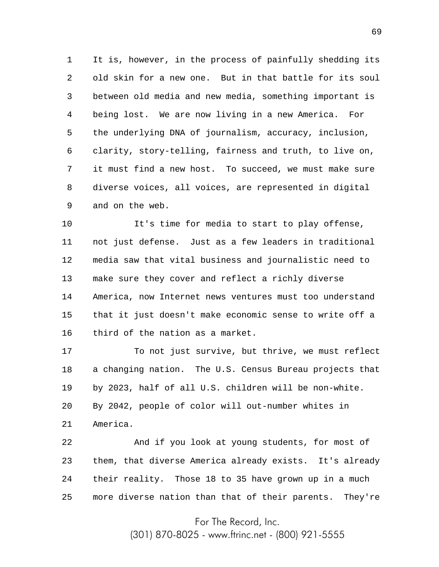1 2 3 4 5 6 7 8 9 It is, however, in the process of painfully shedding its old skin for a new one. But in that battle for its soul between old media and new media, something important is being lost. We are now living in a new America. For the underlying DNA of journalism, accuracy, inclusion, clarity, story-telling, fairness and truth, to live on, it must find a new host. To succeed, we must make sure diverse voices, all voices, are represented in digital and on the web.

10 11 12 13 14 15 16 It's time for media to start to play offense, not just defense. Just as a few leaders in traditional media saw that vital business and journalistic need to make sure they cover and reflect a richly diverse America, now Internet news ventures must too understand that it just doesn't make economic sense to write off a third of the nation as a market.

17 18 19 20 21 To not just survive, but thrive, we must reflect a changing nation. The U.S. Census Bureau projects that by 2023, half of all U.S. children will be non-white. By 2042, people of color will out-number whites in America.

22 23 24 25 And if you look at young students, for most of them, that diverse America already exists. It's already their reality. Those 18 to 35 have grown up in a much more diverse nation than that of their parents. They're

For The Record, Inc.

(301) 870-8025 - www.ftrinc.net - (800) 921-5555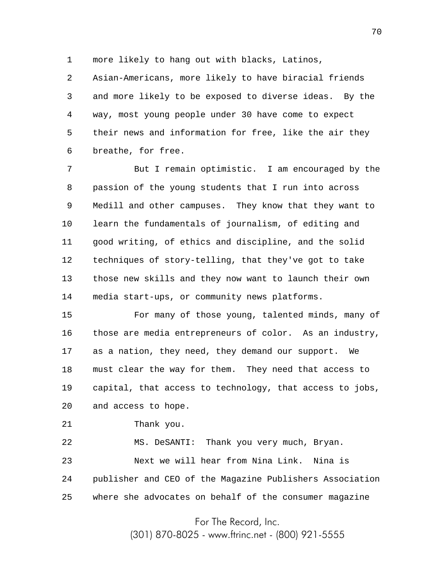1 more likely to hang out with blacks, Latinos,

2 3 4 5 6 Asian-Americans, more likely to have biracial friends and more likely to be exposed to diverse ideas. By the way, most young people under 30 have come to expect their news and information for free, like the air they breathe, for free.

7 8 9 10 11 12 13 14 But I remain optimistic. I am encouraged by the passion of the young students that I run into across Medill and other campuses. They know that they want to learn the fundamentals of journalism, of editing and good writing, of ethics and discipline, and the solid techniques of story-telling, that they've got to take those new skills and they now want to launch their own media start-ups, or community news platforms.

15 16 17 18 19 20 For many of those young, talented minds, many of those are media entrepreneurs of color. As an industry, as a nation, they need, they demand our support. We must clear the way for them. They need that access to capital, that access to technology, that access to jobs, and access to hope.

21 Thank you.

22 23 24 25 MS. DeSANTI: Thank you very much, Bryan. Next we will hear from Nina Link. Nina is publisher and CEO of the Magazine Publishers Association where she advocates on behalf of the consumer magazine

For The Record, Inc.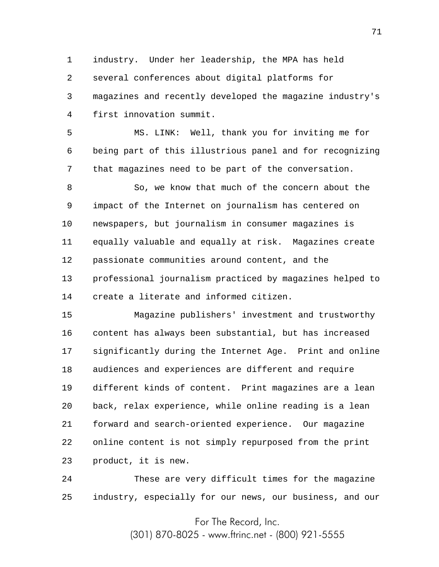1 2 3 4 industry. Under her leadership, the MPA has held several conferences about digital platforms for magazines and recently developed the magazine industry's first innovation summit.

5 6 7 MS. LINK: Well, thank you for inviting me for being part of this illustrious panel and for recognizing that magazines need to be part of the conversation.

8 9 10 11 12 13 14 So, we know that much of the concern about the impact of the Internet on journalism has centered on newspapers, but journalism in consumer magazines is equally valuable and equally at risk. Magazines create passionate communities around content, and the professional journalism practiced by magazines helped to create a literate and informed citizen.

15 16 17 18 19 20 21 22 23 Magazine publishers' investment and trustworthy content has always been substantial, but has increased significantly during the Internet Age. Print and online audiences and experiences are different and require different kinds of content. Print magazines are a lean back, relax experience, while online reading is a lean forward and search-oriented experience. Our magazine online content is not simply repurposed from the print product, it is new.

24 25 These are very difficult times for the magazine industry, especially for our news, our business, and our

For The Record, Inc.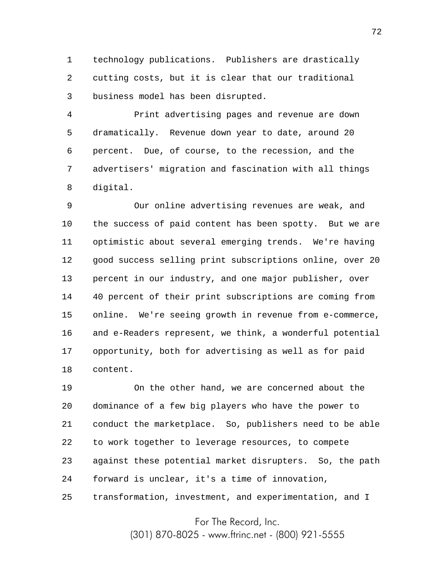1 2 3 technology publications. Publishers are drastically cutting costs, but it is clear that our traditional business model has been disrupted.

4 5 6 7 8 Print advertising pages and revenue are down dramatically. Revenue down year to date, around 20 percent. Due, of course, to the recession, and the advertisers' migration and fascination with all things digital.

9 10 11 12 13 14 15 16 17 18 Our online advertising revenues are weak, and the success of paid content has been spotty. But we are optimistic about several emerging trends. We're having good success selling print subscriptions online, over 20 percent in our industry, and one major publisher, over 40 percent of their print subscriptions are coming from online. We're seeing growth in revenue from e-commerce, and e-Readers represent, we think, a wonderful potential opportunity, both for advertising as well as for paid content.

19 20 21 22 23 24 25 On the other hand, we are concerned about the dominance of a few big players who have the power to conduct the marketplace. So, publishers need to be able to work together to leverage resources, to compete against these potential market disrupters. So, the path forward is unclear, it's a time of innovation, transformation, investment, and experimentation, and I

For The Record, Inc.

(301) 870-8025 - www.ftrinc.net - (800) 921-5555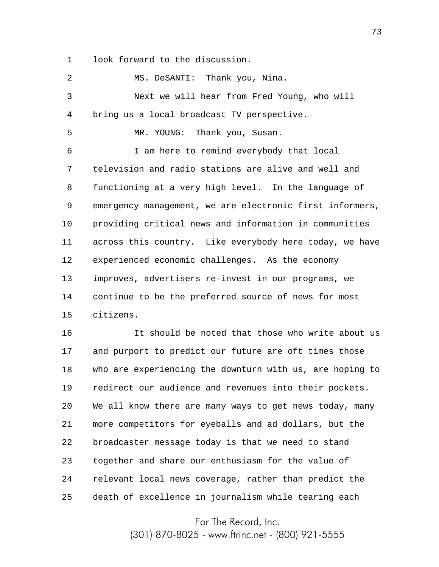1 look forward to the discussion.

| $\overline{2}$ | MS. DeSANTI: Thank you, Nina.                            |
|----------------|----------------------------------------------------------|
| 3              | Next we will hear from Fred Young, who will              |
| 4              | bring us a local broadcast TV perspective.               |
| 5              | Thank you, Susan.<br>MR. YOUNG:                          |
| 6              | I am here to remind everybody that local                 |
| 7              | television and radio stations are alive and well and     |
| 8              | functioning at a very high level. In the language of     |
| 9              | emergency management, we are electronic first informers, |
| $10 \,$        | providing critical news and information in communities   |
| 11             | across this country. Like everybody here today, we have  |
| 12             | experienced economic challenges. As the economy          |
| 13             | improves, advertisers re-invest in our programs, we      |
| 14             | continue to be the preferred source of news for most     |
| 15             | citizens.                                                |
| 16             | It should be noted that those who write about us         |
| 17             | and purport to predict our future are oft times those    |
| 18             | who are experiencing the downturn with us, are hoping to |
| 19             | redirect our audience and revenues into their pockets.   |
| 20             | We all know there are many ways to get news today, many  |
| 21             | more competitors for eyeballs and ad dollars, but the    |
| 22             | broadcaster message today is that we need to stand       |

24 relevant local news coverage, rather than predict the

together and share our enthusiasm for the value of

23

25 death of excellence in journalism while tearing each

For The Record, Inc.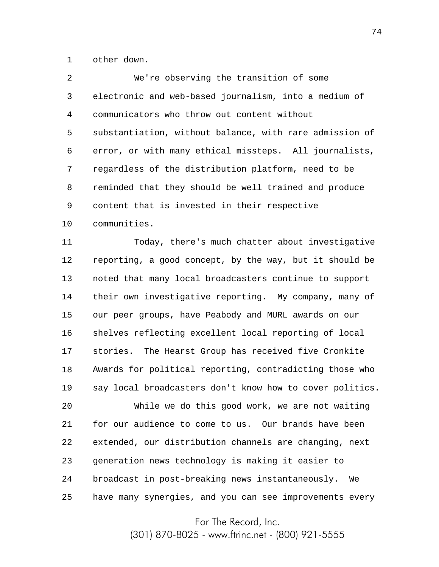1 other down.

| 2  | We're observing the transition of some                  |
|----|---------------------------------------------------------|
| 3  | electronic and web-based journalism, into a medium of   |
| 4  | communicators who throw out content without             |
| 5  | substantiation, without balance, with rare admission of |
| 6  | error, or with many ethical missteps. All journalists,  |
| 7  | regardless of the distribution platform, need to be     |
| 8  | reminded that they should be well trained and produce   |
| 9  | content that is invested in their respective            |
| 10 | communities.                                            |

11 12 13 14 15 16 17 18 19 Today, there's much chatter about investigative reporting, a good concept, by the way, but it should be noted that many local broadcasters continue to support their own investigative reporting. My company, many of our peer groups, have Peabody and MURL awards on our shelves reflecting excellent local reporting of local stories. The Hearst Group has received five Cronkite Awards for political reporting, contradicting those who say local broadcasters don't know how to cover politics.

20 21 22 23 24 25 While we do this good work, we are not waiting for our audience to come to us. Our brands have been extended, our distribution channels are changing, next generation news technology is making it easier to broadcast in post-breaking news instantaneously. We have many synergies, and you can see improvements every

For The Record, Inc.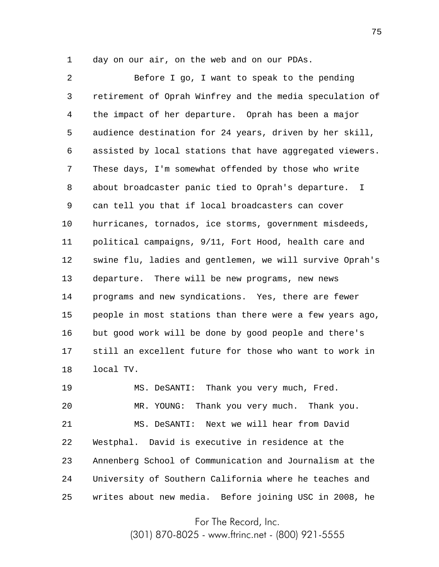1

day on our air, on the web and on our PDAs.

2 3 4 5 6 7 8 9 10 11 12 13 14 15 16 17 18 Before I go, I want to speak to the pending retirement of Oprah Winfrey and the media speculation of the impact of her departure. Oprah has been a major audience destination for 24 years, driven by her skill, assisted by local stations that have aggregated viewers. These days, I'm somewhat offended by those who write about broadcaster panic tied to Oprah's departure. I can tell you that if local broadcasters can cover hurricanes, tornados, ice storms, government misdeeds, political campaigns, 9/11, Fort Hood, health care and swine flu, ladies and gentlemen, we will survive Oprah's departure. There will be new programs, new news programs and new syndications. Yes, there are fewer people in most stations than there were a few years ago, but good work will be done by good people and there's still an excellent future for those who want to work in local TV.

19 20 21 22 23 24 25 MS. DeSANTI: Thank you very much, Fred. MR. YOUNG: Thank you very much. Thank you. MS. DeSANTI: Next we will hear from David Westphal. David is executive in residence at the Annenberg School of Communication and Journalism at the University of Southern California where he teaches and writes about new media. Before joining USC in 2008, he

For The Record, Inc.

(301) 870-8025 - www.ftrinc.net - (800) 921-5555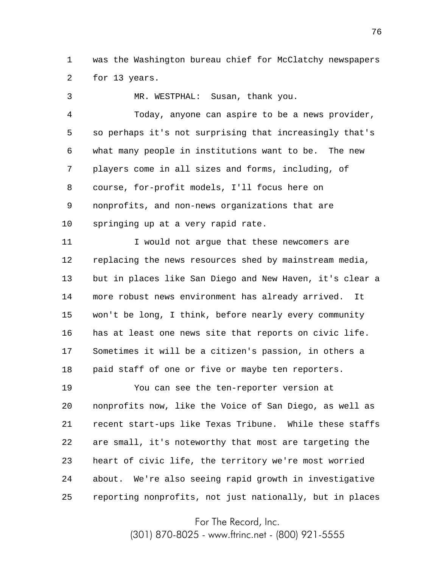1 2 was the Washington bureau chief for McClatchy newspapers for 13 years.

3 4 5 6 7 8 9 10 11 12 13 14 15 16 17 18 19 MR. WESTPHAL: Susan, thank you. Today, anyone can aspire to be a news provider, so perhaps it's not surprising that increasingly that's what many people in institutions want to be. The new players come in all sizes and forms, including, of course, for-profit models, I'll focus here on nonprofits, and non-news organizations that are springing up at a very rapid rate. I would not argue that these newcomers are replacing the news resources shed by mainstream media, but in places like San Diego and New Haven, it's clear a more robust news environment has already arrived. It won't be long, I think, before nearly every community has at least one news site that reports on civic life. Sometimes it will be a citizen's passion, in others a paid staff of one or five or maybe ten reporters. You can see the ten-reporter version at

20 21 22 23 24 25 nonprofits now, like the Voice of San Diego, as well as recent start-ups like Texas Tribune. While these staffs are small, it's noteworthy that most are targeting the heart of civic life, the territory we're most worried about. We're also seeing rapid growth in investigative reporting nonprofits, not just nationally, but in places

For The Record, Inc.

(301) 870-8025 - www.ftrinc.net - (800) 921-5555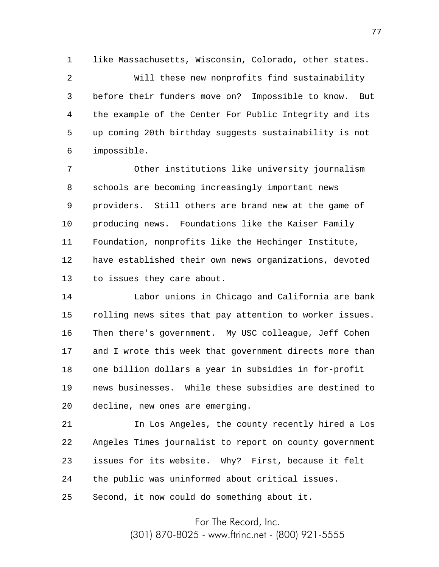1 like Massachusetts, Wisconsin, Colorado, other states.

2 3 4 5 6 Will these new nonprofits find sustainability before their funders move on? Impossible to know. But the example of the Center For Public Integrity and its up coming 20th birthday suggests sustainability is not impossible.

7 8 9 10 11 12 13 Other institutions like university journalism schools are becoming increasingly important news providers. Still others are brand new at the game of producing news. Foundations like the Kaiser Family Foundation, nonprofits like the Hechinger Institute, have established their own news organizations, devoted to issues they care about.

14 15 16 17 18 19 20 Labor unions in Chicago and California are bank rolling news sites that pay attention to worker issues. Then there's government. My USC colleague, Jeff Cohen and I wrote this week that government directs more than one billion dollars a year in subsidies in for-profit news businesses. While these subsidies are destined to decline, new ones are emerging.

21 22 23 24 25 In Los Angeles, the county recently hired a Los Angeles Times journalist to report on county government issues for its website. Why? First, because it felt the public was uninformed about critical issues. Second, it now could do something about it.

For The Record, Inc.

(301) 870-8025 - www.ftrinc.net - (800) 921-5555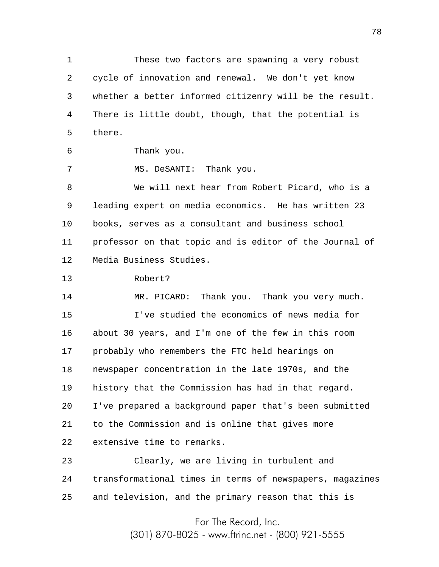1 2 3 4 5 These two factors are spawning a very robust cycle of innovation and renewal. We don't yet know whether a better informed citizenry will be the result. There is little doubt, though, that the potential is there.

6 Thank you.

7

MS. DeSANTI: Thank you.

8 9 10 11 12 We will next hear from Robert Picard, who is a leading expert on media economics. He has written 23 books, serves as a consultant and business school professor on that topic and is editor of the Journal of Media Business Studies.

13 Robert?

14 15 16 17 18 19 20 21 22 MR. PICARD: Thank you. Thank you very much. I've studied the economics of news media for about 30 years, and I'm one of the few in this room probably who remembers the FTC held hearings on newspaper concentration in the late 1970s, and the history that the Commission has had in that regard. I've prepared a background paper that's been submitted to the Commission and is online that gives more extensive time to remarks.

23 24 25 Clearly, we are living in turbulent and transformational times in terms of newspapers, magazines and television, and the primary reason that this is

> For The Record, Inc. (301) 870-8025 - www.ftrinc.net - (800) 921-5555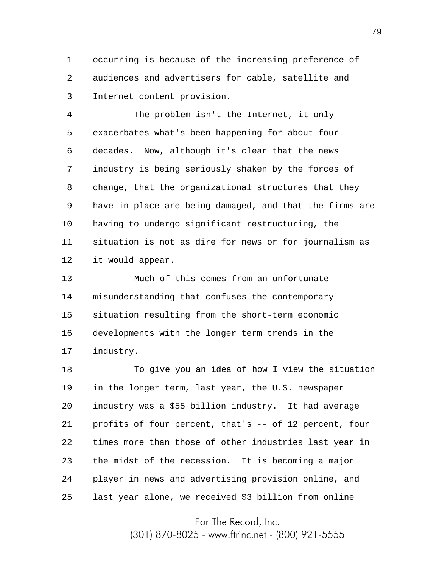1 2 3 occurring is because of the increasing preference of audiences and advertisers for cable, satellite and Internet content provision.

4 5 6 7 8 9 10 11 12 The problem isn't the Internet, it only exacerbates what's been happening for about four decades. Now, although it's clear that the news industry is being seriously shaken by the forces of change, that the organizational structures that they have in place are being damaged, and that the firms are having to undergo significant restructuring, the situation is not as dire for news or for journalism as it would appear.

13 14 15 16 17 Much of this comes from an unfortunate misunderstanding that confuses the contemporary situation resulting from the short-term economic developments with the longer term trends in the industry.

18 19 20 21 22 23 24 25 To give you an idea of how I view the situation in the longer term, last year, the U.S. newspaper industry was a \$55 billion industry. It had average profits of four percent, that's -- of 12 percent, four times more than those of other industries last year in the midst of the recession. It is becoming a major player in news and advertising provision online, and last year alone, we received \$3 billion from online

For The Record, Inc.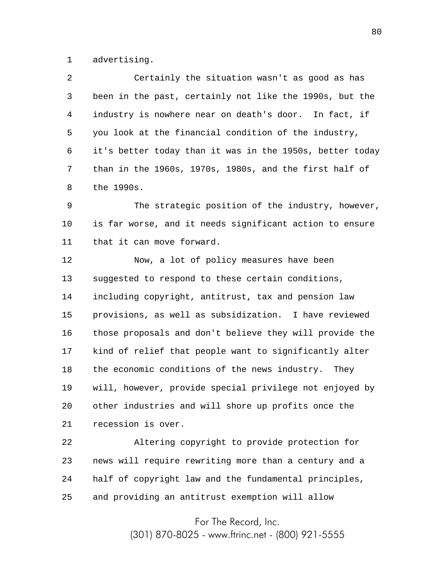1 advertising.

2 3 4 5 6 7 8 Certainly the situation wasn't as good as has been in the past, certainly not like the 1990s, but the industry is nowhere near on death's door. In fact, if you look at the financial condition of the industry, it's better today than it was in the 1950s, better today than in the 1960s, 1970s, 1980s, and the first half of the 1990s.

9 10 11 The strategic position of the industry, however, is far worse, and it needs significant action to ensure that it can move forward.

12 13 14 15 16 17 18 19 20 21 Now, a lot of policy measures have been suggested to respond to these certain conditions, including copyright, antitrust, tax and pension law provisions, as well as subsidization. I have reviewed those proposals and don't believe they will provide the kind of relief that people want to significantly alter the economic conditions of the news industry. They will, however, provide special privilege not enjoyed by other industries and will shore up profits once the recession is over.

22 23 24 25 Altering copyright to provide protection for news will require rewriting more than a century and a half of copyright law and the fundamental principles, and providing an antitrust exemption will allow

For The Record, Inc.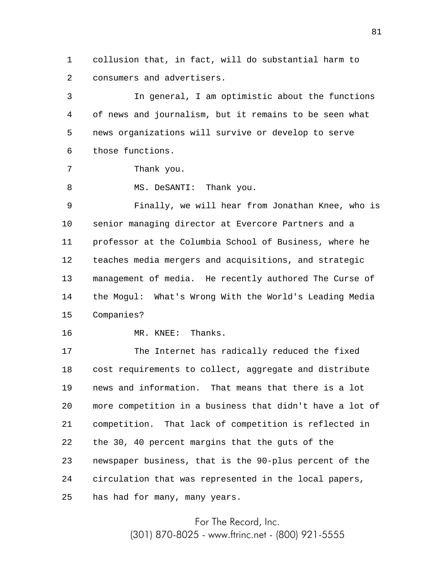1 2 collusion that, in fact, will do substantial harm to consumers and advertisers.

3 4 5 6 In general, I am optimistic about the functions of news and journalism, but it remains to be seen what news organizations will survive or develop to serve those functions.

```
Thank you.
```
7

8 MS. DeSANTI: Thank you.

9 10 11 12 13 14 15 Finally, we will hear from Jonathan Knee, who is senior managing director at Evercore Partners and a professor at the Columbia School of Business, where he teaches media mergers and acquisitions, and strategic management of media. He recently authored The Curse of the Mogul: What's Wrong With the World's Leading Media Companies?

16

MR. KNEE: Thanks.

17 18 19 20 21 22 23 24 25 The Internet has radically reduced the fixed cost requirements to collect, aggregate and distribute news and information. That means that there is a lot more competition in a business that didn't have a lot of competition. That lack of competition is reflected in the 30, 40 percent margins that the guts of the newspaper business, that is the 90-plus percent of the circulation that was represented in the local papers, has had for many, many years.

For The Record, Inc.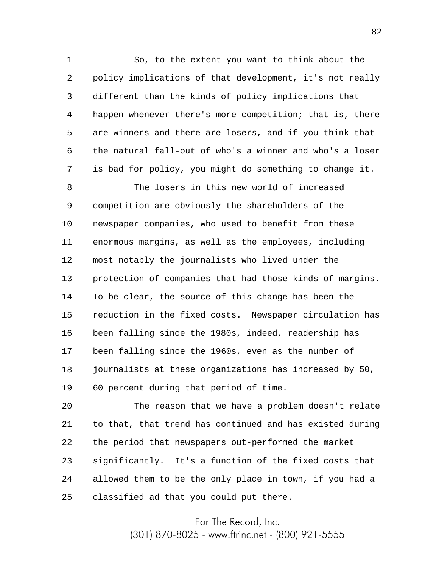1 2 3 4 5 6 7 So, to the extent you want to think about the policy implications of that development, it's not really different than the kinds of policy implications that happen whenever there's more competition; that is, there are winners and there are losers, and if you think that the natural fall-out of who's a winner and who's a loser is bad for policy, you might do something to change it.

8 9 10 11 12 13 14 15 16 17 18 19 The losers in this new world of increased competition are obviously the shareholders of the newspaper companies, who used to benefit from these enormous margins, as well as the employees, including most notably the journalists who lived under the protection of companies that had those kinds of margins. To be clear, the source of this change has been the reduction in the fixed costs. Newspaper circulation has been falling since the 1980s, indeed, readership has been falling since the 1960s, even as the number of journalists at these organizations has increased by 50, 60 percent during that period of time.

20 21 22 23 24 25 The reason that we have a problem doesn't relate to that, that trend has continued and has existed during the period that newspapers out-performed the market significantly. It's a function of the fixed costs that allowed them to be the only place in town, if you had a classified ad that you could put there.

For The Record, Inc.

(301) 870-8025 - www.ftrinc.net - (800) 921-5555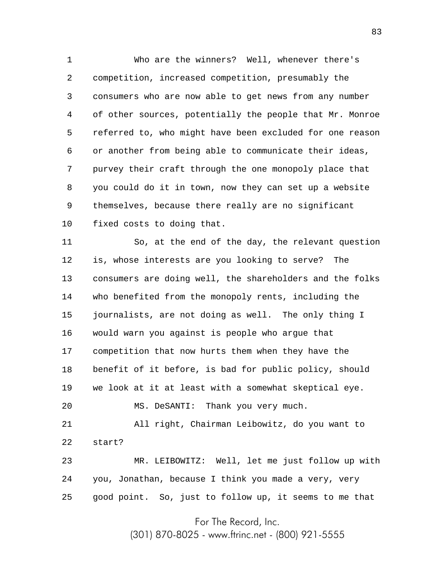1 2 3 4 5 6 7 8 9 10 Who are the winners? Well, whenever there's competition, increased competition, presumably the consumers who are now able to get news from any number of other sources, potentially the people that Mr. Monroe referred to, who might have been excluded for one reason or another from being able to communicate their ideas, purvey their craft through the one monopoly place that you could do it in town, now they can set up a website themselves, because there really are no significant fixed costs to doing that.

11 12 13 14 15 16 17 18 19 20 21 22 23 24 So, at the end of the day, the relevant question is, whose interests are you looking to serve? The consumers are doing well, the shareholders and the folks who benefited from the monopoly rents, including the journalists, are not doing as well. The only thing I would warn you against is people who argue that competition that now hurts them when they have the benefit of it before, is bad for public policy, should we look at it at least with a somewhat skeptical eye. MS. DeSANTI: Thank you very much. All right, Chairman Leibowitz, do you want to start? MR. LEIBOWITZ: Well, let me just follow up with you, Jonathan, because I think you made a very, very

25 good point. So, just to follow up, it seems to me that

For The Record, Inc.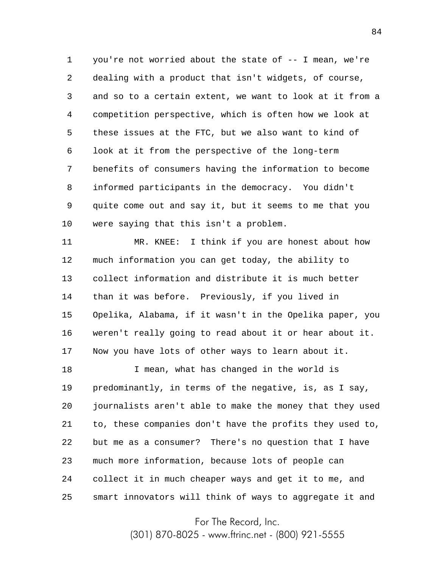1 2 3 4 5 6 7 8 9 10 you're not worried about the state of  $-$ - I mean, we're dealing with a product that isn't widgets, of course, and so to a certain extent, we want to look at it from a competition perspective, which is often how we look at these issues at the FTC, but we also want to kind of look at it from the perspective of the long-term benefits of consumers having the information to become informed participants in the democracy. You didn't quite come out and say it, but it seems to me that you were saying that this isn't a problem.

11 12 13 14 15 16 17 MR. KNEE: I think if you are honest about how much information you can get today, the ability to collect information and distribute it is much better than it was before. Previously, if you lived in Opelika, Alabama, if it wasn't in the Opelika paper, you weren't really going to read about it or hear about it. Now you have lots of other ways to learn about it.

18 19 20 21 22 23 24 25 I mean, what has changed in the world is predominantly, in terms of the negative, is, as I say, journalists aren't able to make the money that they used to, these companies don't have the profits they used to, but me as a consumer? There's no question that I have much more information, because lots of people can collect it in much cheaper ways and get it to me, and smart innovators will think of ways to aggregate it and

For The Record, Inc.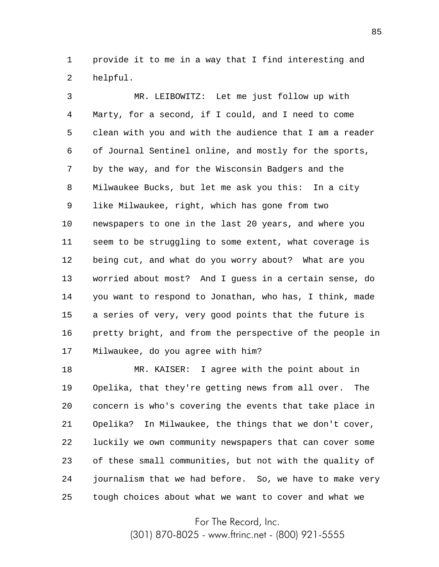1 2 provide it to me in a way that I find interesting and helpful.

3 4 5 6 7 8 9 10 11 12 13 14 15 16 17 MR. LEIBOWITZ: Let me just follow up with Marty, for a second, if I could, and I need to come clean with you and with the audience that I am a reader of Journal Sentinel online, and mostly for the sports, by the way, and for the Wisconsin Badgers and the Milwaukee Bucks, but let me ask you this: In a city like Milwaukee, right, which has gone from two newspapers to one in the last 20 years, and where you seem to be struggling to some extent, what coverage is being cut, and what do you worry about? What are you worried about most? And I guess in a certain sense, do you want to respond to Jonathan, who has, I think, made a series of very, very good points that the future is pretty bright, and from the perspective of the people in Milwaukee, do you agree with him?

18 19 20 21 22 23 24 25 MR. KAISER: I agree with the point about in Opelika, that they're getting news from all over. The concern is who's covering the events that take place in Opelika? In Milwaukee, the things that we don't cover, luckily we own community newspapers that can cover some of these small communities, but not with the quality of journalism that we had before. So, we have to make very tough choices about what we want to cover and what we

For The Record, Inc.

(301) 870-8025 - www.ftrinc.net - (800) 921-5555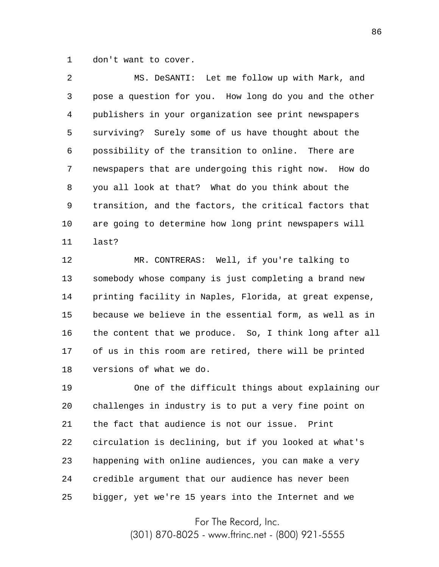1 don't want to cover.

2 3 4 5 6 7 8 9 10 11 MS. DeSANTI: Let me follow up with Mark, and pose a question for you. How long do you and the other publishers in your organization see print newspapers surviving? Surely some of us have thought about the possibility of the transition to online. There are newspapers that are undergoing this right now. How do you all look at that? What do you think about the transition, and the factors, the critical factors that are going to determine how long print newspapers will last?

12 13 14 15 16 17 18 MR. CONTRERAS: Well, if you're talking to somebody whose company is just completing a brand new printing facility in Naples, Florida, at great expense, because we believe in the essential form, as well as in the content that we produce. So, I think long after all of us in this room are retired, there will be printed versions of what we do.

19 20 21 22 23 24 25 One of the difficult things about explaining our challenges in industry is to put a very fine point on the fact that audience is not our issue. Print circulation is declining, but if you looked at what's happening with online audiences, you can make a very credible argument that our audience has never been bigger, yet we're 15 years into the Internet and we

For The Record, Inc.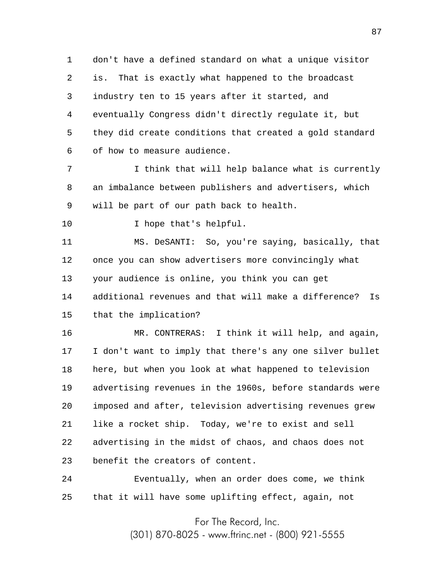1 2 3 4 5 6 don't have a defined standard on what a unique visitor is. That is exactly what happened to the broadcast industry ten to 15 years after it started, and eventually Congress didn't directly regulate it, but they did create conditions that created a gold standard of how to measure audience.

7 8 9 I think that will help balance what is currently an imbalance between publishers and advertisers, which will be part of our path back to health.

10 I hope that's helpful.

11 12 13 14 15 MS. DeSANTI: So, you're saying, basically, that once you can show advertisers more convincingly what your audience is online, you think you can get additional revenues and that will make a difference? Is that the implication?

16 17 18 19 20 21 22 23 MR. CONTRERAS: I think it will help, and again, I don't want to imply that there's any one silver bullet here, but when you look at what happened to television advertising revenues in the 1960s, before standards were imposed and after, television advertising revenues grew like a rocket ship. Today, we're to exist and sell advertising in the midst of chaos, and chaos does not benefit the creators of content.

24 25 Eventually, when an order does come, we think that it will have some uplifting effect, again, not

For The Record, Inc.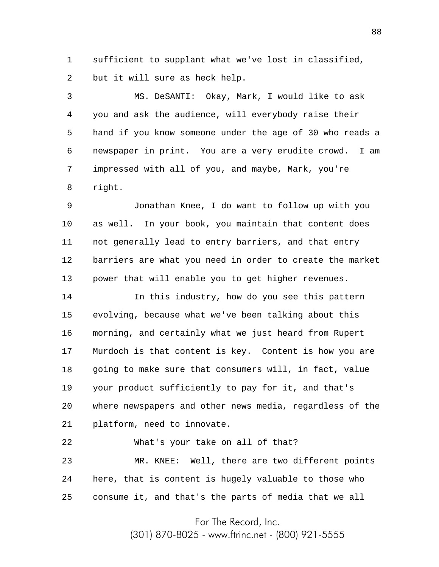1 2 sufficient to supplant what we've lost in classified, but it will sure as heck help.

3 4 5 6 7 8 MS. DeSANTI: Okay, Mark, I would like to ask you and ask the audience, will everybody raise their hand if you know someone under the age of 30 who reads a newspaper in print. You are a very erudite crowd. I am impressed with all of you, and maybe, Mark, you're right.

9 10 11 12 13 Jonathan Knee, I do want to follow up with you as well. In your book, you maintain that content does not generally lead to entry barriers, and that entry barriers are what you need in order to create the market power that will enable you to get higher revenues.

14 15 16 17 18 19 20 21 In this industry, how do you see this pattern evolving, because what we've been talking about this morning, and certainly what we just heard from Rupert Murdoch is that content is key. Content is how you are going to make sure that consumers will, in fact, value your product sufficiently to pay for it, and that's where newspapers and other news media, regardless of the platform, need to innovate.

22

What's your take on all of that?

23 24 25 MR. KNEE: Well, there are two different points here, that is content is hugely valuable to those who consume it, and that's the parts of media that we all

For The Record, Inc.

(301) 870-8025 - www.ftrinc.net - (800) 921-5555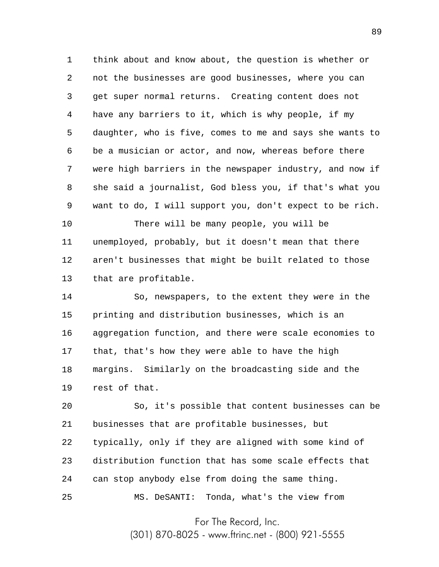1 2 3 4 5 6 7 8 9 think about and know about, the question is whether or not the businesses are good businesses, where you can get super normal returns. Creating content does not have any barriers to it, which is why people, if my daughter, who is five, comes to me and says she wants to be a musician or actor, and now, whereas before there were high barriers in the newspaper industry, and now if she said a journalist, God bless you, if that's what you want to do, I will support you, don't expect to be rich.

10 11 12 13 There will be many people, you will be unemployed, probably, but it doesn't mean that there aren't businesses that might be built related to those that are profitable.

14 15 16 17 18 19 So, newspapers, to the extent they were in the printing and distribution businesses, which is an aggregation function, and there were scale economies to that, that's how they were able to have the high margins. Similarly on the broadcasting side and the rest of that.

20 21 22 23 24 25 So, it's possible that content businesses can be businesses that are profitable businesses, but typically, only if they are aligned with some kind of distribution function that has some scale effects that can stop anybody else from doing the same thing. MS. DeSANTI: Tonda, what's the view from

For The Record, Inc.

(301) 870-8025 - www.ftrinc.net - (800) 921-5555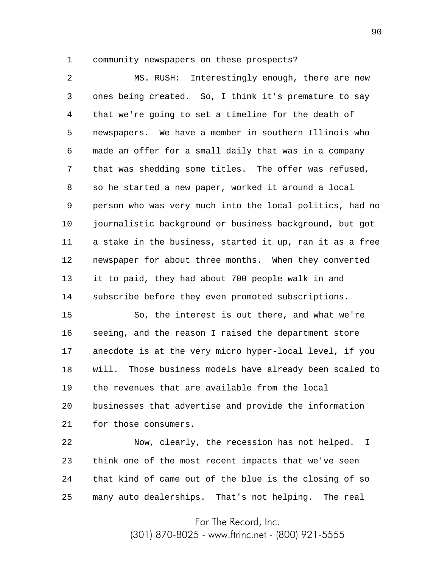1

community newspapers on these prospects?

2 3 4 5 6 7 8 9 10 11 12 13 14 MS. RUSH: Interestingly enough, there are new ones being created. So, I think it's premature to say that we're going to set a timeline for the death of newspapers. We have a member in southern Illinois who made an offer for a small daily that was in a company that was shedding some titles. The offer was refused, so he started a new paper, worked it around a local person who was very much into the local politics, had no journalistic background or business background, but got a stake in the business, started it up, ran it as a free newspaper for about three months. When they converted it to paid, they had about 700 people walk in and subscribe before they even promoted subscriptions.

15 16 17 18 19 20 21 So, the interest is out there, and what we're seeing, and the reason I raised the department store anecdote is at the very micro hyper-local level, if you will. Those business models have already been scaled to the revenues that are available from the local businesses that advertise and provide the information for those consumers.

22 23 24 25 Now, clearly, the recession has not helped. I think one of the most recent impacts that we've seen that kind of came out of the blue is the closing of so many auto dealerships. That's not helping. The real

For The Record, Inc.

(301) 870-8025 - www.ftrinc.net - (800) 921-5555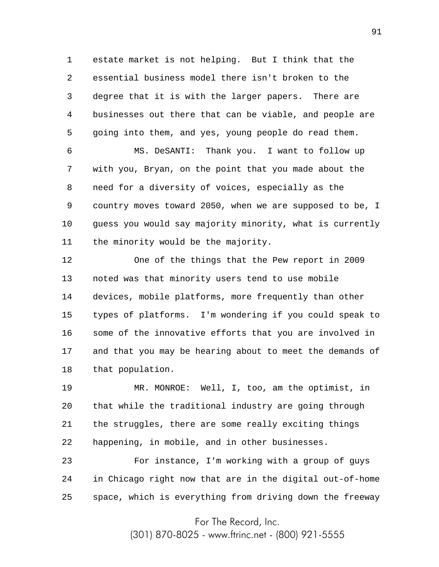1 2 3 4 5 estate market is not helping. But I think that the essential business model there isn't broken to the degree that it is with the larger papers. There are businesses out there that can be viable, and people are going into them, and yes, young people do read them.

6 7 8 9 10 11 MS. DeSANTI: Thank you. I want to follow up with you, Bryan, on the point that you made about the need for a diversity of voices, especially as the country moves toward 2050, when we are supposed to be, I guess you would say majority minority, what is currently the minority would be the majority.

12 13 14 15 16 17 18 One of the things that the Pew report in 2009 noted was that minority users tend to use mobile devices, mobile platforms, more frequently than other types of platforms. I'm wondering if you could speak to some of the innovative efforts that you are involved in and that you may be hearing about to meet the demands of that population.

19 20 21 22 MR. MONROE: Well, I, too, am the optimist, in that while the traditional industry are going through the struggles, there are some really exciting things happening, in mobile, and in other businesses.

23 24 25 For instance, I'm working with a group of guys in Chicago right now that are in the digital out-of-home space, which is everything from driving down the freeway

For The Record, Inc.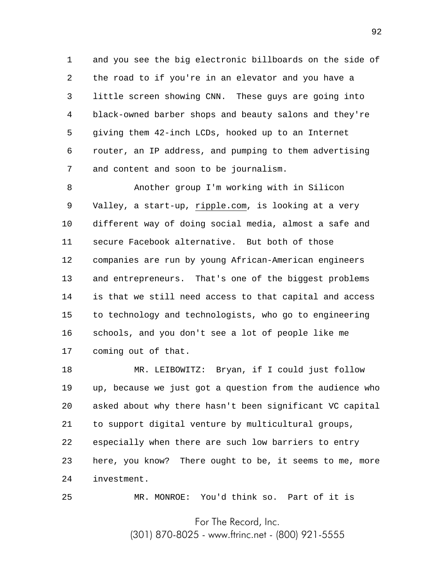1 2 3 4 5 6 7 and you see the big electronic billboards on the side of the road to if you're in an elevator and you have a little screen showing CNN. These guys are going into black-owned barber shops and beauty salons and they're giving them 42-inch LCDs, hooked up to an Internet router, an IP address, and pumping to them advertising and content and soon to be journalism.

8 9 10 11 12 13 14 15 16 17 Another group I'm working with in Silicon Valley, a start-up, ripple.com, is looking at a very different way of doing social media, almost a safe and secure Facebook alternative. But both of those companies are run by young African-American engineers and entrepreneurs. That's one of the biggest problems is that we still need access to that capital and access to technology and technologists, who go to engineering schools, and you don't see a lot of people like me coming out of that.

18 19 20 21 22 23 24 MR. LEIBOWITZ: Bryan, if I could just follow up, because we just got a question from the audience who asked about why there hasn't been significant VC capital to support digital venture by multicultural groups, especially when there are such low barriers to entry here, you know? There ought to be, it seems to me, more investment.

25

MR. MONROE: You'd think so. Part of it is

For The Record, Inc.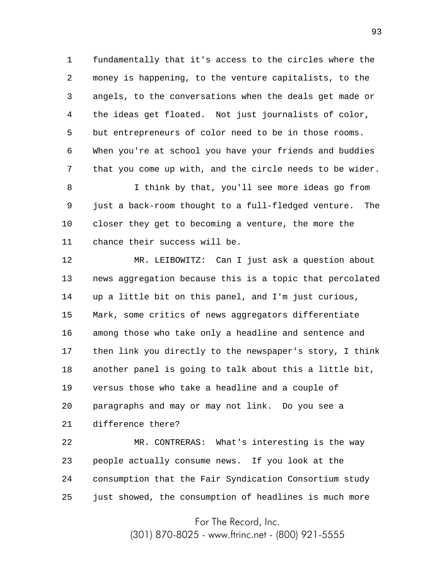1 2 3 4 5 6 7 fundamentally that it's access to the circles where the money is happening, to the venture capitalists, to the angels, to the conversations when the deals get made or the ideas get floated. Not just journalists of color, but entrepreneurs of color need to be in those rooms. When you're at school you have your friends and buddies that you come up with, and the circle needs to be wider.

8 9 10 11 I think by that, you'll see more ideas go from just a back-room thought to a full-fledged venture. The closer they get to becoming a venture, the more the chance their success will be.

12 13 14 15 16 17 18 19 20 MR. LEIBOWITZ: Can I just ask a question about news aggregation because this is a topic that percolated up a little bit on this panel, and I'm just curious, Mark, some critics of news aggregators differentiate among those who take only a headline and sentence and then link you directly to the newspaper's story, I think another panel is going to talk about this a little bit, versus those who take a headline and a couple of paragraphs and may or may not link. Do you see a

21 difference there?

22 23 24 25 MR. CONTRERAS: What's interesting is the way people actually consume news. If you look at the consumption that the Fair Syndication Consortium study just showed, the consumption of headlines is much more

For The Record, Inc.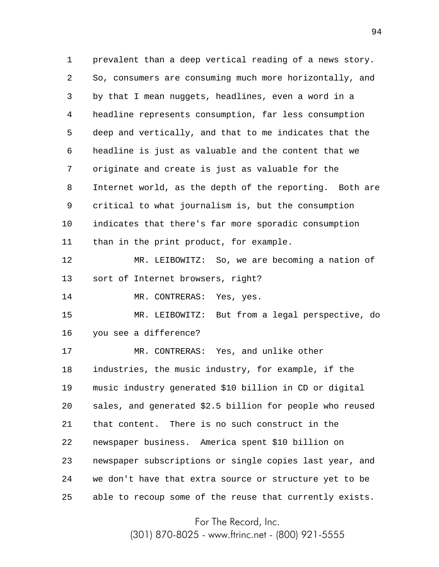1 2 3 4 5 6 7 8 9 10 11 12 13 14 15 16 17 18 19 20 21 22 23 24 25 prevalent than a deep vertical reading of a news story. So, consumers are consuming much more horizontally, and by that I mean nuggets, headlines, even a word in a headline represents consumption, far less consumption deep and vertically, and that to me indicates that the headline is just as valuable and the content that we originate and create is just as valuable for the Internet world, as the depth of the reporting. Both are critical to what journalism is, but the consumption indicates that there's far more sporadic consumption than in the print product, for example. MR. LEIBOWITZ: So, we are becoming a nation of sort of Internet browsers, right? MR. CONTRERAS: Yes, yes. MR. LEIBOWITZ: But from a legal perspective, do you see a difference? MR. CONTRERAS: Yes, and unlike other industries, the music industry, for example, if the music industry generated \$10 billion in CD or digital sales, and generated \$2.5 billion for people who reused that content. There is no such construct in the newspaper business. America spent \$10 billion on newspaper subscriptions or single copies last year, and we don't have that extra source or structure yet to be able to recoup some of the reuse that currently exists.

For The Record, Inc.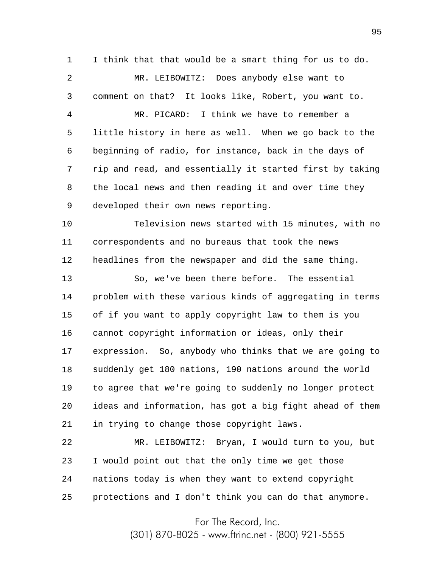1 I think that that would be a smart thing for us to do.

2 3 MR. LEIBOWITZ: Does anybody else want to comment on that? It looks like, Robert, you want to.

4 5 6 7 8 9 MR. PICARD: I think we have to remember a little history in here as well. When we go back to the beginning of radio, for instance, back in the days of rip and read, and essentially it started first by taking the local news and then reading it and over time they developed their own news reporting.

10 11 12 Television news started with 15 minutes, with no correspondents and no bureaus that took the news headlines from the newspaper and did the same thing.

13 14 15 16 17 18 19 20 21 So, we've been there before. The essential problem with these various kinds of aggregating in terms of if you want to apply copyright law to them is you cannot copyright information or ideas, only their expression. So, anybody who thinks that we are going to suddenly get 180 nations, 190 nations around the world to agree that we're going to suddenly no longer protect ideas and information, has got a big fight ahead of them in trying to change those copyright laws.

22 23 24 25 MR. LEIBOWITZ: Bryan, I would turn to you, but I would point out that the only time we get those nations today is when they want to extend copyright protections and I don't think you can do that anymore.

For The Record, Inc.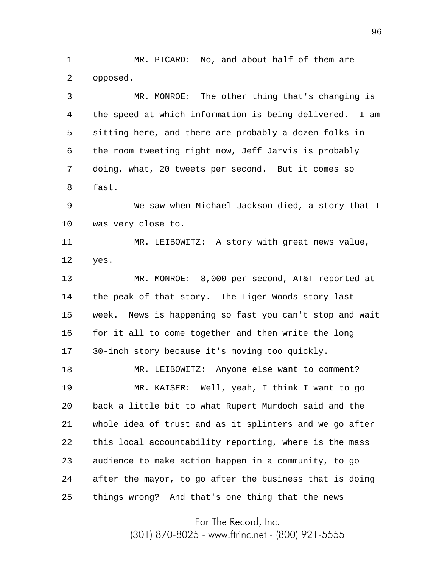1 2 MR. PICARD: No, and about half of them are opposed.

3 4 5 6 7 8 9 10 11 12 13 14 15 MR. MONROE: The other thing that's changing is the speed at which information is being delivered. I am sitting here, and there are probably a dozen folks in the room tweeting right now, Jeff Jarvis is probably doing, what, 20 tweets per second. But it comes so fast. We saw when Michael Jackson died, a story that I was very close to. MR. LEIBOWITZ: A story with great news value, yes. MR. MONROE: 8,000 per second, AT&T reported at the peak of that story. The Tiger Woods story last week. News is happening so fast you can't stop and wait

16 17 for it all to come together and then write the long 30-inch story because it's moving too quickly.

18 19 20 21 22 23 24 25 MR. LEIBOWITZ: Anyone else want to comment? MR. KAISER: Well, yeah, I think I want to go back a little bit to what Rupert Murdoch said and the whole idea of trust and as it splinters and we go after this local accountability reporting, where is the mass audience to make action happen in a community, to go after the mayor, to go after the business that is doing things wrong? And that's one thing that the news

For The Record, Inc.

(301) 870-8025 - www.ftrinc.net - (800) 921-5555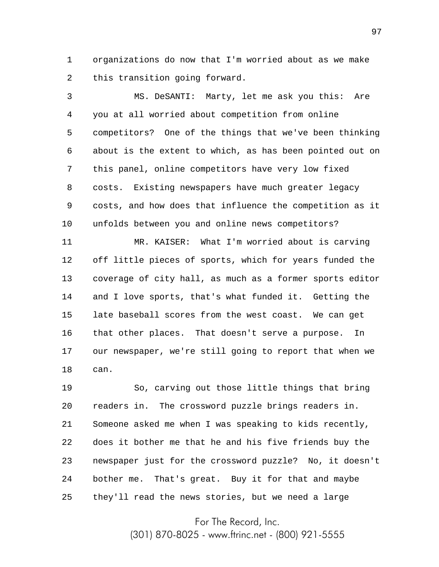1 2 organizations do now that I'm worried about as we make this transition going forward.

3 4 5 6 7 8 9 10 MS. DeSANTI: Marty, let me ask you this: Are you at all worried about competition from online competitors? One of the things that we've been thinking about is the extent to which, as has been pointed out on this panel, online competitors have very low fixed costs. Existing newspapers have much greater legacy costs, and how does that influence the competition as it unfolds between you and online news competitors?

11 12 13 14 15 16 17 18 MR. KAISER: What I'm worried about is carving off little pieces of sports, which for years funded the coverage of city hall, as much as a former sports editor and I love sports, that's what funded it. Getting the late baseball scores from the west coast. We can get that other places. That doesn't serve a purpose. In our newspaper, we're still going to report that when we can.

19 20 21 22 23 24 25 So, carving out those little things that bring readers in. The crossword puzzle brings readers in. Someone asked me when I was speaking to kids recently, does it bother me that he and his five friends buy the newspaper just for the crossword puzzle? No, it doesn't bother me. That's great. Buy it for that and maybe they'll read the news stories, but we need a large

For The Record, Inc.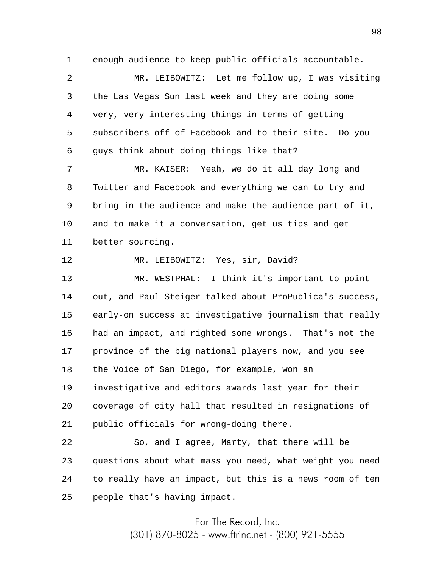1 enough audience to keep public officials accountable.

2 3 4 5 6 MR. LEIBOWITZ: Let me follow up, I was visiting the Las Vegas Sun last week and they are doing some very, very interesting things in terms of getting subscribers off of Facebook and to their site. Do you guys think about doing things like that?

7 8 9 10 11 MR. KAISER: Yeah, we do it all day long and Twitter and Facebook and everything we can to try and bring in the audience and make the audience part of it, and to make it a conversation, get us tips and get better sourcing.

12 MR. LEIBOWITZ: Yes, sir, David?

13 14 15 16 17 18 19 20 21 MR. WESTPHAL: I think it's important to point out, and Paul Steiger talked about ProPublica's success, early-on success at investigative journalism that really had an impact, and righted some wrongs. That's not the province of the big national players now, and you see the Voice of San Diego, for example, won an investigative and editors awards last year for their coverage of city hall that resulted in resignations of public officials for wrong-doing there.

22 23 24 25 So, and I agree, Marty, that there will be questions about what mass you need, what weight you need to really have an impact, but this is a news room of ten people that's having impact.

> For The Record, Inc. (301) 870-8025 - www.ftrinc.net - (800) 921-5555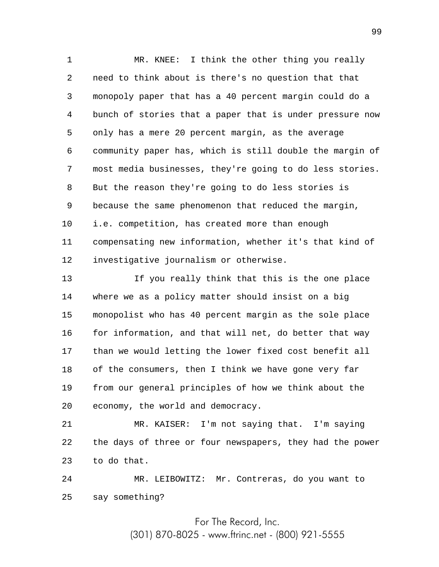1 2 3 4 5 6 7 8 9 10 11 12 MR. KNEE: I think the other thing you really need to think about is there's no question that that monopoly paper that has a 40 percent margin could do a bunch of stories that a paper that is under pressure now only has a mere 20 percent margin, as the average community paper has, which is still double the margin of most media businesses, they're going to do less stories. But the reason they're going to do less stories is because the same phenomenon that reduced the margin, i.e. competition, has created more than enough compensating new information, whether it's that kind of investigative journalism or otherwise.

13 14 15 16 17 18 19 20 If you really think that this is the one place where we as a policy matter should insist on a big monopolist who has 40 percent margin as the sole place for information, and that will net, do better that way than we would letting the lower fixed cost benefit all of the consumers, then I think we have gone very far from our general principles of how we think about the economy, the world and democracy.

21 22 23 MR. KAISER: I'm not saying that. I'm saying the days of three or four newspapers, they had the power to do that.

24 25 MR. LEIBOWITZ: Mr. Contreras, do you want to say something?

For The Record, Inc.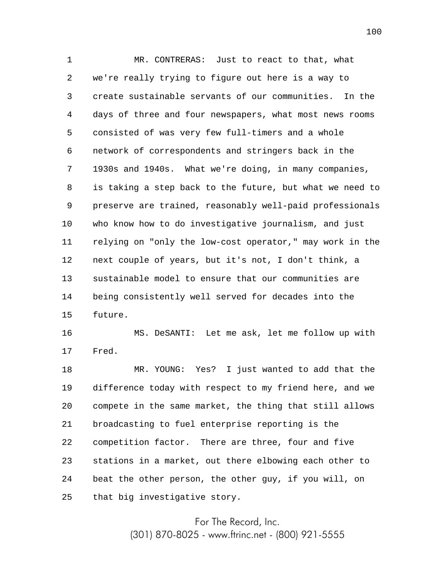1 2 3 4 5 6 7 8 9 10 11 12 13 14 15 MR. CONTRERAS: Just to react to that, what we're really trying to figure out here is a way to create sustainable servants of our communities. In the days of three and four newspapers, what most news rooms consisted of was very few full-timers and a whole network of correspondents and stringers back in the 1930s and 1940s. What we're doing, in many companies, is taking a step back to the future, but what we need to preserve are trained, reasonably well-paid professionals who know how to do investigative journalism, and just relying on "only the low-cost operator," may work in the next couple of years, but it's not, I don't think, a sustainable model to ensure that our communities are being consistently well served for decades into the future.

16 17 MS. DeSANTI: Let me ask, let me follow up with Fred.

18 19 20 21 22 23 24 25 MR. YOUNG: Yes? I just wanted to add that the difference today with respect to my friend here, and we compete in the same market, the thing that still allows broadcasting to fuel enterprise reporting is the competition factor. There are three, four and five stations in a market, out there elbowing each other to beat the other person, the other guy, if you will, on that big investigative story.

> For The Record, Inc. (301) 870-8025 - www.ftrinc.net - (800) 921-5555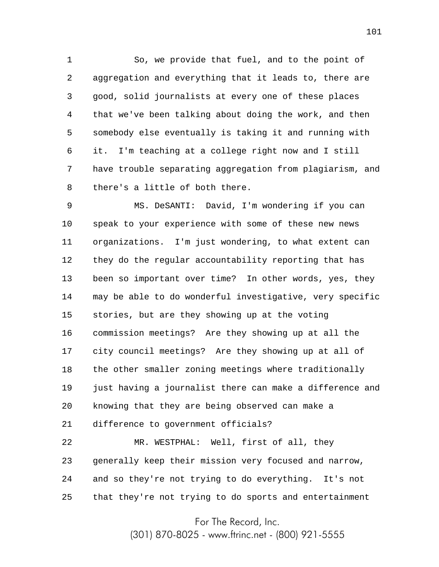1 2 3 4 5 6 7 8 So, we provide that fuel, and to the point of aggregation and everything that it leads to, there are good, solid journalists at every one of these places that we've been talking about doing the work, and then somebody else eventually is taking it and running with it. I'm teaching at a college right now and I still have trouble separating aggregation from plagiarism, and there's a little of both there.

9 10 11 12 13 14 15 16 17 18 19 20 21 MS. DeSANTI: David, I'm wondering if you can speak to your experience with some of these new news organizations. I'm just wondering, to what extent can they do the regular accountability reporting that has been so important over time? In other words, yes, they may be able to do wonderful investigative, very specific stories, but are they showing up at the voting commission meetings? Are they showing up at all the city council meetings? Are they showing up at all of the other smaller zoning meetings where traditionally just having a journalist there can make a difference and knowing that they are being observed can make a difference to government officials?

22 23 24 25 MR. WESTPHAL: Well, first of all, they generally keep their mission very focused and narrow, and so they're not trying to do everything. It's not that they're not trying to do sports and entertainment

For The Record, Inc.

(301) 870-8025 - www.ftrinc.net - (800) 921-5555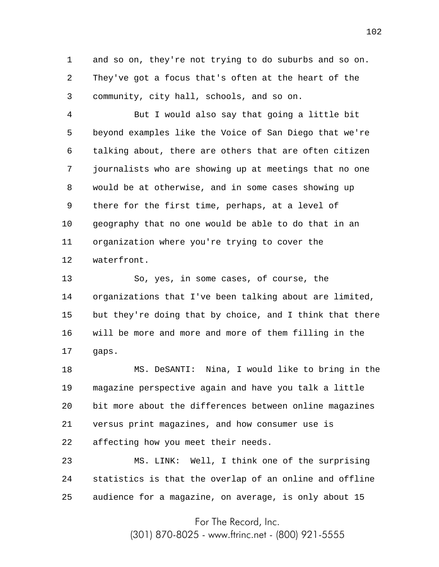1 2 3 and so on, they're not trying to do suburbs and so on. They've got a focus that's often at the heart of the community, city hall, schools, and so on.

4 5 6 7 8 9 10 11 12 But I would also say that going a little bit beyond examples like the Voice of San Diego that we're talking about, there are others that are often citizen journalists who are showing up at meetings that no one would be at otherwise, and in some cases showing up there for the first time, perhaps, at a level of geography that no one would be able to do that in an organization where you're trying to cover the waterfront.

13 14 15 16 17 So, yes, in some cases, of course, the organizations that I've been talking about are limited, but they're doing that by choice, and I think that there will be more and more and more of them filling in the gaps.

18 19 20 21 22 MS. DeSANTI: Nina, I would like to bring in the magazine perspective again and have you talk a little bit more about the differences between online magazines versus print magazines, and how consumer use is affecting how you meet their needs.

23 24 25 MS. LINK: Well, I think one of the surprising statistics is that the overlap of an online and offline audience for a magazine, on average, is only about 15

For The Record, Inc.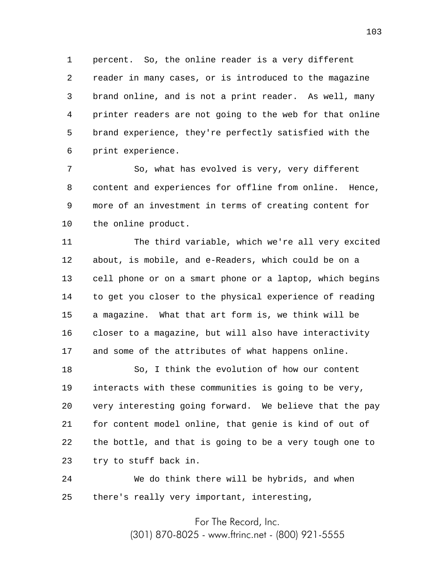1 2 3 4 5 6 percent. So, the online reader is a very different reader in many cases, or is introduced to the magazine brand online, and is not a print reader. As well, many printer readers are not going to the web for that online brand experience, they're perfectly satisfied with the print experience.

7 8 9 10 So, what has evolved is very, very different content and experiences for offline from online. Hence, more of an investment in terms of creating content for the online product.

11 12 13 14 15 16 17 The third variable, which we're all very excited about, is mobile, and e-Readers, which could be on a cell phone or on a smart phone or a laptop, which begins to get you closer to the physical experience of reading a magazine. What that art form is, we think will be closer to a magazine, but will also have interactivity and some of the attributes of what happens online.

18 19 20 21 22 23 So, I think the evolution of how our content interacts with these communities is going to be very, very interesting going forward. We believe that the pay for content model online, that genie is kind of out of the bottle, and that is going to be a very tough one to try to stuff back in.

24 25 We do think there will be hybrids, and when there's really very important, interesting,

For The Record, Inc.

(301) 870-8025 - www.ftrinc.net - (800) 921-5555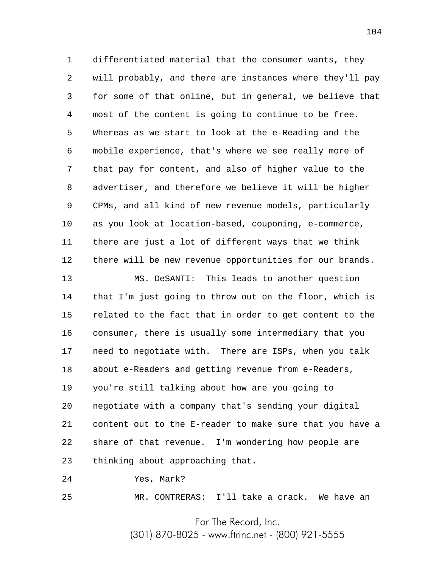1 2 3 4 5 6 7 8 9 10 11 12 differentiated material that the consumer wants, they will probably, and there are instances where they'll pay for some of that online, but in general, we believe that most of the content is going to continue to be free. Whereas as we start to look at the e-Reading and the mobile experience, that's where we see really more of that pay for content, and also of higher value to the advertiser, and therefore we believe it will be higher CPMs, and all kind of new revenue models, particularly as you look at location-based, couponing, e-commerce, there are just a lot of different ways that we think there will be new revenue opportunities for our brands.

13 14 15 16 17 18 19 20 21 22 23 MS. DeSANTI: This leads to another question that I'm just going to throw out on the floor, which is related to the fact that in order to get content to the consumer, there is usually some intermediary that you need to negotiate with. There are ISPs, when you talk about e-Readers and getting revenue from e-Readers, you're still talking about how are you going to negotiate with a company that's sending your digital content out to the E-reader to make sure that you have a share of that revenue. I'm wondering how people are thinking about approaching that.

24 Yes, Mark?

25

MR. CONTRERAS: I'll take a crack. We have an

For The Record, Inc.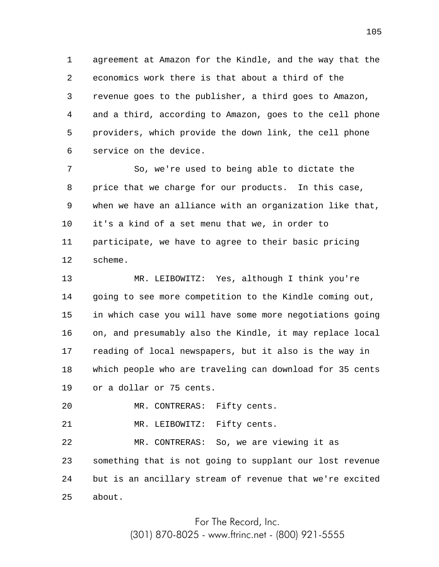1 2 3 4 5 6 agreement at Amazon for the Kindle, and the way that the economics work there is that about a third of the revenue goes to the publisher, a third goes to Amazon, and a third, according to Amazon, goes to the cell phone providers, which provide the down link, the cell phone service on the device.

7 8 9 10 11 12 So, we're used to being able to dictate the price that we charge for our products. In this case, when we have an alliance with an organization like that, it's a kind of a set menu that we, in order to participate, we have to agree to their basic pricing scheme.

13 14 15 16 17 18 19 MR. LEIBOWITZ: Yes, although I think you're going to see more competition to the Kindle coming out, in which case you will have some more negotiations going on, and presumably also the Kindle, it may replace local reading of local newspapers, but it also is the way in which people who are traveling can download for 35 cents or a dollar or 75 cents.

20 MR. CONTRERAS: Fifty cents.

21 MR. LEIBOWITZ: Fifty cents.

22 23 24 25 MR. CONTRERAS: So, we are viewing it as something that is not going to supplant our lost revenue but is an ancillary stream of revenue that we're excited about.

For The Record, Inc.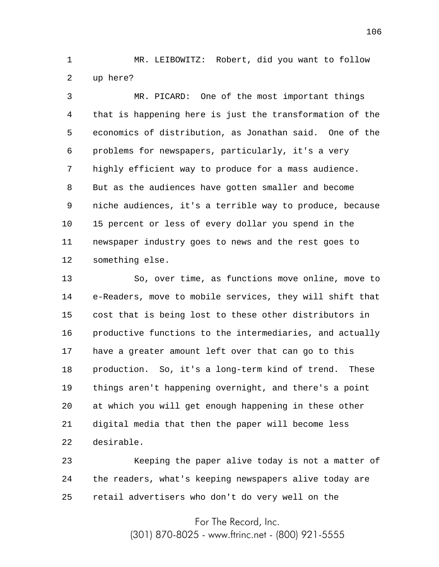1 2 MR. LEIBOWITZ: Robert, did you want to follow up here?

3 4 5 6 7 8 9 10 11 12 MR. PICARD: One of the most important things that is happening here is just the transformation of the economics of distribution, as Jonathan said. One of the problems for newspapers, particularly, it's a very highly efficient way to produce for a mass audience. But as the audiences have gotten smaller and become niche audiences, it's a terrible way to produce, because 15 percent or less of every dollar you spend in the newspaper industry goes to news and the rest goes to something else.

13 14 15 16 17 18 19 20 21 22 So, over time, as functions move online, move to e-Readers, move to mobile services, they will shift that cost that is being lost to these other distributors in productive functions to the intermediaries, and actually have a greater amount left over that can go to this production. So, it's a long-term kind of trend. These things aren't happening overnight, and there's a point at which you will get enough happening in these other digital media that then the paper will become less desirable.

23 24 25 Keeping the paper alive today is not a matter of the readers, what's keeping newspapers alive today are retail advertisers who don't do very well on the

For The Record, Inc.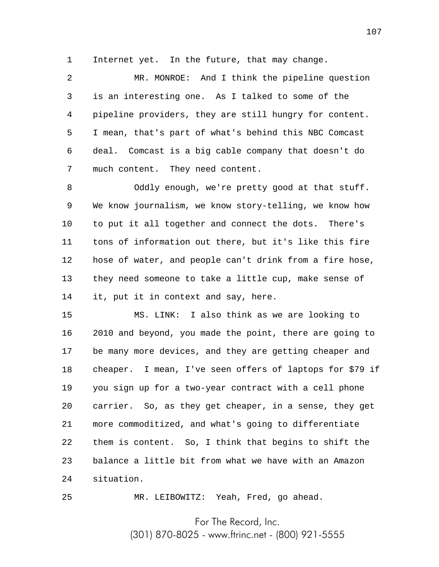1 Internet yet. In the future, that may change.

2 3 4 5 6 7 MR. MONROE: And I think the pipeline question is an interesting one. As I talked to some of the pipeline providers, they are still hungry for content. I mean, that's part of what's behind this NBC Comcast deal. Comcast is a big cable company that doesn't do much content. They need content.

8 9 10 11 12 13 14 Oddly enough, we're pretty good at that stuff. We know journalism, we know story-telling, we know how to put it all together and connect the dots. There's tons of information out there, but it's like this fire hose of water, and people can't drink from a fire hose, they need someone to take a little cup, make sense of it, put it in context and say, here.

15 16 17 18 19 20 21 22 23 24 MS. LINK: I also think as we are looking to 2010 and beyond, you made the point, there are going to be many more devices, and they are getting cheaper and cheaper. I mean, I've seen offers of laptops for \$79 if you sign up for a two-year contract with a cell phone carrier. So, as they get cheaper, in a sense, they get more commoditized, and what's going to differentiate them is content. So, I think that begins to shift the balance a little bit from what we have with an Amazon situation.

MR. LEIBOWITZ: Yeah, Fred, go ahead.

25

For The Record, Inc.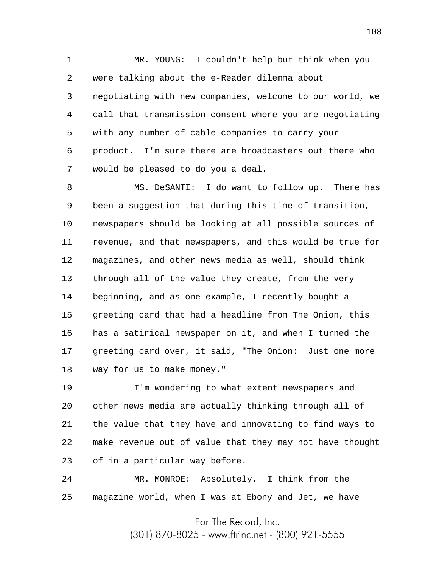1 2 3 4 5 6 7 MR. YOUNG: I couldn't help but think when you were talking about the e-Reader dilemma about negotiating with new companies, welcome to our world, we call that transmission consent where you are negotiating with any number of cable companies to carry your product. I'm sure there are broadcasters out there who would be pleased to do you a deal.

8 9 10 11 12 13 14 15 16 17 18 MS. DeSANTI: I do want to follow up. There has been a suggestion that during this time of transition, newspapers should be looking at all possible sources of revenue, and that newspapers, and this would be true for magazines, and other news media as well, should think through all of the value they create, from the very beginning, and as one example, I recently bought a greeting card that had a headline from The Onion, this has a satirical newspaper on it, and when I turned the greeting card over, it said, "The Onion: Just one more way for us to make money."

19 20 21 22 23 I'm wondering to what extent newspapers and other news media are actually thinking through all of the value that they have and innovating to find ways to make revenue out of value that they may not have thought of in a particular way before.

24 25 MR. MONROE: Absolutely. I think from the magazine world, when I was at Ebony and Jet, we have

For The Record, Inc.

(301) 870-8025 - www.ftrinc.net - (800) 921-5555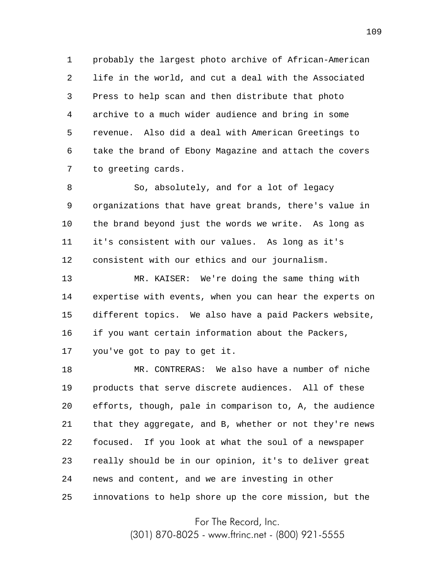1 2 3 4 5 6 7 probably the largest photo archive of African-American life in the world, and cut a deal with the Associated Press to help scan and then distribute that photo archive to a much wider audience and bring in some revenue. Also did a deal with American Greetings to take the brand of Ebony Magazine and attach the covers to greeting cards.

8 9 10 11 12 So, absolutely, and for a lot of legacy organizations that have great brands, there's value in the brand beyond just the words we write. As long as it's consistent with our values. As long as it's consistent with our ethics and our journalism.

13 14 15 16 17 MR. KAISER: We're doing the same thing with expertise with events, when you can hear the experts on different topics. We also have a paid Packers website, if you want certain information about the Packers, you've got to pay to get it.

18 19 20 21 22 23 24 25 MR. CONTRERAS: We also have a number of niche products that serve discrete audiences. All of these efforts, though, pale in comparison to, A, the audience that they aggregate, and B, whether or not they're news focused. If you look at what the soul of a newspaper really should be in our opinion, it's to deliver great news and content, and we are investing in other innovations to help shore up the core mission, but the

For The Record, Inc.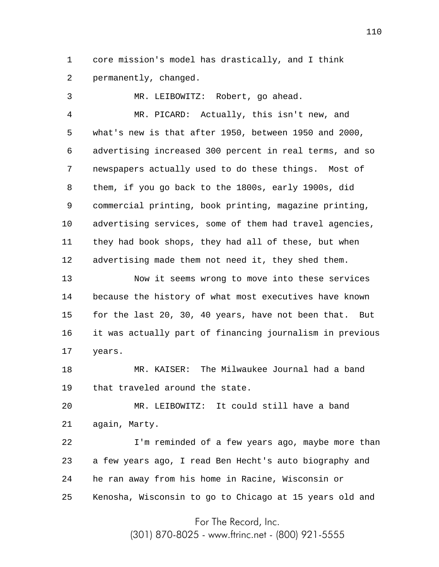1 2 core mission's model has drastically, and I think permanently, changed.

3 4 5 6 7 8 9 10 11 12 13 MR. LEIBOWITZ: Robert, go ahead. MR. PICARD: Actually, this isn't new, and what's new is that after 1950, between 1950 and 2000, advertising increased 300 percent in real terms, and so newspapers actually used to do these things. Most of them, if you go back to the 1800s, early 1900s, did commercial printing, book printing, magazine printing, advertising services, some of them had travel agencies, they had book shops, they had all of these, but when advertising made them not need it, they shed them. Now it seems wrong to move into these services

14 15 16 17 because the history of what most executives have known for the last 20, 30, 40 years, have not been that. But it was actually part of financing journalism in previous years.

18 19 MR. KAISER: The Milwaukee Journal had a band that traveled around the state.

20 21 MR. LEIBOWITZ: It could still have a band again, Marty.

22 23 24 25 I'm reminded of a few years ago, maybe more than a few years ago, I read Ben Hecht's auto biography and he ran away from his home in Racine, Wisconsin or Kenosha, Wisconsin to go to Chicago at 15 years old and

For The Record, Inc.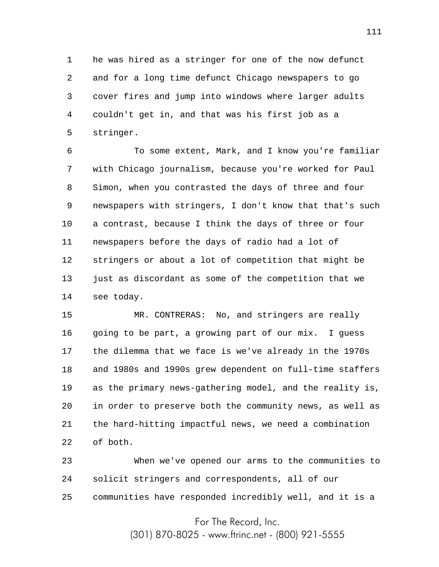1 2 3 4 5 he was hired as a stringer for one of the now defunct and for a long time defunct Chicago newspapers to go cover fires and jump into windows where larger adults couldn't get in, and that was his first job as a stringer.

6 7 8 9 10 11 12 13 14 To some extent, Mark, and I know you're familiar with Chicago journalism, because you're worked for Paul Simon, when you contrasted the days of three and four newspapers with stringers, I don't know that that's such a contrast, because I think the days of three or four newspapers before the days of radio had a lot of stringers or about a lot of competition that might be just as discordant as some of the competition that we see today.

15 16 17 18 19 20 21 22 MR. CONTRERAS: No, and stringers are really going to be part, a growing part of our mix. I guess the dilemma that we face is we've already in the 1970s and 1980s and 1990s grew dependent on full-time staffers as the primary news-gathering model, and the reality is, in order to preserve both the community news, as well as the hard-hitting impactful news, we need a combination of both.

23 24 25 When we've opened our arms to the communities to solicit stringers and correspondents, all of our communities have responded incredibly well, and it is a

For The Record, Inc.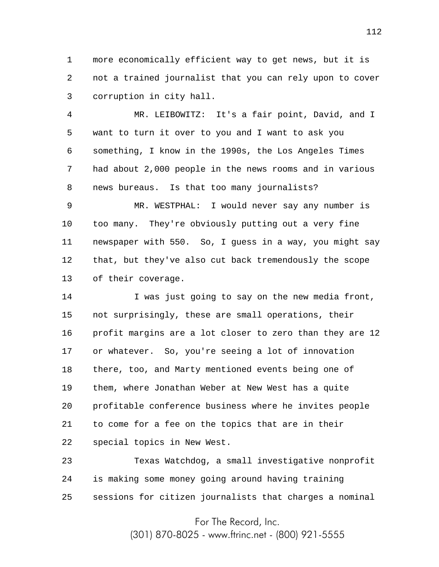1 2 3 more economically efficient way to get news, but it is not a trained journalist that you can rely upon to cover corruption in city hall.

4 5 6 7 8 MR. LEIBOWITZ: It's a fair point, David, and I want to turn it over to you and I want to ask you something, I know in the 1990s, the Los Angeles Times had about 2,000 people in the news rooms and in various news bureaus. Is that too many journalists?

9 10 11 12 13 MR. WESTPHAL: I would never say any number is too many. They're obviously putting out a very fine newspaper with 550. So, I guess in a way, you might say that, but they've also cut back tremendously the scope of their coverage.

14 15 16 17 18 19 20 21 22 I was just going to say on the new media front, not surprisingly, these are small operations, their profit margins are a lot closer to zero than they are 12 or whatever. So, you're seeing a lot of innovation there, too, and Marty mentioned events being one of them, where Jonathan Weber at New West has a quite profitable conference business where he invites people to come for a fee on the topics that are in their special topics in New West.

23 24 25 Texas Watchdog, a small investigative nonprofit is making some money going around having training sessions for citizen journalists that charges a nominal

For The Record, Inc.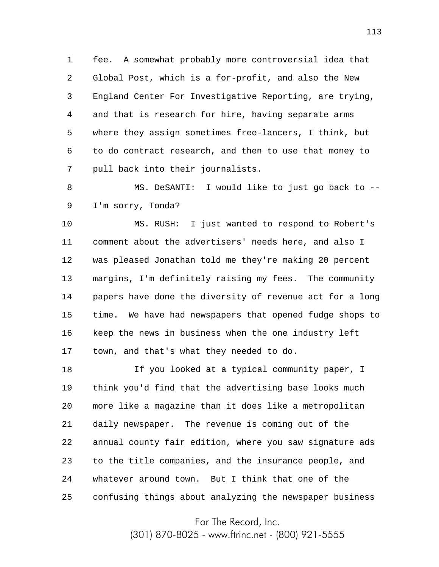1 2 3 4 5 6 7 fee. A somewhat probably more controversial idea that Global Post, which is a for-profit, and also the New England Center For Investigative Reporting, are trying, and that is research for hire, having separate arms where they assign sometimes free-lancers, I think, but to do contract research, and then to use that money to pull back into their journalists.

8 9 MS. DeSANTI: I would like to just go back to -- I'm sorry, Tonda?

10 11 12 13 14 15 16 17 MS. RUSH: I just wanted to respond to Robert's comment about the advertisers' needs here, and also I was pleased Jonathan told me they're making 20 percent margins, I'm definitely raising my fees. The community papers have done the diversity of revenue act for a long time. We have had newspapers that opened fudge shops to keep the news in business when the one industry left town, and that's what they needed to do.

18 19 20 21 22 23 24 25 If you looked at a typical community paper, I think you'd find that the advertising base looks much more like a magazine than it does like a metropolitan daily newspaper. The revenue is coming out of the annual county fair edition, where you saw signature ads to the title companies, and the insurance people, and whatever around town. But I think that one of the confusing things about analyzing the newspaper business

For The Record, Inc.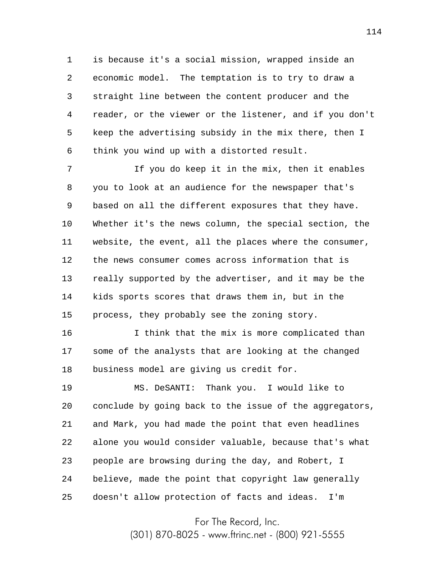1 2 3 4 5 6 is because it's a social mission, wrapped inside an economic model. The temptation is to try to draw a straight line between the content producer and the reader, or the viewer or the listener, and if you don't keep the advertising subsidy in the mix there, then I think you wind up with a distorted result.

7 8 9 10 11 12 13 14 15 If you do keep it in the mix, then it enables you to look at an audience for the newspaper that's based on all the different exposures that they have. Whether it's the news column, the special section, the website, the event, all the places where the consumer, the news consumer comes across information that is really supported by the advertiser, and it may be the kids sports scores that draws them in, but in the process, they probably see the zoning story.

16 17 18 I think that the mix is more complicated than some of the analysts that are looking at the changed business model are giving us credit for.

19 20 21 22 23 24 25 MS. DeSANTI: Thank you. I would like to conclude by going back to the issue of the aggregators, and Mark, you had made the point that even headlines alone you would consider valuable, because that's what people are browsing during the day, and Robert, I believe, made the point that copyright law generally doesn't allow protection of facts and ideas. I'm

For The Record, Inc.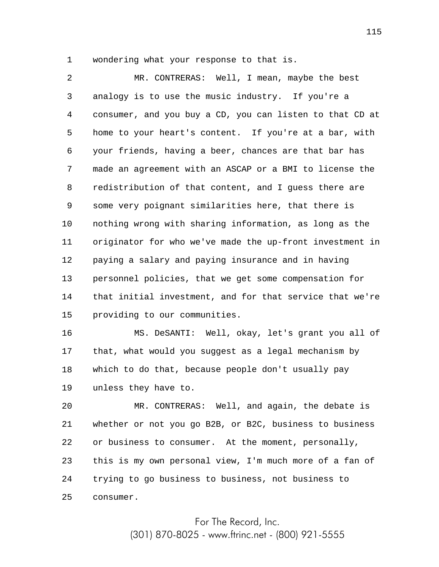1 wondering what your response to that is.

2 3 4 5 6 7 8 9 10 11 12 13 14 15 MR. CONTRERAS: Well, I mean, maybe the best analogy is to use the music industry. If you're a consumer, and you buy a CD, you can listen to that CD at home to your heart's content. If you're at a bar, with your friends, having a beer, chances are that bar has made an agreement with an ASCAP or a BMI to license the redistribution of that content, and I guess there are some very poignant similarities here, that there is nothing wrong with sharing information, as long as the originator for who we've made the up-front investment in paying a salary and paying insurance and in having personnel policies, that we get some compensation for that initial investment, and for that service that we're providing to our communities.

16 17 18 19 MS. DeSANTI: Well, okay, let's grant you all of that, what would you suggest as a legal mechanism by which to do that, because people don't usually pay unless they have to.

20 21 22 23 24 25 MR. CONTRERAS: Well, and again, the debate is whether or not you go B2B, or B2C, business to business or business to consumer. At the moment, personally, this is my own personal view, I'm much more of a fan of trying to go business to business, not business to consumer.

> For The Record, Inc. (301) 870-8025 - www.ftrinc.net - (800) 921-5555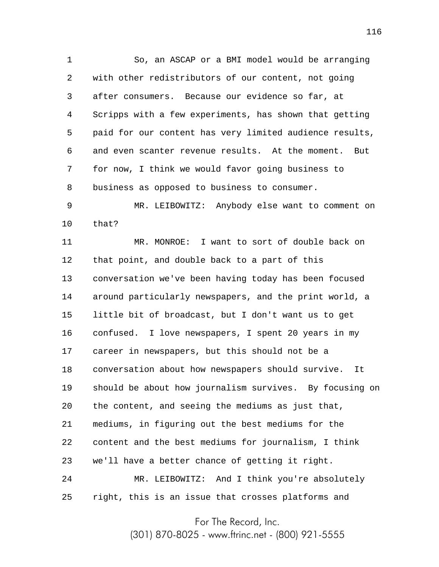1 2 3 4 5 6 7 8 So, an ASCAP or a BMI model would be arranging with other redistributors of our content, not going after consumers. Because our evidence so far, at Scripps with a few experiments, has shown that getting paid for our content has very limited audience results, and even scanter revenue results. At the moment. But for now, I think we would favor going business to business as opposed to business to consumer.

9 10 MR. LEIBOWITZ: Anybody else want to comment on that?

11 12 13 14 15 16 17 18 19 20 21 22 23 24 25 MR. MONROE: I want to sort of double back on that point, and double back to a part of this conversation we've been having today has been focused around particularly newspapers, and the print world, a little bit of broadcast, but I don't want us to get confused. I love newspapers, I spent 20 years in my career in newspapers, but this should not be a conversation about how newspapers should survive. It should be about how journalism survives. By focusing on the content, and seeing the mediums as just that, mediums, in figuring out the best mediums for the content and the best mediums for journalism, I think we'll have a better chance of getting it right. MR. LEIBOWITZ: And I think you're absolutely right, this is an issue that crosses platforms and

For The Record, Inc.

(301) 870-8025 - www.ftrinc.net - (800) 921-5555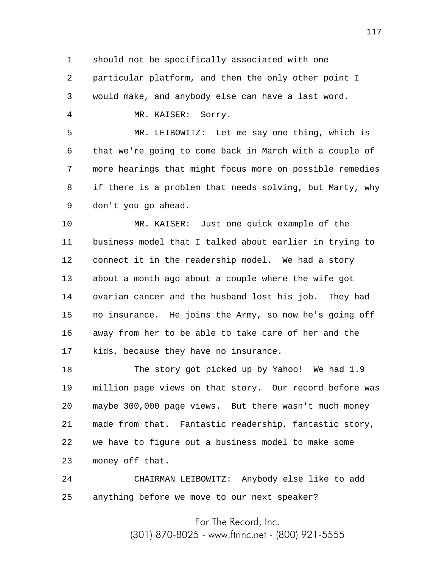1 should not be specifically associated with one

2 3 particular platform, and then the only other point I would make, and anybody else can have a last word.

MR. KAISER: Sorry.

4

5 6 7 8 9 MR. LEIBOWITZ: Let me say one thing, which is that we're going to come back in March with a couple of more hearings that might focus more on possible remedies if there is a problem that needs solving, but Marty, why don't you go ahead.

10 11 12 13 14 15 16 17 MR. KAISER: Just one quick example of the business model that I talked about earlier in trying to connect it in the readership model. We had a story about a month ago about a couple where the wife got ovarian cancer and the husband lost his job. They had no insurance. He joins the Army, so now he's going off away from her to be able to take care of her and the kids, because they have no insurance.

18 19 20 21 22 23 The story got picked up by Yahoo! We had 1.9 million page views on that story. Our record before was maybe 300,000 page views. But there wasn't much money made from that. Fantastic readership, fantastic story, we have to figure out a business model to make some money off that.

24 25 CHAIRMAN LEIBOWITZ: Anybody else like to add anything before we move to our next speaker?

> For The Record, Inc. (301) 870-8025 - www.ftrinc.net - (800) 921-5555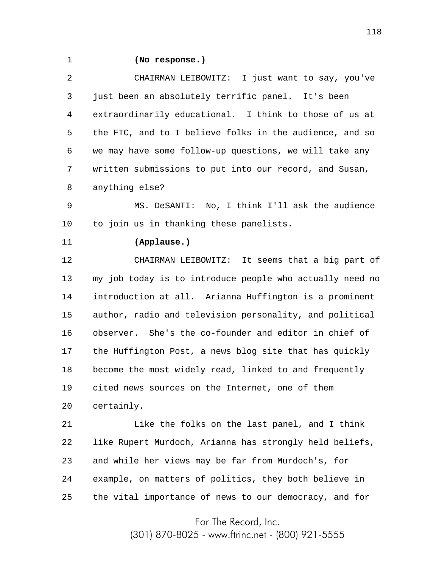1

## **(No response.)**

2 3 4 5 6 7 8 CHAIRMAN LEIBOWITZ: I just want to say, you've just been an absolutely terrific panel. It's been extraordinarily educational. I think to those of us at the FTC, and to I believe folks in the audience, and so we may have some follow-up questions, we will take any written submissions to put into our record, and Susan, anything else?

9 10 MS. DeSANTI: No, I think I'll ask the audience to join us in thanking these panelists.

11

## **(Applause.)**

12 13 14 15 16 17 18 19 20 CHAIRMAN LEIBOWITZ: It seems that a big part of my job today is to introduce people who actually need no introduction at all. Arianna Huffington is a prominent author, radio and television personality, and political observer. She's the co-founder and editor in chief of the Huffington Post, a news blog site that has quickly become the most widely read, linked to and frequently cited news sources on the Internet, one of them certainly.

21 22 23 24 25 Like the folks on the last panel, and I think like Rupert Murdoch, Arianna has strongly held beliefs, and while her views may be far from Murdoch's, for example, on matters of politics, they both believe in the vital importance of news to our democracy, and for

For The Record, Inc.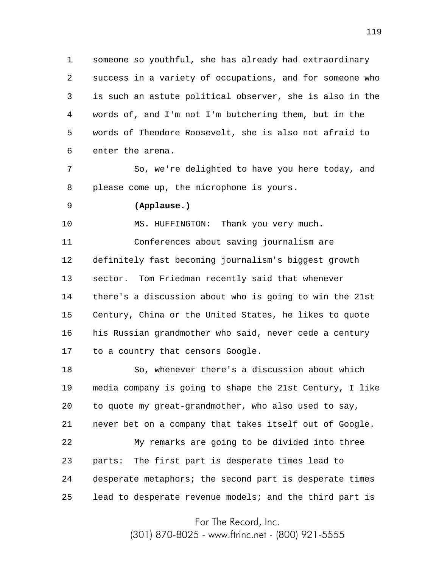1 2 3 4 5 6 someone so youthful, she has already had extraordinary success in a variety of occupations, and for someone who is such an astute political observer, she is also in the words of, and I'm not I'm butchering them, but in the words of Theodore Roosevelt, she is also not afraid to enter the arena.

7 8 So, we're delighted to have you here today, and please come up, the microphone is yours.

9

## **(Applause.)**

10 MS. HUFFINGTON: Thank you very much.

11 12 13 14 15 16 17 Conferences about saving journalism are definitely fast becoming journalism's biggest growth sector. Tom Friedman recently said that whenever there's a discussion about who is going to win the 21st Century, China or the United States, he likes to quote his Russian grandmother who said, never cede a century to a country that censors Google.

18 19 20 21 22 23 24 25 So, whenever there's a discussion about which media company is going to shape the 21st Century, I like to quote my great-grandmother, who also used to say, never bet on a company that takes itself out of Google. My remarks are going to be divided into three parts: The first part is desperate times lead to desperate metaphors; the second part is desperate times lead to desperate revenue models; and the third part is

For The Record, Inc.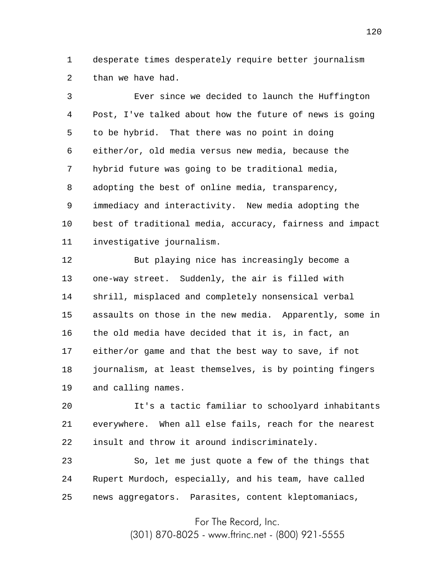1 2 desperate times desperately require better journalism than we have had.

3 4 5 6 7 8 9 10 11 Ever since we decided to launch the Huffington Post, I've talked about how the future of news is going to be hybrid. That there was no point in doing either/or, old media versus new media, because the hybrid future was going to be traditional media, adopting the best of online media, transparency, immediacy and interactivity. New media adopting the best of traditional media, accuracy, fairness and impact investigative journalism.

12 13 14 15 16 17 18 19 But playing nice has increasingly become a one-way street. Suddenly, the air is filled with shrill, misplaced and completely nonsensical verbal assaults on those in the new media. Apparently, some in the old media have decided that it is, in fact, an either/or game and that the best way to save, if not journalism, at least themselves, is by pointing fingers and calling names.

20 21 22 It's a tactic familiar to schoolyard inhabitants everywhere. When all else fails, reach for the nearest insult and throw it around indiscriminately.

23 24 25 So, let me just quote a few of the things that Rupert Murdoch, especially, and his team, have called news aggregators. Parasites, content kleptomaniacs,

For The Record, Inc.

(301) 870-8025 - www.ftrinc.net - (800) 921-5555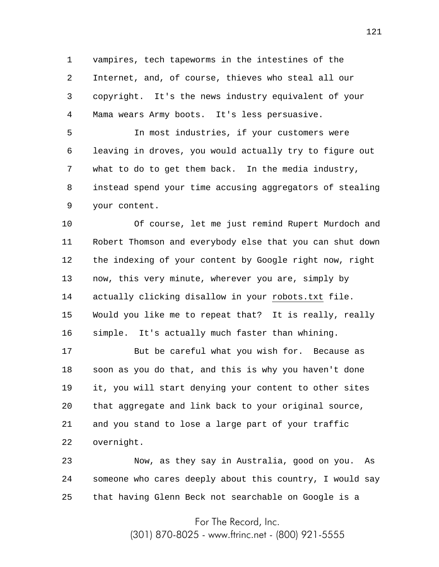1 2 3 4 vampires, tech tapeworms in the intestines of the Internet, and, of course, thieves who steal all our copyright. It's the news industry equivalent of your Mama wears Army boots. It's less persuasive.

5 6 7 8 9 In most industries, if your customers were leaving in droves, you would actually try to figure out what to do to get them back. In the media industry, instead spend your time accusing aggregators of stealing your content.

10 11 12 13 14 15 16 Of course, let me just remind Rupert Murdoch and Robert Thomson and everybody else that you can shut down the indexing of your content by Google right now, right now, this very minute, wherever you are, simply by actually clicking disallow in your robots.txt file. Would you like me to repeat that? It is really, really simple. It's actually much faster than whining.

17 18 19 20 21 22 But be careful what you wish for. Because as soon as you do that, and this is why you haven't done it, you will start denying your content to other sites that aggregate and link back to your original source, and you stand to lose a large part of your traffic overnight.

23 24 25 Now, as they say in Australia, good on you. As someone who cares deeply about this country, I would say that having Glenn Beck not searchable on Google is a

For The Record, Inc.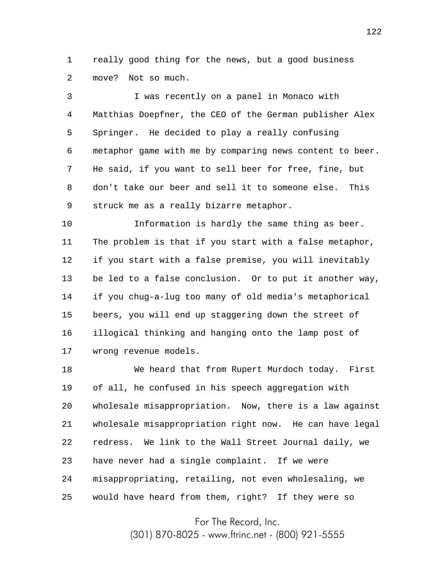1 2 really good thing for the news, but a good business move? Not so much.

3 4 5 6 7 8 9 I was recently on a panel in Monaco with Matthias Doepfner, the CEO of the German publisher Alex Springer. He decided to play a really confusing metaphor game with me by comparing news content to beer. He said, if you want to sell beer for free, fine, but don't take our beer and sell it to someone else. This struck me as a really bizarre metaphor.

10 11 12 13 14 15 16 17 Information is hardly the same thing as beer. The problem is that if you start with a false metaphor, if you start with a false premise, you will inevitably be led to a false conclusion. Or to put it another way, if you chug-a-lug too many of old media's metaphorical beers, you will end up staggering down the street of illogical thinking and hanging onto the lamp post of wrong revenue models.

18 19 20 21 22 23 24 25 We heard that from Rupert Murdoch today. First of all, he confused in his speech aggregation with wholesale misappropriation. Now, there is a law against wholesale misappropriation right now. He can have legal redress. We link to the Wall Street Journal daily, we have never had a single complaint. If we were misappropriating, retailing, not even wholesaling, we would have heard from them, right? If they were so

For The Record, Inc.

(301) 870-8025 - www.ftrinc.net - (800) 921-5555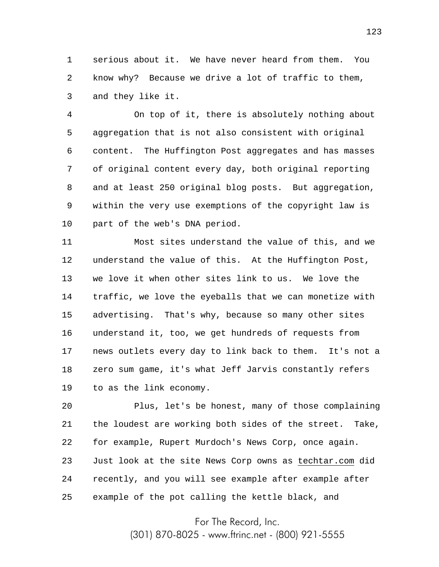1 2 3 serious about it. We have never heard from them. You know why? Because we drive a lot of traffic to them, and they like it.

4 5 6 7 8 9 10 On top of it, there is absolutely nothing about aggregation that is not also consistent with original content. The Huffington Post aggregates and has masses of original content every day, both original reporting and at least 250 original blog posts. But aggregation, within the very use exemptions of the copyright law is part of the web's DNA period.

11 12 13 14 15 16 17 18 19 Most sites understand the value of this, and we understand the value of this. At the Huffington Post, we love it when other sites link to us. We love the traffic, we love the eyeballs that we can monetize with advertising. That's why, because so many other sites understand it, too, we get hundreds of requests from news outlets every day to link back to them. It's not a zero sum game, it's what Jeff Jarvis constantly refers to as the link economy.

20 21 22 23 24 25 Plus, let's be honest, many of those complaining the loudest are working both sides of the street. Take, for example, Rupert Murdoch's News Corp, once again. Just look at the site News Corp owns as techtar.com did recently, and you will see example after example after example of the pot calling the kettle black, and

For The Record, Inc.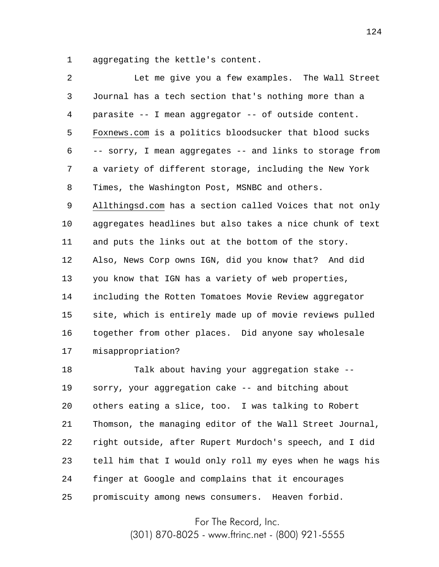1 aggregating the kettle's content.

| $\overline{a}$ | Let me give you a few examples. The Wall Street          |
|----------------|----------------------------------------------------------|
| 3              | Journal has a tech section that's nothing more than a    |
| 4              | parasite -- I mean aggregator -- of outside content.     |
| 5              | Foxnews.com is a politics bloodsucker that blood sucks   |
| 6              | -- sorry, I mean aggregates -- and links to storage from |
| 7              | a variety of different storage, including the New York   |
| 8              | Times, the Washington Post, MSNBC and others.            |
| 9              | Allthingsd.com has a section called Voices that not only |
| 10             | aggregates headlines but also takes a nice chunk of text |
| 11             | and puts the links out at the bottom of the story.       |
| 12             | Also, News Corp owns IGN, did you know that? And did     |
| 13             | you know that IGN has a variety of web properties,       |
| 14             | including the Rotten Tomatoes Movie Review aggregator    |
| 15             | site, which is entirely made up of movie reviews pulled  |
| 16             | together from other places. Did anyone say wholesale     |
| 17             | misappropriation?                                        |
| 18             | Talk about having your aggregation stake --              |
| 19             | sorry, your aggregation cake -- and bitching about       |
| 20             | others eating a slice, too. I was talking to Robert      |
| 21             | Thomson, the managing editor of the Wall Street Journal, |
| 22             | right outside, after Rupert Murdoch's speech, and I did  |
| 23             | tell him that I would only roll my eyes when he wags his |
| 24             | finger at Google and complains that it encourages        |
|                |                                                          |

25 promiscuity among news consumers. Heaven forbid.

For The Record, Inc.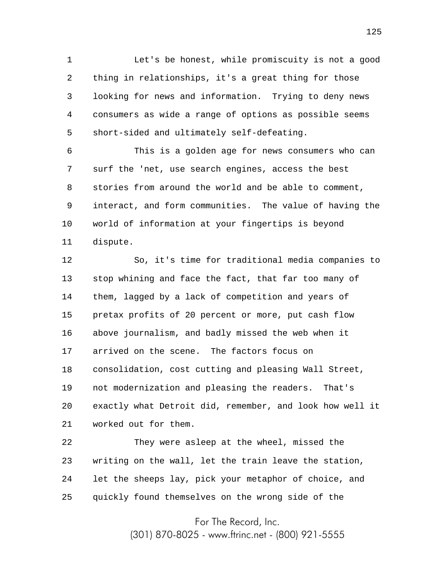1 2 3 4 5 Let's be honest, while promiscuity is not a good thing in relationships, it's a great thing for those looking for news and information. Trying to deny news consumers as wide a range of options as possible seems short-sided and ultimately self-defeating.

6 7 8 9 10 11 This is a golden age for news consumers who can surf the 'net, use search engines, access the best stories from around the world and be able to comment, interact, and form communities. The value of having the world of information at your fingertips is beyond dispute.

12 13 14 15 16 17 18 19 20 21 So, it's time for traditional media companies to stop whining and face the fact, that far too many of them, lagged by a lack of competition and years of pretax profits of 20 percent or more, put cash flow above journalism, and badly missed the web when it arrived on the scene. The factors focus on consolidation, cost cutting and pleasing Wall Street, not modernization and pleasing the readers. That's exactly what Detroit did, remember, and look how well it worked out for them.

22 23 24 25 They were asleep at the wheel, missed the writing on the wall, let the train leave the station, let the sheeps lay, pick your metaphor of choice, and quickly found themselves on the wrong side of the

For The Record, Inc.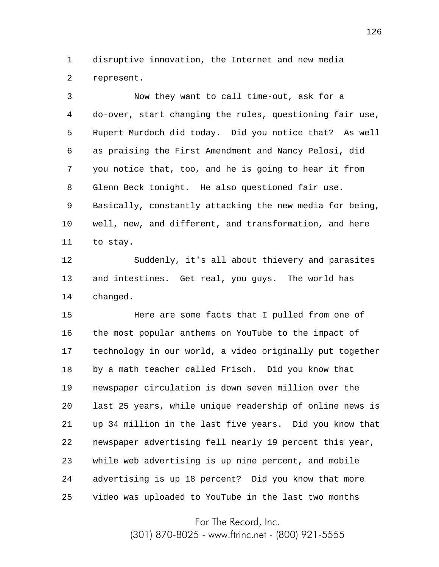1 2 disruptive innovation, the Internet and new media represent.

3 4 5 6 7 8 9 10 11 Now they want to call time-out, ask for a do-over, start changing the rules, questioning fair use, Rupert Murdoch did today. Did you notice that? As well as praising the First Amendment and Nancy Pelosi, did you notice that, too, and he is going to hear it from Glenn Beck tonight. He also questioned fair use. Basically, constantly attacking the new media for being, well, new, and different, and transformation, and here to stay.

12 13 14 Suddenly, it's all about thievery and parasites and intestines. Get real, you guys. The world has changed.

15 16 17 18 19 20 21 22 23 24 25 Here are some facts that I pulled from one of the most popular anthems on YouTube to the impact of technology in our world, a video originally put together by a math teacher called Frisch. Did you know that newspaper circulation is down seven million over the last 25 years, while unique readership of online news is up 34 million in the last five years. Did you know that newspaper advertising fell nearly 19 percent this year, while web advertising is up nine percent, and mobile advertising is up 18 percent? Did you know that more video was uploaded to YouTube in the last two months

For The Record, Inc.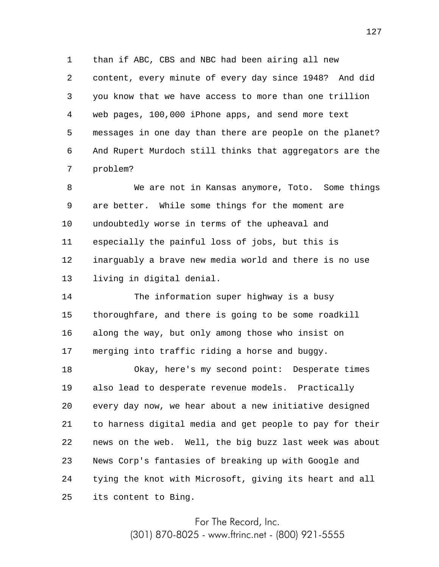1 2 3 4 5 6 7 than if ABC, CBS and NBC had been airing all new content, every minute of every day since 1948? And did you know that we have access to more than one trillion web pages, 100,000 iPhone apps, and send more text messages in one day than there are people on the planet? And Rupert Murdoch still thinks that aggregators are the problem?

8 9 10 11 12 13 We are not in Kansas anymore, Toto. Some things are better. While some things for the moment are undoubtedly worse in terms of the upheaval and especially the painful loss of jobs, but this is inarguably a brave new media world and there is no use living in digital denial.

14 15 16 17 The information super highway is a busy thoroughfare, and there is going to be some roadkill along the way, but only among those who insist on merging into traffic riding a horse and buggy.

18 19 20 21 22 23 24 25 Okay, here's my second point: Desperate times also lead to desperate revenue models. Practically every day now, we hear about a new initiative designed to harness digital media and get people to pay for their news on the web. Well, the big buzz last week was about News Corp's fantasies of breaking up with Google and tying the knot with Microsoft, giving its heart and all its content to Bing.

For The Record, Inc.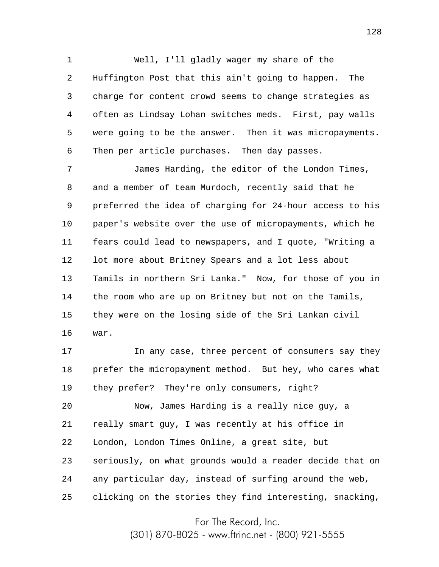1 2 3 4 5 6 Well, I'll gladly wager my share of the Huffington Post that this ain't going to happen. The charge for content crowd seems to change strategies as often as Lindsay Lohan switches meds. First, pay walls were going to be the answer. Then it was micropayments. Then per article purchases. Then day passes.

7 8 9 10 11 12 13 14 15 16 James Harding, the editor of the London Times, and a member of team Murdoch, recently said that he preferred the idea of charging for 24-hour access to his paper's website over the use of micropayments, which he fears could lead to newspapers, and I quote, "Writing a lot more about Britney Spears and a lot less about Tamils in northern Sri Lanka." Now, for those of you in the room who are up on Britney but not on the Tamils, they were on the losing side of the Sri Lankan civil war.

17 18 19 In any case, three percent of consumers say they prefer the micropayment method. But hey, who cares what they prefer? They're only consumers, right?

20 21 22 23 24 25 Now, James Harding is a really nice guy, a really smart guy, I was recently at his office in London, London Times Online, a great site, but seriously, on what grounds would a reader decide that on any particular day, instead of surfing around the web, clicking on the stories they find interesting, snacking,

For The Record, Inc.

(301) 870-8025 - www.ftrinc.net - (800) 921-5555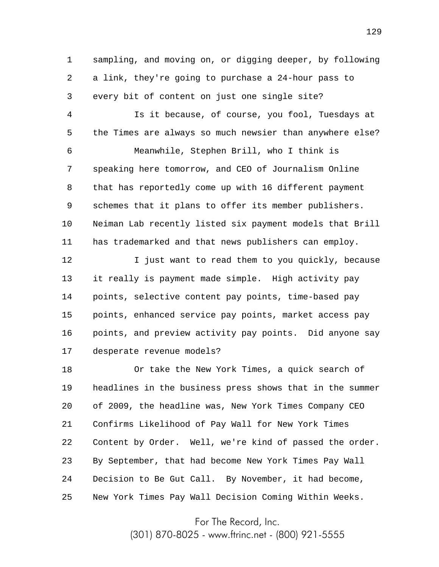1 2 3 sampling, and moving on, or digging deeper, by following a link, they're going to purchase a 24-hour pass to every bit of content on just one single site?

4 5 6 7 8 9 10 11 Is it because, of course, you fool, Tuesdays at the Times are always so much newsier than anywhere else? Meanwhile, Stephen Brill, who I think is speaking here tomorrow, and CEO of Journalism Online that has reportedly come up with 16 different payment schemes that it plans to offer its member publishers. Neiman Lab recently listed six payment models that Brill has trademarked and that news publishers can employ.

12 13 14 15 16 17 I just want to read them to you quickly, because it really is payment made simple. High activity pay points, selective content pay points, time-based pay points, enhanced service pay points, market access pay points, and preview activity pay points. Did anyone say desperate revenue models?

18 19 20 21 22 23 24 25 Or take the New York Times, a quick search of headlines in the business press shows that in the summer of 2009, the headline was, New York Times Company CEO Confirms Likelihood of Pay Wall for New York Times Content by Order. Well, we're kind of passed the order. By September, that had become New York Times Pay Wall Decision to Be Gut Call. By November, it had become, New York Times Pay Wall Decision Coming Within Weeks.

For The Record, Inc.

(301) 870-8025 - www.ftrinc.net - (800) 921-5555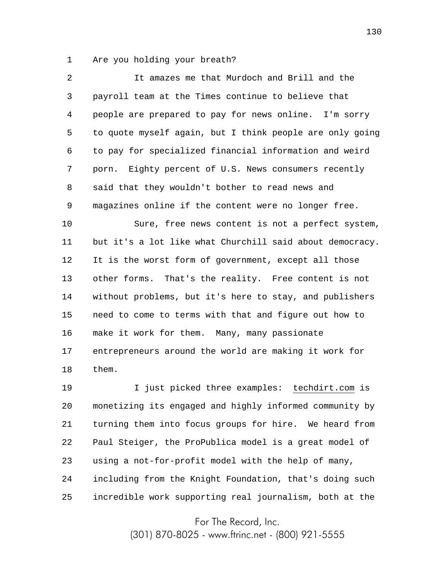1 Are you holding your breath?

2 3 4 5 6 7 8 9 10 11 12 13 14 15 16 17 18 19 It amazes me that Murdoch and Brill and the payroll team at the Times continue to believe that people are prepared to pay for news online. I'm sorry to quote myself again, but I think people are only going to pay for specialized financial information and weird porn. Eighty percent of U.S. News consumers recently said that they wouldn't bother to read news and magazines online if the content were no longer free. Sure, free news content is not a perfect system, but it's a lot like what Churchill said about democracy. It is the worst form of government, except all those other forms. That's the reality. Free content is not without problems, but it's here to stay, and publishers need to come to terms with that and figure out how to make it work for them. Many, many passionate entrepreneurs around the world are making it work for them. I just picked three examples: techdirt.com is

20 21 22 23 24 25 monetizing its engaged and highly informed community by turning them into focus groups for hire. We heard from Paul Steiger, the ProPublica model is a great model of using a not-for-profit model with the help of many, including from the Knight Foundation, that's doing such incredible work supporting real journalism, both at the

For The Record, Inc.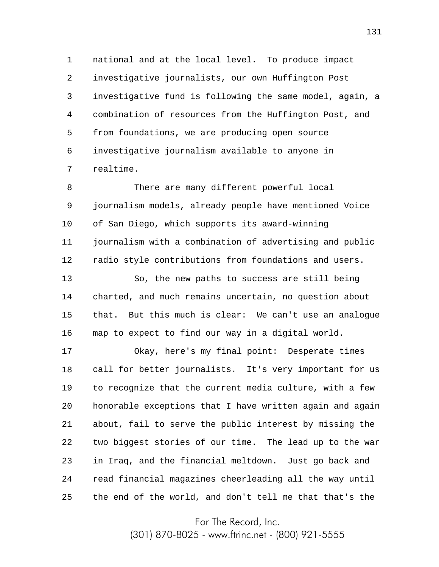1 2 3 4 5 6 7 national and at the local level. To produce impact investigative journalists, our own Huffington Post investigative fund is following the same model, again, a combination of resources from the Huffington Post, and from foundations, we are producing open source investigative journalism available to anyone in realtime.

8 9 10 11 12 There are many different powerful local journalism models, already people have mentioned Voice of San Diego, which supports its award-winning journalism with a combination of advertising and public radio style contributions from foundations and users.

13 14 15 16 So, the new paths to success are still being charted, and much remains uncertain, no question about that. But this much is clear: We can't use an analogue map to expect to find our way in a digital world.

17 18 19 20 21 22 23 24 25 Okay, here's my final point: Desperate times call for better journalists. It's very important for us to recognize that the current media culture, with a few honorable exceptions that I have written again and again about, fail to serve the public interest by missing the two biggest stories of our time. The lead up to the war in Iraq, and the financial meltdown. Just go back and read financial magazines cheerleading all the way until the end of the world, and don't tell me that that's the

For The Record, Inc.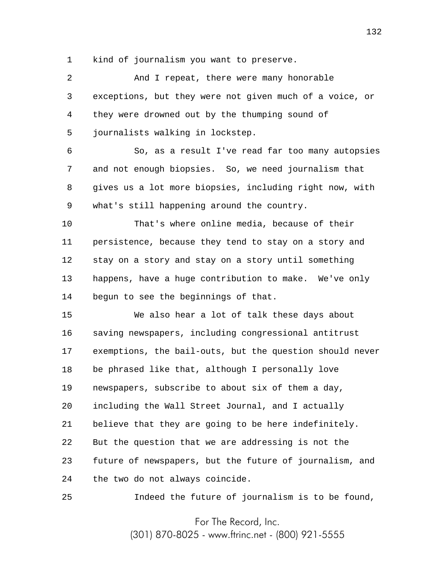1 kind of journalism you want to preserve.

2 3 4 5 6 And I repeat, there were many honorable exceptions, but they were not given much of a voice, or they were drowned out by the thumping sound of journalists walking in lockstep. So, as a result I've read far too many autopsies

7 8 9 and not enough biopsies. So, we need journalism that gives us a lot more biopsies, including right now, with what's still happening around the country.

10 11 12 13 14 That's where online media, because of their persistence, because they tend to stay on a story and stay on a story and stay on a story until something happens, have a huge contribution to make. We've only begun to see the beginnings of that.

15 16 17 18 19 20 21 22 23 24 We also hear a lot of talk these days about saving newspapers, including congressional antitrust exemptions, the bail-outs, but the question should never be phrased like that, although I personally love newspapers, subscribe to about six of them a day, including the Wall Street Journal, and I actually believe that they are going to be here indefinitely. But the question that we are addressing is not the future of newspapers, but the future of journalism, and the two do not always coincide.

Indeed the future of journalism is to be found,

25

For The Record, Inc.

(301) 870-8025 - www.ftrinc.net - (800) 921-5555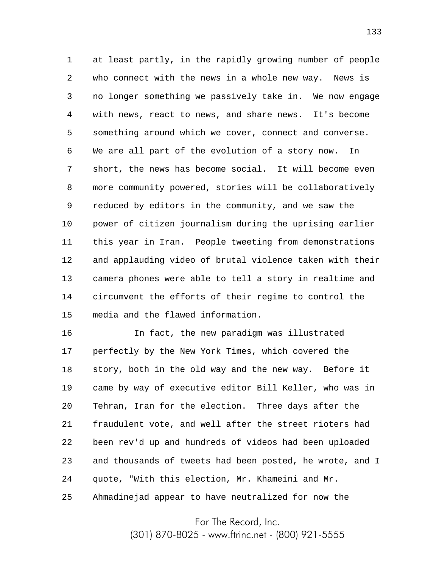1 2 3 4 5 6 7 8 9 10 11 12 13 14 15 at least partly, in the rapidly growing number of people who connect with the news in a whole new way. News is no longer something we passively take in. We now engage with news, react to news, and share news. It's become something around which we cover, connect and converse. We are all part of the evolution of a story now. In short, the news has become social. It will become even more community powered, stories will be collaboratively reduced by editors in the community, and we saw the power of citizen journalism during the uprising earlier this year in Iran. People tweeting from demonstrations and applauding video of brutal violence taken with their camera phones were able to tell a story in realtime and circumvent the efforts of their regime to control the media and the flawed information.

16 17 18 19 20 21 22 23 24 25 In fact, the new paradigm was illustrated perfectly by the New York Times, which covered the story, both in the old way and the new way. Before it came by way of executive editor Bill Keller, who was in Tehran, Iran for the election. Three days after the fraudulent vote, and well after the street rioters had been rev'd up and hundreds of videos had been uploaded and thousands of tweets had been posted, he wrote, and I quote, "With this election, Mr. Khameini and Mr. Ahmadinejad appear to have neutralized for now the

For The Record, Inc.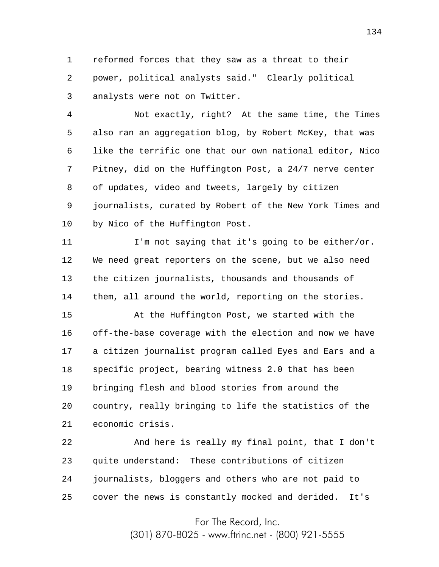1 2 3 reformed forces that they saw as a threat to their power, political analysts said." Clearly political analysts were not on Twitter.

4 5 6 7 8 9 10 Not exactly, right? At the same time, the Times also ran an aggregation blog, by Robert McKey, that was like the terrific one that our own national editor, Nico Pitney, did on the Huffington Post, a 24/7 nerve center of updates, video and tweets, largely by citizen journalists, curated by Robert of the New York Times and by Nico of the Huffington Post.

11 12 13 14 I'm not saying that it's going to be either/or. We need great reporters on the scene, but we also need the citizen journalists, thousands and thousands of them, all around the world, reporting on the stories.

15 16 17 18 19 20 21 At the Huffington Post, we started with the off-the-base coverage with the election and now we have a citizen journalist program called Eyes and Ears and a specific project, bearing witness 2.0 that has been bringing flesh and blood stories from around the country, really bringing to life the statistics of the economic crisis.

22 23 24 25 And here is really my final point, that I don't quite understand: These contributions of citizen journalists, bloggers and others who are not paid to cover the news is constantly mocked and derided. It's

For The Record, Inc.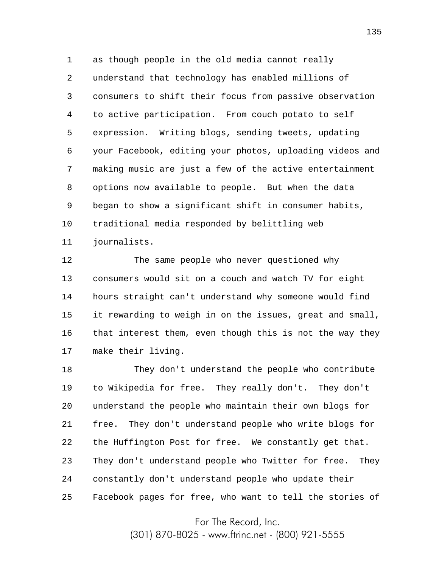1 2 3 4 5 6 7 8 9 10 11 as though people in the old media cannot really understand that technology has enabled millions of consumers to shift their focus from passive observation to active participation. From couch potato to self expression. Writing blogs, sending tweets, updating your Facebook, editing your photos, uploading videos and making music are just a few of the active entertainment options now available to people. But when the data began to show a significant shift in consumer habits, traditional media responded by belittling web journalists.

12 13 14 15 16 17 The same people who never questioned why consumers would sit on a couch and watch TV for eight hours straight can't understand why someone would find it rewarding to weigh in on the issues, great and small, that interest them, even though this is not the way they make their living.

18 19 20 21 22 23 24 25 They don't understand the people who contribute to Wikipedia for free. They really don't. They don't understand the people who maintain their own blogs for free. They don't understand people who write blogs for the Huffington Post for free. We constantly get that. They don't understand people who Twitter for free. They constantly don't understand people who update their Facebook pages for free, who want to tell the stories of

For The Record, Inc.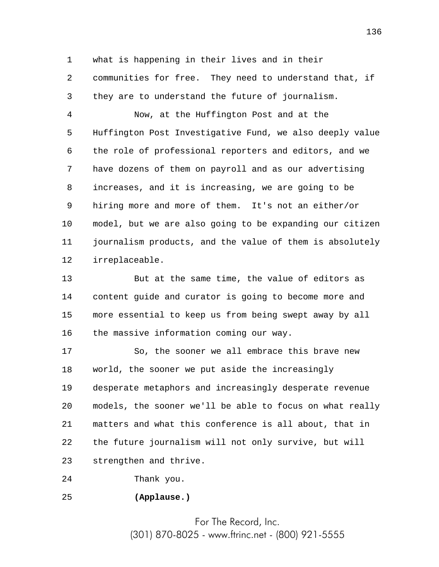1 2 3 what is happening in their lives and in their communities for free. They need to understand that, if they are to understand the future of journalism.

4 5 6 7 8 9 10 11 12 Now, at the Huffington Post and at the Huffington Post Investigative Fund, we also deeply value the role of professional reporters and editors, and we have dozens of them on payroll and as our advertising increases, and it is increasing, we are going to be hiring more and more of them. It's not an either/or model, but we are also going to be expanding our citizen journalism products, and the value of them is absolutely irreplaceable.

13 14 15 16 But at the same time, the value of editors as content guide and curator is going to become more and more essential to keep us from being swept away by all the massive information coming our way.

17 18 19 20 21 22 23 So, the sooner we all embrace this brave new world, the sooner we put aside the increasingly desperate metaphors and increasingly desperate revenue models, the sooner we'll be able to focus on what really matters and what this conference is all about, that in the future journalism will not only survive, but will strengthen and thrive.

24 Thank you.

25 **(Applause.)**

> For The Record, Inc. (301) 870-8025 - www.ftrinc.net - (800) 921-5555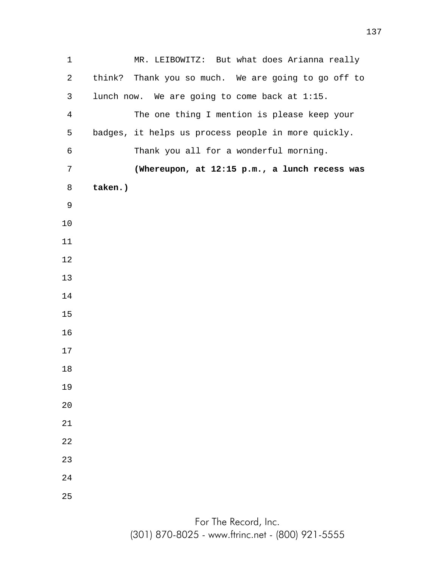MR. LEIBOWITZ: But what does Arianna really think? Thank you so much. We are going to go off to lunch now. We are going to come back at 1:15. The one thing I mention is please keep your badges, it helps us process people in more quickly. Thank you all for a wonderful morning. **(Whereupon, at 12:15 p.m., a lunch recess was taken.)**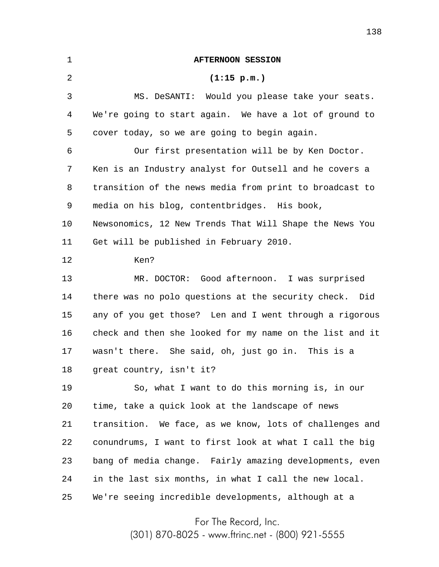| 1  | <b>AFTERNOON SESSION</b>                                 |
|----|----------------------------------------------------------|
| 2  | (1:15 p.m.)                                              |
| 3  | MS. DeSANTI: Would you please take your seats.           |
| 4  | We're going to start again. We have a lot of ground to   |
| 5  | cover today, so we are going to begin again.             |
| 6  | Our first presentation will be by Ken Doctor.            |
| 7  | Ken is an Industry analyst for Outsell and he covers a   |
| 8  | transition of the news media from print to broadcast to  |
| 9  | media on his blog, contentbridges. His book,             |
| 10 | Newsonomics, 12 New Trends That Will Shape the News You  |
| 11 | Get will be published in February 2010.                  |
| 12 | Ken?                                                     |
| 13 | MR. DOCTOR: Good afternoon. I was surprised              |
| 14 | there was no polo questions at the security check. Did   |
| 15 | any of you get those? Len and I went through a rigorous  |
| 16 | check and then she looked for my name on the list and it |
| 17 | wasn't there. She said, oh, just go in. This is a        |
| 18 | great country, isn't it?                                 |
| 19 | So, what I want to do this morning is, in our            |
| 20 | time, take a quick look at the landscape of news         |
| 21 | transition. We face, as we know, lots of challenges and  |
| 22 | conundrums, I want to first look at what I call the big  |
| 23 | bang of media change. Fairly amazing developments, even  |
| 24 | in the last six months, in what I call the new local.    |
| 25 | We're seeing incredible developments, although at a      |

For The Record, Inc.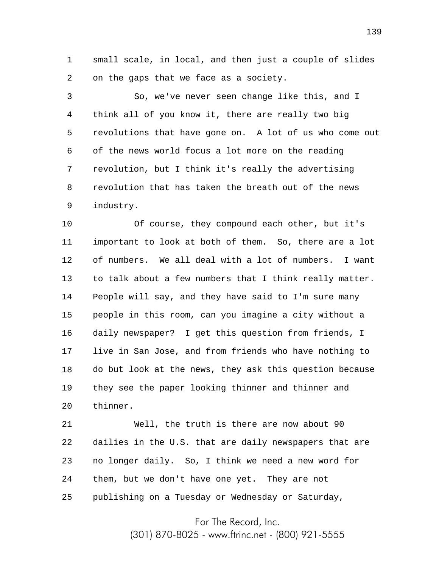1 2 small scale, in local, and then just a couple of slides on the gaps that we face as a society.

3 4 5 6 7 8 9 So, we've never seen change like this, and I think all of you know it, there are really two big revolutions that have gone on. A lot of us who come out of the news world focus a lot more on the reading revolution, but I think it's really the advertising revolution that has taken the breath out of the news industry.

10 11 12 13 14 15 16 17 18 19 20 Of course, they compound each other, but it's important to look at both of them. So, there are a lot of numbers. We all deal with a lot of numbers. I want to talk about a few numbers that I think really matter. People will say, and they have said to I'm sure many people in this room, can you imagine a city without a daily newspaper? I get this question from friends, I live in San Jose, and from friends who have nothing to do but look at the news, they ask this question because they see the paper looking thinner and thinner and thinner.

21 22 23 24 25 Well, the truth is there are now about 90 dailies in the U.S. that are daily newspapers that are no longer daily. So, I think we need a new word for them, but we don't have one yet. They are not publishing on a Tuesday or Wednesday or Saturday,

For The Record, Inc.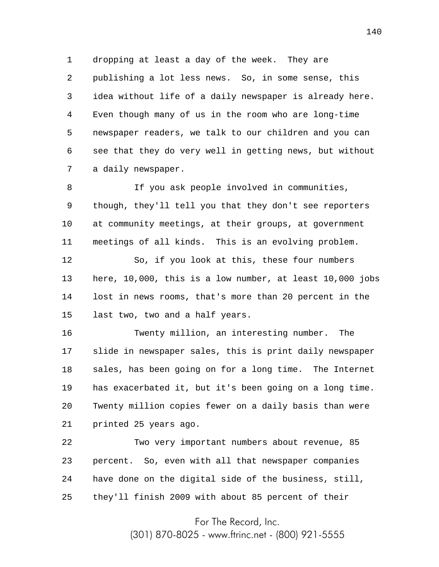1 2 3 4 5 6 7 dropping at least a day of the week. They are publishing a lot less news. So, in some sense, this idea without life of a daily newspaper is already here. Even though many of us in the room who are long-time newspaper readers, we talk to our children and you can see that they do very well in getting news, but without a daily newspaper.

8 9 10 11 If you ask people involved in communities, though, they'll tell you that they don't see reporters at community meetings, at their groups, at government meetings of all kinds. This is an evolving problem.

12 13 14 15 So, if you look at this, these four numbers here, 10,000, this is a low number, at least 10,000 jobs lost in news rooms, that's more than 20 percent in the last two, two and a half years.

16 17 18 19 20 21 Twenty million, an interesting number. The slide in newspaper sales, this is print daily newspaper sales, has been going on for a long time. The Internet has exacerbated it, but it's been going on a long time. Twenty million copies fewer on a daily basis than were printed 25 years ago.

22 23 24 25 Two very important numbers about revenue, 85 percent. So, even with all that newspaper companies have done on the digital side of the business, still, they'll finish 2009 with about 85 percent of their

For The Record, Inc.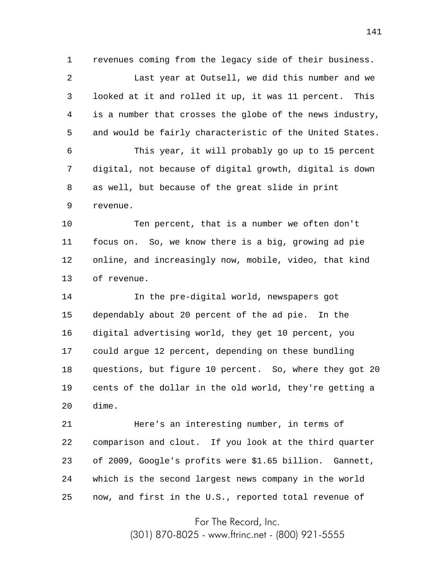1 2 3 4 5 6 7 8 9 revenues coming from the legacy side of their business. Last year at Outsell, we did this number and we looked at it and rolled it up, it was 11 percent. This is a number that crosses the globe of the news industry, and would be fairly characteristic of the United States. This year, it will probably go up to 15 percent digital, not because of digital growth, digital is down as well, but because of the great slide in print revenue.

10 11 12 13 Ten percent, that is a number we often don't focus on. So, we know there is a big, growing ad pie online, and increasingly now, mobile, video, that kind of revenue.

14 15 16 17 18 19 20 In the pre-digital world, newspapers got dependably about 20 percent of the ad pie. In the digital advertising world, they get 10 percent, you could argue 12 percent, depending on these bundling questions, but figure 10 percent. So, where they got 20 cents of the dollar in the old world, they're getting a dime.

21 22 23 24 25 Here's an interesting number, in terms of comparison and clout. If you look at the third quarter of 2009, Google's profits were \$1.65 billion. Gannett, which is the second largest news company in the world now, and first in the U.S., reported total revenue of

For The Record, Inc.

(301) 870-8025 - www.ftrinc.net - (800) 921-5555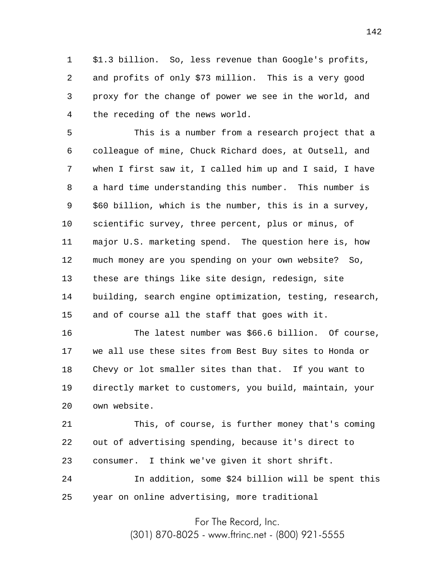1 2 3 4 \$1.3 billion. So, less revenue than Google's profits, and profits of only \$73 million. This is a very good proxy for the change of power we see in the world, and the receding of the news world.

5 6 7 8 9 10 11 12 13 14 15 This is a number from a research project that a colleague of mine, Chuck Richard does, at Outsell, and when I first saw it, I called him up and I said, I have a hard time understanding this number. This number is \$60 billion, which is the number, this is in a survey, scientific survey, three percent, plus or minus, of major U.S. marketing spend. The question here is, how much money are you spending on your own website? So, these are things like site design, redesign, site building, search engine optimization, testing, research, and of course all the staff that goes with it.

16 17 18 19 20 The latest number was \$66.6 billion. Of course, we all use these sites from Best Buy sites to Honda or Chevy or lot smaller sites than that. If you want to directly market to customers, you build, maintain, your own website.

21 22 23 24 25 This, of course, is further money that's coming out of advertising spending, because it's direct to consumer. I think we've given it short shrift. In addition, some \$24 billion will be spent this year on online advertising, more traditional

For The Record, Inc.

(301) 870-8025 - www.ftrinc.net - (800) 921-5555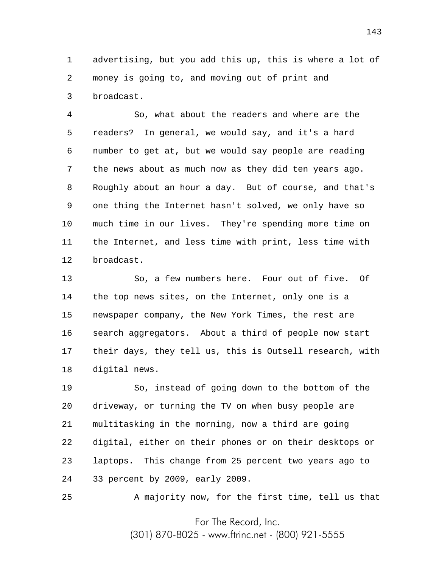1 2 3 advertising, but you add this up, this is where a lot of money is going to, and moving out of print and broadcast.

4 5 6 7 8 9 10 11 12 So, what about the readers and where are the readers? In general, we would say, and it's a hard number to get at, but we would say people are reading the news about as much now as they did ten years ago. Roughly about an hour a day. But of course, and that's one thing the Internet hasn't solved, we only have so much time in our lives. They're spending more time on the Internet, and less time with print, less time with broadcast.

13 14 15 16 17 18 So, a few numbers here. Four out of five. Of the top news sites, on the Internet, only one is a newspaper company, the New York Times, the rest are search aggregators. About a third of people now start their days, they tell us, this is Outsell research, with digital news.

19 20 21 22 23 24 So, instead of going down to the bottom of the driveway, or turning the TV on when busy people are multitasking in the morning, now a third are going digital, either on their phones or on their desktops or laptops. This change from 25 percent two years ago to 33 percent by 2009, early 2009.

25 A majority now, for the first time, tell us that

For The Record, Inc.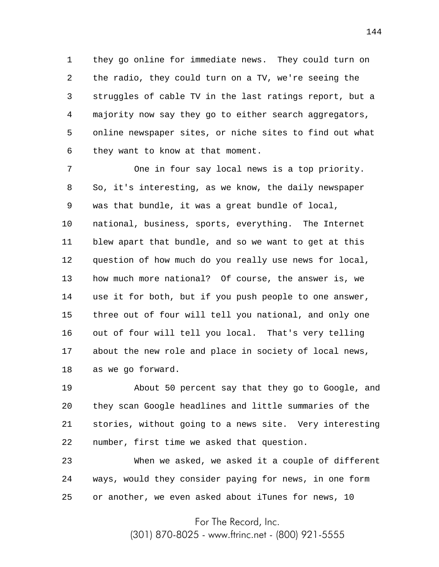1 2 3 4 5 6 they go online for immediate news. They could turn on the radio, they could turn on a TV, we're seeing the struggles of cable TV in the last ratings report, but a majority now say they go to either search aggregators, online newspaper sites, or niche sites to find out what they want to know at that moment.

7 8 9 10 11 12 13 14 15 16 17 18 One in four say local news is a top priority. So, it's interesting, as we know, the daily newspaper was that bundle, it was a great bundle of local, national, business, sports, everything. The Internet blew apart that bundle, and so we want to get at this question of how much do you really use news for local, how much more national? Of course, the answer is, we use it for both, but if you push people to one answer, three out of four will tell you national, and only one out of four will tell you local. That's very telling about the new role and place in society of local news, as we go forward.

19 20 21 22 About 50 percent say that they go to Google, and they scan Google headlines and little summaries of the stories, without going to a news site. Very interesting number, first time we asked that question.

23 24 25 When we asked, we asked it a couple of different ways, would they consider paying for news, in one form or another, we even asked about iTunes for news, 10

For The Record, Inc.

(301) 870-8025 - www.ftrinc.net - (800) 921-5555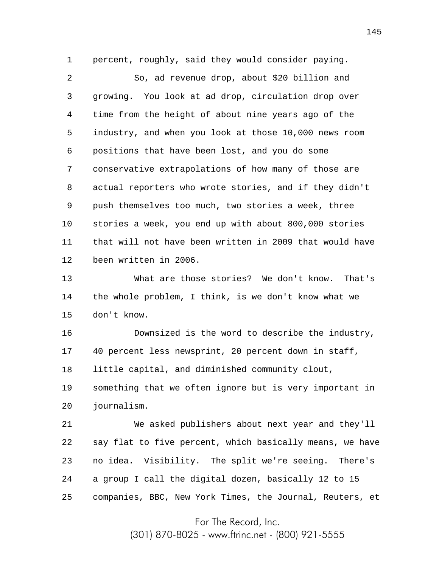1 percent, roughly, said they would consider paying.

2 3 4 5 6 7 8 9 10 11 12 So, ad revenue drop, about \$20 billion and growing. You look at ad drop, circulation drop over time from the height of about nine years ago of the industry, and when you look at those 10,000 news room positions that have been lost, and you do some conservative extrapolations of how many of those are actual reporters who wrote stories, and if they didn't push themselves too much, two stories a week, three stories a week, you end up with about 800,000 stories that will not have been written in 2009 that would have been written in 2006.

13 14 15 What are those stories? We don't know. That's the whole problem, I think, is we don't know what we don't know.

16 17 18 19 20 Downsized is the word to describe the industry, 40 percent less newsprint, 20 percent down in staff, little capital, and diminished community clout, something that we often ignore but is very important in journalism.

21 22 23 24 25 We asked publishers about next year and they'll say flat to five percent, which basically means, we have no idea. Visibility. The split we're seeing. There's a group I call the digital dozen, basically 12 to 15 companies, BBC, New York Times, the Journal, Reuters, et

For The Record, Inc.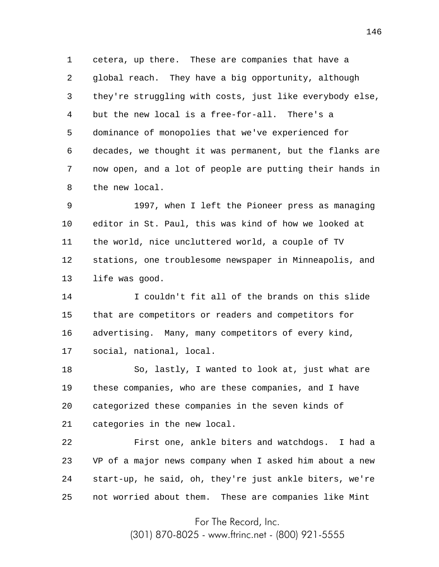1 2 3 4 5 6 7 8 cetera, up there. These are companies that have a global reach. They have a big opportunity, although they're struggling with costs, just like everybody else, but the new local is a free-for-all. There's a dominance of monopolies that we've experienced for decades, we thought it was permanent, but the flanks are now open, and a lot of people are putting their hands in the new local.

9 10 11 12 13 1997, when I left the Pioneer press as managing editor in St. Paul, this was kind of how we looked at the world, nice uncluttered world, a couple of TV stations, one troublesome newspaper in Minneapolis, and life was good.

14 15 16 17 I couldn't fit all of the brands on this slide that are competitors or readers and competitors for advertising. Many, many competitors of every kind, social, national, local.

18 19 20 21 So, lastly, I wanted to look at, just what are these companies, who are these companies, and I have categorized these companies in the seven kinds of categories in the new local.

22 23 24 25 First one, ankle biters and watchdogs. I had a VP of a major news company when I asked him about a new start-up, he said, oh, they're just ankle biters, we're not worried about them. These are companies like Mint

For The Record, Inc.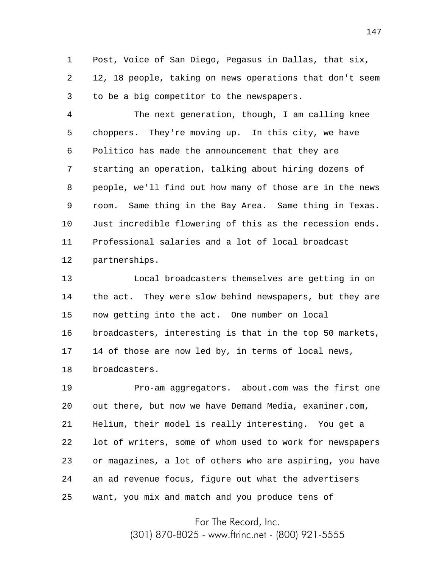1 2 3 Post, Voice of San Diego, Pegasus in Dallas, that six, 12, 18 people, taking on news operations that don't seem to be a big competitor to the newspapers.

4 5 6 7 8 9 10 11 12 The next generation, though, I am calling knee choppers. They're moving up. In this city, we have Politico has made the announcement that they are starting an operation, talking about hiring dozens of people, we'll find out how many of those are in the news room. Same thing in the Bay Area. Same thing in Texas. Just incredible flowering of this as the recession ends. Professional salaries and a lot of local broadcast partnerships.

13 14 15 16 17 18 Local broadcasters themselves are getting in on the act. They were slow behind newspapers, but they are now getting into the act. One number on local broadcasters, interesting is that in the top 50 markets, 14 of those are now led by, in terms of local news, broadcasters.

19 20 21 22 23 24 25 Pro-am aggregators. about.com was the first one out there, but now we have Demand Media, examiner.com, Helium, their model is really interesting. You get a lot of writers, some of whom used to work for newspapers or magazines, a lot of others who are aspiring, you have an ad revenue focus, figure out what the advertisers want, you mix and match and you produce tens of

For The Record, Inc.

(301) 870-8025 - www.ftrinc.net - (800) 921-5555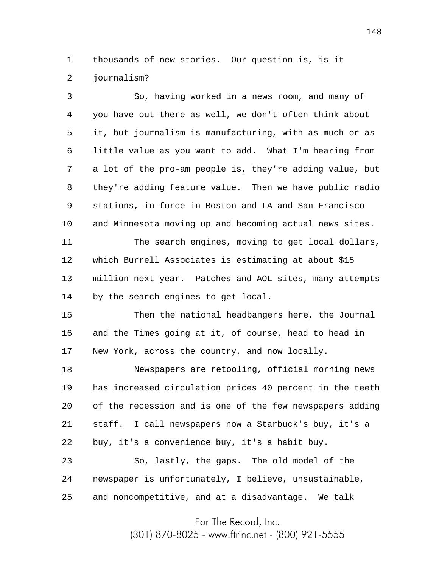1 2 thousands of new stories. Our question is, is it journalism?

3 4 5 6 7 8 9 10 11 12 13 14 15 16 17 So, having worked in a news room, and many of you have out there as well, we don't often think about it, but journalism is manufacturing, with as much or as little value as you want to add. What I'm hearing from a lot of the pro-am people is, they're adding value, but they're adding feature value. Then we have public radio stations, in force in Boston and LA and San Francisco and Minnesota moving up and becoming actual news sites. The search engines, moving to get local dollars, which Burrell Associates is estimating at about \$15 million next year. Patches and AOL sites, many attempts by the search engines to get local. Then the national headbangers here, the Journal and the Times going at it, of course, head to head in New York, across the country, and now locally.

18 19 20 21 22 Newspapers are retooling, official morning news has increased circulation prices 40 percent in the teeth of the recession and is one of the few newspapers adding staff. I call newspapers now a Starbuck's buy, it's a buy, it's a convenience buy, it's a habit buy.

23 24 25 So, lastly, the gaps. The old model of the newspaper is unfortunately, I believe, unsustainable, and noncompetitive, and at a disadvantage. We talk

For The Record, Inc.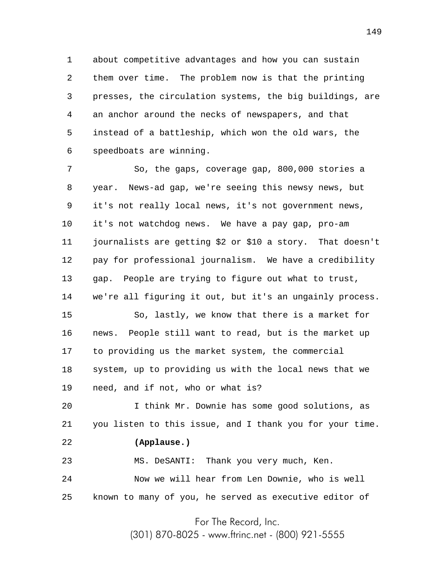1 2 3 4 5 6 about competitive advantages and how you can sustain them over time. The problem now is that the printing presses, the circulation systems, the big buildings, are an anchor around the necks of newspapers, and that instead of a battleship, which won the old wars, the speedboats are winning.

7 8 9 10 11 12 13 14 So, the gaps, coverage gap, 800,000 stories a year. News-ad gap, we're seeing this newsy news, but it's not really local news, it's not government news, it's not watchdog news. We have a pay gap, pro-am journalists are getting \$2 or \$10 a story. That doesn't pay for professional journalism. We have a credibility gap. People are trying to figure out what to trust, we're all figuring it out, but it's an ungainly process.

15 16 17 18 19 So, lastly, we know that there is a market for news. People still want to read, but is the market up to providing us the market system, the commercial system, up to providing us with the local news that we need, and if not, who or what is?

20 21 I think Mr. Downie has some good solutions, as you listen to this issue, and I thank you for your time.

## 22 **(Applause.)**

23 24 25 MS. DeSANTI: Thank you very much, Ken. Now we will hear from Len Downie, who is well known to many of you, he served as executive editor of

For The Record, Inc.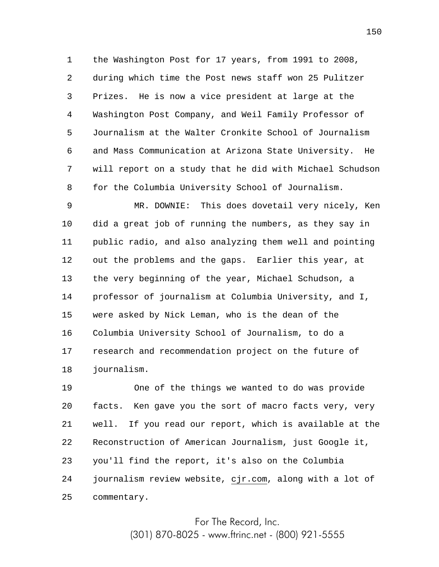1 2 3 4 5 6 7 8 the Washington Post for 17 years, from 1991 to 2008, during which time the Post news staff won 25 Pulitzer Prizes. He is now a vice president at large at the Washington Post Company, and Weil Family Professor of Journalism at the Walter Cronkite School of Journalism and Mass Communication at Arizona State University. He will report on a study that he did with Michael Schudson for the Columbia University School of Journalism.

9 10 11 12 13 14 15 16 17 18 MR. DOWNIE: This does dovetail very nicely, Ken did a great job of running the numbers, as they say in public radio, and also analyzing them well and pointing out the problems and the gaps. Earlier this year, at the very beginning of the year, Michael Schudson, a professor of journalism at Columbia University, and I, were asked by Nick Leman, who is the dean of the Columbia University School of Journalism, to do a research and recommendation project on the future of journalism.

19 20 21 22 23 24 25 One of the things we wanted to do was provide facts. Ken gave you the sort of macro facts very, very well. If you read our report, which is available at the Reconstruction of American Journalism, just Google it, you'll find the report, it's also on the Columbia journalism review website, cjr.com, along with a lot of commentary.

> For The Record, Inc. (301) 870-8025 - www.ftrinc.net - (800) 921-5555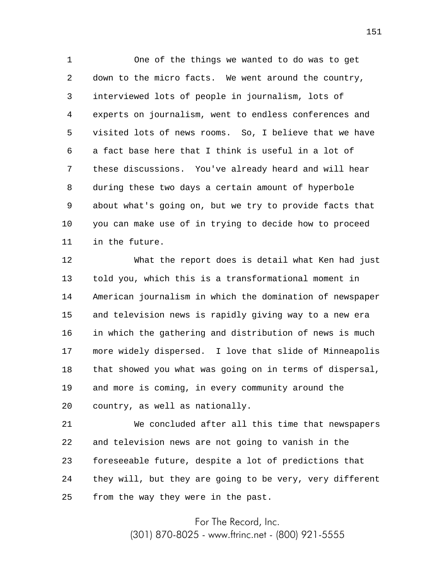1 2 3 4 5 6 7 8 9 10 11 One of the things we wanted to do was to get down to the micro facts. We went around the country, interviewed lots of people in journalism, lots of experts on journalism, went to endless conferences and visited lots of news rooms. So, I believe that we have a fact base here that I think is useful in a lot of these discussions. You've already heard and will hear during these two days a certain amount of hyperbole about what's going on, but we try to provide facts that you can make use of in trying to decide how to proceed in the future.

12 13 14 15 16 17 18 19 20 What the report does is detail what Ken had just told you, which this is a transformational moment in American journalism in which the domination of newspaper and television news is rapidly giving way to a new era in which the gathering and distribution of news is much more widely dispersed. I love that slide of Minneapolis that showed you what was going on in terms of dispersal, and more is coming, in every community around the country, as well as nationally.

21 22 23 24 25 We concluded after all this time that newspapers and television news are not going to vanish in the foreseeable future, despite a lot of predictions that they will, but they are going to be very, very different from the way they were in the past.

For The Record, Inc.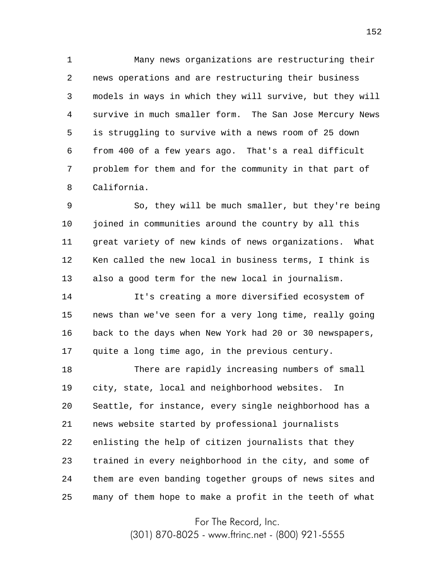1 2 3 4 5 6 7 8 Many news organizations are restructuring their news operations and are restructuring their business models in ways in which they will survive, but they will survive in much smaller form. The San Jose Mercury News is struggling to survive with a news room of 25 down from 400 of a few years ago. That's a real difficult problem for them and for the community in that part of California.

9 10 11 12 13 So, they will be much smaller, but they're being joined in communities around the country by all this great variety of new kinds of news organizations. What Ken called the new local in business terms, I think is also a good term for the new local in journalism.

14 15 16 17 It's creating a more diversified ecosystem of news than we've seen for a very long time, really going back to the days when New York had 20 or 30 newspapers, quite a long time ago, in the previous century.

18 19 20 21 22 23 24 25 There are rapidly increasing numbers of small city, state, local and neighborhood websites. In Seattle, for instance, every single neighborhood has a news website started by professional journalists enlisting the help of citizen journalists that they trained in every neighborhood in the city, and some of them are even banding together groups of news sites and many of them hope to make a profit in the teeth of what

For The Record, Inc.

(301) 870-8025 - www.ftrinc.net - (800) 921-5555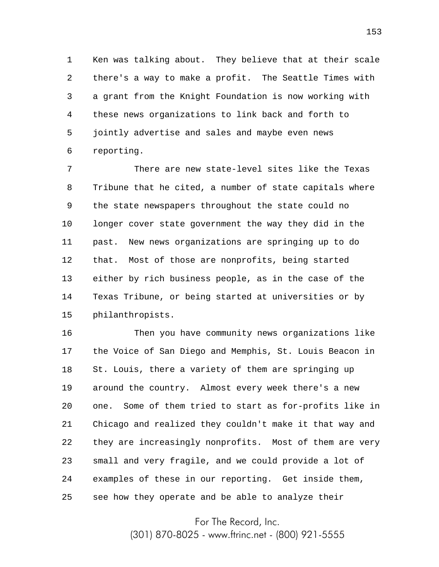1 2 3 4 5 6 Ken was talking about. They believe that at their scale there's a way to make a profit. The Seattle Times with a grant from the Knight Foundation is now working with these news organizations to link back and forth to jointly advertise and sales and maybe even news reporting.

7 8 9 10 11 12 13 14 15 There are new state-level sites like the Texas Tribune that he cited, a number of state capitals where the state newspapers throughout the state could no longer cover state government the way they did in the past. New news organizations are springing up to do that. Most of those are nonprofits, being started either by rich business people, as in the case of the Texas Tribune, or being started at universities or by philanthropists.

16 17 18 19 20 21 22 23 24 25 Then you have community news organizations like the Voice of San Diego and Memphis, St. Louis Beacon in St. Louis, there a variety of them are springing up around the country. Almost every week there's a new one. Some of them tried to start as for-profits like in Chicago and realized they couldn't make it that way and they are increasingly nonprofits. Most of them are very small and very fragile, and we could provide a lot of examples of these in our reporting. Get inside them, see how they operate and be able to analyze their

For The Record, Inc.

(301) 870-8025 - www.ftrinc.net - (800) 921-5555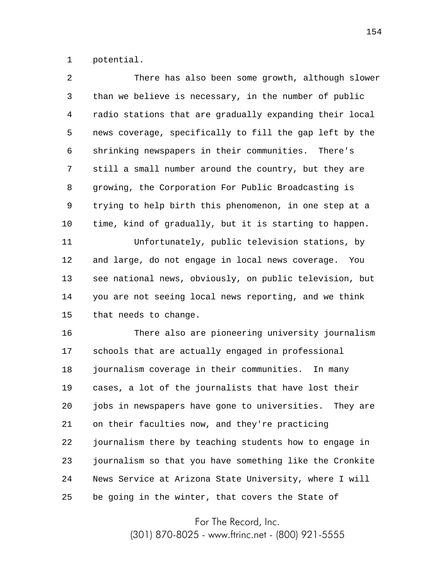1 potential.

| 2      | There has also been some growth, although slower        |
|--------|---------------------------------------------------------|
| 3      | than we believe is necessary, in the number of public   |
| 4      | radio stations that are gradually expanding their local |
| 5      | news coverage, specifically to fill the gap left by the |
| 6      | shrinking newspapers in their communities. There's      |
| 7      | still a small number around the country, but they are   |
| 8      | growing, the Corporation For Public Broadcasting is     |
| 9      | trying to help birth this phenomenon, in one step at a  |
| 10     | time, kind of gradually, but it is starting to happen.  |
| 11     | Unfortunately, public television stations, by           |
| 12     | and large, do not engage in local news coverage. You    |
| 13     | see national news, obviously, on public television, but |
| 14     | you are not seeing local news reporting, and we think   |
| 15     | that needs to change.                                   |
| 16     | There also are pioneering university journalism         |
| 17     | schools that are actually engaged in professional       |
| $18\,$ | journalism coverage in their communities. In many       |
| 19     | cases, a lot of the journalists that have lost their    |
| 20     | jobs in newspapers have gone to universities. They are  |
| 21     | on their faculties now, and they're practicing          |
| 22     | journalism there by teaching students how to engage in  |
| 23     | journalism so that you have something like the Cronkite |
| 24     | News Service at Arizona State University, where I will  |
| 25     | be going in the winter, that covers the State of        |

For The Record, Inc.

(301) 870-8025 - www.ftrinc.net - (800) 921-5555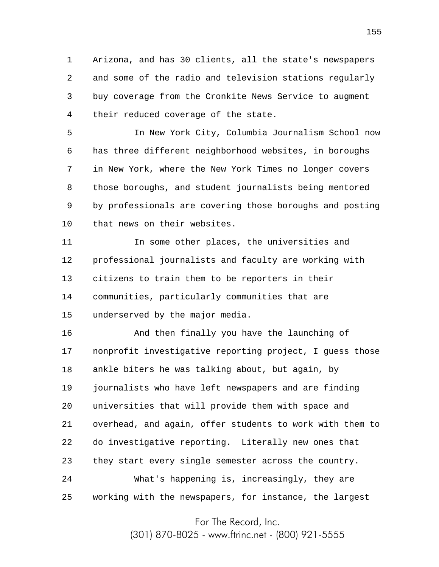1 2 3 4 Arizona, and has 30 clients, all the state's newspapers and some of the radio and television stations regularly buy coverage from the Cronkite News Service to augment their reduced coverage of the state.

5 6 7 8 9 10 In New York City, Columbia Journalism School now has three different neighborhood websites, in boroughs in New York, where the New York Times no longer covers those boroughs, and student journalists being mentored by professionals are covering those boroughs and posting that news on their websites.

11 12 13 14 15 In some other places, the universities and professional journalists and faculty are working with citizens to train them to be reporters in their communities, particularly communities that are underserved by the major media.

16 17 18 19 20 21 22 23 24 25 And then finally you have the launching of nonprofit investigative reporting project, I guess those ankle biters he was talking about, but again, by journalists who have left newspapers and are finding universities that will provide them with space and overhead, and again, offer students to work with them to do investigative reporting. Literally new ones that they start every single semester across the country. What's happening is, increasingly, they are working with the newspapers, for instance, the largest

For The Record, Inc.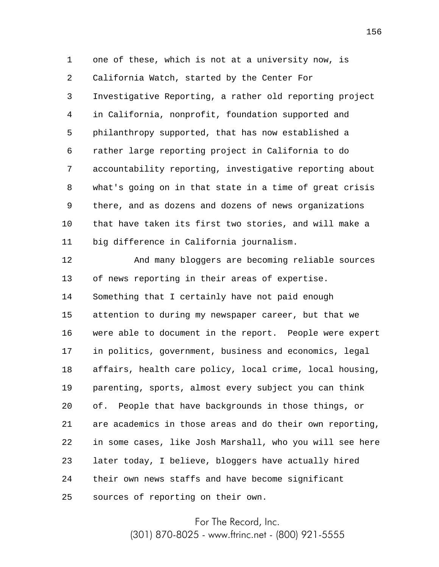1 2 3 4 5 6 7 8 9 10 11 one of these, which is not at a university now, is California Watch, started by the Center For Investigative Reporting, a rather old reporting project in California, nonprofit, foundation supported and philanthropy supported, that has now established a rather large reporting project in California to do accountability reporting, investigative reporting about what's going on in that state in a time of great crisis there, and as dozens and dozens of news organizations that have taken its first two stories, and will make a big difference in California journalism.

12 13 14 15 16 17 18 19 20 21 22 23 24 25 And many bloggers are becoming reliable sources of news reporting in their areas of expertise. Something that I certainly have not paid enough attention to during my newspaper career, but that we were able to document in the report. People were expert in politics, government, business and economics, legal affairs, health care policy, local crime, local housing, parenting, sports, almost every subject you can think of. People that have backgrounds in those things, or are academics in those areas and do their own reporting, in some cases, like Josh Marshall, who you will see here later today, I believe, bloggers have actually hired their own news staffs and have become significant sources of reporting on their own.

For The Record, Inc.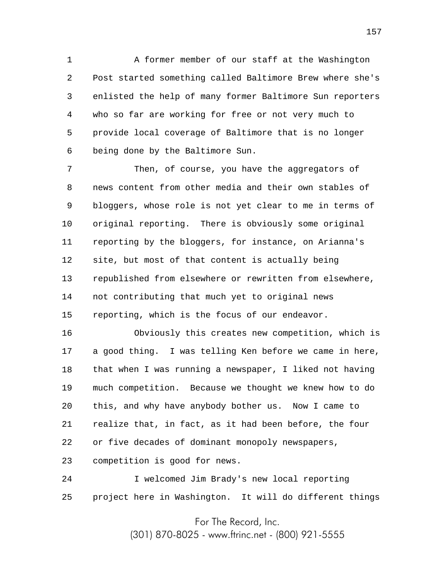1 2 3 4 5 6 A former member of our staff at the Washington Post started something called Baltimore Brew where she's enlisted the help of many former Baltimore Sun reporters who so far are working for free or not very much to provide local coverage of Baltimore that is no longer being done by the Baltimore Sun.

7 8 9 10 11 12 13 14 15 Then, of course, you have the aggregators of news content from other media and their own stables of bloggers, whose role is not yet clear to me in terms of original reporting. There is obviously some original reporting by the bloggers, for instance, on Arianna's site, but most of that content is actually being republished from elsewhere or rewritten from elsewhere, not contributing that much yet to original news reporting, which is the focus of our endeavor.

16 17 18 19 20 21 22 23 Obviously this creates new competition, which is a good thing. I was telling Ken before we came in here, that when I was running a newspaper, I liked not having much competition. Because we thought we knew how to do this, and why have anybody bother us. Now I came to realize that, in fact, as it had been before, the four or five decades of dominant monopoly newspapers, competition is good for news.

24 25 I welcomed Jim Brady's new local reporting project here in Washington. It will do different things

For The Record, Inc.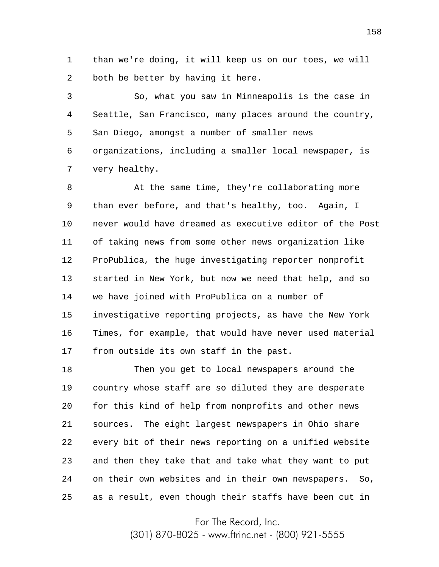1 2 than we're doing, it will keep us on our toes, we will both be better by having it here.

3 4 5 6 7 So, what you saw in Minneapolis is the case in Seattle, San Francisco, many places around the country, San Diego, amongst a number of smaller news organizations, including a smaller local newspaper, is very healthy.

8 9 10 11 12 13 14 15 16 17 At the same time, they're collaborating more than ever before, and that's healthy, too. Again, I never would have dreamed as executive editor of the Post of taking news from some other news organization like ProPublica, the huge investigating reporter nonprofit started in New York, but now we need that help, and so we have joined with ProPublica on a number of investigative reporting projects, as have the New York Times, for example, that would have never used material from outside its own staff in the past.

18 19 20 21 22 23 24 25 Then you get to local newspapers around the country whose staff are so diluted they are desperate for this kind of help from nonprofits and other news sources. The eight largest newspapers in Ohio share every bit of their news reporting on a unified website and then they take that and take what they want to put on their own websites and in their own newspapers. So, as a result, even though their staffs have been cut in

For The Record, Inc.

(301) 870-8025 - www.ftrinc.net - (800) 921-5555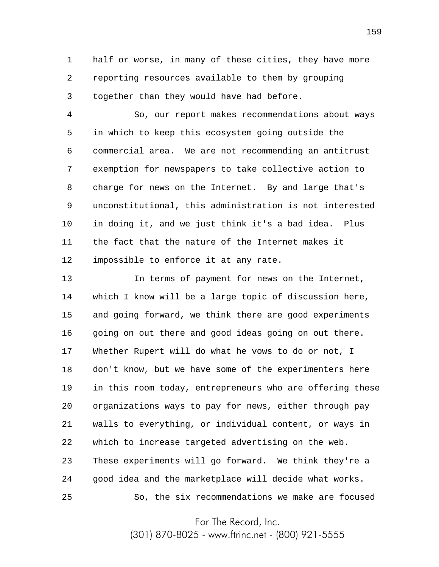1 2 3 half or worse, in many of these cities, they have more reporting resources available to them by grouping together than they would have had before.

4 5 6 7 8 9 10 11 12 So, our report makes recommendations about ways in which to keep this ecosystem going outside the commercial area. We are not recommending an antitrust exemption for newspapers to take collective action to charge for news on the Internet. By and large that's unconstitutional, this administration is not interested in doing it, and we just think it's a bad idea. Plus the fact that the nature of the Internet makes it impossible to enforce it at any rate.

13 14 15 16 17 18 19 20 21 22 23 24 25 In terms of payment for news on the Internet, which I know will be a large topic of discussion here, and going forward, we think there are good experiments going on out there and good ideas going on out there. Whether Rupert will do what he vows to do or not, I don't know, but we have some of the experimenters here in this room today, entrepreneurs who are offering these organizations ways to pay for news, either through pay walls to everything, or individual content, or ways in which to increase targeted advertising on the web. These experiments will go forward. We think they're a good idea and the marketplace will decide what works. So, the six recommendations we make are focused

For The Record, Inc.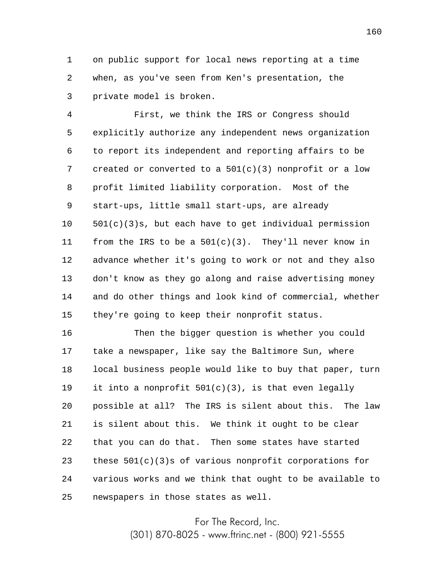1 2 3 on public support for local news reporting at a time when, as you've seen from Ken's presentation, the private model is broken.

4 5 6 7 8 9 10 11 12 13 14 15 First, we think the IRS or Congress should explicitly authorize any independent news organization to report its independent and reporting affairs to be created or converted to a 501(c)(3) nonprofit or a low profit limited liability corporation. Most of the start-ups, little small start-ups, are already 501(c)(3)s, but each have to get individual permission from the IRS to be a  $501(c)(3)$ . They'll never know in advance whether it's going to work or not and they also don't know as they go along and raise advertising money and do other things and look kind of commercial, whether they're going to keep their nonprofit status.

16 17 18 19 20 21 22 23 24 25 Then the bigger question is whether you could take a newspaper, like say the Baltimore Sun, where local business people would like to buy that paper, turn it into a nonprofit  $501(c)(3)$ , is that even legally possible at all? The IRS is silent about this. The law is silent about this. We think it ought to be clear that you can do that. Then some states have started these  $501(c)(3)$ s of various nonprofit corporations for various works and we think that ought to be available to newspapers in those states as well.

For The Record, Inc.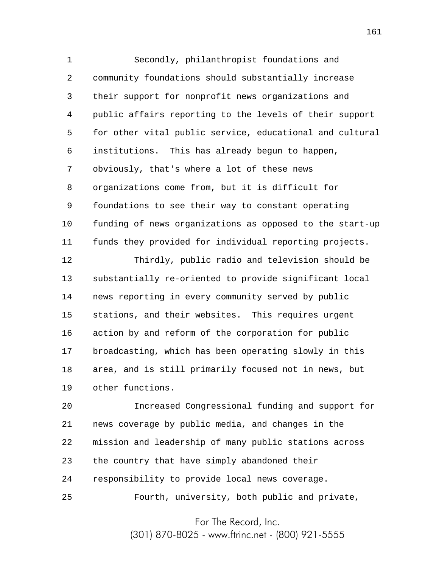1 2 3 4 5 6 7 8 9 10 11 Secondly, philanthropist foundations and community foundations should substantially increase their support for nonprofit news organizations and public affairs reporting to the levels of their support for other vital public service, educational and cultural institutions. This has already begun to happen, obviously, that's where a lot of these news organizations come from, but it is difficult for foundations to see their way to constant operating funding of news organizations as opposed to the start-up funds they provided for individual reporting projects.

12 13 14 15 16 17 18 19 Thirdly, public radio and television should be substantially re-oriented to provide significant local news reporting in every community served by public stations, and their websites. This requires urgent action by and reform of the corporation for public broadcasting, which has been operating slowly in this area, and is still primarily focused not in news, but other functions.

20 21 22 23 24 25 Increased Congressional funding and support for news coverage by public media, and changes in the mission and leadership of many public stations across the country that have simply abandoned their responsibility to provide local news coverage. Fourth, university, both public and private,

For The Record, Inc.

(301) 870-8025 - www.ftrinc.net - (800) 921-5555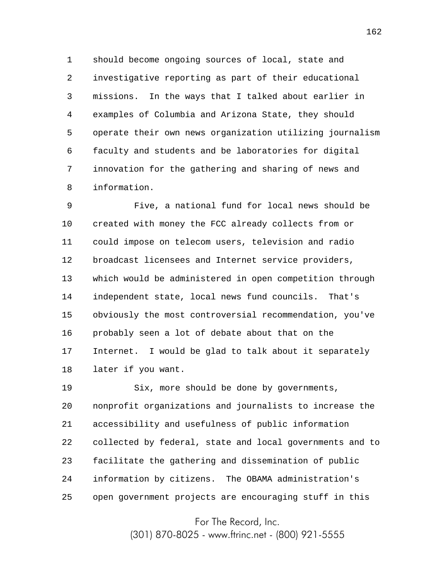1 2 3 4 5 6 7 8 should become ongoing sources of local, state and investigative reporting as part of their educational missions. In the ways that I talked about earlier in examples of Columbia and Arizona State, they should operate their own news organization utilizing journalism faculty and students and be laboratories for digital innovation for the gathering and sharing of news and information.

9 10 11 12 13 14 15 16 17 18 Five, a national fund for local news should be created with money the FCC already collects from or could impose on telecom users, television and radio broadcast licensees and Internet service providers, which would be administered in open competition through independent state, local news fund councils. That's obviously the most controversial recommendation, you've probably seen a lot of debate about that on the Internet. I would be glad to talk about it separately later if you want.

19 20 21 22 23 24 25 Six, more should be done by governments, nonprofit organizations and journalists to increase the accessibility and usefulness of public information collected by federal, state and local governments and to facilitate the gathering and dissemination of public information by citizens. The OBAMA administration's open government projects are encouraging stuff in this

For The Record, Inc.

(301) 870-8025 - www.ftrinc.net - (800) 921-5555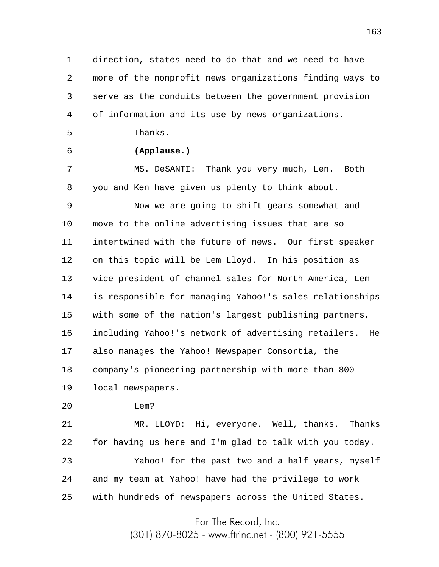1 2 3 4 direction, states need to do that and we need to have more of the nonprofit news organizations finding ways to serve as the conduits between the government provision of information and its use by news organizations.

Thanks.

5

6

## **(Applause.)**

7 8 MS. DeSANTI: Thank you very much, Len. Both you and Ken have given us plenty to think about.

9 10 11 12 13 14 15 16 17 18 Now we are going to shift gears somewhat and move to the online advertising issues that are so intertwined with the future of news. Our first speaker on this topic will be Lem Lloyd. In his position as vice president of channel sales for North America, Lem is responsible for managing Yahoo!'s sales relationships with some of the nation's largest publishing partners, including Yahoo!'s network of advertising retailers. He also manages the Yahoo! Newspaper Consortia, the company's pioneering partnership with more than 800

19 local newspapers.

20 Lem?

21 22 23 24 25 MR. LLOYD: Hi, everyone. Well, thanks. Thanks for having us here and I'm glad to talk with you today. Yahoo! for the past two and a half years, myself and my team at Yahoo! have had the privilege to work with hundreds of newspapers across the United States.

For The Record, Inc.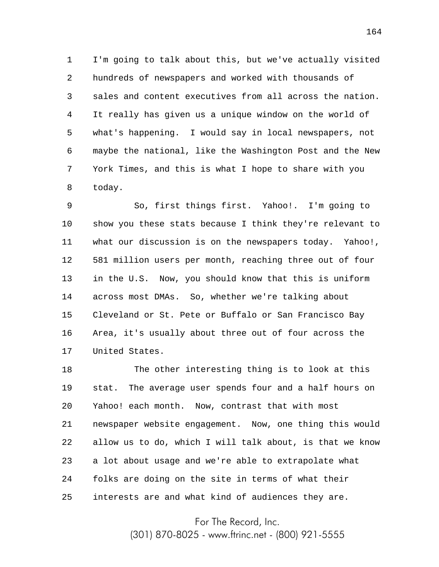1 2 3 4 5 6 7 8 I'm going to talk about this, but we've actually visited hundreds of newspapers and worked with thousands of sales and content executives from all across the nation. It really has given us a unique window on the world of what's happening. I would say in local newspapers, not maybe the national, like the Washington Post and the New York Times, and this is what I hope to share with you today.

9 10 11 12 13 14 15 16 17 So, first things first. Yahoo!. I'm going to show you these stats because I think they're relevant to what our discussion is on the newspapers today. Yahoo!, 581 million users per month, reaching three out of four in the U.S. Now, you should know that this is uniform across most DMAs. So, whether we're talking about Cleveland or St. Pete or Buffalo or San Francisco Bay Area, it's usually about three out of four across the United States.

18 19 20 21 22 23 24 25 The other interesting thing is to look at this stat. The average user spends four and a half hours on Yahoo! each month. Now, contrast that with most newspaper website engagement. Now, one thing this would allow us to do, which I will talk about, is that we know a lot about usage and we're able to extrapolate what folks are doing on the site in terms of what their interests are and what kind of audiences they are.

For The Record, Inc.

(301) 870-8025 - www.ftrinc.net - (800) 921-5555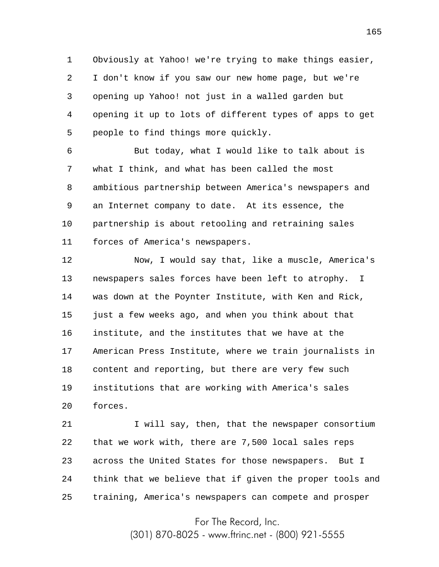1 2 3 4 5 Obviously at Yahoo! we're trying to make things easier, I don't know if you saw our new home page, but we're opening up Yahoo! not just in a walled garden but opening it up to lots of different types of apps to get people to find things more quickly.

6 7 8 9 10 11 But today, what I would like to talk about is what I think, and what has been called the most ambitious partnership between America's newspapers and an Internet company to date. At its essence, the partnership is about retooling and retraining sales forces of America's newspapers.

12 13 14 15 16 17 18 19 20 Now, I would say that, like a muscle, America's newspapers sales forces have been left to atrophy. I was down at the Poynter Institute, with Ken and Rick, just a few weeks ago, and when you think about that institute, and the institutes that we have at the American Press Institute, where we train journalists in content and reporting, but there are very few such institutions that are working with America's sales forces.

21 22 23 24 25 I will say, then, that the newspaper consortium that we work with, there are 7,500 local sales reps across the United States for those newspapers. But I think that we believe that if given the proper tools and training, America's newspapers can compete and prosper

For The Record, Inc.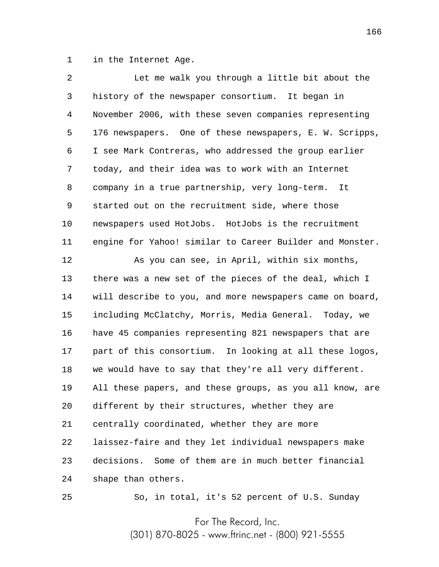1 in the Internet Age.

| 2  | Let me walk you through a little bit about the           |
|----|----------------------------------------------------------|
| 3  | history of the newspaper consortium. It began in         |
| 4  | November 2006, with these seven companies representing   |
| 5  | 176 newspapers. One of these newspapers, E. W. Scripps,  |
| 6  | I see Mark Contreras, who addressed the group earlier    |
| 7  | today, and their idea was to work with an Internet       |
| 8  | company in a true partnership, very long-term.<br>It     |
| 9  | started out on the recruitment side, where those         |
| 10 | newspapers used HotJobs. HotJobs is the recruitment      |
| 11 | engine for Yahoo! similar to Career Builder and Monster. |
| 12 | As you can see, in April, within six months,             |
| 13 | there was a new set of the pieces of the deal, which I   |
| 14 | will describe to you, and more newspapers came on board, |
| 15 | including McClatchy, Morris, Media General. Today, we    |
| 16 | have 45 companies representing 821 newspapers that are   |
| 17 | part of this consortium. In looking at all these logos,  |
| 18 | we would have to say that they're all very different.    |
| 19 | All these papers, and these groups, as you all know, are |
| 20 | different by their structures, whether they are          |
| 21 | centrally coordinated, whether they are more             |
| 22 | laissez-faire and they let individual newspapers make    |
| 23 | decisions. Some of them are in much better financial     |
| 24 | shape than others.                                       |
| 25 | So, in total, it's 52 percent of U.S. Sunday             |

For The Record, Inc.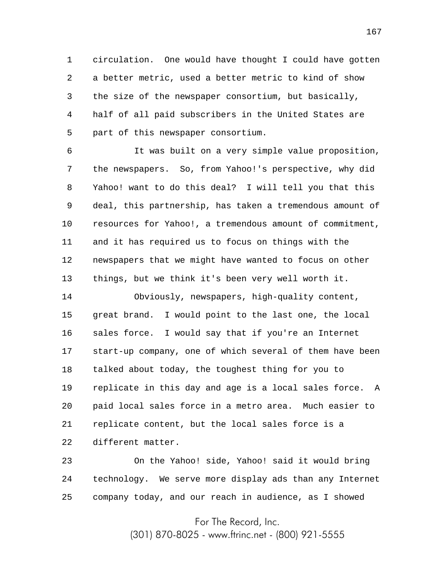1 2 3 4 5 circulation. One would have thought I could have gotten a better metric, used a better metric to kind of show the size of the newspaper consortium, but basically, half of all paid subscribers in the United States are part of this newspaper consortium.

6 7 8 9 10 11 12 13 It was built on a very simple value proposition, the newspapers. So, from Yahoo!'s perspective, why did Yahoo! want to do this deal? I will tell you that this deal, this partnership, has taken a tremendous amount of resources for Yahoo!, a tremendous amount of commitment, and it has required us to focus on things with the newspapers that we might have wanted to focus on other things, but we think it's been very well worth it.

14 15 16 17 18 19 20 21 22 Obviously, newspapers, high-quality content, great brand. I would point to the last one, the local sales force. I would say that if you're an Internet start-up company, one of which several of them have been talked about today, the toughest thing for you to replicate in this day and age is a local sales force. A paid local sales force in a metro area. Much easier to replicate content, but the local sales force is a different matter.

23 24 25 On the Yahoo! side, Yahoo! said it would bring technology. We serve more display ads than any Internet company today, and our reach in audience, as I showed

For The Record, Inc.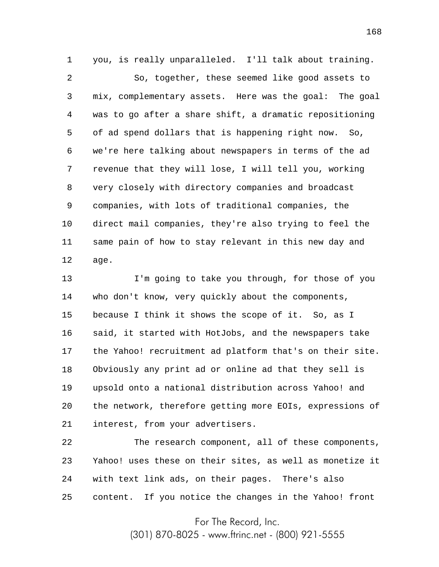1 you, is really unparalleled. I'll talk about training.

2 3 4 5 6 7 8 9 10 11 12 So, together, these seemed like good assets to mix, complementary assets. Here was the goal: The goal was to go after a share shift, a dramatic repositioning of ad spend dollars that is happening right now. So, we're here talking about newspapers in terms of the ad revenue that they will lose, I will tell you, working very closely with directory companies and broadcast companies, with lots of traditional companies, the direct mail companies, they're also trying to feel the same pain of how to stay relevant in this new day and age.

13 14 15 16 17 18 19 20 21 I'm going to take you through, for those of you who don't know, very quickly about the components, because I think it shows the scope of it. So, as I said, it started with HotJobs, and the newspapers take the Yahoo! recruitment ad platform that's on their site. Obviously any print ad or online ad that they sell is upsold onto a national distribution across Yahoo! and the network, therefore getting more EOIs, expressions of interest, from your advertisers.

22 23 24 25 The research component, all of these components, Yahoo! uses these on their sites, as well as monetize it with text link ads, on their pages. There's also content. If you notice the changes in the Yahoo! front

For The Record, Inc.

(301) 870-8025 - www.ftrinc.net - (800) 921-5555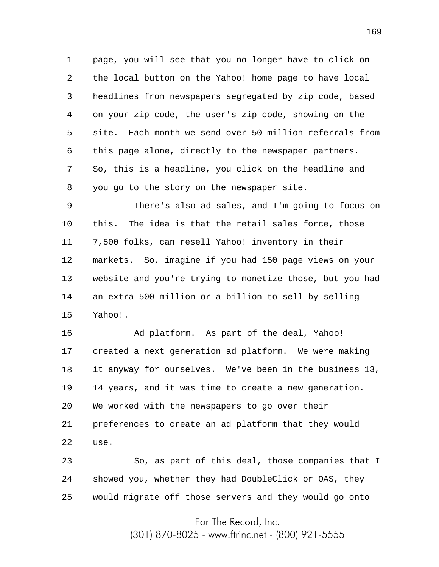1 2 3 4 5 6 7 8 page, you will see that you no longer have to click on the local button on the Yahoo! home page to have local headlines from newspapers segregated by zip code, based on your zip code, the user's zip code, showing on the site. Each month we send over 50 million referrals from this page alone, directly to the newspaper partners. So, this is a headline, you click on the headline and you go to the story on the newspaper site.

9 10 11 12 13 14 15 There's also ad sales, and I'm going to focus on this. The idea is that the retail sales force, those 7,500 folks, can resell Yahoo! inventory in their markets. So, imagine if you had 150 page views on your website and you're trying to monetize those, but you had an extra 500 million or a billion to sell by selling Yahoo!.

16 17 18 19 20 21 22 Ad platform. As part of the deal, Yahoo! created a next generation ad platform. We were making it anyway for ourselves. We've been in the business 13, 14 years, and it was time to create a new generation. We worked with the newspapers to go over their preferences to create an ad platform that they would use.

23 24 25 So, as part of this deal, those companies that I showed you, whether they had DoubleClick or OAS, they would migrate off those servers and they would go onto

For The Record, Inc.

(301) 870-8025 - www.ftrinc.net - (800) 921-5555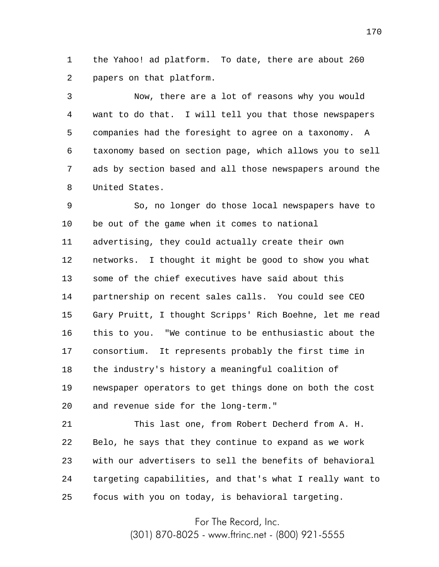1 2 the Yahoo! ad platform. To date, there are about 260 papers on that platform.

3 4 5 6 7 8 Now, there are a lot of reasons why you would want to do that. I will tell you that those newspapers companies had the foresight to agree on a taxonomy. A taxonomy based on section page, which allows you to sell ads by section based and all those newspapers around the United States.

9 10 11 12 13 14 15 16 17 18 19 20 So, no longer do those local newspapers have to be out of the game when it comes to national advertising, they could actually create their own networks. I thought it might be good to show you what some of the chief executives have said about this partnership on recent sales calls. You could see CEO Gary Pruitt, I thought Scripps' Rich Boehne, let me read this to you. "We continue to be enthusiastic about the consortium. It represents probably the first time in the industry's history a meaningful coalition of newspaper operators to get things done on both the cost and revenue side for the long-term."

21 22 23 24 25 This last one, from Robert Decherd from A. H. Belo, he says that they continue to expand as we work with our advertisers to sell the benefits of behavioral targeting capabilities, and that's what I really want to focus with you on today, is behavioral targeting.

For The Record, Inc.

(301) 870-8025 - www.ftrinc.net - (800) 921-5555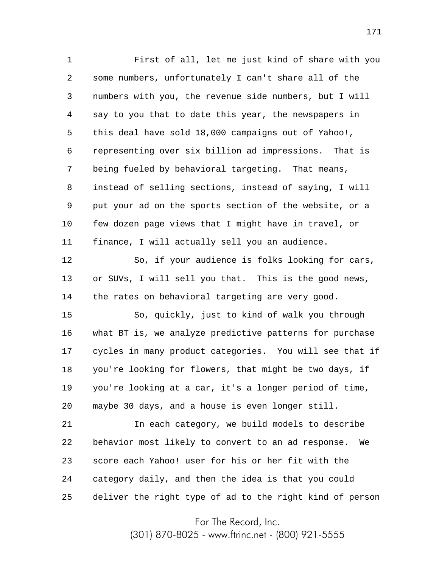1 2 3 4 5 6 7 8 9 10 11 First of all, let me just kind of share with you some numbers, unfortunately I can't share all of the numbers with you, the revenue side numbers, but I will say to you that to date this year, the newspapers in this deal have sold 18,000 campaigns out of Yahoo!, representing over six billion ad impressions. That is being fueled by behavioral targeting. That means, instead of selling sections, instead of saying, I will put your ad on the sports section of the website, or a few dozen page views that I might have in travel, or finance, I will actually sell you an audience.

12 13 14 So, if your audience is folks looking for cars, or SUVs, I will sell you that. This is the good news, the rates on behavioral targeting are very good.

15 16 17 18 19 20 So, quickly, just to kind of walk you through what BT is, we analyze predictive patterns for purchase cycles in many product categories. You will see that if you're looking for flowers, that might be two days, if you're looking at a car, it's a longer period of time, maybe 30 days, and a house is even longer still.

21 22 23 24 25 In each category, we build models to describe behavior most likely to convert to an ad response. We score each Yahoo! user for his or her fit with the category daily, and then the idea is that you could deliver the right type of ad to the right kind of person

For The Record, Inc.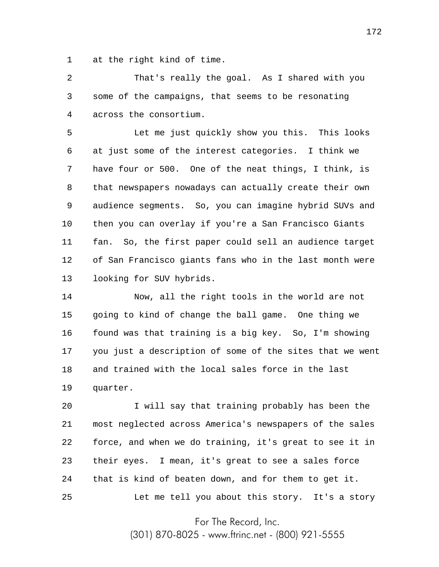1 at the right kind of time.

2 3 4 That's really the goal. As I shared with you some of the campaigns, that seems to be resonating across the consortium.

5 6 7 8 9 10 11 12 13 Let me just quickly show you this. This looks at just some of the interest categories. I think we have four or 500. One of the neat things, I think, is that newspapers nowadays can actually create their own audience segments. So, you can imagine hybrid SUVs and then you can overlay if you're a San Francisco Giants fan. So, the first paper could sell an audience target of San Francisco giants fans who in the last month were looking for SUV hybrids.

14 15 16 17 18 19 Now, all the right tools in the world are not going to kind of change the ball game. One thing we found was that training is a big key. So, I'm showing you just a description of some of the sites that we went and trained with the local sales force in the last quarter.

20 21 22 23 24 25 I will say that training probably has been the most neglected across America's newspapers of the sales force, and when we do training, it's great to see it in their eyes. I mean, it's great to see a sales force that is kind of beaten down, and for them to get it. Let me tell you about this story. It's a story

For The Record, Inc.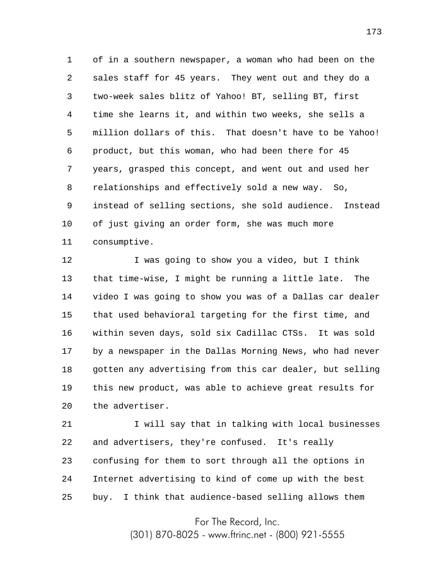1 2 3 4 5 6 7 8 9 10 11 of in a southern newspaper, a woman who had been on the sales staff for 45 years. They went out and they do a two-week sales blitz of Yahoo! BT, selling BT, first time she learns it, and within two weeks, she sells a million dollars of this. That doesn't have to be Yahoo! product, but this woman, who had been there for 45 years, grasped this concept, and went out and used her relationships and effectively sold a new way. So, instead of selling sections, she sold audience. Instead of just giving an order form, she was much more consumptive.

12 13 14 15 16 17 18 19 20 I was going to show you a video, but I think that time-wise, I might be running a little late. The video I was going to show you was of a Dallas car dealer that used behavioral targeting for the first time, and within seven days, sold six Cadillac CTSs. It was sold by a newspaper in the Dallas Morning News, who had never gotten any advertising from this car dealer, but selling this new product, was able to achieve great results for the advertiser.

21 22 23 24 25 I will say that in talking with local businesses and advertisers, they're confused. It's really confusing for them to sort through all the options in Internet advertising to kind of come up with the best buy. I think that audience-based selling allows them

For The Record, Inc.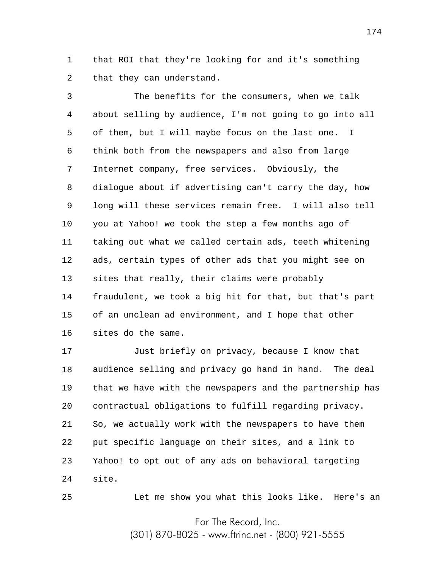1 2 that ROI that they're looking for and it's something that they can understand.

3 4 5 6 7 8 9 10 11 12 13 14 15 16 The benefits for the consumers, when we talk about selling by audience, I'm not going to go into all of them, but I will maybe focus on the last one. I think both from the newspapers and also from large Internet company, free services. Obviously, the dialogue about if advertising can't carry the day, how long will these services remain free. I will also tell you at Yahoo! we took the step a few months ago of taking out what we called certain ads, teeth whitening ads, certain types of other ads that you might see on sites that really, their claims were probably fraudulent, we took a big hit for that, but that's part of an unclean ad environment, and I hope that other sites do the same.

17 18 19 20 21 22 23 24 Just briefly on privacy, because I know that audience selling and privacy go hand in hand. The deal that we have with the newspapers and the partnership has contractual obligations to fulfill regarding privacy. So, we actually work with the newspapers to have them put specific language on their sites, and a link to Yahoo! to opt out of any ads on behavioral targeting site.

Let me show you what this looks like. Here's an

For The Record, Inc.

25

(301) 870-8025 - www.ftrinc.net - (800) 921-5555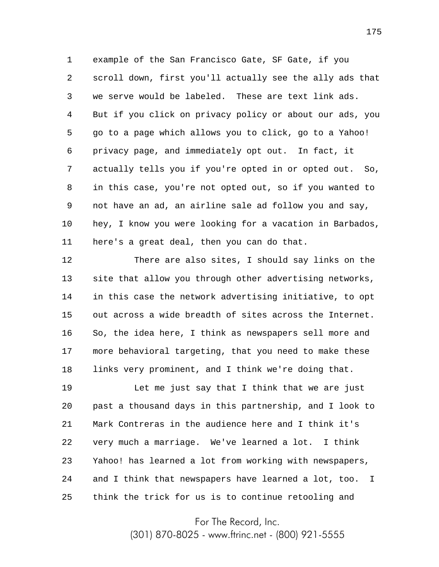1 2 3 4 5 6 7 8 9 10 11 example of the San Francisco Gate, SF Gate, if you scroll down, first you'll actually see the ally ads that we serve would be labeled. These are text link ads. But if you click on privacy policy or about our ads, you go to a page which allows you to click, go to a Yahoo! privacy page, and immediately opt out. In fact, it actually tells you if you're opted in or opted out. So, in this case, you're not opted out, so if you wanted to not have an ad, an airline sale ad follow you and say, hey, I know you were looking for a vacation in Barbados, here's a great deal, then you can do that.

12 13 14 15 16 17 18 There are also sites, I should say links on the site that allow you through other advertising networks, in this case the network advertising initiative, to opt out across a wide breadth of sites across the Internet. So, the idea here, I think as newspapers sell more and more behavioral targeting, that you need to make these links very prominent, and I think we're doing that.

19 20 21 22 23 24 25 Let me just say that I think that we are just past a thousand days in this partnership, and I look to Mark Contreras in the audience here and I think it's very much a marriage. We've learned a lot. I think Yahoo! has learned a lot from working with newspapers, and I think that newspapers have learned a lot, too. I think the trick for us is to continue retooling and

For The Record, Inc.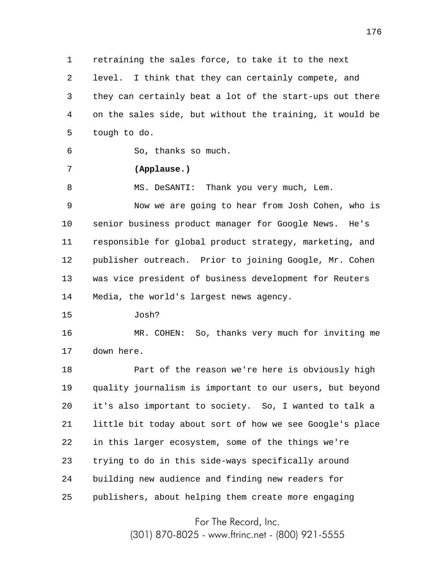1 2 3 4 5 retraining the sales force, to take it to the next level. I think that they can certainly compete, and they can certainly beat a lot of the start-ups out there on the sales side, but without the training, it would be tough to do.

6 So, thanks so much.

## **(Applause.)**

7

8 MS. DeSANTI: Thank you very much, Lem.

9 10 11 12 13 14 Now we are going to hear from Josh Cohen, who is senior business product manager for Google News. He's responsible for global product strategy, marketing, and publisher outreach. Prior to joining Google, Mr. Cohen was vice president of business development for Reuters Media, the world's largest news agency.

15 Josh?

16 17 MR. COHEN: So, thanks very much for inviting me down here.

18 19 20 21 22 23 24 25 Part of the reason we're here is obviously high quality journalism is important to our users, but beyond it's also important to society. So, I wanted to talk a little bit today about sort of how we see Google's place in this larger ecosystem, some of the things we're trying to do in this side-ways specifically around building new audience and finding new readers for publishers, about helping them create more engaging

For The Record, Inc.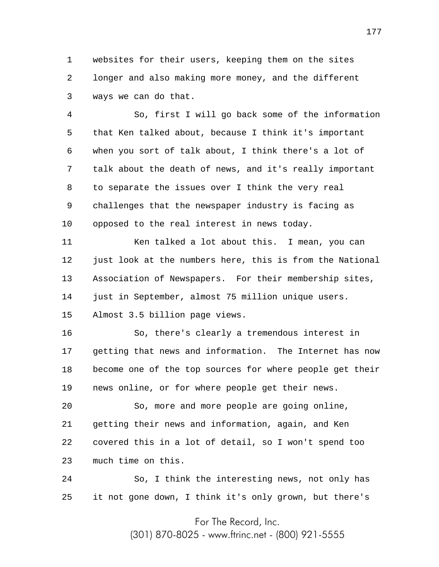1 2 3 websites for their users, keeping them on the sites longer and also making more money, and the different ways we can do that.

4 5 6 7 8 9 10 So, first I will go back some of the information that Ken talked about, because I think it's important when you sort of talk about, I think there's a lot of talk about the death of news, and it's really important to separate the issues over I think the very real challenges that the newspaper industry is facing as opposed to the real interest in news today.

11 12 13 14 15 Ken talked a lot about this. I mean, you can just look at the numbers here, this is from the National Association of Newspapers. For their membership sites, just in September, almost 75 million unique users. Almost 3.5 billion page views.

16 17 18 19 So, there's clearly a tremendous interest in getting that news and information. The Internet has now become one of the top sources for where people get their news online, or for where people get their news.

20 21 22 23 So, more and more people are going online, getting their news and information, again, and Ken covered this in a lot of detail, so I won't spend too much time on this.

24 25 So, I think the interesting news, not only has it not gone down, I think it's only grown, but there's

For The Record, Inc.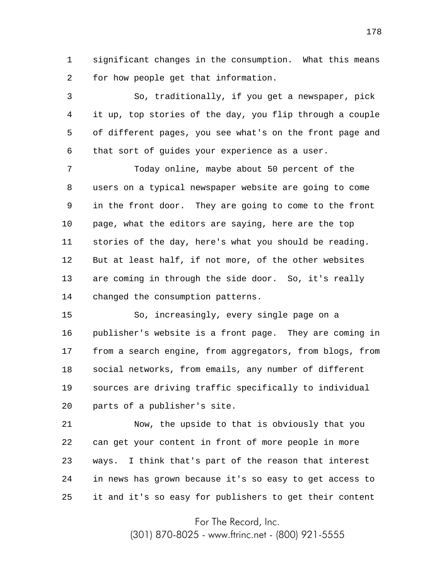1 2 significant changes in the consumption. What this means for how people get that information.

3 4 5 6 So, traditionally, if you get a newspaper, pick it up, top stories of the day, you flip through a couple of different pages, you see what's on the front page and that sort of guides your experience as a user.

7 8 9 10 11 12 13 14 Today online, maybe about 50 percent of the users on a typical newspaper website are going to come in the front door. They are going to come to the front page, what the editors are saying, here are the top stories of the day, here's what you should be reading. But at least half, if not more, of the other websites are coming in through the side door. So, it's really changed the consumption patterns.

15 16 17 18 19 20 So, increasingly, every single page on a publisher's website is a front page. They are coming in from a search engine, from aggregators, from blogs, from social networks, from emails, any number of different sources are driving traffic specifically to individual parts of a publisher's site.

21 22 23 24 25 Now, the upside to that is obviously that you can get your content in front of more people in more ways. I think that's part of the reason that interest in news has grown because it's so easy to get access to it and it's so easy for publishers to get their content

For The Record, Inc.

(301) 870-8025 - www.ftrinc.net - (800) 921-5555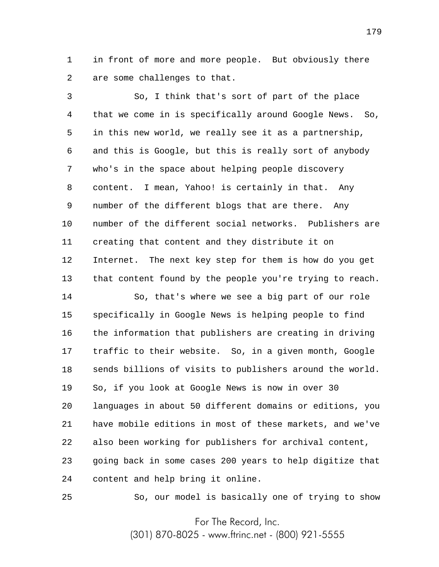1 2 in front of more and more people. But obviously there are some challenges to that.

3 4 5 6 7 8 9 10 11 12 13 So, I think that's sort of part of the place that we come in is specifically around Google News. So, in this new world, we really see it as a partnership, and this is Google, but this is really sort of anybody who's in the space about helping people discovery content. I mean, Yahoo! is certainly in that. Any number of the different blogs that are there. Any number of the different social networks. Publishers are creating that content and they distribute it on Internet. The next key step for them is how do you get that content found by the people you're trying to reach.

14 15 16 17 18 19 20 21 22 23 24 So, that's where we see a big part of our role specifically in Google News is helping people to find the information that publishers are creating in driving traffic to their website. So, in a given month, Google sends billions of visits to publishers around the world. So, if you look at Google News is now in over 30 languages in about 50 different domains or editions, you have mobile editions in most of these markets, and we've also been working for publishers for archival content, going back in some cases 200 years to help digitize that content and help bring it online.

25

So, our model is basically one of trying to show

For The Record, Inc.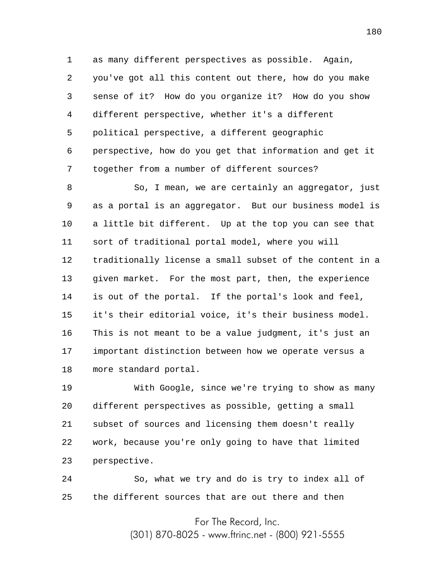1 2 3 4 5 6 7 as many different perspectives as possible. Again, you've got all this content out there, how do you make sense of it? How do you organize it? How do you show different perspective, whether it's a different political perspective, a different geographic perspective, how do you get that information and get it together from a number of different sources?

8 9 10 11 12 13 14 15 16 17 18 So, I mean, we are certainly an aggregator, just as a portal is an aggregator. But our business model is a little bit different. Up at the top you can see that sort of traditional portal model, where you will traditionally license a small subset of the content in a given market. For the most part, then, the experience is out of the portal. If the portal's look and feel, it's their editorial voice, it's their business model. This is not meant to be a value judgment, it's just an important distinction between how we operate versus a more standard portal.

19 20 21 22 23 With Google, since we're trying to show as many different perspectives as possible, getting a small subset of sources and licensing them doesn't really work, because you're only going to have that limited perspective.

24 25 So, what we try and do is try to index all of the different sources that are out there and then

For The Record, Inc.

(301) 870-8025 - www.ftrinc.net - (800) 921-5555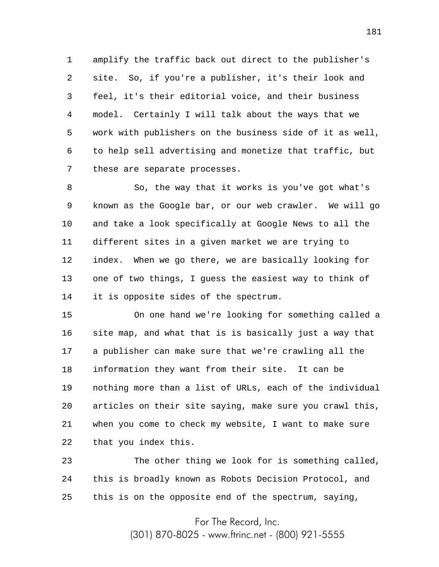1 2 3 4 5 6 7 amplify the traffic back out direct to the publisher's site. So, if you're a publisher, it's their look and feel, it's their editorial voice, and their business model. Certainly I will talk about the ways that we work with publishers on the business side of it as well, to help sell advertising and monetize that traffic, but these are separate processes.

8 9 10 11 12 13 14 So, the way that it works is you've got what's known as the Google bar, or our web crawler. We will go and take a look specifically at Google News to all the different sites in a given market we are trying to index. When we go there, we are basically looking for one of two things, I guess the easiest way to think of it is opposite sides of the spectrum.

15 16 17 18 19 20 21 22 On one hand we're looking for something called a site map, and what that is is basically just a way that a publisher can make sure that we're crawling all the information they want from their site. It can be nothing more than a list of URLs, each of the individual articles on their site saying, make sure you crawl this, when you come to check my website, I want to make sure that you index this.

23 24 25 The other thing we look for is something called, this is broadly known as Robots Decision Protocol, and this is on the opposite end of the spectrum, saying,

For The Record, Inc.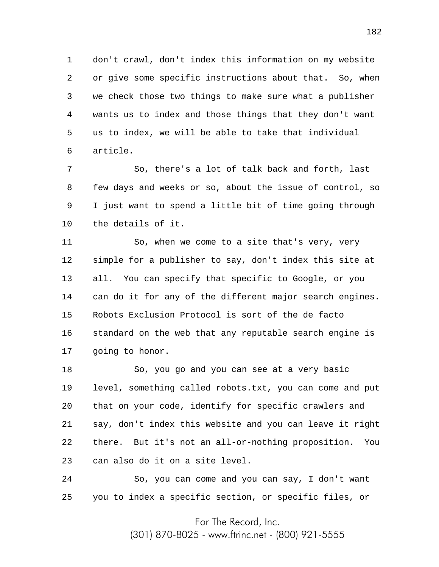1 2 3 4 5 6 don't crawl, don't index this information on my website or give some specific instructions about that. So, when we check those two things to make sure what a publisher wants us to index and those things that they don't want us to index, we will be able to take that individual article.

7 8 9 10 So, there's a lot of talk back and forth, last few days and weeks or so, about the issue of control, so I just want to spend a little bit of time going through the details of it.

11 12 13 14 15 16 17 So, when we come to a site that's very, very simple for a publisher to say, don't index this site at all. You can specify that specific to Google, or you can do it for any of the different major search engines. Robots Exclusion Protocol is sort of the de facto standard on the web that any reputable search engine is going to honor.

18 19 20 21 22 23 So, you go and you can see at a very basic level, something called robots.txt, you can come and put that on your code, identify for specific crawlers and say, don't index this website and you can leave it right there. But it's not an all-or-nothing proposition. You can also do it on a site level.

24 25 So, you can come and you can say, I don't want you to index a specific section, or specific files, or

For The Record, Inc.

(301) 870-8025 - www.ftrinc.net - (800) 921-5555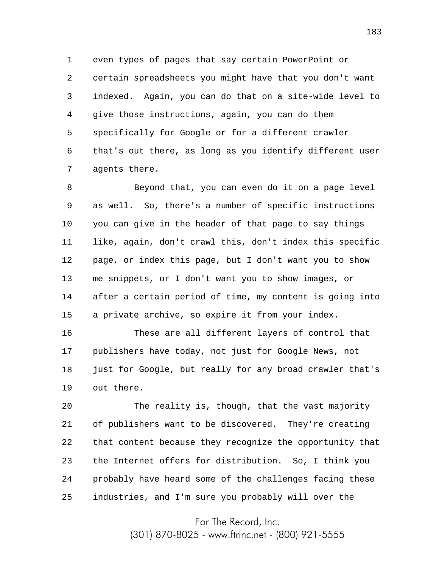1 2 3 4 5 6 7 even types of pages that say certain PowerPoint or certain spreadsheets you might have that you don't want indexed. Again, you can do that on a site-wide level to give those instructions, again, you can do them specifically for Google or for a different crawler that's out there, as long as you identify different user agents there.

8 9 10 11 12 13 14 15 Beyond that, you can even do it on a page level as well. So, there's a number of specific instructions you can give in the header of that page to say things like, again, don't crawl this, don't index this specific page, or index this page, but I don't want you to show me snippets, or I don't want you to show images, or after a certain period of time, my content is going into a private archive, so expire it from your index.

16 17 18 19 These are all different layers of control that publishers have today, not just for Google News, not just for Google, but really for any broad crawler that's out there.

20 21 22 23 24 25 The reality is, though, that the vast majority of publishers want to be discovered. They're creating that content because they recognize the opportunity that the Internet offers for distribution. So, I think you probably have heard some of the challenges facing these industries, and I'm sure you probably will over the

For The Record, Inc.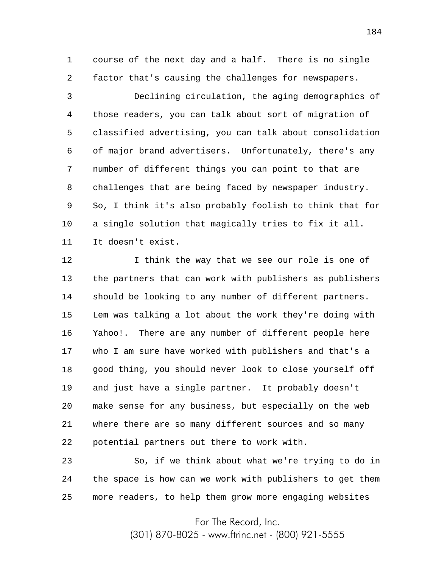1 2 course of the next day and a half. There is no single factor that's causing the challenges for newspapers.

3 4 5 6 7 8 9 10 11 Declining circulation, the aging demographics of those readers, you can talk about sort of migration of classified advertising, you can talk about consolidation of major brand advertisers. Unfortunately, there's any number of different things you can point to that are challenges that are being faced by newspaper industry. So, I think it's also probably foolish to think that for a single solution that magically tries to fix it all. It doesn't exist.

12 13 14 15 16 17 18 19 20 21 22 I think the way that we see our role is one of the partners that can work with publishers as publishers should be looking to any number of different partners. Lem was talking a lot about the work they're doing with Yahoo!. There are any number of different people here who I am sure have worked with publishers and that's a good thing, you should never look to close yourself off and just have a single partner. It probably doesn't make sense for any business, but especially on the web where there are so many different sources and so many potential partners out there to work with.

23 24 25 So, if we think about what we're trying to do in the space is how can we work with publishers to get them more readers, to help them grow more engaging websites

For The Record, Inc.

(301) 870-8025 - www.ftrinc.net - (800) 921-5555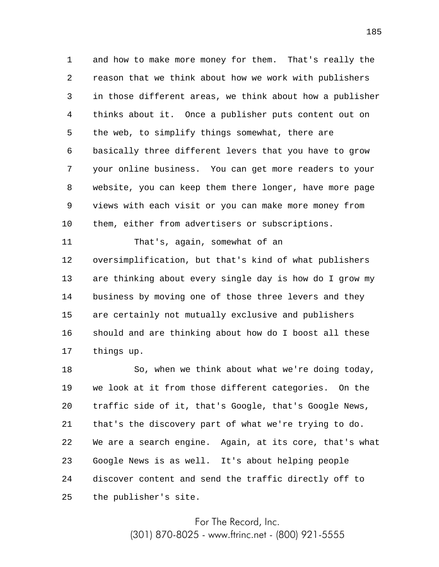1 2 3 4 5 6 7 8 9 10 and how to make more money for them. That's really the reason that we think about how we work with publishers in those different areas, we think about how a publisher thinks about it. Once a publisher puts content out on the web, to simplify things somewhat, there are basically three different levers that you have to grow your online business. You can get more readers to your website, you can keep them there longer, have more page views with each visit or you can make more money from them, either from advertisers or subscriptions.

11 12 13 14 15 16 17 That's, again, somewhat of an oversimplification, but that's kind of what publishers are thinking about every single day is how do I grow my business by moving one of those three levers and they are certainly not mutually exclusive and publishers should and are thinking about how do I boost all these things up.

18 19 20 21 22 23 24 25 So, when we think about what we're doing today, we look at it from those different categories. On the traffic side of it, that's Google, that's Google News, that's the discovery part of what we're trying to do. We are a search engine. Again, at its core, that's what Google News is as well. It's about helping people discover content and send the traffic directly off to the publisher's site.

> For The Record, Inc. (301) 870-8025 - www.ftrinc.net - (800) 921-5555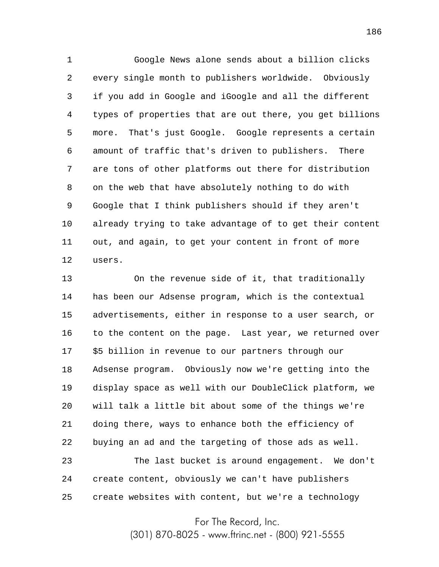1 2 3 4 5 6 7 8 9 10 11 12 Google News alone sends about a billion clicks every single month to publishers worldwide. Obviously if you add in Google and iGoogle and all the different types of properties that are out there, you get billions more. That's just Google. Google represents a certain amount of traffic that's driven to publishers. There are tons of other platforms out there for distribution on the web that have absolutely nothing to do with Google that I think publishers should if they aren't already trying to take advantage of to get their content out, and again, to get your content in front of more users.

13 14 15 16 17 18 19 20 21 22 23 24 25 On the revenue side of it, that traditionally has been our Adsense program, which is the contextual advertisements, either in response to a user search, or to the content on the page. Last year, we returned over \$5 billion in revenue to our partners through our Adsense program. Obviously now we're getting into the display space as well with our DoubleClick platform, we will talk a little bit about some of the things we're doing there, ways to enhance both the efficiency of buying an ad and the targeting of those ads as well. The last bucket is around engagement. We don't create content, obviously we can't have publishers create websites with content, but we're a technology

For The Record, Inc.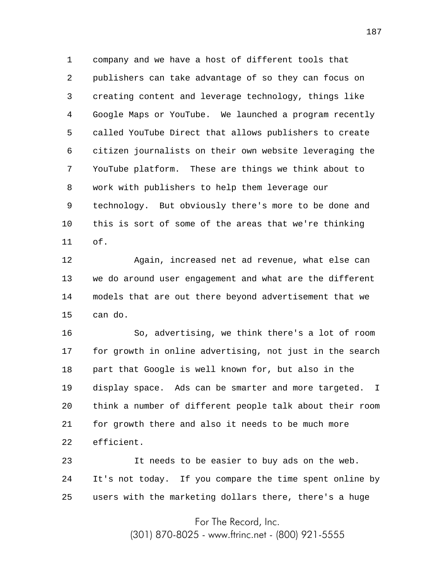1 2 3 4 5 6 7 8 9 10 11 company and we have a host of different tools that publishers can take advantage of so they can focus on creating content and leverage technology, things like Google Maps or YouTube. We launched a program recently called YouTube Direct that allows publishers to create citizen journalists on their own website leveraging the YouTube platform. These are things we think about to work with publishers to help them leverage our technology. But obviously there's more to be done and this is sort of some of the areas that we're thinking of.

12 13 14 15 Again, increased net ad revenue, what else can we do around user engagement and what are the different models that are out there beyond advertisement that we can do.

16 17 18 19 20 21 22 So, advertising, we think there's a lot of room for growth in online advertising, not just in the search part that Google is well known for, but also in the display space. Ads can be smarter and more targeted. I think a number of different people talk about their room for growth there and also it needs to be much more efficient.

23 24 25 It needs to be easier to buy ads on the web. It's not today. If you compare the time spent online by users with the marketing dollars there, there's a huge

For The Record, Inc.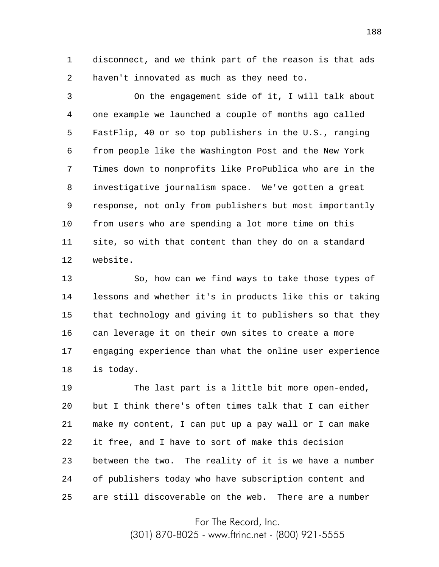1 2 disconnect, and we think part of the reason is that ads haven't innovated as much as they need to.

3 4 5 6 7 8 9 10 11 12 On the engagement side of it, I will talk about one example we launched a couple of months ago called FastFlip, 40 or so top publishers in the U.S., ranging from people like the Washington Post and the New York Times down to nonprofits like ProPublica who are in the investigative journalism space. We've gotten a great response, not only from publishers but most importantly from users who are spending a lot more time on this site, so with that content than they do on a standard website.

13 14 15 16 17 18 So, how can we find ways to take those types of lessons and whether it's in products like this or taking that technology and giving it to publishers so that they can leverage it on their own sites to create a more engaging experience than what the online user experience is today.

19 20 21 22 23 24 25 The last part is a little bit more open-ended, but I think there's often times talk that I can either make my content, I can put up a pay wall or I can make it free, and I have to sort of make this decision between the two. The reality of it is we have a number of publishers today who have subscription content and are still discoverable on the web. There are a number

For The Record, Inc.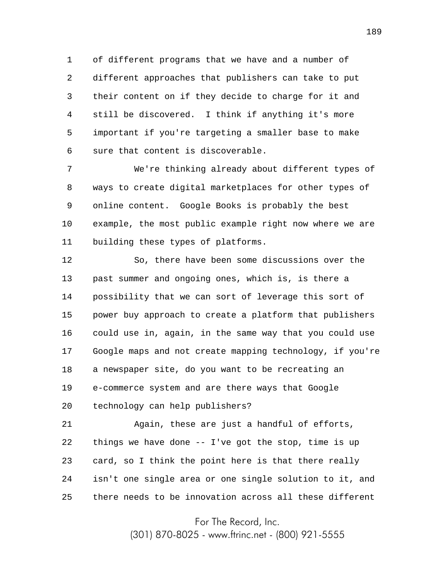1 2 3 4 5 6 of different programs that we have and a number of different approaches that publishers can take to put their content on if they decide to charge for it and still be discovered. I think if anything it's more important if you're targeting a smaller base to make sure that content is discoverable.

7 8 9 10 11 We're thinking already about different types of ways to create digital marketplaces for other types of online content. Google Books is probably the best example, the most public example right now where we are building these types of platforms.

12 13 14 15 16 17 18 19 20 So, there have been some discussions over the past summer and ongoing ones, which is, is there a possibility that we can sort of leverage this sort of power buy approach to create a platform that publishers could use in, again, in the same way that you could use Google maps and not create mapping technology, if you're a newspaper site, do you want to be recreating an e-commerce system and are there ways that Google technology can help publishers?

21 22 23 24 25 Again, these are just a handful of efforts, things we have done -- I've got the stop, time is up card, so I think the point here is that there really isn't one single area or one single solution to it, and there needs to be innovation across all these different

For The Record, Inc.

(301) 870-8025 - www.ftrinc.net - (800) 921-5555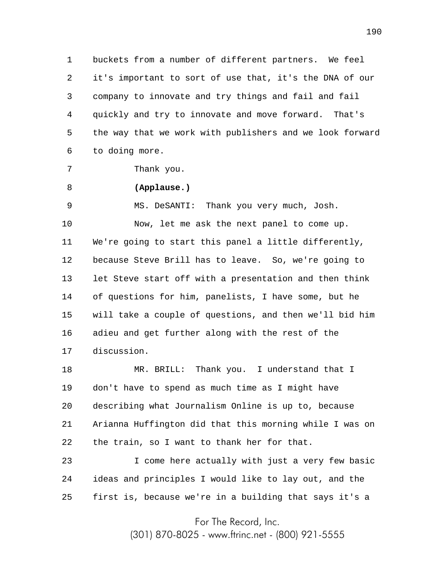1 2 3 4 5 6 buckets from a number of different partners. We feel it's important to sort of use that, it's the DNA of our company to innovate and try things and fail and fail quickly and try to innovate and move forward. That's the way that we work with publishers and we look forward to doing more.

```
Thank you.
```
7

## 8 **(Applause.)**

9 10 11 12 13 14 15 16 17 MS. DeSANTI: Thank you very much, Josh. Now, let me ask the next panel to come up. We're going to start this panel a little differently, because Steve Brill has to leave. So, we're going to let Steve start off with a presentation and then think of questions for him, panelists, I have some, but he will take a couple of questions, and then we'll bid him adieu and get further along with the rest of the discussion.

18 19 20 21 22 MR. BRILL: Thank you. I understand that I don't have to spend as much time as I might have describing what Journalism Online is up to, because Arianna Huffington did that this morning while I was on the train, so I want to thank her for that.

23 24 25 I come here actually with just a very few basic ideas and principles I would like to lay out, and the first is, because we're in a building that says it's a

For The Record, Inc.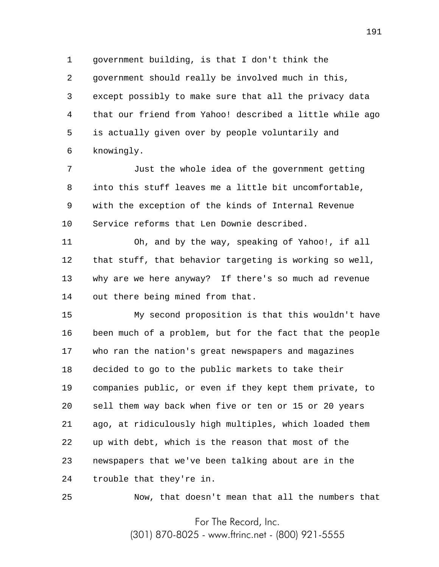1 2 3 4 5 6 government building, is that I don't think the government should really be involved much in this, except possibly to make sure that all the privacy data that our friend from Yahoo! described a little while ago is actually given over by people voluntarily and knowingly.

7 8 9 10 Just the whole idea of the government getting into this stuff leaves me a little bit uncomfortable, with the exception of the kinds of Internal Revenue Service reforms that Len Downie described.

11 12 13 14 Oh, and by the way, speaking of Yahoo!, if all that stuff, that behavior targeting is working so well, why are we here anyway? If there's so much ad revenue out there being mined from that.

15 16 17 18 19 20 21 22 23 24 My second proposition is that this wouldn't have been much of a problem, but for the fact that the people who ran the nation's great newspapers and magazines decided to go to the public markets to take their companies public, or even if they kept them private, to sell them way back when five or ten or 15 or 20 years ago, at ridiculously high multiples, which loaded them up with debt, which is the reason that most of the newspapers that we've been talking about are in the trouble that they're in.

25

Now, that doesn't mean that all the numbers that

For The Record, Inc.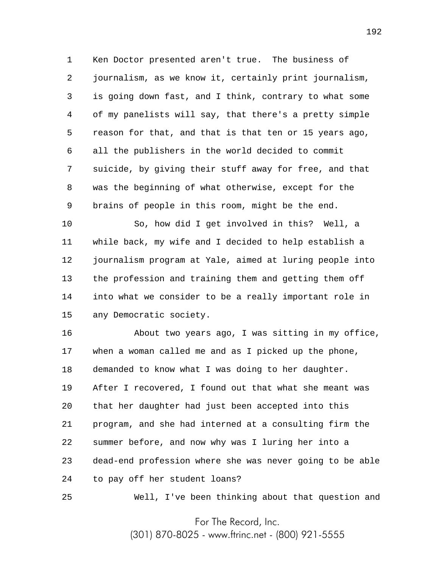1 2 3 4 5 6 7 8 9 Ken Doctor presented aren't true. The business of journalism, as we know it, certainly print journalism, is going down fast, and I think, contrary to what some of my panelists will say, that there's a pretty simple reason for that, and that is that ten or 15 years ago, all the publishers in the world decided to commit suicide, by giving their stuff away for free, and that was the beginning of what otherwise, except for the brains of people in this room, might be the end.

10 11 12 13 14 15 So, how did I get involved in this? Well, a while back, my wife and I decided to help establish a journalism program at Yale, aimed at luring people into the profession and training them and getting them off into what we consider to be a really important role in any Democratic society.

16 17 18 19 20 21 22 23 24 About two years ago, I was sitting in my office, when a woman called me and as I picked up the phone, demanded to know what I was doing to her daughter. After I recovered, I found out that what she meant was that her daughter had just been accepted into this program, and she had interned at a consulting firm the summer before, and now why was I luring her into a dead-end profession where she was never going to be able to pay off her student loans?

Well, I've been thinking about that question and

25

For The Record, Inc.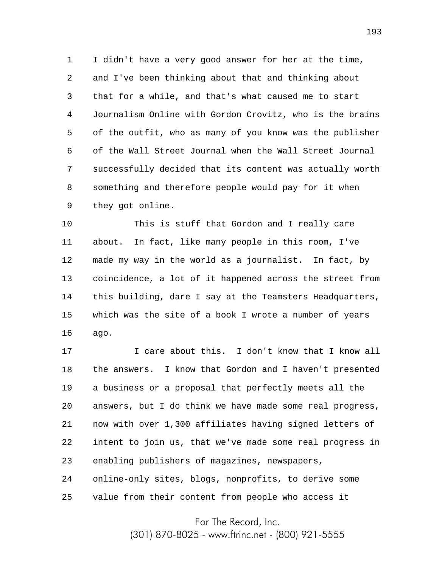1 2 3 4 5 6 7 8 9 I didn't have a very good answer for her at the time, and I've been thinking about that and thinking about that for a while, and that's what caused me to start Journalism Online with Gordon Crovitz, who is the brains of the outfit, who as many of you know was the publisher of the Wall Street Journal when the Wall Street Journal successfully decided that its content was actually worth something and therefore people would pay for it when they got online.

10 11 12 13 14 15 16 This is stuff that Gordon and I really care about. In fact, like many people in this room, I've made my way in the world as a journalist. In fact, by coincidence, a lot of it happened across the street from this building, dare I say at the Teamsters Headquarters, which was the site of a book I wrote a number of years ago.

17 18 19 20 21 22 23 24 25 I care about this. I don't know that I know all the answers. I know that Gordon and I haven't presented a business or a proposal that perfectly meets all the answers, but I do think we have made some real progress, now with over 1,300 affiliates having signed letters of intent to join us, that we've made some real progress in enabling publishers of magazines, newspapers, online-only sites, blogs, nonprofits, to derive some value from their content from people who access it

For The Record, Inc.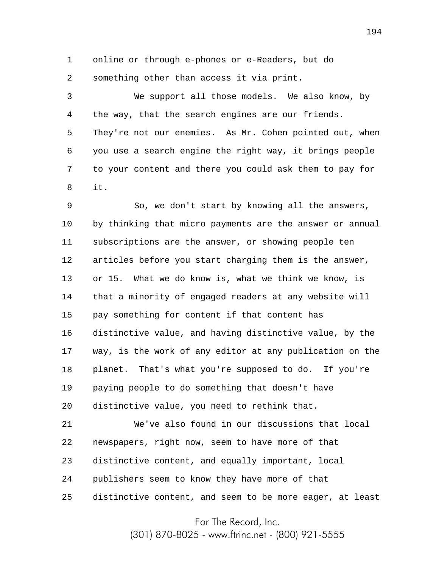1 2 online or through e-phones or e-Readers, but do something other than access it via print.

3 4 5 6 7 8 We support all those models. We also know, by the way, that the search engines are our friends. They're not our enemies. As Mr. Cohen pointed out, when you use a search engine the right way, it brings people to your content and there you could ask them to pay for it.

9 10 11 12 13 14 15 16 17 18 19 20 So, we don't start by knowing all the answers, by thinking that micro payments are the answer or annual subscriptions are the answer, or showing people ten articles before you start charging them is the answer, or 15. What we do know is, what we think we know, is that a minority of engaged readers at any website will pay something for content if that content has distinctive value, and having distinctive value, by the way, is the work of any editor at any publication on the planet. That's what you're supposed to do. If you're paying people to do something that doesn't have distinctive value, you need to rethink that.

21 22 23 24 25 We've also found in our discussions that local newspapers, right now, seem to have more of that distinctive content, and equally important, local publishers seem to know they have more of that distinctive content, and seem to be more eager, at least

For The Record, Inc.

(301) 870-8025 - www.ftrinc.net - (800) 921-5555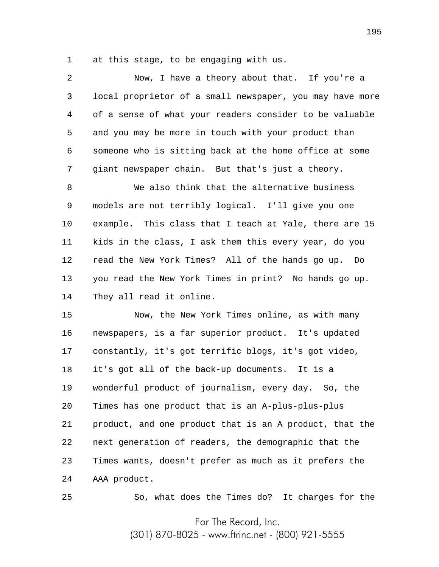1 at this stage, to be engaging with us.

2 3 4 5 6 7 Now, I have a theory about that. If you're a local proprietor of a small newspaper, you may have more of a sense of what your readers consider to be valuable and you may be more in touch with your product than someone who is sitting back at the home office at some giant newspaper chain. But that's just a theory.

8 9 10 11 12 13 14 We also think that the alternative business models are not terribly logical. I'll give you one example. This class that I teach at Yale, there are 15 kids in the class, I ask them this every year, do you read the New York Times? All of the hands go up. Do you read the New York Times in print? No hands go up. They all read it online.

15 16 17 18 19 20 21 22 23 24 Now, the New York Times online, as with many newspapers, is a far superior product. It's updated constantly, it's got terrific blogs, it's got video, it's got all of the back-up documents. It is a wonderful product of journalism, every day. So, the Times has one product that is an A-plus-plus-plus product, and one product that is an A product, that the next generation of readers, the demographic that the Times wants, doesn't prefer as much as it prefers the AAA product.

25

So, what does the Times do? It charges for the

For The Record, Inc.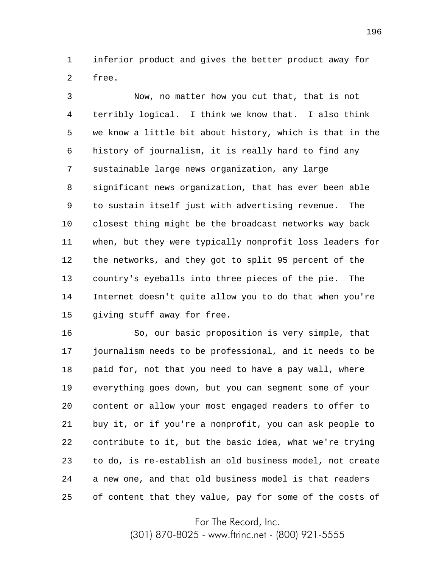1 2 inferior product and gives the better product away for free.

3 4 5 6 7 8 9 10 11 12 13 14 15 Now, no matter how you cut that, that is not terribly logical. I think we know that. I also think we know a little bit about history, which is that in the history of journalism, it is really hard to find any sustainable large news organization, any large significant news organization, that has ever been able to sustain itself just with advertising revenue. The closest thing might be the broadcast networks way back when, but they were typically nonprofit loss leaders for the networks, and they got to split 95 percent of the country's eyeballs into three pieces of the pie. The Internet doesn't quite allow you to do that when you're giving stuff away for free.

16 17 18 19 20 21 22 23 24 25 So, our basic proposition is very simple, that journalism needs to be professional, and it needs to be paid for, not that you need to have a pay wall, where everything goes down, but you can segment some of your content or allow your most engaged readers to offer to buy it, or if you're a nonprofit, you can ask people to contribute to it, but the basic idea, what we're trying to do, is re-establish an old business model, not create a new one, and that old business model is that readers of content that they value, pay for some of the costs of

For The Record, Inc.

(301) 870-8025 - www.ftrinc.net - (800) 921-5555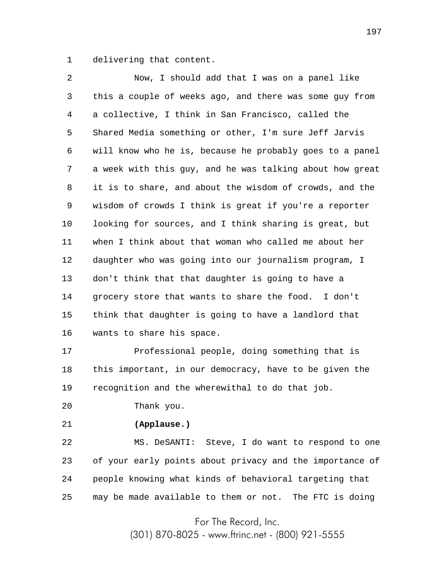1 delivering that content.

2 3 4 5 6 7 8 9 10 11 12 13 14 15 16 Now, I should add that I was on a panel like this a couple of weeks ago, and there was some guy from a collective, I think in San Francisco, called the Shared Media something or other, I'm sure Jeff Jarvis will know who he is, because he probably goes to a panel a week with this guy, and he was talking about how great it is to share, and about the wisdom of crowds, and the wisdom of crowds I think is great if you're a reporter looking for sources, and I think sharing is great, but when I think about that woman who called me about her daughter who was going into our journalism program, I don't think that that daughter is going to have a grocery store that wants to share the food. I don't think that daughter is going to have a landlord that wants to share his space.

17 18 19 Professional people, doing something that is this important, in our democracy, have to be given the recognition and the wherewithal to do that job.

20 Thank you.

21

## **(Applause.)**

22 23 24 25 MS. DeSANTI: Steve, I do want to respond to one of your early points about privacy and the importance of people knowing what kinds of behavioral targeting that may be made available to them or not. The FTC is doing

For The Record, Inc.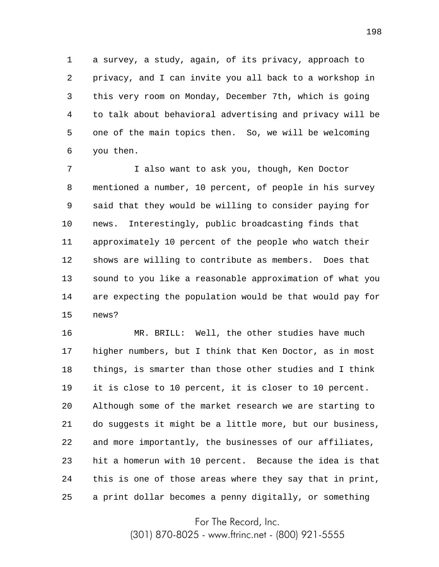1 2 3 4 5 6 a survey, a study, again, of its privacy, approach to privacy, and I can invite you all back to a workshop in this very room on Monday, December 7th, which is going to talk about behavioral advertising and privacy will be one of the main topics then. So, we will be welcoming you then.

7 8 9 10 11 12 13 14 15 I also want to ask you, though, Ken Doctor mentioned a number, 10 percent, of people in his survey said that they would be willing to consider paying for news. Interestingly, public broadcasting finds that approximately 10 percent of the people who watch their shows are willing to contribute as members. Does that sound to you like a reasonable approximation of what you are expecting the population would be that would pay for news?

16 17 18 19 20 21 22 23 24 25 MR. BRILL: Well, the other studies have much higher numbers, but I think that Ken Doctor, as in most things, is smarter than those other studies and I think it is close to 10 percent, it is closer to 10 percent. Although some of the market research we are starting to do suggests it might be a little more, but our business, and more importantly, the businesses of our affiliates, hit a homerun with 10 percent. Because the idea is that this is one of those areas where they say that in print, a print dollar becomes a penny digitally, or something

For The Record, Inc.

(301) 870-8025 - www.ftrinc.net - (800) 921-5555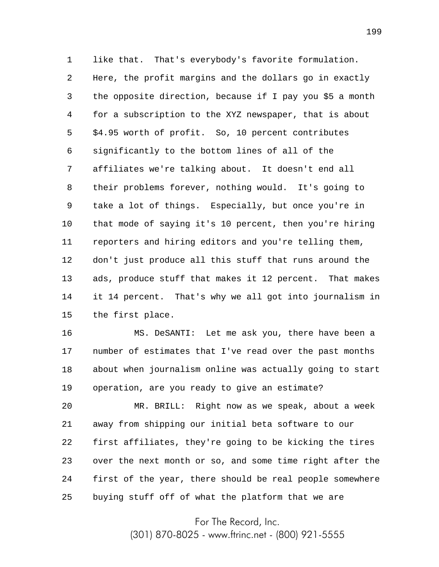1 2 3 4 5 6 7 8 9 10 11 12 13 14 15 like that. That's everybody's favorite formulation. Here, the profit margins and the dollars go in exactly the opposite direction, because if I pay you \$5 a month for a subscription to the XYZ newspaper, that is about \$4.95 worth of profit. So, 10 percent contributes significantly to the bottom lines of all of the affiliates we're talking about. It doesn't end all their problems forever, nothing would. It's going to take a lot of things. Especially, but once you're in that mode of saying it's 10 percent, then you're hiring reporters and hiring editors and you're telling them, don't just produce all this stuff that runs around the ads, produce stuff that makes it 12 percent. That makes it 14 percent. That's why we all got into journalism in the first place.

16 17 18 19 MS. DeSANTI: Let me ask you, there have been a number of estimates that I've read over the past months about when journalism online was actually going to start operation, are you ready to give an estimate?

20 21 22 23 24 25 MR. BRILL: Right now as we speak, about a week away from shipping our initial beta software to our first affiliates, they're going to be kicking the tires over the next month or so, and some time right after the first of the year, there should be real people somewhere buying stuff off of what the platform that we are

For The Record, Inc.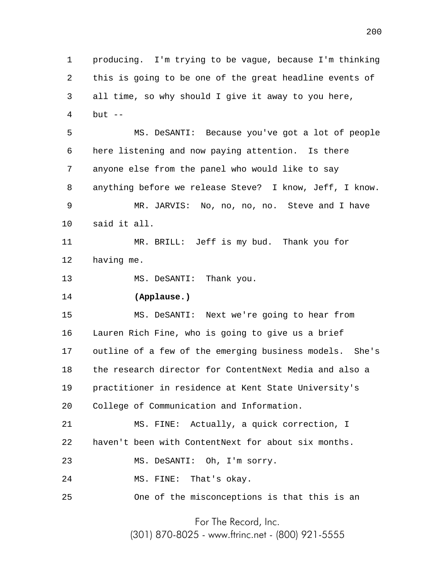1 2 3 4 5 6 7 8 9 10 11 12 13 14 15 16 17 18 19 20 21 22 23 24 25 producing. I'm trying to be vague, because I'm thinking this is going to be one of the great headline events of all time, so why should I give it away to you here, but  $-$ MS. DeSANTI: Because you've got a lot of people here listening and now paying attention. Is there anyone else from the panel who would like to say anything before we release Steve? I know, Jeff, I know. MR. JARVIS: No, no, no, no. Steve and I have said it all. MR. BRILL: Jeff is my bud. Thank you for having me. MS. DeSANTI: Thank you. **(Applause.)** MS. DeSANTI: Next we're going to hear from Lauren Rich Fine, who is going to give us a brief outline of a few of the emerging business models. She's the research director for ContentNext Media and also a practitioner in residence at Kent State University's College of Communication and Information. MS. FINE: Actually, a quick correction, I haven't been with ContentNext for about six months. MS. DeSANTI: Oh, I'm sorry. MS. FINE: That's okay. One of the misconceptions is that this is an

For The Record, Inc.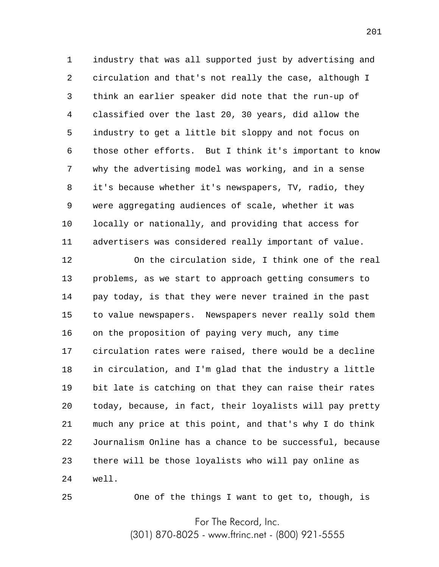1 2 3 4 5 6 7 8 9 10 11 industry that was all supported just by advertising and circulation and that's not really the case, although I think an earlier speaker did note that the run-up of classified over the last 20, 30 years, did allow the industry to get a little bit sloppy and not focus on those other efforts. But I think it's important to know why the advertising model was working, and in a sense it's because whether it's newspapers, TV, radio, they were aggregating audiences of scale, whether it was locally or nationally, and providing that access for advertisers was considered really important of value.

12 13 14 15 16 17 18 19 20 21 22 23 24 On the circulation side, I think one of the real problems, as we start to approach getting consumers to pay today, is that they were never trained in the past to value newspapers. Newspapers never really sold them on the proposition of paying very much, any time circulation rates were raised, there would be a decline in circulation, and I'm glad that the industry a little bit late is catching on that they can raise their rates today, because, in fact, their loyalists will pay pretty much any price at this point, and that's why I do think Journalism Online has a chance to be successful, because there will be those loyalists who will pay online as well.

25

One of the things I want to get to, though, is

For The Record, Inc.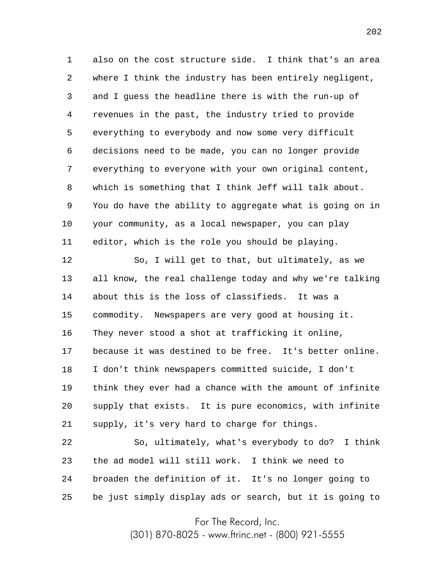1 2 3 4 5 6 7 8 9 10 11 also on the cost structure side. I think that's an area where I think the industry has been entirely negligent, and I guess the headline there is with the run-up of revenues in the past, the industry tried to provide everything to everybody and now some very difficult decisions need to be made, you can no longer provide everything to everyone with your own original content, which is something that I think Jeff will talk about. You do have the ability to aggregate what is going on in your community, as a local newspaper, you can play editor, which is the role you should be playing.

12 13 14 15 16 17 18 19 20 21 So, I will get to that, but ultimately, as we all know, the real challenge today and why we're talking about this is the loss of classifieds. It was a commodity. Newspapers are very good at housing it. They never stood a shot at trafficking it online, because it was destined to be free. It's better online. I don't think newspapers committed suicide, I don't think they ever had a chance with the amount of infinite supply that exists. It is pure economics, with infinite supply, it's very hard to charge for things.

22 23 24 25 So, ultimately, what's everybody to do? I think the ad model will still work. I think we need to broaden the definition of it. It's no longer going to be just simply display ads or search, but it is going to

For The Record, Inc.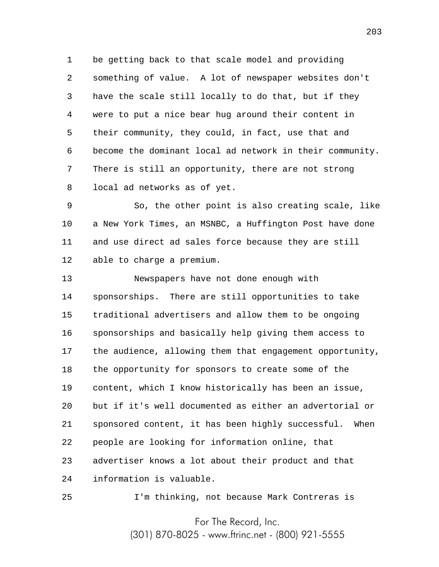1 2 3 4 5 6 7 8 be getting back to that scale model and providing something of value. A lot of newspaper websites don't have the scale still locally to do that, but if they were to put a nice bear hug around their content in their community, they could, in fact, use that and become the dominant local ad network in their community. There is still an opportunity, there are not strong local ad networks as of yet.

9 10 11 12 So, the other point is also creating scale, like a New York Times, an MSNBC, a Huffington Post have done and use direct ad sales force because they are still able to charge a premium.

13 14 15 16 17 18 19 20 21 22 23 24 Newspapers have not done enough with sponsorships. There are still opportunities to take traditional advertisers and allow them to be ongoing sponsorships and basically help giving them access to the audience, allowing them that engagement opportunity, the opportunity for sponsors to create some of the content, which I know historically has been an issue, but if it's well documented as either an advertorial or sponsored content, it has been highly successful. When people are looking for information online, that advertiser knows a lot about their product and that information is valuable.

25

I'm thinking, not because Mark Contreras is

For The Record, Inc.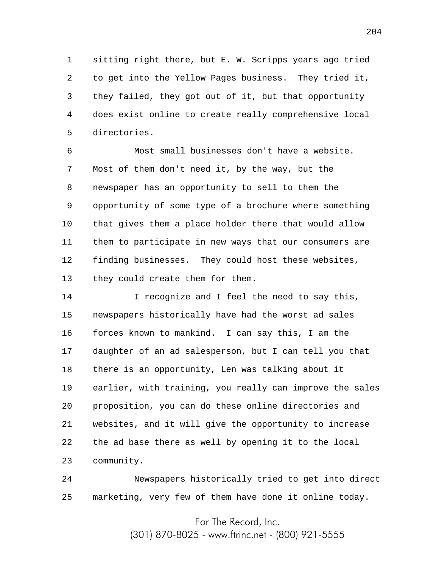1 2 3 4 5 sitting right there, but E. W. Scripps years ago tried to get into the Yellow Pages business. They tried it, they failed, they got out of it, but that opportunity does exist online to create really comprehensive local directories.

6 7 8 9 10 11 12 13 Most small businesses don't have a website. Most of them don't need it, by the way, but the newspaper has an opportunity to sell to them the opportunity of some type of a brochure where something that gives them a place holder there that would allow them to participate in new ways that our consumers are finding businesses. They could host these websites, they could create them for them.

14 15 16 17 18 19 20 21 22 23 I recognize and I feel the need to say this, newspapers historically have had the worst ad sales forces known to mankind. I can say this, I am the daughter of an ad salesperson, but I can tell you that there is an opportunity, Len was talking about it earlier, with training, you really can improve the sales proposition, you can do these online directories and websites, and it will give the opportunity to increase the ad base there as well by opening it to the local community.

24 25 Newspapers historically tried to get into direct marketing, very few of them have done it online today.

For The Record, Inc.

(301) 870-8025 - www.ftrinc.net - (800) 921-5555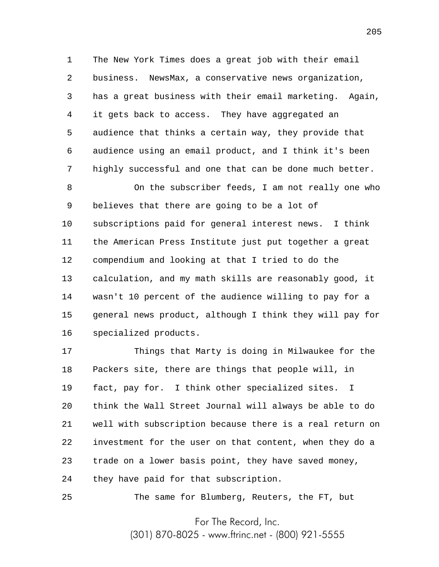1 2 3 4 5 6 7 The New York Times does a great job with their email business. NewsMax, a conservative news organization, has a great business with their email marketing. Again, it gets back to access. They have aggregated an audience that thinks a certain way, they provide that audience using an email product, and I think it's been highly successful and one that can be done much better.

8 9 10 11 12 13 14 15 16 On the subscriber feeds, I am not really one who believes that there are going to be a lot of subscriptions paid for general interest news. I think the American Press Institute just put together a great compendium and looking at that I tried to do the calculation, and my math skills are reasonably good, it wasn't 10 percent of the audience willing to pay for a general news product, although I think they will pay for specialized products.

17 18 19 20 21 22 23 24 Things that Marty is doing in Milwaukee for the Packers site, there are things that people will, in fact, pay for. I think other specialized sites. I think the Wall Street Journal will always be able to do well with subscription because there is a real return on investment for the user on that content, when they do a trade on a lower basis point, they have saved money, they have paid for that subscription.

The same for Blumberg, Reuters, the FT, but

25

For The Record, Inc.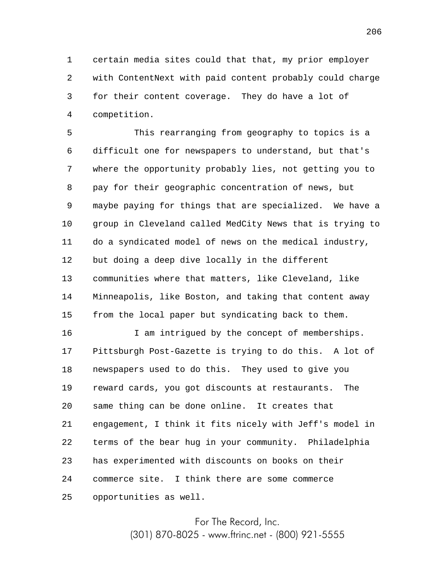1 2 3 4 certain media sites could that that, my prior employer with ContentNext with paid content probably could charge for their content coverage. They do have a lot of competition.

5 6 7 8 9 10 11 12 13 14 15 This rearranging from geography to topics is a difficult one for newspapers to understand, but that's where the opportunity probably lies, not getting you to pay for their geographic concentration of news, but maybe paying for things that are specialized. We have a group in Cleveland called MedCity News that is trying to do a syndicated model of news on the medical industry, but doing a deep dive locally in the different communities where that matters, like Cleveland, like Minneapolis, like Boston, and taking that content away from the local paper but syndicating back to them.

16 17 18 19 20 21 22 23 24 25 I am intrigued by the concept of memberships. Pittsburgh Post-Gazette is trying to do this. A lot of newspapers used to do this. They used to give you reward cards, you got discounts at restaurants. The same thing can be done online. It creates that engagement, I think it fits nicely with Jeff's model in terms of the bear hug in your community. Philadelphia has experimented with discounts on books on their commerce site. I think there are some commerce opportunities as well.

> For The Record, Inc. (301) 870-8025 - www.ftrinc.net - (800) 921-5555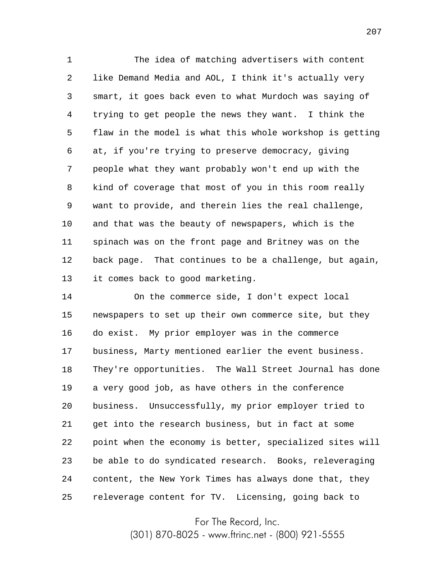1 2 3 4 5 6 7 8 9 10 11 12 13 The idea of matching advertisers with content like Demand Media and AOL, I think it's actually very smart, it goes back even to what Murdoch was saying of trying to get people the news they want. I think the flaw in the model is what this whole workshop is getting at, if you're trying to preserve democracy, giving people what they want probably won't end up with the kind of coverage that most of you in this room really want to provide, and therein lies the real challenge, and that was the beauty of newspapers, which is the spinach was on the front page and Britney was on the back page. That continues to be a challenge, but again, it comes back to good marketing.

14 15 16 17 18 19 20 21 22 23 24 25 On the commerce side, I don't expect local newspapers to set up their own commerce site, but they do exist. My prior employer was in the commerce business, Marty mentioned earlier the event business. They're opportunities. The Wall Street Journal has done a very good job, as have others in the conference business. Unsuccessfully, my prior employer tried to get into the research business, but in fact at some point when the economy is better, specialized sites will be able to do syndicated research. Books, releveraging content, the New York Times has always done that, they releverage content for TV. Licensing, going back to

For The Record, Inc.

(301) 870-8025 - www.ftrinc.net - (800) 921-5555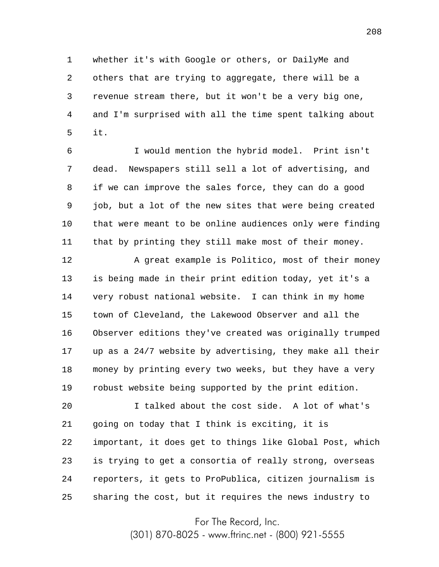1 2 3 4 5 whether it's with Google or others, or DailyMe and others that are trying to aggregate, there will be a revenue stream there, but it won't be a very big one, and I'm surprised with all the time spent talking about it.

6 7 8 9 10 11 I would mention the hybrid model. Print isn't dead. Newspapers still sell a lot of advertising, and if we can improve the sales force, they can do a good job, but a lot of the new sites that were being created that were meant to be online audiences only were finding that by printing they still make most of their money.

12 13 14 15 16 17 18 19 A great example is Politico, most of their money is being made in their print edition today, yet it's a very robust national website. I can think in my home town of Cleveland, the Lakewood Observer and all the Observer editions they've created was originally trumped up as a 24/7 website by advertising, they make all their money by printing every two weeks, but they have a very robust website being supported by the print edition.

20 21 22 23 24 25 I talked about the cost side. A lot of what's going on today that I think is exciting, it is important, it does get to things like Global Post, which is trying to get a consortia of really strong, overseas reporters, it gets to ProPublica, citizen journalism is sharing the cost, but it requires the news industry to

For The Record, Inc.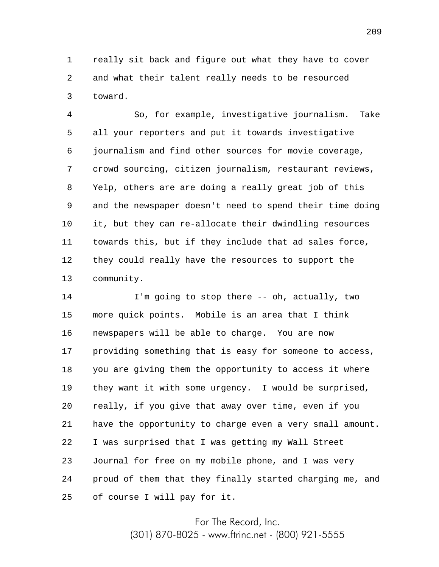1 2 3 really sit back and figure out what they have to cover and what their talent really needs to be resourced toward.

4 5 6 7 8 9 10 11 12 13 So, for example, investigative journalism. Take all your reporters and put it towards investigative journalism and find other sources for movie coverage, crowd sourcing, citizen journalism, restaurant reviews, Yelp, others are are doing a really great job of this and the newspaper doesn't need to spend their time doing it, but they can re-allocate their dwindling resources towards this, but if they include that ad sales force, they could really have the resources to support the community.

14 15 16 17 18 19 20 21 22 23 24 25 I'm going to stop there -- oh, actually, two more quick points. Mobile is an area that I think newspapers will be able to charge. You are now providing something that is easy for someone to access, you are giving them the opportunity to access it where they want it with some urgency. I would be surprised, really, if you give that away over time, even if you have the opportunity to charge even a very small amount. I was surprised that I was getting my Wall Street Journal for free on my mobile phone, and I was very proud of them that they finally started charging me, and of course I will pay for it.

For The Record, Inc.

(301) 870-8025 - www.ftrinc.net - (800) 921-5555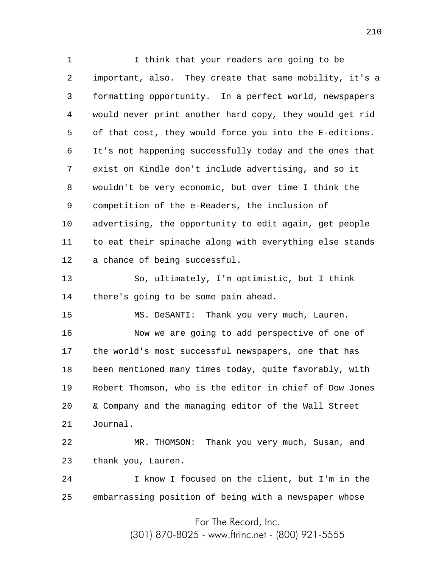1 2 3 4 5 6 7 8 9 10 11 12 13 14 I think that your readers are going to be important, also. They create that same mobility, it's a formatting opportunity. In a perfect world, newspapers would never print another hard copy, they would get rid of that cost, they would force you into the E-editions. It's not happening successfully today and the ones that exist on Kindle don't include advertising, and so it wouldn't be very economic, but over time I think the competition of the e-Readers, the inclusion of advertising, the opportunity to edit again, get people to eat their spinache along with everything else stands a chance of being successful. So, ultimately, I'm optimistic, but I think there's going to be some pain ahead.

15 16 17 18 19 20 21 MS. DeSANTI: Thank you very much, Lauren. Now we are going to add perspective of one of the world's most successful newspapers, one that has been mentioned many times today, quite favorably, with Robert Thomson, who is the editor in chief of Dow Jones & Company and the managing editor of the Wall Street Journal.

22 23 MR. THOMSON: Thank you very much, Susan, and thank you, Lauren.

24 25 I know I focused on the client, but I'm in the embarrassing position of being with a newspaper whose

For The Record, Inc.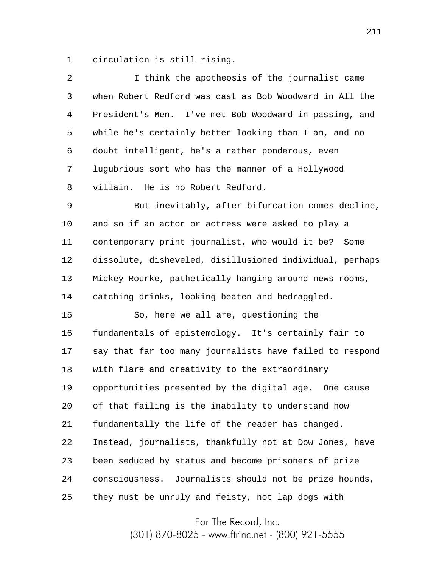1 circulation is still rising.

| 2       | I think the apotheosis of the journalist came             |
|---------|-----------------------------------------------------------|
| 3       | when Robert Redford was cast as Bob Woodward in All the   |
| 4       | President's Men. I've met Bob Woodward in passing, and    |
| 5       | while he's certainly better looking than I am, and no     |
| 6       | doubt intelligent, he's a rather ponderous, even          |
| 7       | lugubrious sort who has the manner of a Hollywood         |
| 8       | villain. He is no Robert Redford.                         |
| 9       | But inevitably, after bifurcation comes decline,          |
| $10 \,$ | and so if an actor or actress were asked to play a        |
| 11      | contemporary print journalist, who would it be? Some      |
| 12      | dissolute, disheveled, disillusioned individual, perhaps  |
| 13      | Mickey Rourke, pathetically hanging around news rooms,    |
| 14      | catching drinks, looking beaten and bedraggled.           |
| 15      | So, here we all are, questioning the                      |
| 16      | fundamentals of epistemology. It's certainly fair to      |
| 17      | say that far too many journalists have failed to respond  |
| 18      | with flare and creativity to the extraordinary            |
| 19      | opportunities presented by the digital age. One cause     |
| 20      | of that failing is the inability to understand how        |
| 21      | fundamentally the life of the reader has changed.         |
| 22      | Instead, journalists, thankfully not at Dow Jones, have   |
| 23      | been seduced by status and become prisoners of prize      |
| 24      | Journalists should not be prize hounds,<br>consciousness. |
| 25      | they must be unruly and feisty, not lap dogs with         |

For The Record, Inc.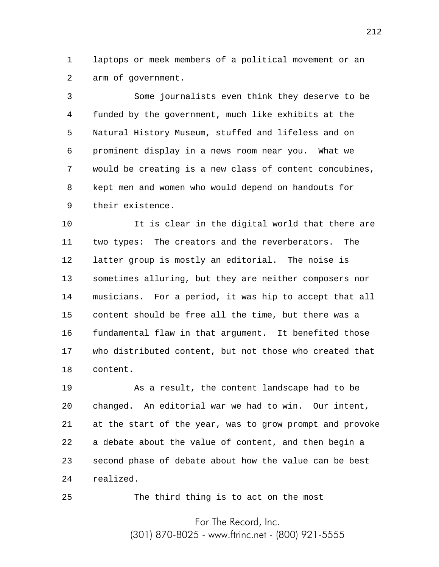1 2 laptops or meek members of a political movement or an arm of government.

3 4 5 6 7 8 9 Some journalists even think they deserve to be funded by the government, much like exhibits at the Natural History Museum, stuffed and lifeless and on prominent display in a news room near you. What we would be creating is a new class of content concubines, kept men and women who would depend on handouts for their existence.

10 11 12 13 14 15 16 17 18 It is clear in the digital world that there are two types: The creators and the reverberators. The latter group is mostly an editorial. The noise is sometimes alluring, but they are neither composers nor musicians. For a period, it was hip to accept that all content should be free all the time, but there was a fundamental flaw in that argument. It benefited those who distributed content, but not those who created that content.

19 20 21 22 23 24 As a result, the content landscape had to be changed. An editorial war we had to win. Our intent, at the start of the year, was to grow prompt and provoke a debate about the value of content, and then begin a second phase of debate about how the value can be best realized.

The third thing is to act on the most

25

For The Record, Inc. (301) 870-8025 - www.ftrinc.net - (800) 921-5555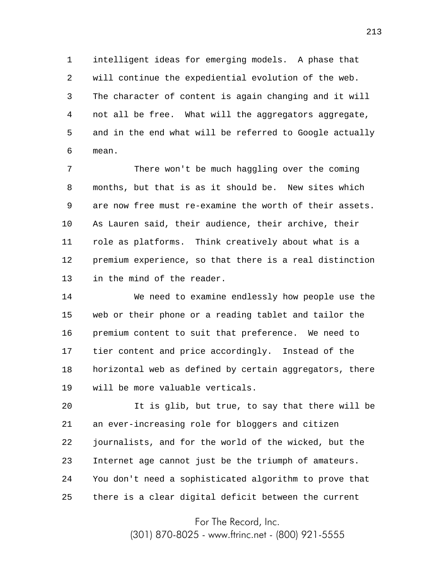1 2 3 4 5 6 intelligent ideas for emerging models. A phase that will continue the expediential evolution of the web. The character of content is again changing and it will not all be free. What will the aggregators aggregate, and in the end what will be referred to Google actually mean.

7 8 9 10 11 12 13 There won't be much haggling over the coming months, but that is as it should be. New sites which are now free must re-examine the worth of their assets. As Lauren said, their audience, their archive, their role as platforms. Think creatively about what is a premium experience, so that there is a real distinction in the mind of the reader.

14 15 16 17 18 19 We need to examine endlessly how people use the web or their phone or a reading tablet and tailor the premium content to suit that preference. We need to tier content and price accordingly. Instead of the horizontal web as defined by certain aggregators, there will be more valuable verticals.

20 21 22 23 24 25 It is glib, but true, to say that there will be an ever-increasing role for bloggers and citizen journalists, and for the world of the wicked, but the Internet age cannot just be the triumph of amateurs. You don't need a sophisticated algorithm to prove that there is a clear digital deficit between the current

For The Record, Inc.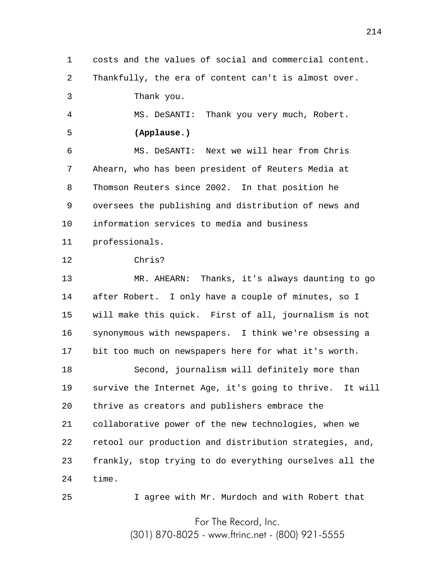1 2 3 4 5 6 7 8 9 10 11 12 13 14 15 16 17 18 19 20 21 22 23 24 25 For The Record, Inc. costs and the values of social and commercial content. Thankfully, the era of content can't is almost over. Thank you. MS. DeSANTI: Thank you very much, Robert. **(Applause.)** MS. DeSANTI: Next we will hear from Chris Ahearn, who has been president of Reuters Media at Thomson Reuters since 2002. In that position he oversees the publishing and distribution of news and information services to media and business professionals. Chris? MR. AHEARN: Thanks, it's always daunting to go after Robert. I only have a couple of minutes, so I will make this quick. First of all, journalism is not synonymous with newspapers. I think we're obsessing a bit too much on newspapers here for what it's worth. Second, journalism will definitely more than survive the Internet Age, it's going to thrive. It will thrive as creators and publishers embrace the collaborative power of the new technologies, when we retool our production and distribution strategies, and, frankly, stop trying to do everything ourselves all the time. I agree with Mr. Murdoch and with Robert that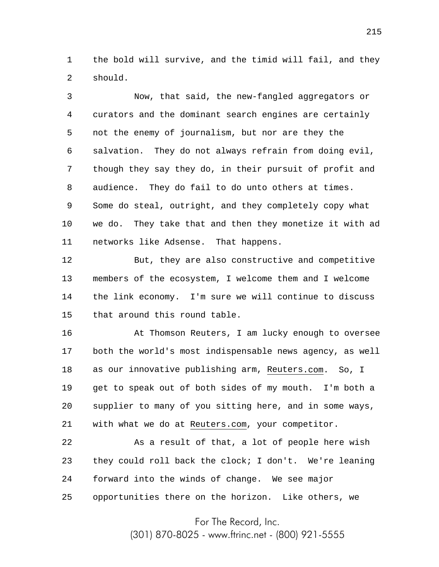1 2 the bold will survive, and the timid will fail, and they should.

3 4 5 6 7 8 9 10 11 Now, that said, the new-fangled aggregators or curators and the dominant search engines are certainly not the enemy of journalism, but nor are they the salvation. They do not always refrain from doing evil, though they say they do, in their pursuit of profit and audience. They do fail to do unto others at times. Some do steal, outright, and they completely copy what we do. They take that and then they monetize it with ad networks like Adsense. That happens.

12 13 14 15 But, they are also constructive and competitive members of the ecosystem, I welcome them and I welcome the link economy. I'm sure we will continue to discuss that around this round table.

16 17 18 19 20 21 At Thomson Reuters, I am lucky enough to oversee both the world's most indispensable news agency, as well as our innovative publishing arm, Reuters.com. So, I get to speak out of both sides of my mouth. I'm both a supplier to many of you sitting here, and in some ways, with what we do at Reuters.com, your competitor.

22 23 24 25 As a result of that, a lot of people here wish they could roll back the clock; I don't. We're leaning forward into the winds of change. We see major opportunities there on the horizon. Like others, we

For The Record, Inc.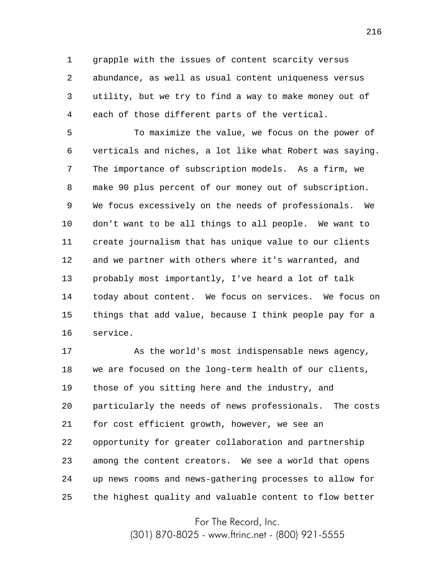1 2 3 4 grapple with the issues of content scarcity versus abundance, as well as usual content uniqueness versus utility, but we try to find a way to make money out of each of those different parts of the vertical.

5 6 7 8 9 10 11 12 13 14 15 16 To maximize the value, we focus on the power of verticals and niches, a lot like what Robert was saying. The importance of subscription models. As a firm, we make 90 plus percent of our money out of subscription. We focus excessively on the needs of professionals. We don't want to be all things to all people. We want to create journalism that has unique value to our clients and we partner with others where it's warranted, and probably most importantly, I've heard a lot of talk today about content. We focus on services. We focus on things that add value, because I think people pay for a service.

17 18 19 20 21 22 23 24 25 As the world's most indispensable news agency, we are focused on the long-term health of our clients, those of you sitting here and the industry, and particularly the needs of news professionals. The costs for cost efficient growth, however, we see an opportunity for greater collaboration and partnership among the content creators. We see a world that opens up news rooms and news-gathering processes to allow for the highest quality and valuable content to flow better

For The Record, Inc.

(301) 870-8025 - www.ftrinc.net - (800) 921-5555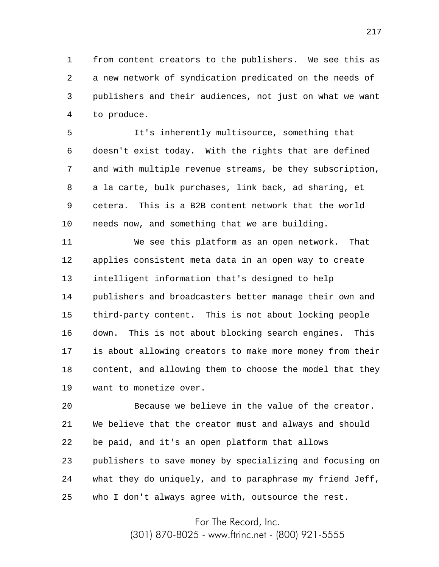1 2 3 4 from content creators to the publishers. We see this as a new network of syndication predicated on the needs of publishers and their audiences, not just on what we want to produce.

5 6 7 8 9 10 It's inherently multisource, something that doesn't exist today. With the rights that are defined and with multiple revenue streams, be they subscription, a la carte, bulk purchases, link back, ad sharing, et cetera. This is a B2B content network that the world needs now, and something that we are building.

11 12 13 14 15 16 17 18 19 We see this platform as an open network. That applies consistent meta data in an open way to create intelligent information that's designed to help publishers and broadcasters better manage their own and third-party content. This is not about locking people down. This is not about blocking search engines. This is about allowing creators to make more money from their content, and allowing them to choose the model that they want to monetize over.

20 21 22 23 24 25 Because we believe in the value of the creator. We believe that the creator must and always and should be paid, and it's an open platform that allows publishers to save money by specializing and focusing on what they do uniquely, and to paraphrase my friend Jeff, who I don't always agree with, outsource the rest.

For The Record, Inc.

(301) 870-8025 - www.ftrinc.net - (800) 921-5555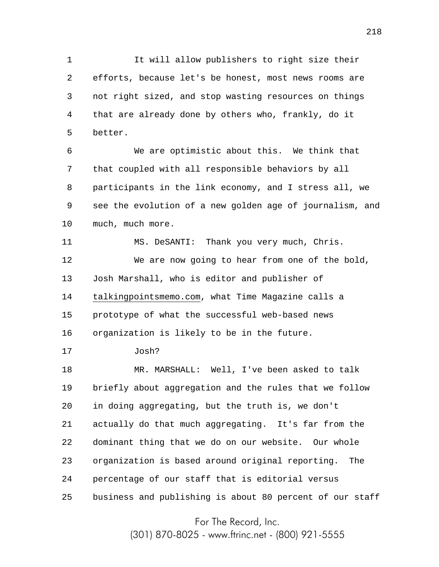1 2 3 4 5 It will allow publishers to right size their efforts, because let's be honest, most news rooms are not right sized, and stop wasting resources on things that are already done by others who, frankly, do it better.

6 7 8 9 10 We are optimistic about this. We think that that coupled with all responsible behaviors by all participants in the link economy, and I stress all, we see the evolution of a new golden age of journalism, and much, much more.

11 12 13 14 15 16 MS. DeSANTI: Thank you very much, Chris. We are now going to hear from one of the bold, Josh Marshall, who is editor and publisher of talkingpointsmemo.com, what Time Magazine calls a prototype of what the successful web-based news organization is likely to be in the future.

17 Josh?

18 19 20 21 22 23 24 25 MR. MARSHALL: Well, I've been asked to talk briefly about aggregation and the rules that we follow in doing aggregating, but the truth is, we don't actually do that much aggregating. It's far from the dominant thing that we do on our website. Our whole organization is based around original reporting. The percentage of our staff that is editorial versus business and publishing is about 80 percent of our staff

For The Record, Inc.

(301) 870-8025 - www.ftrinc.net - (800) 921-5555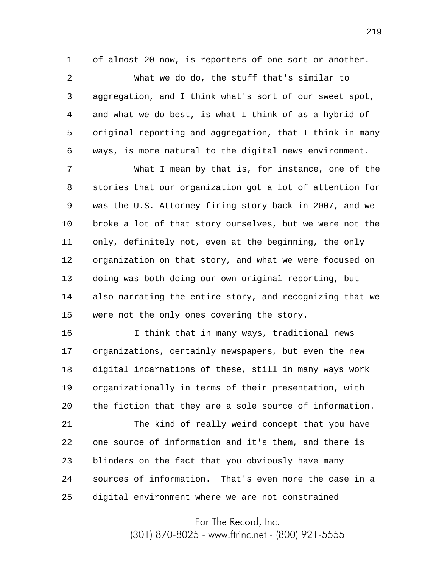1 of almost 20 now, is reporters of one sort or another.

2 3 4 5 6 What we do do, the stuff that's similar to aggregation, and I think what's sort of our sweet spot, and what we do best, is what I think of as a hybrid of original reporting and aggregation, that I think in many ways, is more natural to the digital news environment.

7 8 9 10 11 12 13 14 15 What I mean by that is, for instance, one of the stories that our organization got a lot of attention for was the U.S. Attorney firing story back in 2007, and we broke a lot of that story ourselves, but we were not the only, definitely not, even at the beginning, the only organization on that story, and what we were focused on doing was both doing our own original reporting, but also narrating the entire story, and recognizing that we were not the only ones covering the story.

16 17 18 19 20 21 22 23 24 25 I think that in many ways, traditional news organizations, certainly newspapers, but even the new digital incarnations of these, still in many ways work organizationally in terms of their presentation, with the fiction that they are a sole source of information. The kind of really weird concept that you have one source of information and it's them, and there is blinders on the fact that you obviously have many sources of information. That's even more the case in a digital environment where we are not constrained

For The Record, Inc.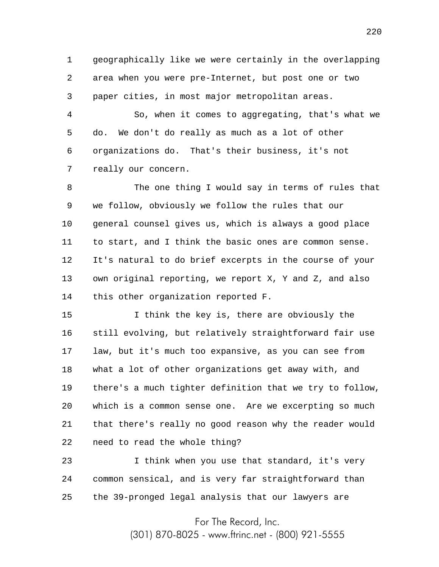1 2 3 geographically like we were certainly in the overlapping area when you were pre-Internet, but post one or two paper cities, in most major metropolitan areas.

4 5 6 7 So, when it comes to aggregating, that's what we do. We don't do really as much as a lot of other organizations do. That's their business, it's not really our concern.

8 9 10 11 12 13 14 The one thing I would say in terms of rules that we follow, obviously we follow the rules that our general counsel gives us, which is always a good place to start, and I think the basic ones are common sense. It's natural to do brief excerpts in the course of your own original reporting, we report X, Y and Z, and also this other organization reported F.

15 16 17 18 19 20 21 22 I think the key is, there are obviously the still evolving, but relatively straightforward fair use law, but it's much too expansive, as you can see from what a lot of other organizations get away with, and there's a much tighter definition that we try to follow, which is a common sense one. Are we excerpting so much that there's really no good reason why the reader would need to read the whole thing?

23 24 25 I think when you use that standard, it's very common sensical, and is very far straightforward than the 39-pronged legal analysis that our lawyers are

For The Record, Inc.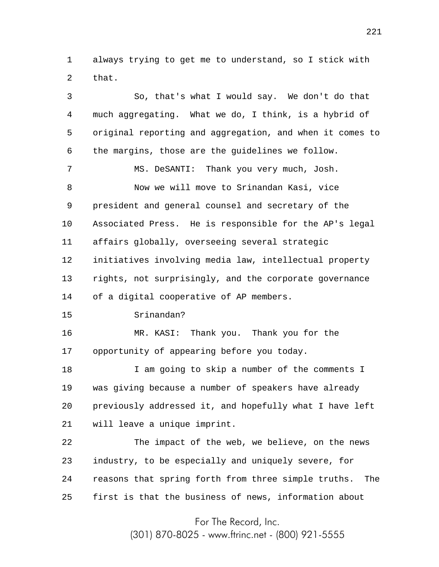1 2 always trying to get me to understand, so I stick with that.

3 4 5 6 7 8 9 10 11 12 13 14 15 16 17 18 19 20 21 22 23 24 25 So, that's what I would say. We don't do that much aggregating. What we do, I think, is a hybrid of original reporting and aggregation, and when it comes to the margins, those are the guidelines we follow. MS. DeSANTI: Thank you very much, Josh. Now we will move to Srinandan Kasi, vice president and general counsel and secretary of the Associated Press. He is responsible for the AP's legal affairs globally, overseeing several strategic initiatives involving media law, intellectual property rights, not surprisingly, and the corporate governance of a digital cooperative of AP members. Srinandan? MR. KASI: Thank you. Thank you for the opportunity of appearing before you today. I am going to skip a number of the comments I was giving because a number of speakers have already previously addressed it, and hopefully what I have left will leave a unique imprint. The impact of the web, we believe, on the news industry, to be especially and uniquely severe, for reasons that spring forth from three simple truths. The first is that the business of news, information about

For The Record, Inc.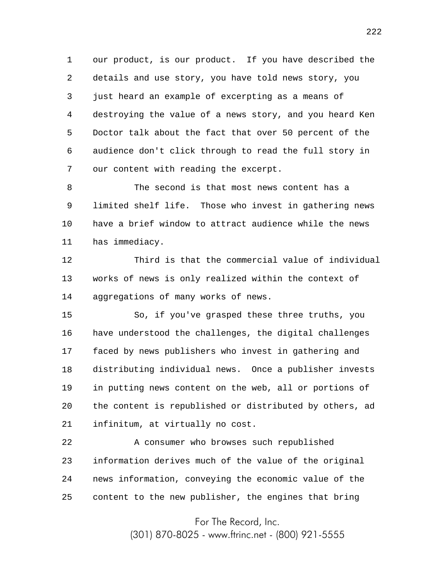1 2 3 4 5 6 7 our product, is our product. If you have described the details and use story, you have told news story, you just heard an example of excerpting as a means of destroying the value of a news story, and you heard Ken Doctor talk about the fact that over 50 percent of the audience don't click through to read the full story in our content with reading the excerpt.

8 9 10 11 The second is that most news content has a limited shelf life. Those who invest in gathering news have a brief window to attract audience while the news has immediacy.

12 13 14 Third is that the commercial value of individual works of news is only realized within the context of aggregations of many works of news.

15 16 17 18 19 20 21 So, if you've grasped these three truths, you have understood the challenges, the digital challenges faced by news publishers who invest in gathering and distributing individual news. Once a publisher invests in putting news content on the web, all or portions of the content is republished or distributed by others, ad infinitum, at virtually no cost.

22 23 24 25 A consumer who browses such republished information derives much of the value of the original news information, conveying the economic value of the content to the new publisher, the engines that bring

For The Record, Inc.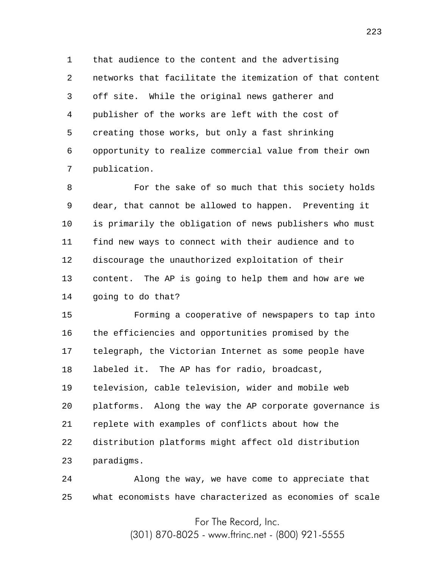1 2 3 4 5 6 7 that audience to the content and the advertising networks that facilitate the itemization of that content off site. While the original news gatherer and publisher of the works are left with the cost of creating those works, but only a fast shrinking opportunity to realize commercial value from their own publication.

8 9 10 11 12 13 14 For the sake of so much that this society holds dear, that cannot be allowed to happen. Preventing it is primarily the obligation of news publishers who must find new ways to connect with their audience and to discourage the unauthorized exploitation of their content. The AP is going to help them and how are we going to do that?

15 16 17 18 19 20 21 22 23 Forming a cooperative of newspapers to tap into the efficiencies and opportunities promised by the telegraph, the Victorian Internet as some people have labeled it. The AP has for radio, broadcast, television, cable television, wider and mobile web platforms. Along the way the AP corporate governance is replete with examples of conflicts about how the distribution platforms might affect old distribution paradigms.

24 25 Along the way, we have come to appreciate that what economists have characterized as economies of scale

> For The Record, Inc. (301) 870-8025 - www.ftrinc.net - (800) 921-5555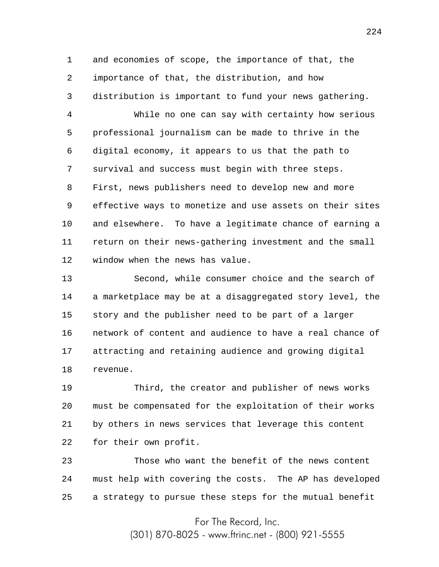1 2 3 and economies of scope, the importance of that, the importance of that, the distribution, and how distribution is important to fund your news gathering.

4 5 6 7 8 9 10 11 12 While no one can say with certainty how serious professional journalism can be made to thrive in the digital economy, it appears to us that the path to survival and success must begin with three steps. First, news publishers need to develop new and more effective ways to monetize and use assets on their sites and elsewhere. To have a legitimate chance of earning a return on their news-gathering investment and the small window when the news has value.

13 14 15 16 17 18 Second, while consumer choice and the search of a marketplace may be at a disaggregated story level, the story and the publisher need to be part of a larger network of content and audience to have a real chance of attracting and retaining audience and growing digital revenue.

19 20 21 22 Third, the creator and publisher of news works must be compensated for the exploitation of their works by others in news services that leverage this content for their own profit.

23 24 25 Those who want the benefit of the news content must help with covering the costs. The AP has developed a strategy to pursue these steps for the mutual benefit

For The Record, Inc.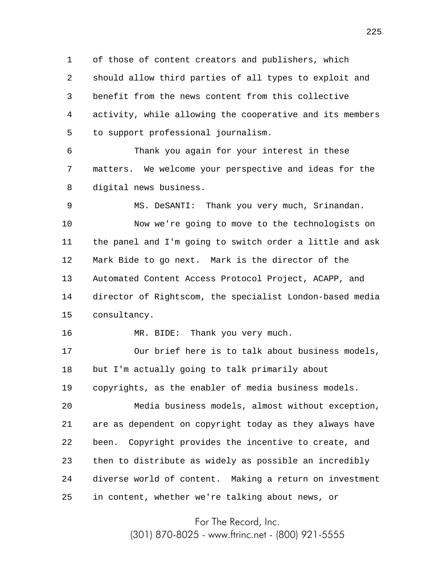1 2 3 4 5 of those of content creators and publishers, which should allow third parties of all types to exploit and benefit from the news content from this collective activity, while allowing the cooperative and its members to support professional journalism.

6 7 8 Thank you again for your interest in these matters. We welcome your perspective and ideas for the digital news business.

9 10 11 12 13 14 15 MS. DeSANTI: Thank you very much, Srinandan. Now we're going to move to the technologists on the panel and I'm going to switch order a little and ask Mark Bide to go next. Mark is the director of the Automated Content Access Protocol Project, ACAPP, and director of Rightscom, the specialist London-based media consultancy.

MR. BIDE: Thank you very much.

16

17 18 Our brief here is to talk about business models, but I'm actually going to talk primarily about

19 copyrights, as the enabler of media business models.

20 21 22 23 24 25 Media business models, almost without exception, are as dependent on copyright today as they always have been. Copyright provides the incentive to create, and then to distribute as widely as possible an incredibly diverse world of content. Making a return on investment in content, whether we're talking about news, or

For The Record, Inc.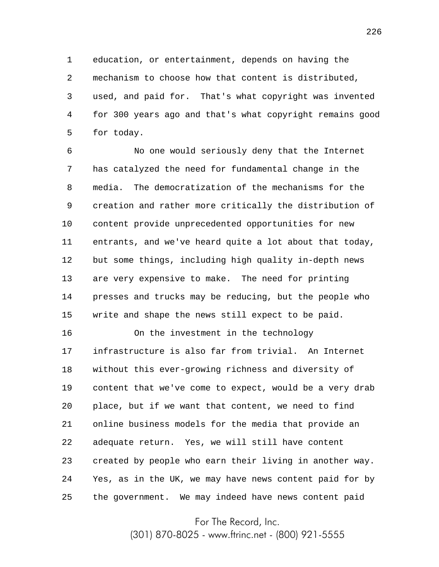1 2 3 4 5 education, or entertainment, depends on having the mechanism to choose how that content is distributed, used, and paid for. That's what copyright was invented for 300 years ago and that's what copyright remains good for today.

6 7 8 9 10 11 12 13 14 15 No one would seriously deny that the Internet has catalyzed the need for fundamental change in the media. The democratization of the mechanisms for the creation and rather more critically the distribution of content provide unprecedented opportunities for new entrants, and we've heard quite a lot about that today, but some things, including high quality in-depth news are very expensive to make. The need for printing presses and trucks may be reducing, but the people who write and shape the news still expect to be paid.

16 17 18 19 20 21 22 23 24 25 On the investment in the technology infrastructure is also far from trivial. An Internet without this ever-growing richness and diversity of content that we've come to expect, would be a very drab place, but if we want that content, we need to find online business models for the media that provide an adequate return. Yes, we will still have content created by people who earn their living in another way. Yes, as in the UK, we may have news content paid for by the government. We may indeed have news content paid

For The Record, Inc.

(301) 870-8025 - www.ftrinc.net - (800) 921-5555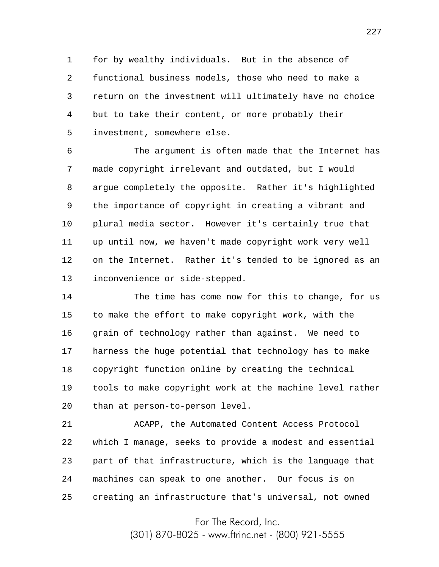1 2 3 4 5 for by wealthy individuals. But in the absence of functional business models, those who need to make a return on the investment will ultimately have no choice but to take their content, or more probably their investment, somewhere else.

6 7 8 9 10 11 12 13 The argument is often made that the Internet has made copyright irrelevant and outdated, but I would argue completely the opposite. Rather it's highlighted the importance of copyright in creating a vibrant and plural media sector. However it's certainly true that up until now, we haven't made copyright work very well on the Internet. Rather it's tended to be ignored as an inconvenience or side-stepped.

14 15 16 17 18 19 20 The time has come now for this to change, for us to make the effort to make copyright work, with the grain of technology rather than against. We need to harness the huge potential that technology has to make copyright function online by creating the technical tools to make copyright work at the machine level rather than at person-to-person level.

21 22 23 24 25 ACAPP, the Automated Content Access Protocol which I manage, seeks to provide a modest and essential part of that infrastructure, which is the language that machines can speak to one another. Our focus is on creating an infrastructure that's universal, not owned

For The Record, Inc.

(301) 870-8025 - www.ftrinc.net - (800) 921-5555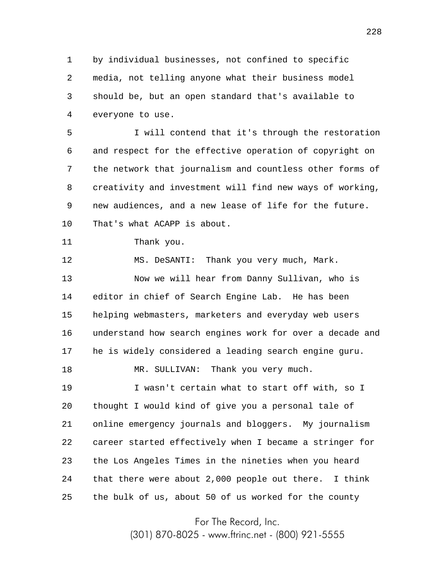1 2 3 4 by individual businesses, not confined to specific media, not telling anyone what their business model should be, but an open standard that's available to everyone to use.

5 6 7 8 9 10 I will contend that it's through the restoration and respect for the effective operation of copyright on the network that journalism and countless other forms of creativity and investment will find new ways of working, new audiences, and a new lease of life for the future. That's what ACAPP is about.

```
11
    Thank you.
```
12 13 14 15 16 17 18 19 20 21 22 23 MS. DeSANTI: Thank you very much, Mark. Now we will hear from Danny Sullivan, who is editor in chief of Search Engine Lab. He has been helping webmasters, marketers and everyday web users understand how search engines work for over a decade and he is widely considered a leading search engine guru. MR. SULLIVAN: Thank you very much. I wasn't certain what to start off with, so I thought I would kind of give you a personal tale of online emergency journals and bloggers. My journalism career started effectively when I became a stringer for the Los Angeles Times in the nineties when you heard

24 25 that there were about 2,000 people out there. I think the bulk of us, about 50 of us worked for the county

For The Record, Inc.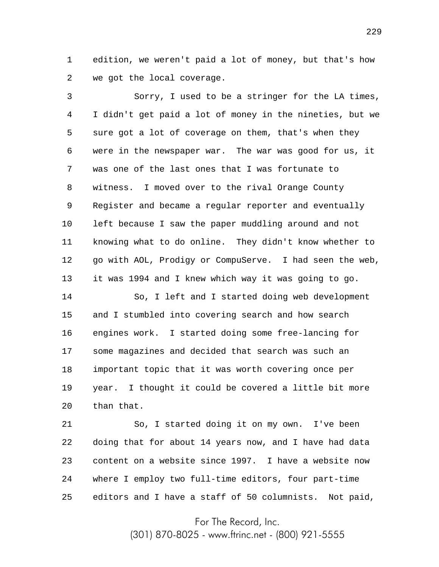1 2 edition, we weren't paid a lot of money, but that's how we got the local coverage.

3 4 5 6 7 8 9 10 11 12 13 Sorry, I used to be a stringer for the LA times, I didn't get paid a lot of money in the nineties, but we sure got a lot of coverage on them, that's when they were in the newspaper war. The war was good for us, it was one of the last ones that I was fortunate to witness. I moved over to the rival Orange County Register and became a regular reporter and eventually left because I saw the paper muddling around and not knowing what to do online. They didn't know whether to go with AOL, Prodigy or CompuServe. I had seen the web, it was 1994 and I knew which way it was going to go.

14 15 16 17 18 19 20 So, I left and I started doing web development and I stumbled into covering search and how search engines work. I started doing some free-lancing for some magazines and decided that search was such an important topic that it was worth covering once per year. I thought it could be covered a little bit more than that.

21 22 23 24 25 So, I started doing it on my own. I've been doing that for about 14 years now, and I have had data content on a website since 1997. I have a website now where I employ two full-time editors, four part-time editors and I have a staff of 50 columnists. Not paid,

For The Record, Inc.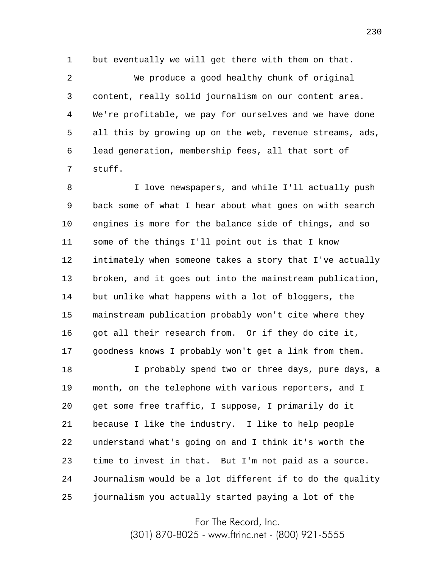1 but eventually we will get there with them on that.

2 3 4 5 6 7 We produce a good healthy chunk of original content, really solid journalism on our content area. We're profitable, we pay for ourselves and we have done all this by growing up on the web, revenue streams, ads, lead generation, membership fees, all that sort of stuff.

8 9 10 11 12 13 14 15 16 17 I love newspapers, and while I'll actually push back some of what I hear about what goes on with search engines is more for the balance side of things, and so some of the things I'll point out is that I know intimately when someone takes a story that I've actually broken, and it goes out into the mainstream publication, but unlike what happens with a lot of bloggers, the mainstream publication probably won't cite where they got all their research from. Or if they do cite it, goodness knows I probably won't get a link from them.

18 19 20 21 22 23 24 25 I probably spend two or three days, pure days, a month, on the telephone with various reporters, and I get some free traffic, I suppose, I primarily do it because I like the industry. I like to help people understand what's going on and I think it's worth the time to invest in that. But I'm not paid as a source. Journalism would be a lot different if to do the quality journalism you actually started paying a lot of the

For The Record, Inc.

(301) 870-8025 - www.ftrinc.net - (800) 921-5555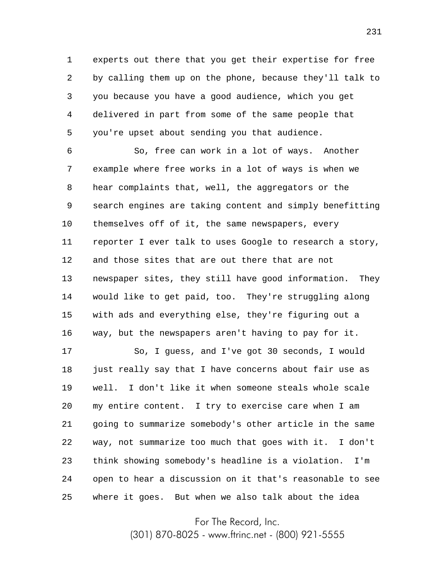1 2 3 4 5 experts out there that you get their expertise for free by calling them up on the phone, because they'll talk to you because you have a good audience, which you get delivered in part from some of the same people that you're upset about sending you that audience.

6 7 8 9 10 11 12 13 14 15 16 So, free can work in a lot of ways. Another example where free works in a lot of ways is when we hear complaints that, well, the aggregators or the search engines are taking content and simply benefitting themselves off of it, the same newspapers, every reporter I ever talk to uses Google to research a story, and those sites that are out there that are not newspaper sites, they still have good information. They would like to get paid, too. They're struggling along with ads and everything else, they're figuring out a way, but the newspapers aren't having to pay for it.

17 18 19 20 21 22 23 24 25 So, I guess, and I've got 30 seconds, I would just really say that I have concerns about fair use as well. I don't like it when someone steals whole scale my entire content. I try to exercise care when I am going to summarize somebody's other article in the same way, not summarize too much that goes with it. I don't think showing somebody's headline is a violation. I'm open to hear a discussion on it that's reasonable to see where it goes. But when we also talk about the idea

For The Record, Inc.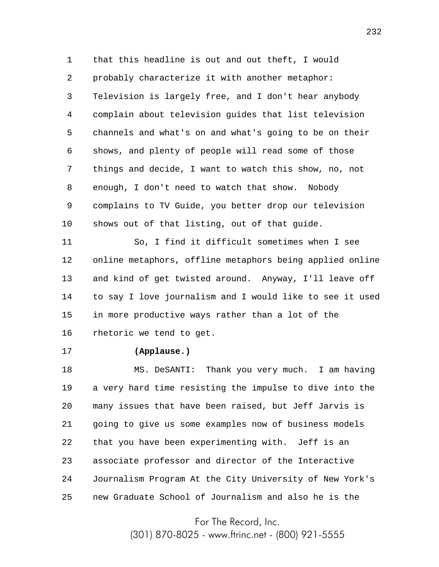1 2 3 4 5 6 7 8 9 10 that this headline is out and out theft, I would probably characterize it with another metaphor: Television is largely free, and I don't hear anybody complain about television guides that list television channels and what's on and what's going to be on their shows, and plenty of people will read some of those things and decide, I want to watch this show, no, not enough, I don't need to watch that show. Nobody complains to TV Guide, you better drop our television shows out of that listing, out of that guide.

11 12 13 14 15 16 So, I find it difficult sometimes when I see online metaphors, offline metaphors being applied online and kind of get twisted around. Anyway, I'll leave off to say I love journalism and I would like to see it used in more productive ways rather than a lot of the rhetoric we tend to get.

17

## **(Applause.)**

18 19 20 21 22 23 24 25 MS. DeSANTI: Thank you very much. I am having a very hard time resisting the impulse to dive into the many issues that have been raised, but Jeff Jarvis is going to give us some examples now of business models that you have been experimenting with. Jeff is an associate professor and director of the Interactive Journalism Program At the City University of New York's new Graduate School of Journalism and also he is the

For The Record, Inc.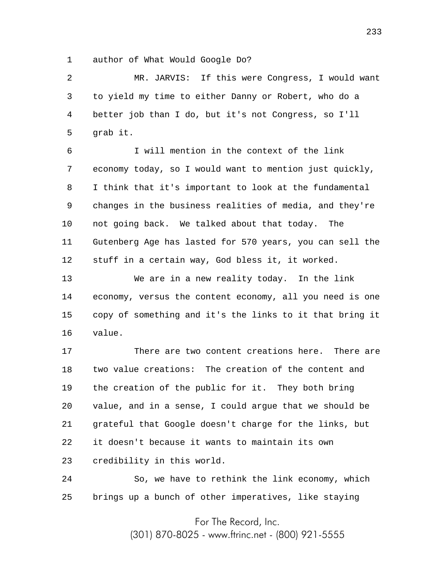1 author of What Would Google Do?

2 3 4 5 MR. JARVIS: If this were Congress, I would want to yield my time to either Danny or Robert, who do a better job than I do, but it's not Congress, so I'll grab it.

6 7 8 9 10 11 12 I will mention in the context of the link economy today, so I would want to mention just quickly, I think that it's important to look at the fundamental changes in the business realities of media, and they're not going back. We talked about that today. The Gutenberg Age has lasted for 570 years, you can sell the stuff in a certain way, God bless it, it worked.

13 14 15 16 We are in a new reality today. In the link economy, versus the content economy, all you need is one copy of something and it's the links to it that bring it value.

17 18 19 20 21 22 23 There are two content creations here. There are two value creations: The creation of the content and the creation of the public for it. They both bring value, and in a sense, I could argue that we should be grateful that Google doesn't charge for the links, but it doesn't because it wants to maintain its own credibility in this world.

24 25 So, we have to rethink the link economy, which brings up a bunch of other imperatives, like staying

For The Record, Inc.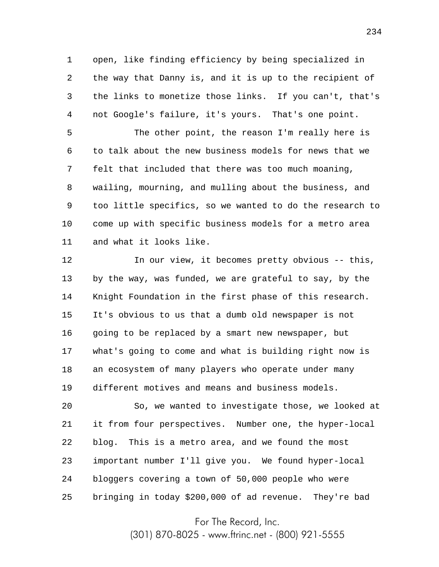1 2 3 4 open, like finding efficiency by being specialized in the way that Danny is, and it is up to the recipient of the links to monetize those links. If you can't, that's not Google's failure, it's yours. That's one point.

5 6 7 8 9 10 11 The other point, the reason I'm really here is to talk about the new business models for news that we felt that included that there was too much moaning, wailing, mourning, and mulling about the business, and too little specifics, so we wanted to do the research to come up with specific business models for a metro area and what it looks like.

12 13 14 15 16 17 18 19 In our view, it becomes pretty obvious -- this, by the way, was funded, we are grateful to say, by the Knight Foundation in the first phase of this research. It's obvious to us that a dumb old newspaper is not going to be replaced by a smart new newspaper, but what's going to come and what is building right now is an ecosystem of many players who operate under many different motives and means and business models.

20 21 22 23 24 25 So, we wanted to investigate those, we looked at it from four perspectives. Number one, the hyper-local blog. This is a metro area, and we found the most important number I'll give you. We found hyper-local bloggers covering a town of 50,000 people who were bringing in today \$200,000 of ad revenue. They're bad

For The Record, Inc.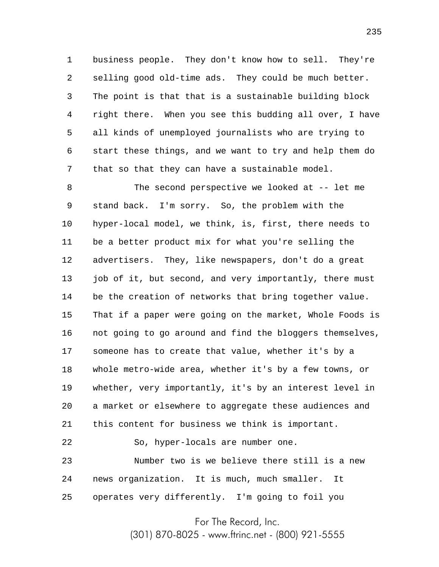1 2 3 4 5 6 7 business people. They don't know how to sell. They're selling good old-time ads. They could be much better. The point is that that is a sustainable building block right there. When you see this budding all over, I have all kinds of unemployed journalists who are trying to start these things, and we want to try and help them do that so that they can have a sustainable model.

8 9 10 11 12 13 14 15 16 17 18 19 20 21 The second perspective we looked at -- let me stand back. I'm sorry. So, the problem with the hyper-local model, we think, is, first, there needs to be a better product mix for what you're selling the advertisers. They, like newspapers, don't do a great job of it, but second, and very importantly, there must be the creation of networks that bring together value. That if a paper were going on the market, Whole Foods is not going to go around and find the bloggers themselves, someone has to create that value, whether it's by a whole metro-wide area, whether it's by a few towns, or whether, very importantly, it's by an interest level in a market or elsewhere to aggregate these audiences and this content for business we think is important.

23 24 25 Number two is we believe there still is a new news organization. It is much, much smaller. It operates very differently. I'm going to foil you

So, hyper-locals are number one.

22

For The Record, Inc.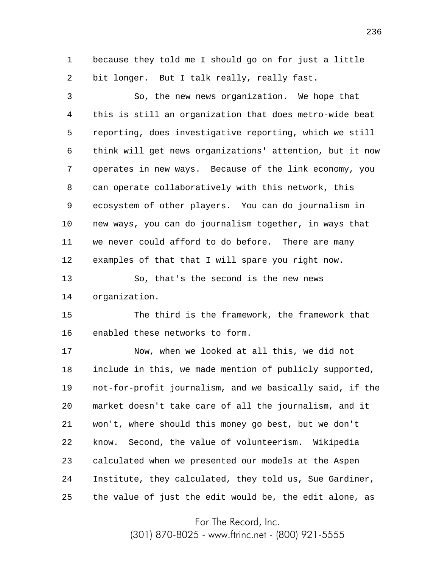1 2 because they told me I should go on for just a little bit longer. But I talk really, really fast.

3 4 5 6 7 8 9 10 11 12 So, the new news organization. We hope that this is still an organization that does metro-wide beat reporting, does investigative reporting, which we still think will get news organizations' attention, but it now operates in new ways. Because of the link economy, you can operate collaboratively with this network, this ecosystem of other players. You can do journalism in new ways, you can do journalism together, in ways that we never could afford to do before. There are many examples of that that I will spare you right now.

13 14 So, that's the second is the new news organization.

15 16 The third is the framework, the framework that enabled these networks to form.

17 18 19 20 21 22 23 24 25 Now, when we looked at all this, we did not include in this, we made mention of publicly supported, not-for-profit journalism, and we basically said, if the market doesn't take care of all the journalism, and it won't, where should this money go best, but we don't know. Second, the value of volunteerism. Wikipedia calculated when we presented our models at the Aspen Institute, they calculated, they told us, Sue Gardiner, the value of just the edit would be, the edit alone, as

For The Record, Inc.

(301) 870-8025 - www.ftrinc.net - (800) 921-5555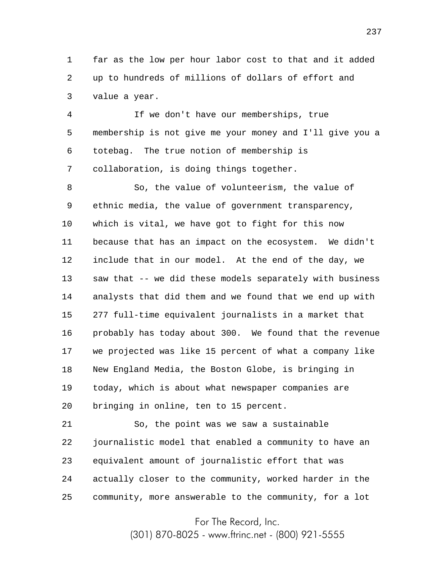1 2 3 far as the low per hour labor cost to that and it added up to hundreds of millions of dollars of effort and value a year.

4 5 6 7 If we don't have our memberships, true membership is not give me your money and I'll give you a totebag. The true notion of membership is collaboration, is doing things together.

8 9 10 11 12 13 14 15 16 17 18 19 20 So, the value of volunteerism, the value of ethnic media, the value of government transparency, which is vital, we have got to fight for this now because that has an impact on the ecosystem. We didn't include that in our model. At the end of the day, we saw that -- we did these models separately with business analysts that did them and we found that we end up with 277 full-time equivalent journalists in a market that probably has today about 300. We found that the revenue we projected was like 15 percent of what a company like New England Media, the Boston Globe, is bringing in today, which is about what newspaper companies are bringing in online, ten to 15 percent.

21 22 23 24 25 So, the point was we saw a sustainable journalistic model that enabled a community to have an equivalent amount of journalistic effort that was actually closer to the community, worked harder in the community, more answerable to the community, for a lot

For The Record, Inc.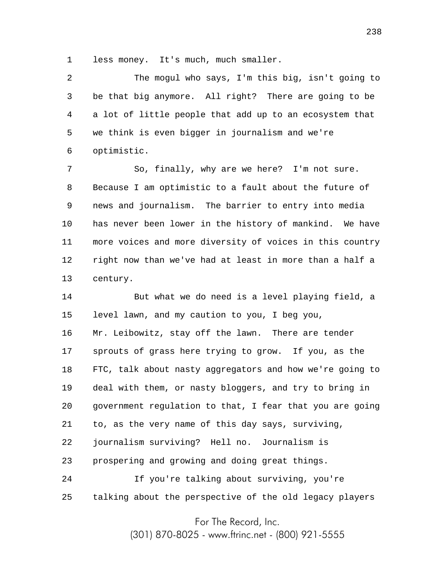1 less money. It's much, much smaller.

2 3 4 5 6 The mogul who says, I'm this big, isn't going to be that big anymore. All right? There are going to be a lot of little people that add up to an ecosystem that we think is even bigger in journalism and we're optimistic.

7 8 9 10 11 12 13 So, finally, why are we here? I'm not sure. Because I am optimistic to a fault about the future of news and journalism. The barrier to entry into media has never been lower in the history of mankind. We have more voices and more diversity of voices in this country right now than we've had at least in more than a half a century.

14 15 16 17 18 19 20 21 22 23 24 But what we do need is a level playing field, a level lawn, and my caution to you, I beg you, Mr. Leibowitz, stay off the lawn. There are tender sprouts of grass here trying to grow. If you, as the FTC, talk about nasty aggregators and how we're going to deal with them, or nasty bloggers, and try to bring in government regulation to that, I fear that you are going to, as the very name of this day says, surviving, journalism surviving? Hell no. Journalism is prospering and growing and doing great things. If you're talking about surviving, you're

25 talking about the perspective of the old legacy players

For The Record, Inc.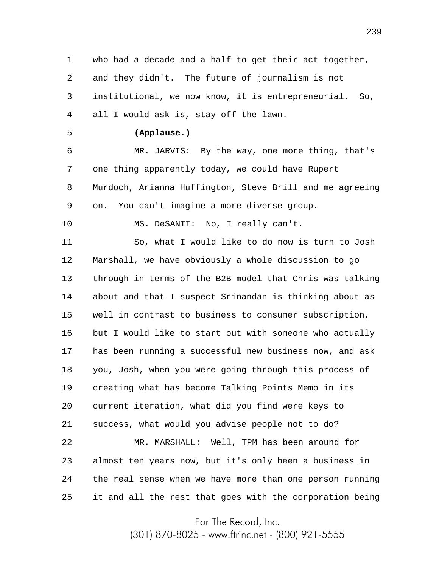1 2 3 4 who had a decade and a half to get their act together, and they didn't. The future of journalism is not institutional, we now know, it is entrepreneurial. So, all I would ask is, stay off the lawn.

5

## **(Applause.)**

6 7 8 9 MR. JARVIS: By the way, one more thing, that's one thing apparently today, we could have Rupert Murdoch, Arianna Huffington, Steve Brill and me agreeing on. You can't imagine a more diverse group.

10 MS. DeSANTI: No, I really can't.

11 12 13 14 15 16 17 18 19 20 21 22 23 24 25 So, what I would like to do now is turn to Josh Marshall, we have obviously a whole discussion to go through in terms of the B2B model that Chris was talking about and that I suspect Srinandan is thinking about as well in contrast to business to consumer subscription, but I would like to start out with someone who actually has been running a successful new business now, and ask you, Josh, when you were going through this process of creating what has become Talking Points Memo in its current iteration, what did you find were keys to success, what would you advise people not to do? MR. MARSHALL: Well, TPM has been around for almost ten years now, but it's only been a business in the real sense when we have more than one person running it and all the rest that goes with the corporation being

For The Record, Inc.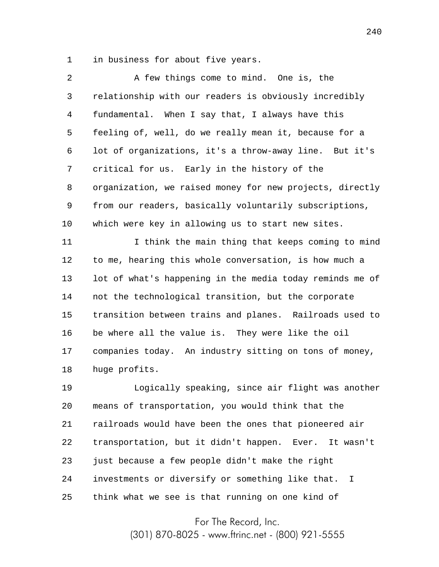1 in business for about five years.

| 2  | A few things come to mind. One is, the                   |
|----|----------------------------------------------------------|
| 3  | relationship with our readers is obviously incredibly    |
| 4  | fundamental. When I say that, I always have this         |
| 5  | feeling of, well, do we really mean it, because for a    |
| 6  | lot of organizations, it's a throw-away line. But it's   |
| 7  | critical for us. Early in the history of the             |
| 8  | organization, we raised money for new projects, directly |
| 9  | from our readers, basically voluntarily subscriptions,   |
| 10 | which were key in allowing us to start new sites.        |
|    |                                                          |

11 12 13 14 15 16 17 18 I think the main thing that keeps coming to mind to me, hearing this whole conversation, is how much a lot of what's happening in the media today reminds me of not the technological transition, but the corporate transition between trains and planes. Railroads used to be where all the value is. They were like the oil companies today. An industry sitting on tons of money, huge profits.

19 20 21 22 23 24 25 Logically speaking, since air flight was another means of transportation, you would think that the railroads would have been the ones that pioneered air transportation, but it didn't happen. Ever. It wasn't just because a few people didn't make the right investments or diversify or something like that. I think what we see is that running on one kind of

For The Record, Inc.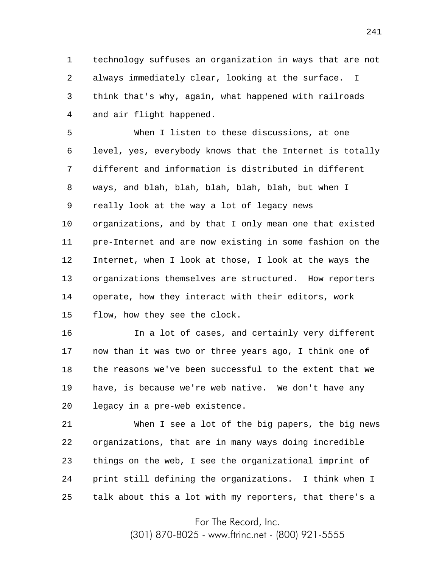1 2 3 4 technology suffuses an organization in ways that are not always immediately clear, looking at the surface. I think that's why, again, what happened with railroads and air flight happened.

5 6 7 8 9 10 11 12 13 14 15 When I listen to these discussions, at one level, yes, everybody knows that the Internet is totally different and information is distributed in different ways, and blah, blah, blah, blah, blah, but when I really look at the way a lot of legacy news organizations, and by that I only mean one that existed pre-Internet and are now existing in some fashion on the Internet, when I look at those, I look at the ways the organizations themselves are structured. How reporters operate, how they interact with their editors, work flow, how they see the clock.

16 17 18 19 20 In a lot of cases, and certainly very different now than it was two or three years ago, I think one of the reasons we've been successful to the extent that we have, is because we're web native. We don't have any legacy in a pre-web existence.

21 22 23 24 25 When I see a lot of the big papers, the big news organizations, that are in many ways doing incredible things on the web, I see the organizational imprint of print still defining the organizations. I think when I talk about this a lot with my reporters, that there's a

For The Record, Inc.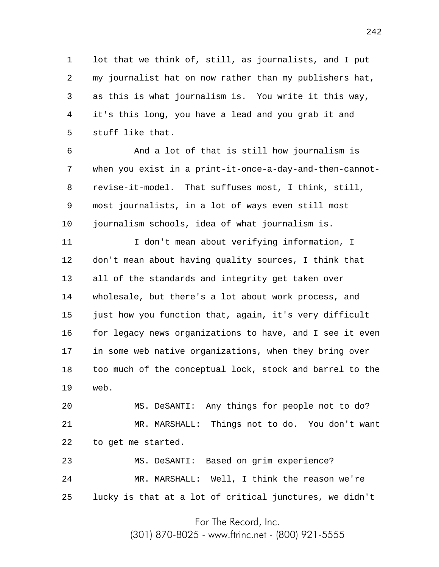1 2 3 4 5 lot that we think of, still, as journalists, and I put my journalist hat on now rather than my publishers hat, as this is what journalism is. You write it this way, it's this long, you have a lead and you grab it and stuff like that.

6 7 8 9 10 And a lot of that is still how journalism is when you exist in a print-it-once-a-day-and-then-cannotrevise-it-model. That suffuses most, I think, still, most journalists, in a lot of ways even still most journalism schools, idea of what journalism is.

11 12 13 14 15 16 17 18 19 I don't mean about verifying information, I don't mean about having quality sources, I think that all of the standards and integrity get taken over wholesale, but there's a lot about work process, and just how you function that, again, it's very difficult for legacy news organizations to have, and I see it even in some web native organizations, when they bring over too much of the conceptual lock, stock and barrel to the web.

20 21 22 MS. DeSANTI: Any things for people not to do? MR. MARSHALL: Things not to do. You don't want to get me started.

23 24 25 MS. DeSANTI: Based on grim experience? MR. MARSHALL: Well, I think the reason we're lucky is that at a lot of critical junctures, we didn't

For The Record, Inc.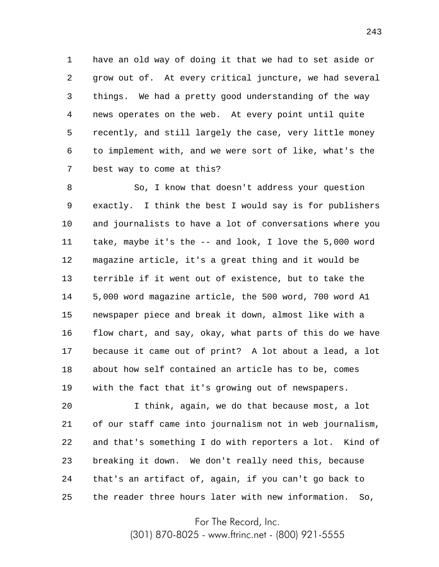1 2 3 4 5 6 7 have an old way of doing it that we had to set aside or grow out of. At every critical juncture, we had several things. We had a pretty good understanding of the way news operates on the web. At every point until quite recently, and still largely the case, very little money to implement with, and we were sort of like, what's the best way to come at this?

8 9 10 11 12 13 14 15 16 17 18 19 So, I know that doesn't address your question exactly. I think the best I would say is for publishers and journalists to have a lot of conversations where you take, maybe it's the -- and look, I love the 5,000 word magazine article, it's a great thing and it would be terrible if it went out of existence, but to take the 5,000 word magazine article, the 500 word, 700 word A1 newspaper piece and break it down, almost like with a flow chart, and say, okay, what parts of this do we have because it came out of print? A lot about a lead, a lot about how self contained an article has to be, comes with the fact that it's growing out of newspapers.

20 21 22 23 24 25 I think, again, we do that because most, a lot of our staff came into journalism not in web journalism, and that's something I do with reporters a lot. Kind of breaking it down. We don't really need this, because that's an artifact of, again, if you can't go back to the reader three hours later with new information. So,

For The Record, Inc.

(301) 870-8025 - www.ftrinc.net - (800) 921-5555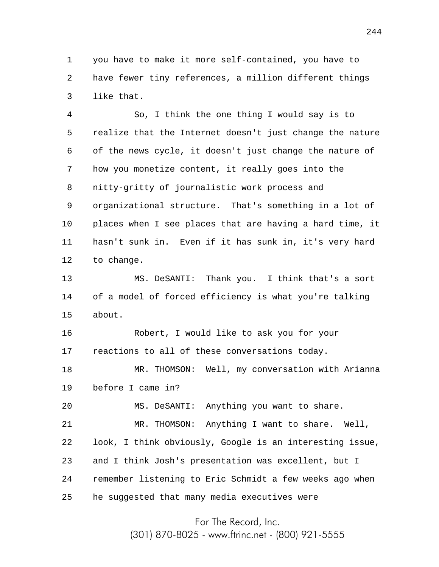1 2 3 you have to make it more self-contained, you have to have fewer tiny references, a million different things like that.

4 5 6 7 8 9 10 11 12 13 14 15 16 17 18 19 20 21 So, I think the one thing I would say is to realize that the Internet doesn't just change the nature of the news cycle, it doesn't just change the nature of how you monetize content, it really goes into the nitty-gritty of journalistic work process and organizational structure. That's something in a lot of places when I see places that are having a hard time, it hasn't sunk in. Even if it has sunk in, it's very hard to change. MS. DeSANTI: Thank you. I think that's a sort of a model of forced efficiency is what you're talking about. Robert, I would like to ask you for your reactions to all of these conversations today. MR. THOMSON: Well, my conversation with Arianna before I came in? MS. DeSANTI: Anything you want to share. MR. THOMSON: Anything I want to share. Well,

22 23 24 25 look, I think obviously, Google is an interesting issue, and I think Josh's presentation was excellent, but I remember listening to Eric Schmidt a few weeks ago when he suggested that many media executives were

For The Record, Inc.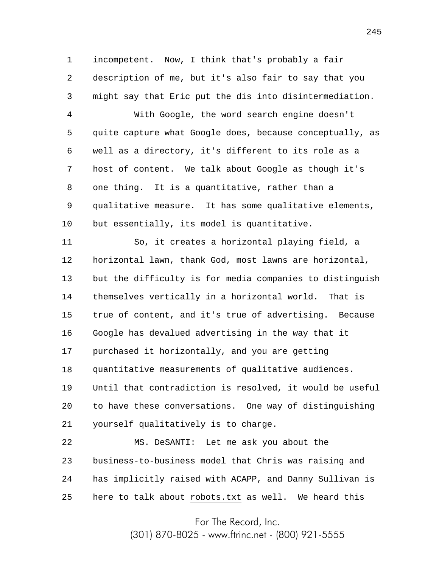1 2 3 incompetent. Now, I think that's probably a fair description of me, but it's also fair to say that you might say that Eric put the dis into disintermediation.

4 5 6 7 8 9 10 With Google, the word search engine doesn't quite capture what Google does, because conceptually, as well as a directory, it's different to its role as a host of content. We talk about Google as though it's one thing. It is a quantitative, rather than a qualitative measure. It has some qualitative elements, but essentially, its model is quantitative.

11 12 13 14 15 16 17 18 19 20 21 So, it creates a horizontal playing field, a horizontal lawn, thank God, most lawns are horizontal, but the difficulty is for media companies to distinguish themselves vertically in a horizontal world. That is true of content, and it's true of advertising. Because Google has devalued advertising in the way that it purchased it horizontally, and you are getting quantitative measurements of qualitative audiences. Until that contradiction is resolved, it would be useful to have these conversations. One way of distinguishing yourself qualitatively is to charge.

22 23 24 25 MS. DeSANTI: Let me ask you about the business-to-business model that Chris was raising and has implicitly raised with ACAPP, and Danny Sullivan is here to talk about robots.txt as well. We heard this

For The Record, Inc.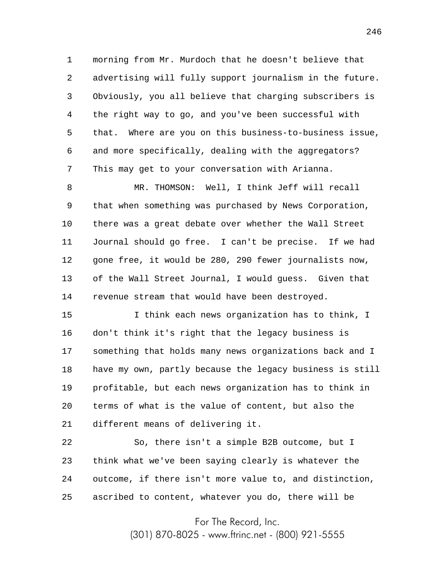1 2 3 4 5 6 7 morning from Mr. Murdoch that he doesn't believe that advertising will fully support journalism in the future. Obviously, you all believe that charging subscribers is the right way to go, and you've been successful with that. Where are you on this business-to-business issue, and more specifically, dealing with the aggregators? This may get to your conversation with Arianna.

8 9 10 11 12 13 14 MR. THOMSON: Well, I think Jeff will recall that when something was purchased by News Corporation, there was a great debate over whether the Wall Street Journal should go free. I can't be precise. If we had gone free, it would be 280, 290 fewer journalists now, of the Wall Street Journal, I would guess. Given that revenue stream that would have been destroyed.

15 16 17 18 19 20 21 I think each news organization has to think, I don't think it's right that the legacy business is something that holds many news organizations back and I have my own, partly because the legacy business is still profitable, but each news organization has to think in terms of what is the value of content, but also the different means of delivering it.

22 23 24 25 So, there isn't a simple B2B outcome, but I think what we've been saying clearly is whatever the outcome, if there isn't more value to, and distinction, ascribed to content, whatever you do, there will be

For The Record, Inc.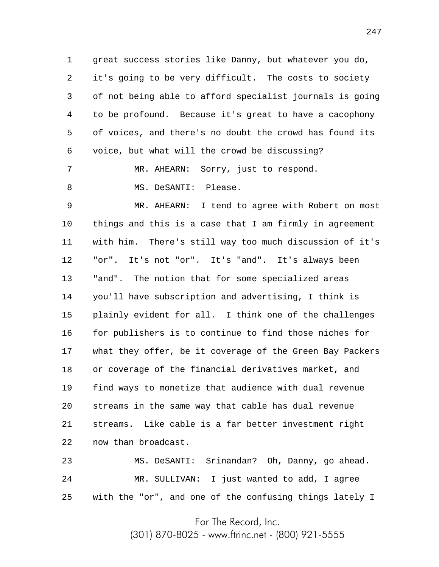1 2 3 4 5 6 great success stories like Danny, but whatever you do, it's going to be very difficult. The costs to society of not being able to afford specialist journals is going to be profound. Because it's great to have a cacophony of voices, and there's no doubt the crowd has found its voice, but what will the crowd be discussing?

7 8 MR. AHEARN: Sorry, just to respond. MS. DeSANTI: Please.

9 10 11 12 13 14 15 16 17 18 19 20 21 22 MR. AHEARN: I tend to agree with Robert on most things and this is a case that I am firmly in agreement with him. There's still way too much discussion of it's "or". It's not "or". It's "and". It's always been "and". The notion that for some specialized areas you'll have subscription and advertising, I think is plainly evident for all. I think one of the challenges for publishers is to continue to find those niches for what they offer, be it coverage of the Green Bay Packers or coverage of the financial derivatives market, and find ways to monetize that audience with dual revenue streams in the same way that cable has dual revenue streams. Like cable is a far better investment right now than broadcast.

23 24 25 MS. DeSANTI: Srinandan? Oh, Danny, go ahead. MR. SULLIVAN: I just wanted to add, I agree with the "or", and one of the confusing things lately I

For The Record, Inc.

(301) 870-8025 - www.ftrinc.net - (800) 921-5555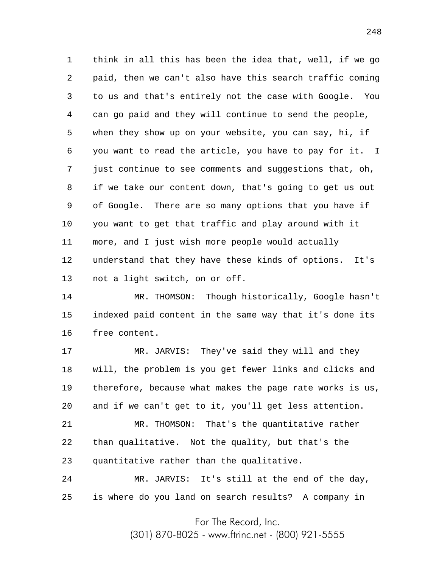1 2 3 4 5 6 7 8 9 10 11 12 13 think in all this has been the idea that, well, if we go paid, then we can't also have this search traffic coming to us and that's entirely not the case with Google. You can go paid and they will continue to send the people, when they show up on your website, you can say, hi, if you want to read the article, you have to pay for it. I just continue to see comments and suggestions that, oh, if we take our content down, that's going to get us out of Google. There are so many options that you have if you want to get that traffic and play around with it more, and I just wish more people would actually understand that they have these kinds of options. It's not a light switch, on or off.

14 15 16 MR. THOMSON: Though historically, Google hasn't indexed paid content in the same way that it's done its free content.

17 18 19 20 MR. JARVIS: They've said they will and they will, the problem is you get fewer links and clicks and therefore, because what makes the page rate works is us, and if we can't get to it, you'll get less attention.

21 22 23 MR. THOMSON: That's the quantitative rather than qualitative. Not the quality, but that's the quantitative rather than the qualitative.

24 25 MR. JARVIS: It's still at the end of the day, is where do you land on search results? A company in

For The Record, Inc.

(301) 870-8025 - www.ftrinc.net - (800) 921-5555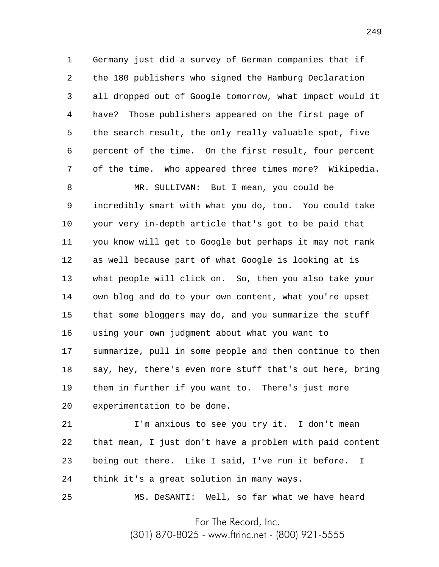1 2 3 4 5 6 7 Germany just did a survey of German companies that if the 180 publishers who signed the Hamburg Declaration all dropped out of Google tomorrow, what impact would it have? Those publishers appeared on the first page of the search result, the only really valuable spot, five percent of the time. On the first result, four percent of the time. Who appeared three times more? Wikipedia.

8 9 10 11 12 13 14 15 16 17 18 19 20 MR. SULLIVAN: But I mean, you could be incredibly smart with what you do, too. You could take your very in-depth article that's got to be paid that you know will get to Google but perhaps it may not rank as well because part of what Google is looking at is what people will click on. So, then you also take your own blog and do to your own content, what you're upset that some bloggers may do, and you summarize the stuff using your own judgment about what you want to summarize, pull in some people and then continue to then say, hey, there's even more stuff that's out here, bring them in further if you want to. There's just more experimentation to be done.

21 22 23 24 I'm anxious to see you try it. I don't mean that mean, I just don't have a problem with paid content being out there. Like I said, I've run it before. I think it's a great solution in many ways.

25

MS. DeSANTI: Well, so far what we have heard

For The Record, Inc.

(301) 870-8025 - www.ftrinc.net - (800) 921-5555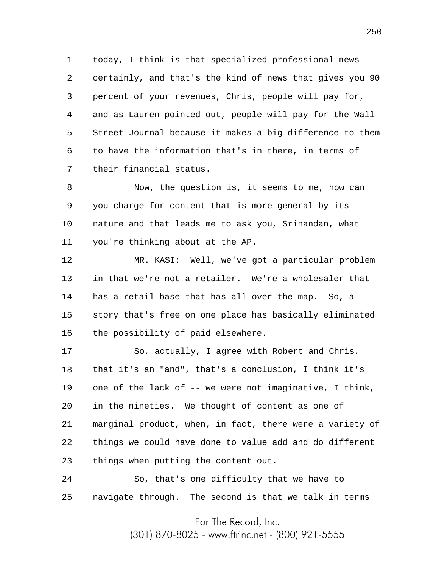1 2 3 4 5 6 7 today, I think is that specialized professional news certainly, and that's the kind of news that gives you 90 percent of your revenues, Chris, people will pay for, and as Lauren pointed out, people will pay for the Wall Street Journal because it makes a big difference to them to have the information that's in there, in terms of their financial status.

8 9 10 11 Now, the question is, it seems to me, how can you charge for content that is more general by its nature and that leads me to ask you, Srinandan, what you're thinking about at the AP.

12 13 14 15 16 MR. KASI: Well, we've got a particular problem in that we're not a retailer. We're a wholesaler that has a retail base that has all over the map. So, a story that's free on one place has basically eliminated the possibility of paid elsewhere.

17 18 19 20 21 22 23 So, actually, I agree with Robert and Chris, that it's an "and", that's a conclusion, I think it's one of the lack of -- we were not imaginative, I think, in the nineties. We thought of content as one of marginal product, when, in fact, there were a variety of things we could have done to value add and do different things when putting the content out.

24 25 So, that's one difficulty that we have to navigate through. The second is that we talk in terms

For The Record, Inc.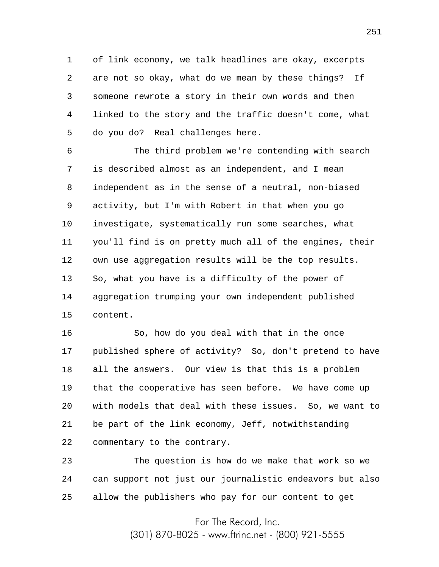1 2 3 4 5 of link economy, we talk headlines are okay, excerpts are not so okay, what do we mean by these things? If someone rewrote a story in their own words and then linked to the story and the traffic doesn't come, what do you do? Real challenges here.

6 7 8 9 10 11 12 13 14 15 The third problem we're contending with search is described almost as an independent, and I mean independent as in the sense of a neutral, non-biased activity, but I'm with Robert in that when you go investigate, systematically run some searches, what you'll find is on pretty much all of the engines, their own use aggregation results will be the top results. So, what you have is a difficulty of the power of aggregation trumping your own independent published content.

16 17 18 19 20 21 22 So, how do you deal with that in the once published sphere of activity? So, don't pretend to have all the answers. Our view is that this is a problem that the cooperative has seen before. We have come up with models that deal with these issues. So, we want to be part of the link economy, Jeff, notwithstanding commentary to the contrary.

23 24 25 The question is how do we make that work so we can support not just our journalistic endeavors but also allow the publishers who pay for our content to get

For The Record, Inc.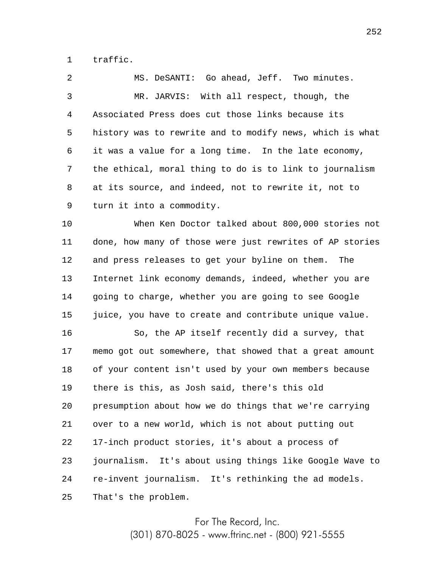1 traffic.

2 3 4 5 6 7 8 9 MS. DeSANTI: Go ahead, Jeff. Two minutes. MR. JARVIS: With all respect, though, the Associated Press does cut those links because its history was to rewrite and to modify news, which is what it was a value for a long time. In the late economy, the ethical, moral thing to do is to link to journalism at its source, and indeed, not to rewrite it, not to turn it into a commodity.

10 11 12 13 14 15 When Ken Doctor talked about 800,000 stories not done, how many of those were just rewrites of AP stories and press releases to get your byline on them. The Internet link economy demands, indeed, whether you are going to charge, whether you are going to see Google juice, you have to create and contribute unique value.

16 17 18 19 20 21 22 23 24 25 So, the AP itself recently did a survey, that memo got out somewhere, that showed that a great amount of your content isn't used by your own members because there is this, as Josh said, there's this old presumption about how we do things that we're carrying over to a new world, which is not about putting out 17-inch product stories, it's about a process of journalism. It's about using things like Google Wave to re-invent journalism. It's rethinking the ad models. That's the problem.

> For The Record, Inc. (301) 870-8025 - www.ftrinc.net - (800) 921-5555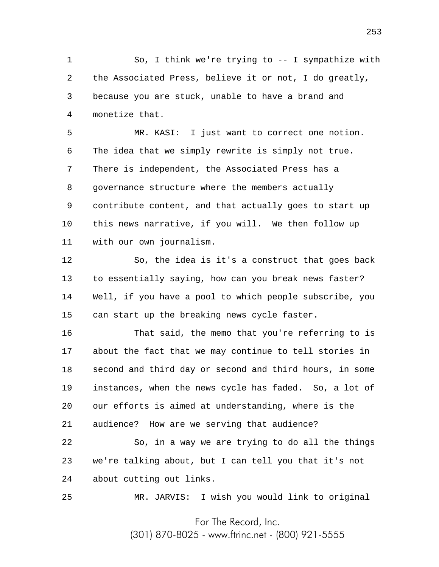1 2 3 4 So, I think we're trying to -- I sympathize with the Associated Press, believe it or not, I do greatly, because you are stuck, unable to have a brand and monetize that.

5 6 7 8 9 10 11 MR. KASI: I just want to correct one notion. The idea that we simply rewrite is simply not true. There is independent, the Associated Press has a governance structure where the members actually contribute content, and that actually goes to start up this news narrative, if you will. We then follow up with our own journalism.

12 13 14 15 So, the idea is it's a construct that goes back to essentially saying, how can you break news faster? Well, if you have a pool to which people subscribe, you can start up the breaking news cycle faster.

16 17 18 19 20 21 That said, the memo that you're referring to is about the fact that we may continue to tell stories in second and third day or second and third hours, in some instances, when the news cycle has faded. So, a lot of our efforts is aimed at understanding, where is the audience? How are we serving that audience?

22 23 24 So, in a way we are trying to do all the things we're talking about, but I can tell you that it's not about cutting out links.

25

MR. JARVIS: I wish you would link to original

For The Record, Inc.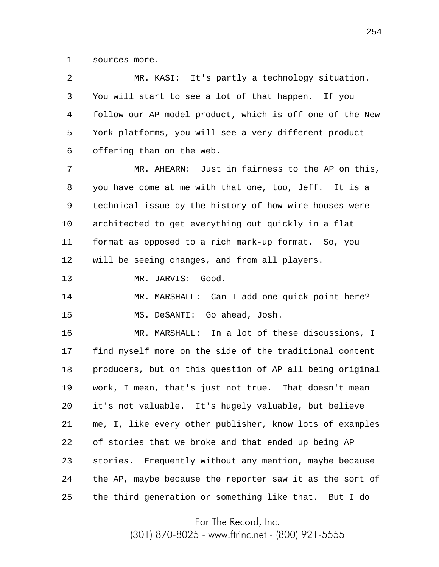1 sources more.

| 2  | MR. KASI: It's partly a technology situation.            |
|----|----------------------------------------------------------|
| 3  | You will start to see a lot of that happen. If you       |
| 4  | follow our AP model product, which is off one of the New |
| 5  | York platforms, you will see a very different product    |
| 6  | offering than on the web.                                |
| 7  | MR. AHEARN: Just in fairness to the AP on this,          |
| 8  | you have come at me with that one, too, Jeff. It is a    |
| 9  | technical issue by the history of how wire houses were   |
| 10 | architected to get everything out quickly in a flat      |
| 11 | format as opposed to a rich mark-up format. So, you      |
| 12 | will be seeing changes, and from all players.            |
| 13 | MR. JARVIS: Good.                                        |
| 14 | MR. MARSHALL: Can I add one quick point here?            |
| 15 | MS. DeSANTI: Go ahead, Josh.                             |
| 16 | MR. MARSHALL: In a lot of these discussions, I           |
| 17 | find myself more on the side of the traditional content  |
| 18 | producers, but on this question of AP all being original |
| 19 | work, I mean, that's just not true. That doesn't mean    |
| 20 | it's not valuable. It's hugely valuable, but believe     |
| 21 | me, I, like every other publisher, know lots of examples |
| 22 | of stories that we broke and that ended up being AP      |
| 23 | stories. Frequently without any mention, maybe because   |
| 24 | the AP, maybe because the reporter saw it as the sort of |
| 25 | the third generation or something like that.<br>But I do |

For The Record, Inc.

(301) 870-8025 - www.ftrinc.net - (800) 921-5555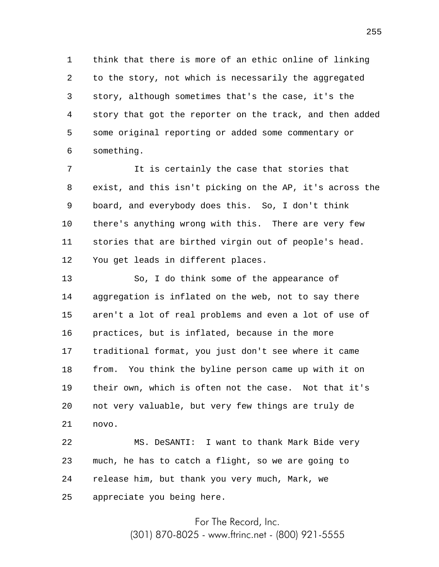1 2 3 4 5 6 think that there is more of an ethic online of linking to the story, not which is necessarily the aggregated story, although sometimes that's the case, it's the story that got the reporter on the track, and then added some original reporting or added some commentary or something.

7 8 9 10 11 12 It is certainly the case that stories that exist, and this isn't picking on the AP, it's across the board, and everybody does this. So, I don't think there's anything wrong with this. There are very few stories that are birthed virgin out of people's head. You get leads in different places.

13 14 15 16 17 18 19 20 21 So, I do think some of the appearance of aggregation is inflated on the web, not to say there aren't a lot of real problems and even a lot of use of practices, but is inflated, because in the more traditional format, you just don't see where it came from. You think the byline person came up with it on their own, which is often not the case. Not that it's not very valuable, but very few things are truly de novo.

22 23 24 25 MS. DeSANTI: I want to thank Mark Bide very much, he has to catch a flight, so we are going to release him, but thank you very much, Mark, we appreciate you being here.

> For The Record, Inc. (301) 870-8025 - www.ftrinc.net - (800) 921-5555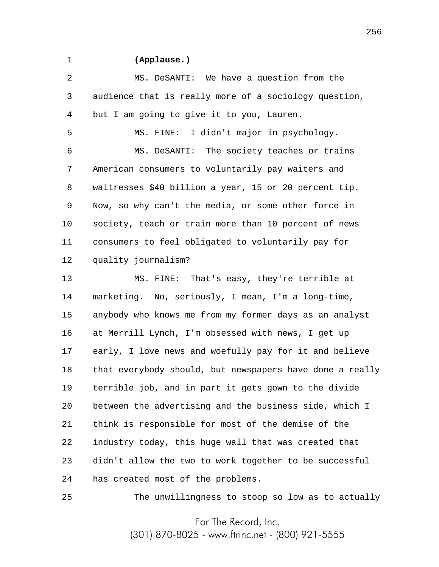1

25

## **(Applause.)**

2 3 4 MS. DeSANTI: We have a question from the audience that is really more of a sociology question, but I am going to give it to you, Lauren.

5 6 7 8 9 10 11 12 MS. FINE: I didn't major in psychology. MS. DeSANTI: The society teaches or trains American consumers to voluntarily pay waiters and waitresses \$40 billion a year, 15 or 20 percent tip. Now, so why can't the media, or some other force in society, teach or train more than 10 percent of news consumers to feel obligated to voluntarily pay for quality journalism?

13 14 15 16 17 18 19 20 21 22 23 24 MS. FINE: That's easy, they're terrible at marketing. No, seriously, I mean, I'm a long-time, anybody who knows me from my former days as an analyst at Merrill Lynch, I'm obsessed with news, I get up early, I love news and woefully pay for it and believe that everybody should, but newspapers have done a really terrible job, and in part it gets gown to the divide between the advertising and the business side, which I think is responsible for most of the demise of the industry today, this huge wall that was created that didn't allow the two to work together to be successful has created most of the problems.

The unwillingness to stoop so low as to actually

For The Record, Inc.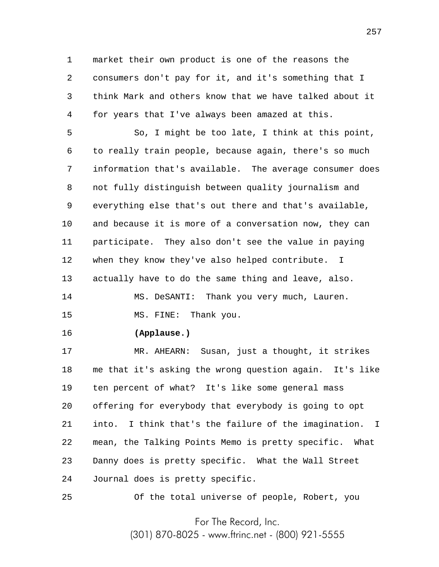1 2 3 4 market their own product is one of the reasons the consumers don't pay for it, and it's something that I think Mark and others know that we have talked about it for years that I've always been amazed at this.

5 6 7 8 9 10 11 12 13 So, I might be too late, I think at this point, to really train people, because again, there's so much information that's available. The average consumer does not fully distinguish between quality journalism and everything else that's out there and that's available, and because it is more of a conversation now, they can participate. They also don't see the value in paying when they know they've also helped contribute. I actually have to do the same thing and leave, also.

14 15 MS. DeSANTI: Thank you very much, Lauren. MS. FINE: Thank you.

16 **(Applause.)**

25

17 18 19 20 21 22 23 24 MR. AHEARN: Susan, just a thought, it strikes me that it's asking the wrong question again. It's like ten percent of what? It's like some general mass offering for everybody that everybody is going to opt into. I think that's the failure of the imagination. I mean, the Talking Points Memo is pretty specific. What Danny does is pretty specific. What the Wall Street Journal does is pretty specific.

Of the total universe of people, Robert, you

For The Record, Inc.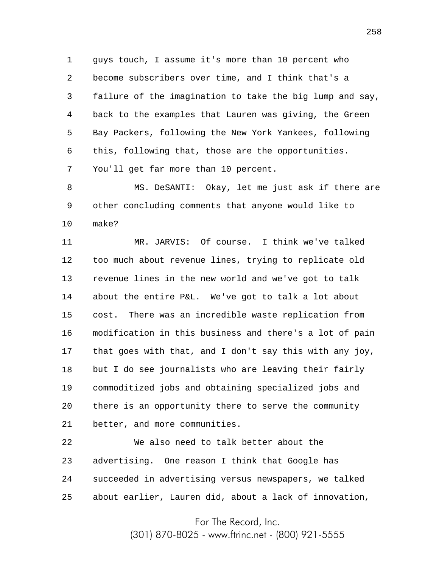1 2 3 4 5 6 7 guys touch, I assume it's more than 10 percent who become subscribers over time, and I think that's a failure of the imagination to take the big lump and say, back to the examples that Lauren was giving, the Green Bay Packers, following the New York Yankees, following this, following that, those are the opportunities. You'll get far more than 10 percent.

8 9 10 MS. DeSANTI: Okay, let me just ask if there are other concluding comments that anyone would like to make?

11 12 13 14 15 16 17 18 19 20 21 MR. JARVIS: Of course. I think we've talked too much about revenue lines, trying to replicate old revenue lines in the new world and we've got to talk about the entire P&L. We've got to talk a lot about cost. There was an incredible waste replication from modification in this business and there's a lot of pain that goes with that, and I don't say this with any joy, but I do see journalists who are leaving their fairly commoditized jobs and obtaining specialized jobs and there is an opportunity there to serve the community better, and more communities.

22 23 24 25 We also need to talk better about the advertising. One reason I think that Google has succeeded in advertising versus newspapers, we talked about earlier, Lauren did, about a lack of innovation,

For The Record, Inc.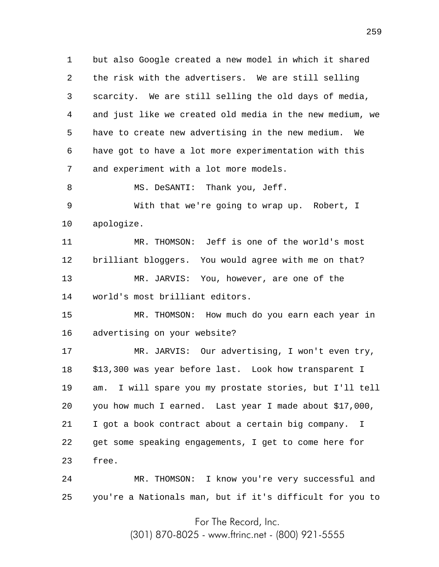1 2 3 4 5 6 7 but also Google created a new model in which it shared the risk with the advertisers. We are still selling scarcity. We are still selling the old days of media, and just like we created old media in the new medium, we have to create new advertising in the new medium. We have got to have a lot more experimentation with this and experiment with a lot more models.

8 MS. DeSANTI: Thank you, Jeff.

9 10 With that we're going to wrap up. Robert, I apologize.

11 12 13 14 MR. THOMSON: Jeff is one of the world's most brilliant bloggers. You would agree with me on that? MR. JARVIS: You, however, are one of the world's most brilliant editors.

15 16 MR. THOMSON: How much do you earn each year in advertising on your website?

17 18 19 20 21 22 23 MR. JARVIS: Our advertising, I won't even try, \$13,300 was year before last. Look how transparent I am. I will spare you my prostate stories, but I'll tell you how much I earned. Last year I made about \$17,000, I got a book contract about a certain big company. I get some speaking engagements, I get to come here for free.

24 25 MR. THOMSON: I know you're very successful and you're a Nationals man, but if it's difficult for you to

For The Record, Inc.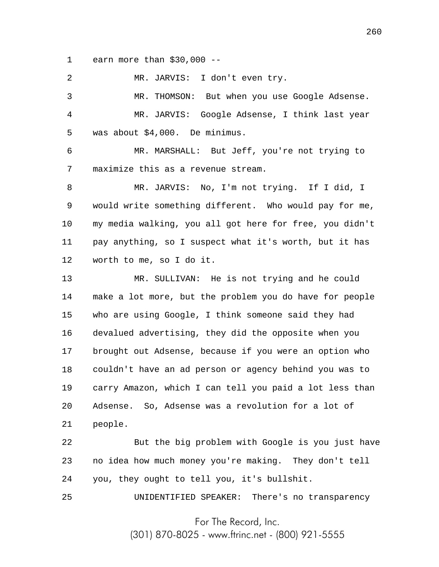1 earn more than \$30,000 --

2 MR. JARVIS: I don't even try.

3 4 5 MR. THOMSON: But when you use Google Adsense. MR. JARVIS: Google Adsense, I think last year was about \$4,000. De minimus.

6 7 MR. MARSHALL: But Jeff, you're not trying to maximize this as a revenue stream.

8 9 10 11 12 MR. JARVIS: No, I'm not trying. If I did, I would write something different. Who would pay for me, my media walking, you all got here for free, you didn't pay anything, so I suspect what it's worth, but it has worth to me, so I do it.

13 14 15 16 17 18 19 20 21 MR. SULLIVAN: He is not trying and he could make a lot more, but the problem you do have for people who are using Google, I think someone said they had devalued advertising, they did the opposite when you brought out Adsense, because if you were an option who couldn't have an ad person or agency behind you was to carry Amazon, which I can tell you paid a lot less than Adsense. So, Adsense was a revolution for a lot of people.

22 23 24 But the big problem with Google is you just have no idea how much money you're making. They don't tell you, they ought to tell you, it's bullshit.

UNIDENTIFIED SPEAKER: There's no transparency

25

For The Record, Inc.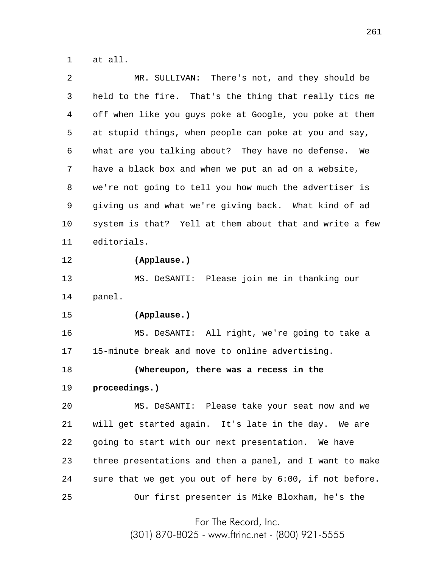1 at all.

| 2  | MR. SULLIVAN: There's not, and they should be            |
|----|----------------------------------------------------------|
| 3  | held to the fire. That's the thing that really tics me   |
| 4  | off when like you guys poke at Google, you poke at them  |
| 5  | at stupid things, when people can poke at you and say,   |
| 6  | what are you talking about? They have no defense.<br>We  |
| 7  | have a black box and when we put an ad on a website,     |
| 8  | we're not going to tell you how much the advertiser is   |
| 9  | giving us and what we're giving back. What kind of ad    |
| 10 | system is that? Yell at them about that and write a few  |
| 11 | editorials.                                              |
| 12 | (Applause.)                                              |
| 13 | MS. DeSANTI: Please join me in thanking our              |
| 14 | panel.                                                   |
| 15 | (Applause.)                                              |
| 16 | MS. DeSANTI: All right, we're going to take a            |
| 17 | 15-minute break and move to online advertising.          |
| 18 | (Whereupon, there was a recess in the                    |
| 19 | proceedings.)                                            |
| 20 | MS. DeSANTI: Please take your seat now and we            |
| 21 | will get started again. It's late in the day. We are     |
| 22 | going to start with our next presentation. We have       |
| 23 | three presentations and then a panel, and I want to make |
| 24 | sure that we get you out of here by 6:00, if not before. |
| 25 | Our first presenter is Mike Bloxham, he's the            |
|    |                                                          |

For The Record, Inc.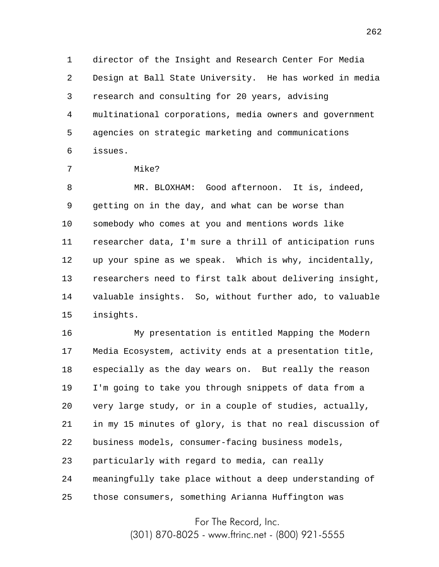1 2 3 4 5 6 director of the Insight and Research Center For Media Design at Ball State University. He has worked in media research and consulting for 20 years, advising multinational corporations, media owners and government agencies on strategic marketing and communications issues.

7

Mike?

8 9 10 11 12 13 14 15 MR. BLOXHAM: Good afternoon. It is, indeed, getting on in the day, and what can be worse than somebody who comes at you and mentions words like researcher data, I'm sure a thrill of anticipation runs up your spine as we speak. Which is why, incidentally, researchers need to first talk about delivering insight, valuable insights. So, without further ado, to valuable insights.

16 17 18 19 20 21 22 23 24 25 My presentation is entitled Mapping the Modern Media Ecosystem, activity ends at a presentation title, especially as the day wears on. But really the reason I'm going to take you through snippets of data from a very large study, or in a couple of studies, actually, in my 15 minutes of glory, is that no real discussion of business models, consumer-facing business models, particularly with regard to media, can really meaningfully take place without a deep understanding of those consumers, something Arianna Huffington was

For The Record, Inc.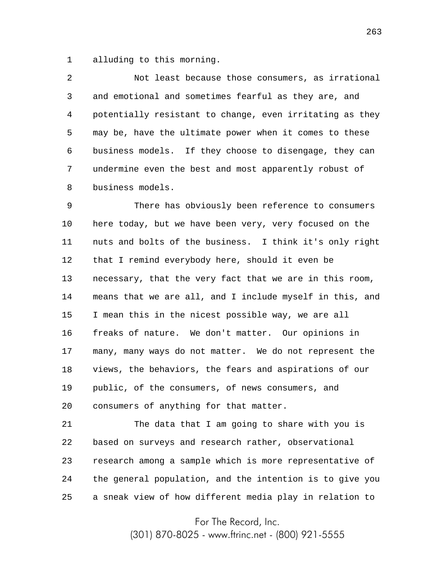1 alluding to this morning.

2 3 4 5 6 7 8 Not least because those consumers, as irrational and emotional and sometimes fearful as they are, and potentially resistant to change, even irritating as they may be, have the ultimate power when it comes to these business models. If they choose to disengage, they can undermine even the best and most apparently robust of business models.

9 10 11 12 13 14 15 16 17 18 19 20 There has obviously been reference to consumers here today, but we have been very, very focused on the nuts and bolts of the business. I think it's only right that I remind everybody here, should it even be necessary, that the very fact that we are in this room, means that we are all, and I include myself in this, and I mean this in the nicest possible way, we are all freaks of nature. We don't matter. Our opinions in many, many ways do not matter. We do not represent the views, the behaviors, the fears and aspirations of our public, of the consumers, of news consumers, and consumers of anything for that matter.

21 22 23 24 25 The data that I am going to share with you is based on surveys and research rather, observational research among a sample which is more representative of the general population, and the intention is to give you a sneak view of how different media play in relation to

For The Record, Inc.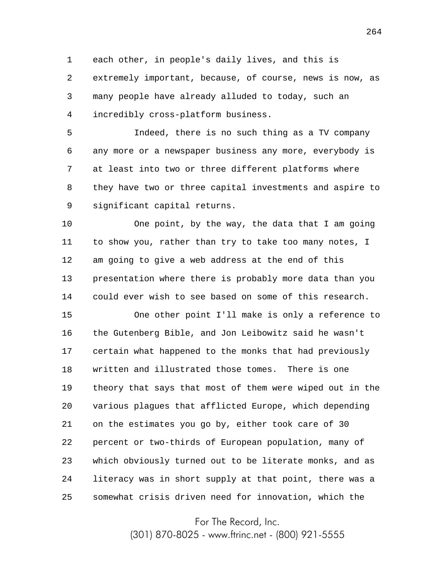1 2 3 4 each other, in people's daily lives, and this is extremely important, because, of course, news is now, as many people have already alluded to today, such an incredibly cross-platform business.

5 6 7 8 9 Indeed, there is no such thing as a TV company any more or a newspaper business any more, everybody is at least into two or three different platforms where they have two or three capital investments and aspire to significant capital returns.

10 11 12 13 14 One point, by the way, the data that I am going to show you, rather than try to take too many notes, I am going to give a web address at the end of this presentation where there is probably more data than you could ever wish to see based on some of this research.

15 16 17 18 19 20 21 22 23 24 25 One other point I'll make is only a reference to the Gutenberg Bible, and Jon Leibowitz said he wasn't certain what happened to the monks that had previously written and illustrated those tomes. There is one theory that says that most of them were wiped out in the various plagues that afflicted Europe, which depending on the estimates you go by, either took care of 30 percent or two-thirds of European population, many of which obviously turned out to be literate monks, and as literacy was in short supply at that point, there was a somewhat crisis driven need for innovation, which the

For The Record, Inc.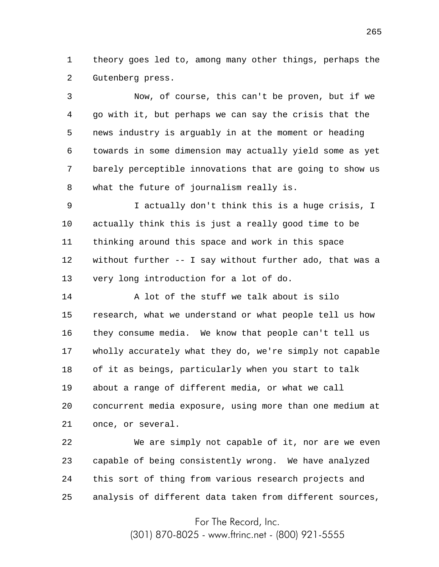1 2 theory goes led to, among many other things, perhaps the Gutenberg press.

3 4 5 6 7 8 9 10 Now, of course, this can't be proven, but if we go with it, but perhaps we can say the crisis that the news industry is arguably in at the moment or heading towards in some dimension may actually yield some as yet barely perceptible innovations that are going to show us what the future of journalism really is. I actually don't think this is a huge crisis, I actually think this is just a really good time to be

11 12 13 thinking around this space and work in this space without further -- I say without further ado, that was a very long introduction for a lot of do.

14 15 16 17 18 19 20 21 A lot of the stuff we talk about is silo research, what we understand or what people tell us how they consume media. We know that people can't tell us wholly accurately what they do, we're simply not capable of it as beings, particularly when you start to talk about a range of different media, or what we call concurrent media exposure, using more than one medium at once, or several.

22 23 24 25 We are simply not capable of it, nor are we even capable of being consistently wrong. We have analyzed this sort of thing from various research projects and analysis of different data taken from different sources,

For The Record, Inc.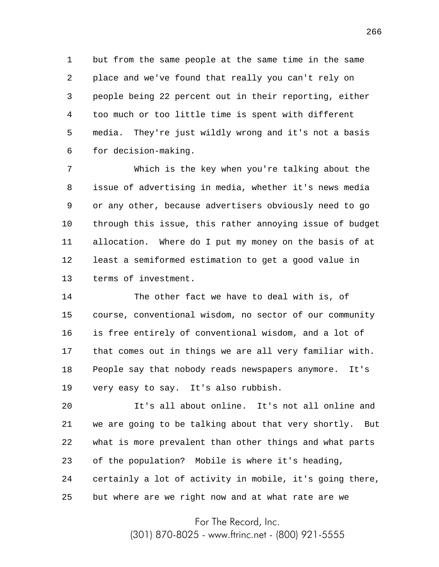1 2 3 4 5 6 but from the same people at the same time in the same place and we've found that really you can't rely on people being 22 percent out in their reporting, either too much or too little time is spent with different media. They're just wildly wrong and it's not a basis for decision-making.

7 8 9 10 11 12 13 Which is the key when you're talking about the issue of advertising in media, whether it's news media or any other, because advertisers obviously need to go through this issue, this rather annoying issue of budget allocation. Where do I put my money on the basis of at least a semiformed estimation to get a good value in terms of investment.

14 15 16 17 18 19 The other fact we have to deal with is, of course, conventional wisdom, no sector of our community is free entirely of conventional wisdom, and a lot of that comes out in things we are all very familiar with. People say that nobody reads newspapers anymore. It's very easy to say. It's also rubbish.

20 21 22 23 24 25 It's all about online. It's not all online and we are going to be talking about that very shortly. But what is more prevalent than other things and what parts of the population? Mobile is where it's heading, certainly a lot of activity in mobile, it's going there, but where are we right now and at what rate are we

For The Record, Inc.

(301) 870-8025 - www.ftrinc.net - (800) 921-5555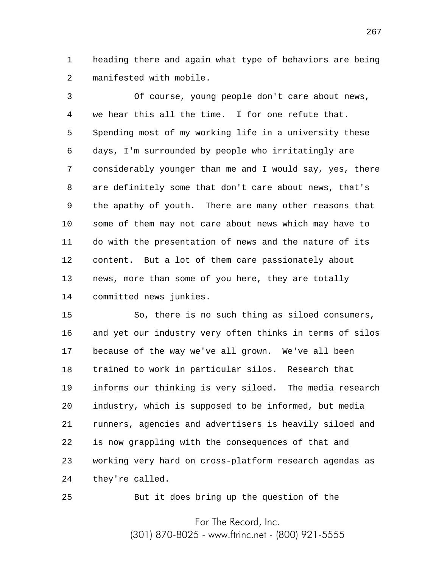1 2 heading there and again what type of behaviors are being manifested with mobile.

3 4 5 6 7 8 9 10 11 12 13 14 Of course, young people don't care about news, we hear this all the time. I for one refute that. Spending most of my working life in a university these days, I'm surrounded by people who irritatingly are considerably younger than me and I would say, yes, there are definitely some that don't care about news, that's the apathy of youth. There are many other reasons that some of them may not care about news which may have to do with the presentation of news and the nature of its content. But a lot of them care passionately about news, more than some of you here, they are totally committed news junkies.

15 16 17 18 19 20 21 22 23 24 So, there is no such thing as siloed consumers, and yet our industry very often thinks in terms of silos because of the way we've all grown. We've all been trained to work in particular silos. Research that informs our thinking is very siloed. The media research industry, which is supposed to be informed, but media runners, agencies and advertisers is heavily siloed and is now grappling with the consequences of that and working very hard on cross-platform research agendas as they're called.

25

But it does bring up the question of the

For The Record, Inc. (301) 870-8025 - www.ftrinc.net - (800) 921-5555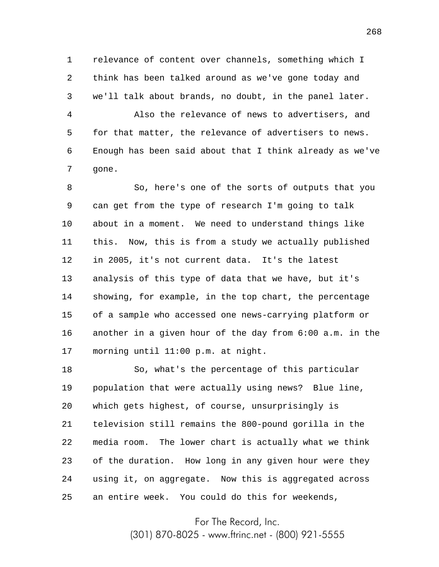1 2 3 relevance of content over channels, something which I think has been talked around as we've gone today and we'll talk about brands, no doubt, in the panel later.

4 5 6 7 Also the relevance of news to advertisers, and for that matter, the relevance of advertisers to news. Enough has been said about that I think already as we've gone.

8 9 10 11 12 13 14 15 16 17 So, here's one of the sorts of outputs that you can get from the type of research I'm going to talk about in a moment. We need to understand things like this. Now, this is from a study we actually published in 2005, it's not current data. It's the latest analysis of this type of data that we have, but it's showing, for example, in the top chart, the percentage of a sample who accessed one news-carrying platform or another in a given hour of the day from 6:00 a.m. in the morning until 11:00 p.m. at night.

18 19 20 21 22 23 24 25 So, what's the percentage of this particular population that were actually using news? Blue line, which gets highest, of course, unsurprisingly is television still remains the 800-pound gorilla in the media room. The lower chart is actually what we think of the duration. How long in any given hour were they using it, on aggregate. Now this is aggregated across an entire week. You could do this for weekends,

For The Record, Inc.

(301) 870-8025 - www.ftrinc.net - (800) 921-5555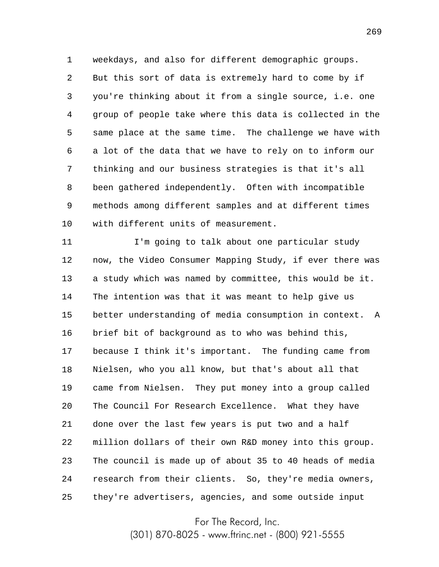1 2 3 4 5 6 7 8 9 10 weekdays, and also for different demographic groups. But this sort of data is extremely hard to come by if you're thinking about it from a single source, i.e. one group of people take where this data is collected in the same place at the same time. The challenge we have with a lot of the data that we have to rely on to inform our thinking and our business strategies is that it's all been gathered independently. Often with incompatible methods among different samples and at different times with different units of measurement.

11 12 13 14 15 16 17 18 19 20 21 22 23 24 25 I'm going to talk about one particular study now, the Video Consumer Mapping Study, if ever there was a study which was named by committee, this would be it. The intention was that it was meant to help give us better understanding of media consumption in context. A brief bit of background as to who was behind this, because I think it's important. The funding came from Nielsen, who you all know, but that's about all that came from Nielsen. They put money into a group called The Council For Research Excellence. What they have done over the last few years is put two and a half million dollars of their own R&D money into this group. The council is made up of about 35 to 40 heads of media research from their clients. So, they're media owners, they're advertisers, agencies, and some outside input

For The Record, Inc.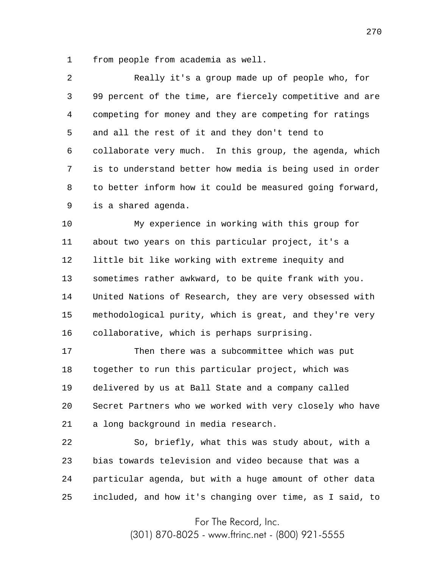1 from people from academia as well.

2 3 4 5 6 7 8 9 Really it's a group made up of people who, for 99 percent of the time, are fiercely competitive and are competing for money and they are competing for ratings and all the rest of it and they don't tend to collaborate very much. In this group, the agenda, which is to understand better how media is being used in order to better inform how it could be measured going forward, is a shared agenda.

10 11 12 13 14 15 16 My experience in working with this group for about two years on this particular project, it's a little bit like working with extreme inequity and sometimes rather awkward, to be quite frank with you. United Nations of Research, they are very obsessed with methodological purity, which is great, and they're very collaborative, which is perhaps surprising.

17 18 19 20 21 Then there was a subcommittee which was put together to run this particular project, which was delivered by us at Ball State and a company called Secret Partners who we worked with very closely who have a long background in media research.

22 23 24 25 So, briefly, what this was study about, with a bias towards television and video because that was a particular agenda, but with a huge amount of other data included, and how it's changing over time, as I said, to

For The Record, Inc.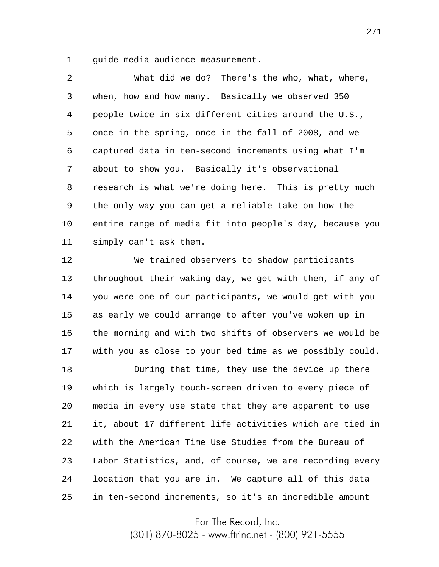1 guide media audience measurement.

2 3 4 5 6 7 8 9 10 11 What did we do? There's the who, what, where, when, how and how many. Basically we observed 350 people twice in six different cities around the U.S., once in the spring, once in the fall of 2008, and we captured data in ten-second increments using what I'm about to show you. Basically it's observational research is what we're doing here. This is pretty much the only way you can get a reliable take on how the entire range of media fit into people's day, because you simply can't ask them.

12 13 14 15 16 17 We trained observers to shadow participants throughout their waking day, we get with them, if any of you were one of our participants, we would get with you as early we could arrange to after you've woken up in the morning and with two shifts of observers we would be with you as close to your bed time as we possibly could.

18 19 20 21 22 23 24 25 During that time, they use the device up there which is largely touch-screen driven to every piece of media in every use state that they are apparent to use it, about 17 different life activities which are tied in with the American Time Use Studies from the Bureau of Labor Statistics, and, of course, we are recording every location that you are in. We capture all of this data in ten-second increments, so it's an incredible amount

For The Record, Inc.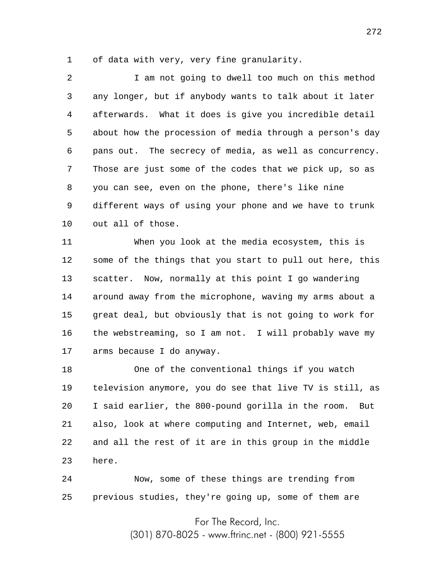1 of data with very, very fine granularity.

2 3 4 5 6 7 8 9 10 I am not going to dwell too much on this method any longer, but if anybody wants to talk about it later afterwards. What it does is give you incredible detail about how the procession of media through a person's day pans out. The secrecy of media, as well as concurrency. Those are just some of the codes that we pick up, so as you can see, even on the phone, there's like nine different ways of using your phone and we have to trunk out all of those.

11 12 13 14 15 16 17 When you look at the media ecosystem, this is some of the things that you start to pull out here, this scatter. Now, normally at this point I go wandering around away from the microphone, waving my arms about a great deal, but obviously that is not going to work for the webstreaming, so I am not. I will probably wave my arms because I do anyway.

18 19 20 21 22 23 One of the conventional things if you watch television anymore, you do see that live TV is still, as I said earlier, the 800-pound gorilla in the room. But also, look at where computing and Internet, web, email and all the rest of it are in this group in the middle here.

24 25 Now, some of these things are trending from previous studies, they're going up, some of them are

For The Record, Inc.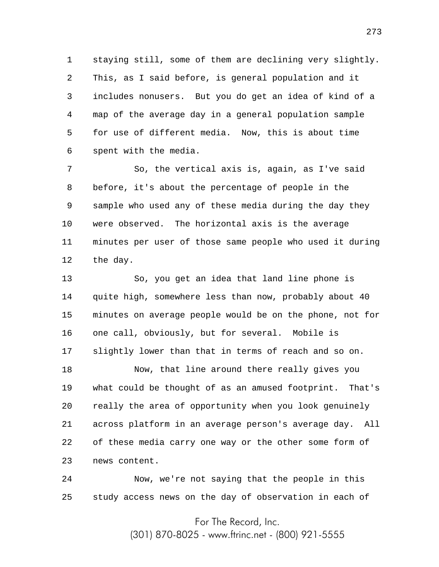1 2 3 4 5 6 staying still, some of them are declining very slightly. This, as I said before, is general population and it includes nonusers. But you do get an idea of kind of a map of the average day in a general population sample for use of different media. Now, this is about time spent with the media.

7 8 9 10 11 12 So, the vertical axis is, again, as I've said before, it's about the percentage of people in the sample who used any of these media during the day they were observed. The horizontal axis is the average minutes per user of those same people who used it during the day.

13 14 15 16 17 So, you get an idea that land line phone is quite high, somewhere less than now, probably about 40 minutes on average people would be on the phone, not for one call, obviously, but for several. Mobile is slightly lower than that in terms of reach and so on.

18 19 20 21 22 23 Now, that line around there really gives you what could be thought of as an amused footprint. That's really the area of opportunity when you look genuinely across platform in an average person's average day. All of these media carry one way or the other some form of news content.

24 25 Now, we're not saying that the people in this study access news on the day of observation in each of

For The Record, Inc.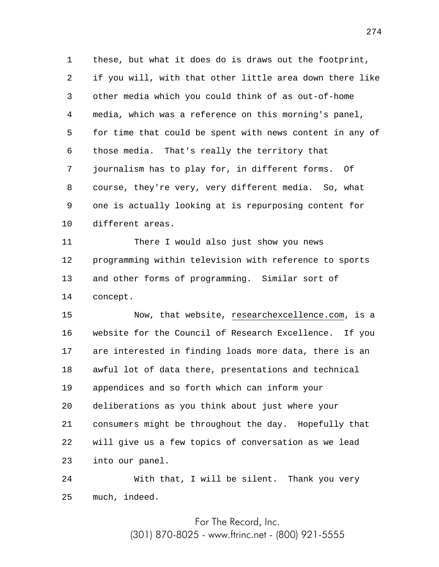1 2 3 4 5 6 7 8 9 10 these, but what it does do is draws out the footprint, if you will, with that other little area down there like other media which you could think of as out-of-home media, which was a reference on this morning's panel, for time that could be spent with news content in any of those media. That's really the territory that journalism has to play for, in different forms. Of course, they're very, very different media. So, what one is actually looking at is repurposing content for different areas.

11 12 13 14 There I would also just show you news programming within television with reference to sports and other forms of programming. Similar sort of concept.

15 16 17 18 19 20 21 22 23 Now, that website, researchexcellence.com, is a website for the Council of Research Excellence. If you are interested in finding loads more data, there is an awful lot of data there, presentations and technical appendices and so forth which can inform your deliberations as you think about just where your consumers might be throughout the day. Hopefully that will give us a few topics of conversation as we lead into our panel.

24 25 With that, I will be silent. Thank you very much, indeed.

For The Record, Inc.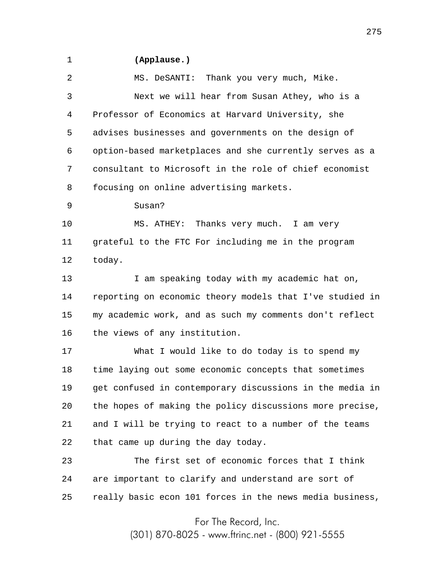## 1

## **(Applause.)**

2 3 4 5 6 7 8 9 10 11 12 13 14 15 16 17 18 19 20 21 22 23 24 25 MS. DeSANTI: Thank you very much, Mike. Next we will hear from Susan Athey, who is a Professor of Economics at Harvard University, she advises businesses and governments on the design of option-based marketplaces and she currently serves as a consultant to Microsoft in the role of chief economist focusing on online advertising markets. Susan? MS. ATHEY: Thanks very much. I am very grateful to the FTC For including me in the program today. I am speaking today with my academic hat on, reporting on economic theory models that I've studied in my academic work, and as such my comments don't reflect the views of any institution. What I would like to do today is to spend my time laying out some economic concepts that sometimes get confused in contemporary discussions in the media in the hopes of making the policy discussions more precise, and I will be trying to react to a number of the teams that came up during the day today. The first set of economic forces that I think are important to clarify and understand are sort of really basic econ 101 forces in the news media business,

For The Record, Inc.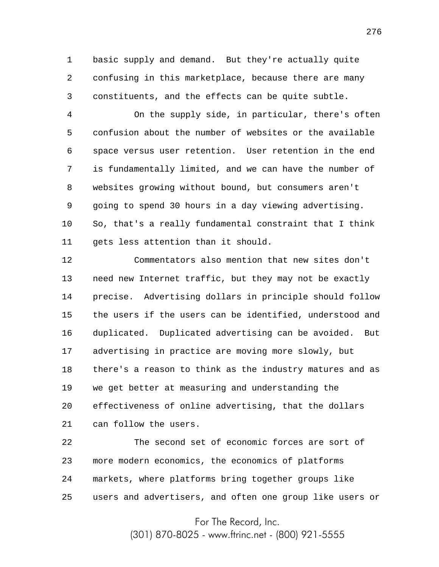1 2 3 basic supply and demand. But they're actually quite confusing in this marketplace, because there are many constituents, and the effects can be quite subtle.

4 5 6 7 8 9 10 11 On the supply side, in particular, there's often confusion about the number of websites or the available space versus user retention. User retention in the end is fundamentally limited, and we can have the number of websites growing without bound, but consumers aren't going to spend 30 hours in a day viewing advertising. So, that's a really fundamental constraint that I think gets less attention than it should.

12 13 14 15 16 17 18 19 20 21 Commentators also mention that new sites don't need new Internet traffic, but they may not be exactly precise. Advertising dollars in principle should follow the users if the users can be identified, understood and duplicated. Duplicated advertising can be avoided. But advertising in practice are moving more slowly, but there's a reason to think as the industry matures and as we get better at measuring and understanding the effectiveness of online advertising, that the dollars can follow the users.

22 23 24 25 The second set of economic forces are sort of more modern economics, the economics of platforms markets, where platforms bring together groups like users and advertisers, and often one group like users or

For The Record, Inc.

(301) 870-8025 - www.ftrinc.net - (800) 921-5555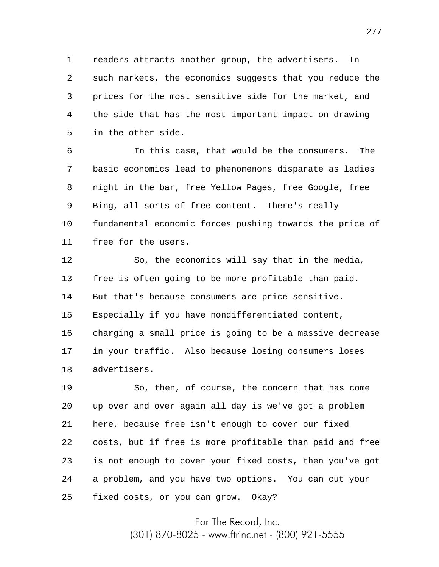1 2 3 4 5 readers attracts another group, the advertisers. In such markets, the economics suggests that you reduce the prices for the most sensitive side for the market, and the side that has the most important impact on drawing in the other side.

6 7 8 9 10 11 In this case, that would be the consumers. The basic economics lead to phenomenons disparate as ladies night in the bar, free Yellow Pages, free Google, free Bing, all sorts of free content. There's really fundamental economic forces pushing towards the price of free for the users.

12 13 14 15 16 17 18 So, the economics will say that in the media, free is often going to be more profitable than paid. But that's because consumers are price sensitive. Especially if you have nondifferentiated content, charging a small price is going to be a massive decrease in your traffic. Also because losing consumers loses advertisers.

19 20 21 22 23 24 25 So, then, of course, the concern that has come up over and over again all day is we've got a problem here, because free isn't enough to cover our fixed costs, but if free is more profitable than paid and free is not enough to cover your fixed costs, then you've got a problem, and you have two options. You can cut your fixed costs, or you can grow. Okay?

> For The Record, Inc. (301) 870-8025 - www.ftrinc.net - (800) 921-5555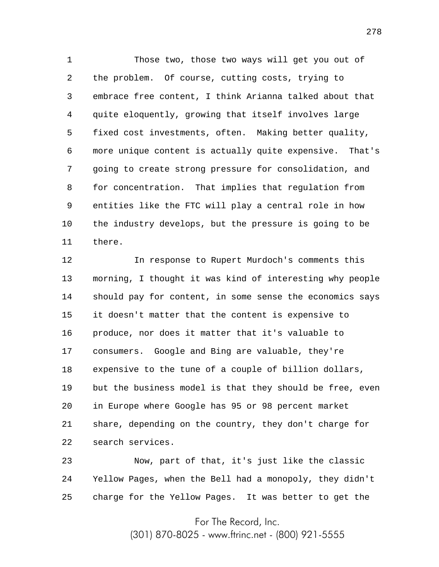1 2 3 4 5 6 7 8 9 10 11 Those two, those two ways will get you out of the problem. Of course, cutting costs, trying to embrace free content, I think Arianna talked about that quite eloquently, growing that itself involves large fixed cost investments, often. Making better quality, more unique content is actually quite expensive. That's going to create strong pressure for consolidation, and for concentration. That implies that regulation from entities like the FTC will play a central role in how the industry develops, but the pressure is going to be there.

12 13 14 15 16 17 18 19 20 21 22 In response to Rupert Murdoch's comments this morning, I thought it was kind of interesting why people should pay for content, in some sense the economics says it doesn't matter that the content is expensive to produce, nor does it matter that it's valuable to consumers. Google and Bing are valuable, they're expensive to the tune of a couple of billion dollars, but the business model is that they should be free, even in Europe where Google has 95 or 98 percent market share, depending on the country, they don't charge for search services.

23 24 25 Now, part of that, it's just like the classic Yellow Pages, when the Bell had a monopoly, they didn't charge for the Yellow Pages. It was better to get the

For The Record, Inc.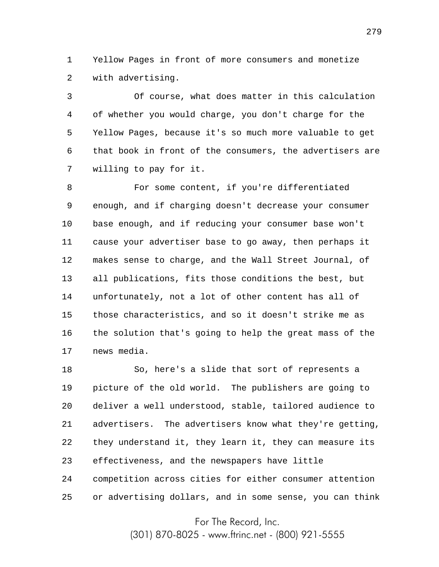1 2 Yellow Pages in front of more consumers and monetize with advertising.

3 4 5 6 7 Of course, what does matter in this calculation of whether you would charge, you don't charge for the Yellow Pages, because it's so much more valuable to get that book in front of the consumers, the advertisers are willing to pay for it.

8 9 10 11 12 13 14 15 16 17 For some content, if you're differentiated enough, and if charging doesn't decrease your consumer base enough, and if reducing your consumer base won't cause your advertiser base to go away, then perhaps it makes sense to charge, and the Wall Street Journal, of all publications, fits those conditions the best, but unfortunately, not a lot of other content has all of those characteristics, and so it doesn't strike me as the solution that's going to help the great mass of the news media.

18 19 20 21 22 23 24 25 So, here's a slide that sort of represents a picture of the old world. The publishers are going to deliver a well understood, stable, tailored audience to advertisers. The advertisers know what they're getting, they understand it, they learn it, they can measure its effectiveness, and the newspapers have little competition across cities for either consumer attention or advertising dollars, and in some sense, you can think

For The Record, Inc.

(301) 870-8025 - www.ftrinc.net - (800) 921-5555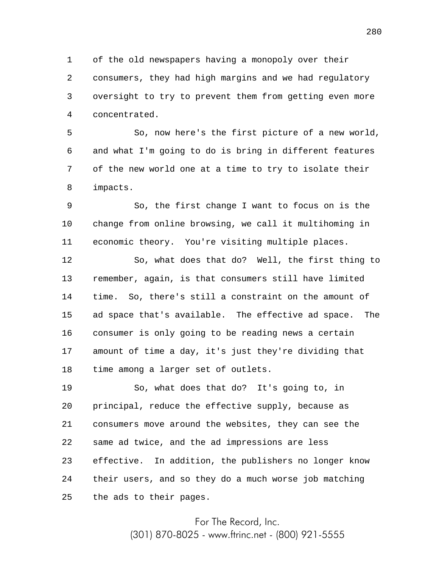1 2 3 4 of the old newspapers having a monopoly over their consumers, they had high margins and we had regulatory oversight to try to prevent them from getting even more concentrated.

5 6 7 8 So, now here's the first picture of a new world, and what I'm going to do is bring in different features of the new world one at a time to try to isolate their impacts.

9 10 11 So, the first change I want to focus on is the change from online browsing, we call it multihoming in economic theory. You're visiting multiple places.

12 13 14 15 16 17 18 So, what does that do? Well, the first thing to remember, again, is that consumers still have limited time. So, there's still a constraint on the amount of ad space that's available. The effective ad space. The consumer is only going to be reading news a certain amount of time a day, it's just they're dividing that time among a larger set of outlets.

19 20 21 22 23 24 25 So, what does that do? It's going to, in principal, reduce the effective supply, because as consumers move around the websites, they can see the same ad twice, and the ad impressions are less effective. In addition, the publishers no longer know their users, and so they do a much worse job matching the ads to their pages.

> For The Record, Inc. (301) 870-8025 - www.ftrinc.net - (800) 921-5555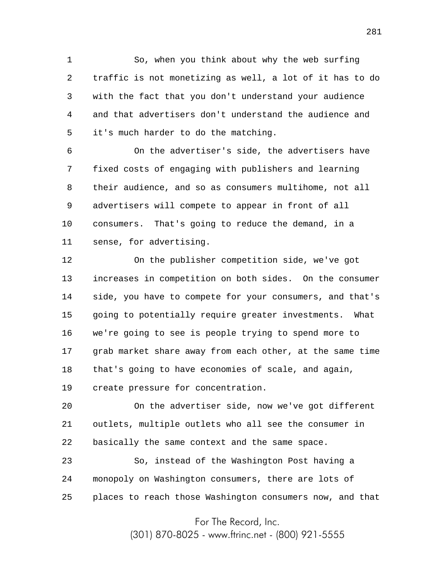1 2 3 4 5 So, when you think about why the web surfing traffic is not monetizing as well, a lot of it has to do with the fact that you don't understand your audience and that advertisers don't understand the audience and it's much harder to do the matching.

6 7 8 9 10 11 On the advertiser's side, the advertisers have fixed costs of engaging with publishers and learning their audience, and so as consumers multihome, not all advertisers will compete to appear in front of all consumers. That's going to reduce the demand, in a sense, for advertising.

12 13 14 15 16 17 18 19 On the publisher competition side, we've got increases in competition on both sides. On the consumer side, you have to compete for your consumers, and that's going to potentially require greater investments. What we're going to see is people trying to spend more to grab market share away from each other, at the same time that's going to have economies of scale, and again, create pressure for concentration.

20 21 22 On the advertiser side, now we've got different outlets, multiple outlets who all see the consumer in basically the same context and the same space.

23 24 25 So, instead of the Washington Post having a monopoly on Washington consumers, there are lots of places to reach those Washington consumers now, and that

For The Record, Inc.

(301) 870-8025 - www.ftrinc.net - (800) 921-5555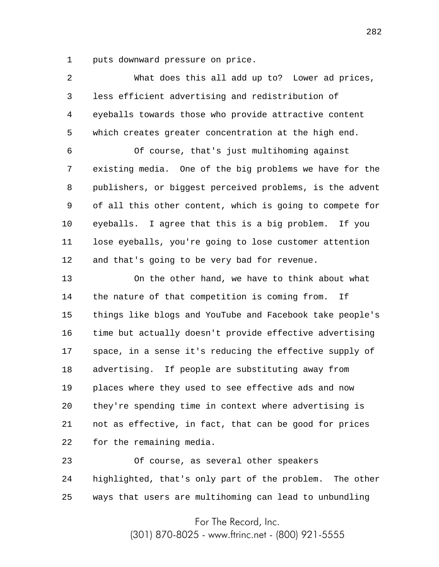1 puts downward pressure on price.

| 2              | What does this all add up to? Lower ad prices,           |
|----------------|----------------------------------------------------------|
| 3              | less efficient advertising and redistribution of         |
| $\overline{4}$ | eyeballs towards those who provide attractive content    |
| 5              | which creates greater concentration at the high end.     |
| 6              | Of course, that's just multihoming against               |
| 7              | existing media. One of the big problems we have for the  |
| 8              | publishers, or biggest perceived problems, is the advent |
| 9              | of all this other content, which is going to compete for |
| $10 \,$        | eyeballs. I agree that this is a big problem. If you     |
| 11             | lose eyeballs, you're going to lose customer attention   |
| 12             | and that's going to be very bad for revenue.             |
| 13             | On the other hand, we have to think about what           |
| 14             | the nature of that competition is coming from.<br>Ιf     |
| 15             | things like blogs and YouTube and Facebook take people's |
| 16             | time but actually doesn't provide effective advertising  |
| 17             | space, in a sense it's reducing the effective supply of  |
| 18             | advertising. If people are substituting away from        |
| 19             | places where they used to see effective ads and now      |
| 20             | they're spending time in context where advertising is    |
| 21             | not as effective, in fact, that can be good for prices   |
| 22             | for the remaining media.                                 |
| つつ             | $\alpha$                                                 |

23 24 25 Of course, as several other speakers highlighted, that's only part of the problem. The other ways that users are multihoming can lead to unbundling

> For The Record, Inc. (301) 870-8025 - www.ftrinc.net - (800) 921-5555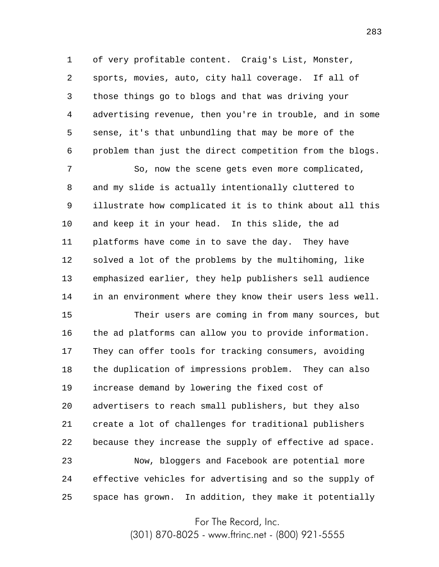1 2 3 4 5 6 of very profitable content. Craig's List, Monster, sports, movies, auto, city hall coverage. If all of those things go to blogs and that was driving your advertising revenue, then you're in trouble, and in some sense, it's that unbundling that may be more of the problem than just the direct competition from the blogs.

7 8 9 10 11 12 13 14 So, now the scene gets even more complicated, and my slide is actually intentionally cluttered to illustrate how complicated it is to think about all this and keep it in your head. In this slide, the ad platforms have come in to save the day. They have solved a lot of the problems by the multihoming, like emphasized earlier, they help publishers sell audience in an environment where they know their users less well.

15 16 17 18 19 20 21 22 23 24 25 Their users are coming in from many sources, but the ad platforms can allow you to provide information. They can offer tools for tracking consumers, avoiding the duplication of impressions problem. They can also increase demand by lowering the fixed cost of advertisers to reach small publishers, but they also create a lot of challenges for traditional publishers because they increase the supply of effective ad space. Now, bloggers and Facebook are potential more effective vehicles for advertising and so the supply of space has grown. In addition, they make it potentially

For The Record, Inc.

(301) 870-8025 - www.ftrinc.net - (800) 921-5555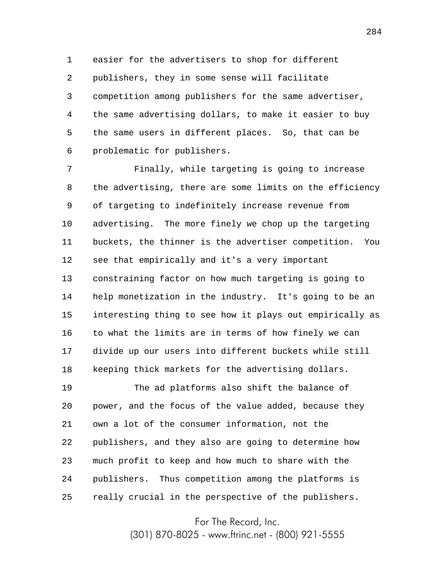1 2 3 4 5 6 easier for the advertisers to shop for different publishers, they in some sense will facilitate competition among publishers for the same advertiser, the same advertising dollars, to make it easier to buy the same users in different places. So, that can be problematic for publishers.

7 8 9 10 11 12 13 14 15 16 17 18 Finally, while targeting is going to increase the advertising, there are some limits on the efficiency of targeting to indefinitely increase revenue from advertising. The more finely we chop up the targeting buckets, the thinner is the advertiser competition. You see that empirically and it's a very important constraining factor on how much targeting is going to help monetization in the industry. It's going to be an interesting thing to see how it plays out empirically as to what the limits are in terms of how finely we can divide up our users into different buckets while still keeping thick markets for the advertising dollars.

19 20 21 22 23 24 25 The ad platforms also shift the balance of power, and the focus of the value added, because they own a lot of the consumer information, not the publishers, and they also are going to determine how much profit to keep and how much to share with the publishers. Thus competition among the platforms is really crucial in the perspective of the publishers.

For The Record, Inc.

(301) 870-8025 - www.ftrinc.net - (800) 921-5555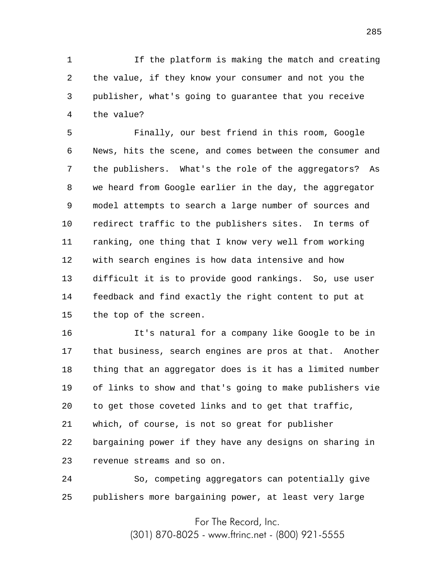1 2 3 4 If the platform is making the match and creating the value, if they know your consumer and not you the publisher, what's going to guarantee that you receive the value?

5 6 7 8 9 10 11 12 13 14 15 Finally, our best friend in this room, Google News, hits the scene, and comes between the consumer and the publishers. What's the role of the aggregators? As we heard from Google earlier in the day, the aggregator model attempts to search a large number of sources and redirect traffic to the publishers sites. In terms of ranking, one thing that I know very well from working with search engines is how data intensive and how difficult it is to provide good rankings. So, use user feedback and find exactly the right content to put at the top of the screen.

16 17 18 19 20 21 22 23 It's natural for a company like Google to be in that business, search engines are pros at that. Another thing that an aggregator does is it has a limited number of links to show and that's going to make publishers vie to get those coveted links and to get that traffic, which, of course, is not so great for publisher bargaining power if they have any designs on sharing in revenue streams and so on.

24 25 So, competing aggregators can potentially give publishers more bargaining power, at least very large

For The Record, Inc.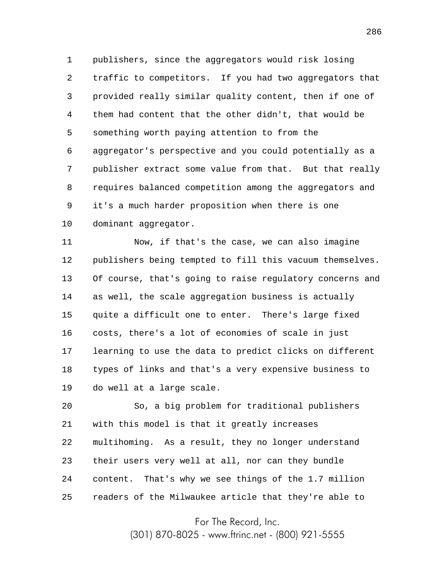1 2 3 4 5 6 7 8 9 10 publishers, since the aggregators would risk losing traffic to competitors. If you had two aggregators that provided really similar quality content, then if one of them had content that the other didn't, that would be something worth paying attention to from the aggregator's perspective and you could potentially as a publisher extract some value from that. But that really requires balanced competition among the aggregators and it's a much harder proposition when there is one dominant aggregator.

11 12 13 14 15 16 17 18 19 Now, if that's the case, we can also imagine publishers being tempted to fill this vacuum themselves. Of course, that's going to raise regulatory concerns and as well, the scale aggregation business is actually quite a difficult one to enter. There's large fixed costs, there's a lot of economies of scale in just learning to use the data to predict clicks on different types of links and that's a very expensive business to do well at a large scale.

20 21 22 23 24 25 So, a big problem for traditional publishers with this model is that it greatly increases multihoming. As a result, they no longer understand their users very well at all, nor can they bundle content. That's why we see things of the 1.7 million readers of the Milwaukee article that they're able to

For The Record, Inc.

(301) 870-8025 - www.ftrinc.net - (800) 921-5555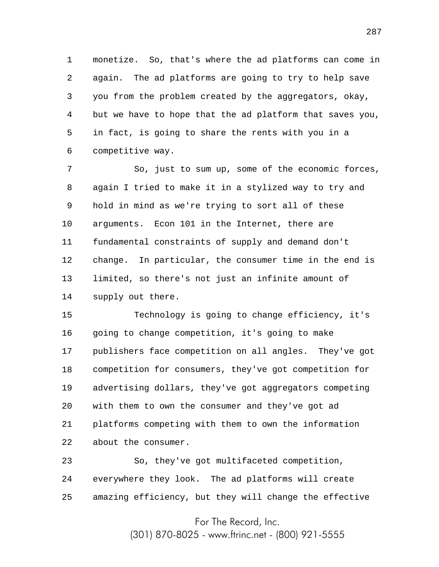1 2 3 4 5 6 monetize. So, that's where the ad platforms can come in again. The ad platforms are going to try to help save you from the problem created by the aggregators, okay, but we have to hope that the ad platform that saves you, in fact, is going to share the rents with you in a competitive way.

7 8 9 10 11 12 13 14 So, just to sum up, some of the economic forces, again I tried to make it in a stylized way to try and hold in mind as we're trying to sort all of these arguments. Econ 101 in the Internet, there are fundamental constraints of supply and demand don't change. In particular, the consumer time in the end is limited, so there's not just an infinite amount of supply out there.

15 16 17 18 19 20 21 22 Technology is going to change efficiency, it's going to change competition, it's going to make publishers face competition on all angles. They've got competition for consumers, they've got competition for advertising dollars, they've got aggregators competing with them to own the consumer and they've got ad platforms competing with them to own the information about the consumer.

23 24 25 So, they've got multifaceted competition, everywhere they look. The ad platforms will create amazing efficiency, but they will change the effective

> For The Record, Inc. (301) 870-8025 - www.ftrinc.net - (800) 921-5555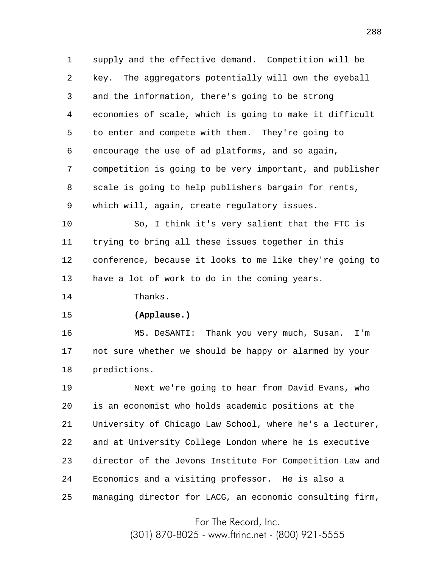1 2 3 4 5 6 7 8 9 supply and the effective demand. Competition will be key. The aggregators potentially will own the eyeball and the information, there's going to be strong economies of scale, which is going to make it difficult to enter and compete with them. They're going to encourage the use of ad platforms, and so again, competition is going to be very important, and publisher scale is going to help publishers bargain for rents, which will, again, create regulatory issues.

10 11 12 13 So, I think it's very salient that the FTC is trying to bring all these issues together in this conference, because it looks to me like they're going to have a lot of work to do in the coming years.

14 Thanks.

15

## **(Applause.)**

16 17 18 MS. DeSANTI: Thank you very much, Susan. I'm not sure whether we should be happy or alarmed by your predictions.

19 20 21 22 23 24 25 Next we're going to hear from David Evans, who is an economist who holds academic positions at the University of Chicago Law School, where he's a lecturer, and at University College London where he is executive director of the Jevons Institute For Competition Law and Economics and a visiting professor. He is also a managing director for LACG, an economic consulting firm,

For The Record, Inc.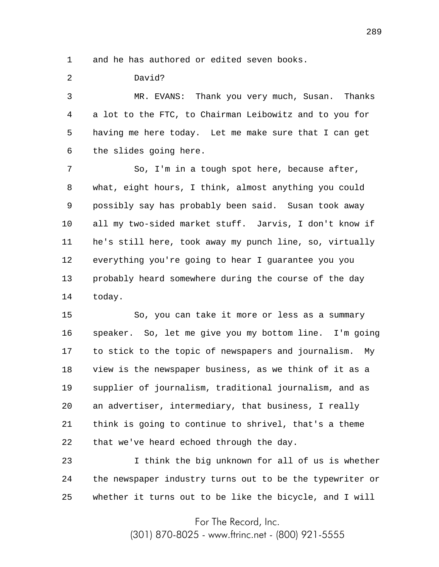1 and he has authored or edited seven books.

2 David?

3 4 5 6 MR. EVANS: Thank you very much, Susan. Thanks a lot to the FTC, to Chairman Leibowitz and to you for having me here today. Let me make sure that I can get the slides going here.

7 8 9 10 11 12 13 14 So, I'm in a tough spot here, because after, what, eight hours, I think, almost anything you could possibly say has probably been said. Susan took away all my two-sided market stuff. Jarvis, I don't know if he's still here, took away my punch line, so, virtually everything you're going to hear I guarantee you you probably heard somewhere during the course of the day today.

15 16 17 18 19 20 21 22 So, you can take it more or less as a summary speaker. So, let me give you my bottom line. I'm going to stick to the topic of newspapers and journalism. My view is the newspaper business, as we think of it as a supplier of journalism, traditional journalism, and as an advertiser, intermediary, that business, I really think is going to continue to shrivel, that's a theme that we've heard echoed through the day.

23 24 25 I think the big unknown for all of us is whether the newspaper industry turns out to be the typewriter or whether it turns out to be like the bicycle, and I will

For The Record, Inc.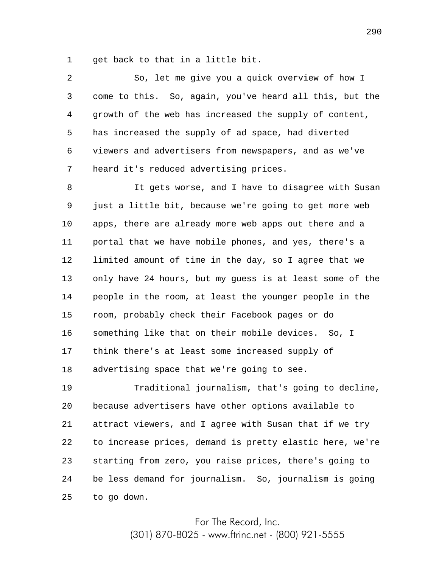1 get back to that in a little bit.

2 3 4 5 6 7 So, let me give you a quick overview of how I come to this. So, again, you've heard all this, but the growth of the web has increased the supply of content, has increased the supply of ad space, had diverted viewers and advertisers from newspapers, and as we've heard it's reduced advertising prices.

8 9 10 11 12 13 14 15 16 17 18 It gets worse, and I have to disagree with Susan just a little bit, because we're going to get more web apps, there are already more web apps out there and a portal that we have mobile phones, and yes, there's a limited amount of time in the day, so I agree that we only have 24 hours, but my guess is at least some of the people in the room, at least the younger people in the room, probably check their Facebook pages or do something like that on their mobile devices. So, I think there's at least some increased supply of advertising space that we're going to see.

19 20 21 22 23 24 25 Traditional journalism, that's going to decline, because advertisers have other options available to attract viewers, and I agree with Susan that if we try to increase prices, demand is pretty elastic here, we're starting from zero, you raise prices, there's going to be less demand for journalism. So, journalism is going to go down.

> For The Record, Inc. (301) 870-8025 - www.ftrinc.net - (800) 921-5555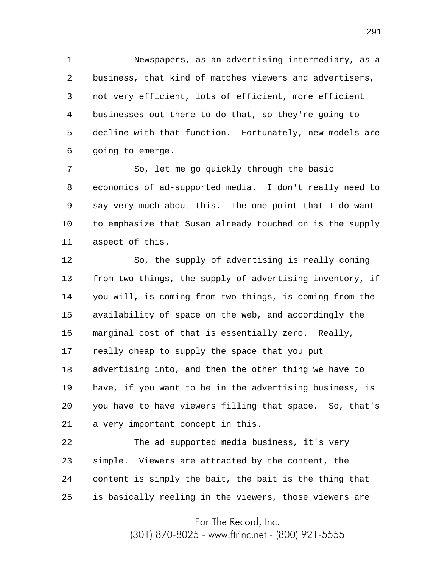1 2 3 4 5 6 Newspapers, as an advertising intermediary, as a business, that kind of matches viewers and advertisers, not very efficient, lots of efficient, more efficient businesses out there to do that, so they're going to decline with that function. Fortunately, new models are going to emerge.

7 8 9 10 11 So, let me go quickly through the basic economics of ad-supported media. I don't really need to say very much about this. The one point that I do want to emphasize that Susan already touched on is the supply aspect of this.

12 13 14 15 16 17 18 19 20 21 So, the supply of advertising is really coming from two things, the supply of advertising inventory, if you will, is coming from two things, is coming from the availability of space on the web, and accordingly the marginal cost of that is essentially zero. Really, really cheap to supply the space that you put advertising into, and then the other thing we have to have, if you want to be in the advertising business, is you have to have viewers filling that space. So, that's a very important concept in this.

22 23 24 25 The ad supported media business, it's very simple. Viewers are attracted by the content, the content is simply the bait, the bait is the thing that is basically reeling in the viewers, those viewers are

For The Record, Inc.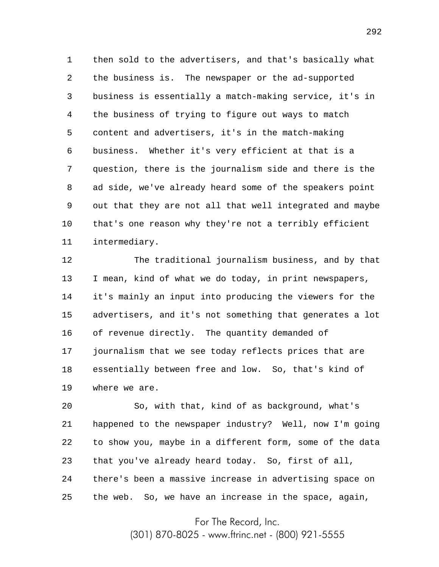1 2 3 4 5 6 7 8 9 10 11 then sold to the advertisers, and that's basically what the business is. The newspaper or the ad-supported business is essentially a match-making service, it's in the business of trying to figure out ways to match content and advertisers, it's in the match-making business. Whether it's very efficient at that is a question, there is the journalism side and there is the ad side, we've already heard some of the speakers point out that they are not all that well integrated and maybe that's one reason why they're not a terribly efficient intermediary.

12 13 14 15 16 17 18 19 The traditional journalism business, and by that I mean, kind of what we do today, in print newspapers, it's mainly an input into producing the viewers for the advertisers, and it's not something that generates a lot of revenue directly. The quantity demanded of journalism that we see today reflects prices that are essentially between free and low. So, that's kind of where we are.

20 21 22 23 24 25 So, with that, kind of as background, what's happened to the newspaper industry? Well, now I'm going to show you, maybe in a different form, some of the data that you've already heard today. So, first of all, there's been a massive increase in advertising space on the web. So, we have an increase in the space, again,

For The Record, Inc.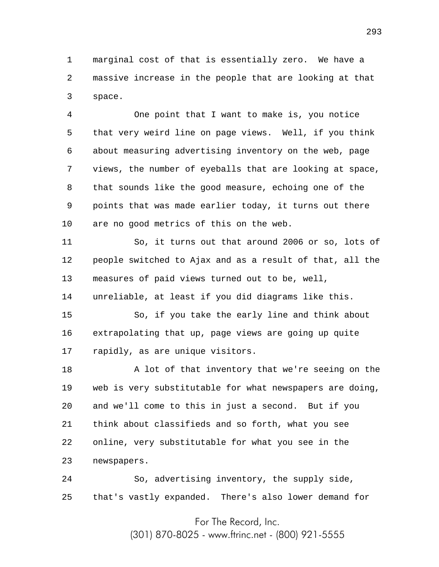1 2 3 marginal cost of that is essentially zero. We have a massive increase in the people that are looking at that space.

4 5 6 7 8 9 10 One point that I want to make is, you notice that very weird line on page views. Well, if you think about measuring advertising inventory on the web, page views, the number of eyeballs that are looking at space, that sounds like the good measure, echoing one of the points that was made earlier today, it turns out there are no good metrics of this on the web.

11 12 13 14 So, it turns out that around 2006 or so, lots of people switched to Ajax and as a result of that, all the measures of paid views turned out to be, well, unreliable, at least if you did diagrams like this.

15 16 17 So, if you take the early line and think about extrapolating that up, page views are going up quite rapidly, as are unique visitors.

18 19 20 21 22 23 A lot of that inventory that we're seeing on the web is very substitutable for what newspapers are doing, and we'll come to this in just a second. But if you think about classifieds and so forth, what you see online, very substitutable for what you see in the newspapers.

24 25 So, advertising inventory, the supply side, that's vastly expanded. There's also lower demand for

For The Record, Inc.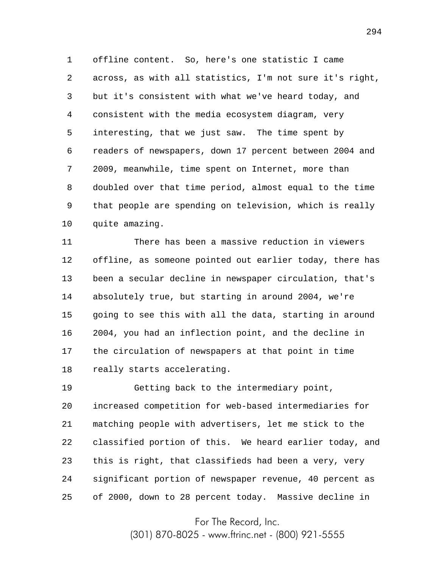1 2 3 4 5 6 7 8 9 10 offline content. So, here's one statistic I came across, as with all statistics, I'm not sure it's right, but it's consistent with what we've heard today, and consistent with the media ecosystem diagram, very interesting, that we just saw. The time spent by readers of newspapers, down 17 percent between 2004 and 2009, meanwhile, time spent on Internet, more than doubled over that time period, almost equal to the time that people are spending on television, which is really quite amazing.

11 12 13 14 15 16 17 18 There has been a massive reduction in viewers offline, as someone pointed out earlier today, there has been a secular decline in newspaper circulation, that's absolutely true, but starting in around 2004, we're going to see this with all the data, starting in around 2004, you had an inflection point, and the decline in the circulation of newspapers at that point in time really starts accelerating.

19 20 21 22 23 24 25 Getting back to the intermediary point, increased competition for web-based intermediaries for matching people with advertisers, let me stick to the classified portion of this. We heard earlier today, and this is right, that classifieds had been a very, very significant portion of newspaper revenue, 40 percent as of 2000, down to 28 percent today. Massive decline in

For The Record, Inc.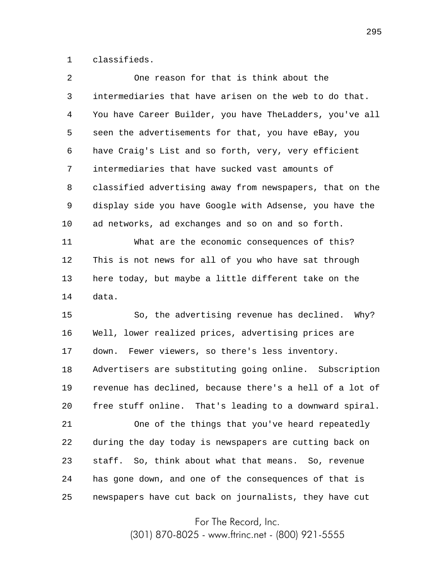1 classifieds.

| 2  | One reason for that is think about the                   |
|----|----------------------------------------------------------|
| 3  | intermediaries that have arisen on the web to do that.   |
| 4  | You have Career Builder, you have TheLadders, you've all |
| 5  | seen the advertisements for that, you have eBay, you     |
| 6  | have Craig's List and so forth, very, very efficient     |
| 7  | intermediaries that have sucked vast amounts of          |
| 8  | classified advertising away from newspapers, that on the |
| 9  | display side you have Google with Adsense, you have the  |
| 10 | ad networks, ad exchanges and so on and so forth.        |
| 11 | What are the economic consequences of this?              |
| 12 | This is not news for all of you who have sat through     |
| 13 | here today, but maybe a little different take on the     |
| 14 | data.                                                    |
| 15 | So, the advertising revenue has declined. Why?           |
| 16 | Well, lower realized prices, advertising prices are      |
| 17 | Fewer viewers, so there's less inventory.<br>down.       |
| 18 | Advertisers are substituting going online. Subscription  |
| 19 | revenue has declined, because there's a hell of a lot of |
| 20 | free stuff online. That's leading to a downward spiral.  |
| 21 | One of the things that you've heard repeatedly           |
| 22 | during the day today is newspapers are cutting back on   |
| 23 | staff. So, think about what that means. So, revenue      |
| 24 | has gone down, and one of the consequences of that is    |
| 25 | newspapers have cut back on journalists, they have cut   |

For The Record, Inc.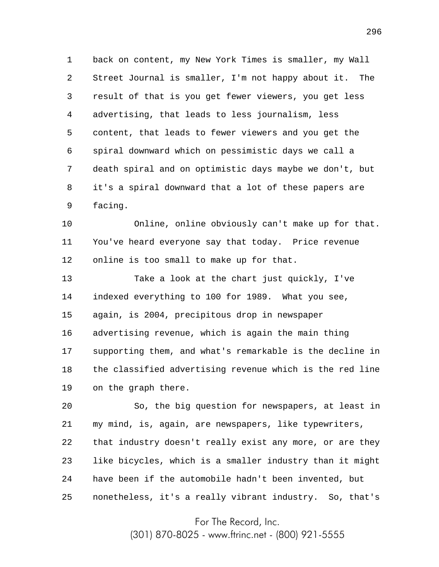1 2 3 4 5 6 7 8 9 back on content, my New York Times is smaller, my Wall Street Journal is smaller, I'm not happy about it. The result of that is you get fewer viewers, you get less advertising, that leads to less journalism, less content, that leads to fewer viewers and you get the spiral downward which on pessimistic days we call a death spiral and on optimistic days maybe we don't, but it's a spiral downward that a lot of these papers are facing.

10 11 12 Online, online obviously can't make up for that. You've heard everyone say that today. Price revenue online is too small to make up for that.

13 14 15 16 17 18 19 Take a look at the chart just quickly, I've indexed everything to 100 for 1989. What you see, again, is 2004, precipitous drop in newspaper advertising revenue, which is again the main thing supporting them, and what's remarkable is the decline in the classified advertising revenue which is the red line on the graph there.

20 21 22 23 24 25 So, the big question for newspapers, at least in my mind, is, again, are newspapers, like typewriters, that industry doesn't really exist any more, or are they like bicycles, which is a smaller industry than it might have been if the automobile hadn't been invented, but nonetheless, it's a really vibrant industry. So, that's

For The Record, Inc.

(301) 870-8025 - www.ftrinc.net - (800) 921-5555

296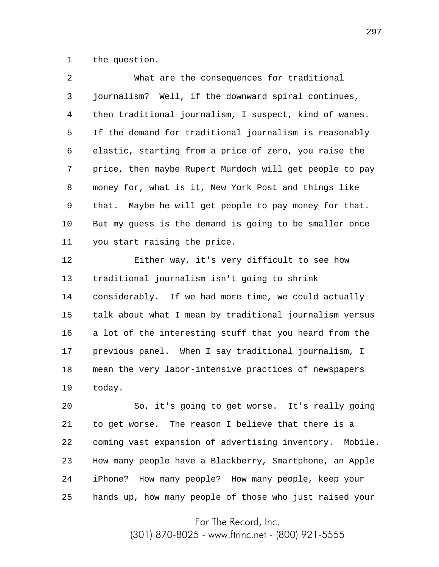1 the question.

| $\mathcal{L}$ | What are the consequences for traditional               |
|---------------|---------------------------------------------------------|
| 3             | journalism? Well, if the downward spiral continues,     |
| 4             | then traditional journalism, I suspect, kind of wanes.  |
| 5             | If the demand for traditional journalism is reasonably  |
| 6             | elastic, starting from a price of zero, you raise the   |
| 7             | price, then maybe Rupert Murdoch will get people to pay |
| 8             | money for, what is it, New York Post and things like    |
| 9             | that. Maybe he will get people to pay money for that.   |
| 10            | But my quess is the demand is going to be smaller once  |
| 11            | you start raising the price.                            |
|               |                                                         |

12 13 14 15 16 17 18 19 Either way, it's very difficult to see how traditional journalism isn't going to shrink considerably. If we had more time, we could actually talk about what I mean by traditional journalism versus a lot of the interesting stuff that you heard from the previous panel. When I say traditional journalism, I mean the very labor-intensive practices of newspapers today.

20 21 22 23 24 25 So, it's going to get worse. It's really going to get worse. The reason I believe that there is a coming vast expansion of advertising inventory. Mobile. How many people have a Blackberry, Smartphone, an Apple iPhone? How many people? How many people, keep your hands up, how many people of those who just raised your

For The Record, Inc.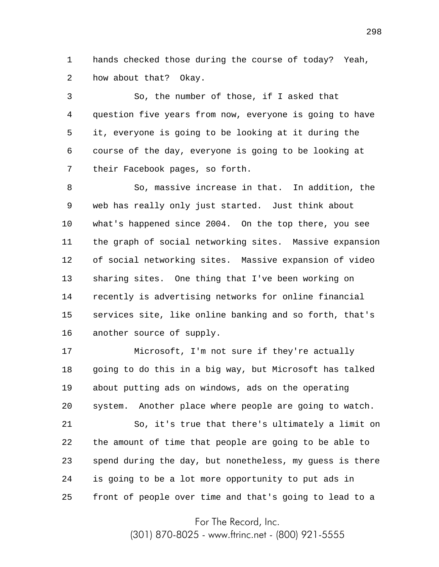1 2 hands checked those during the course of today? Yeah, how about that? Okay.

3 4 5 6 7 So, the number of those, if I asked that question five years from now, everyone is going to have it, everyone is going to be looking at it during the course of the day, everyone is going to be looking at their Facebook pages, so forth.

8 9 10 11 12 13 14 15 16 So, massive increase in that. In addition, the web has really only just started. Just think about what's happened since 2004. On the top there, you see the graph of social networking sites. Massive expansion of social networking sites. Massive expansion of video sharing sites. One thing that I've been working on recently is advertising networks for online financial services site, like online banking and so forth, that's another source of supply.

17 18 19 20 Microsoft, I'm not sure if they're actually going to do this in a big way, but Microsoft has talked about putting ads on windows, ads on the operating system. Another place where people are going to watch.

21 22 23 24 25 So, it's true that there's ultimately a limit on the amount of time that people are going to be able to spend during the day, but nonetheless, my guess is there is going to be a lot more opportunity to put ads in front of people over time and that's going to lead to a

For The Record, Inc.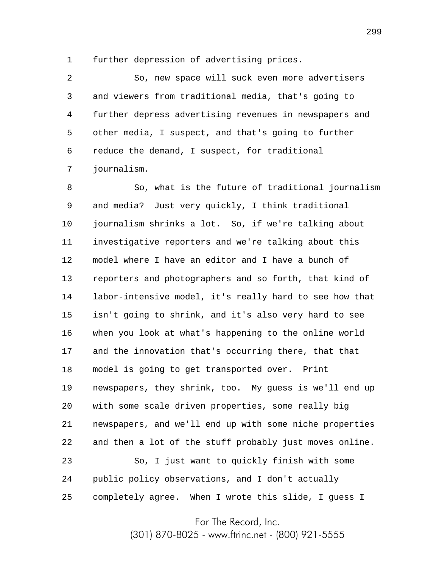1 further depression of advertising prices.

2 3 4 5 6 7 So, new space will suck even more advertisers and viewers from traditional media, that's going to further depress advertising revenues in newspapers and other media, I suspect, and that's going to further reduce the demand, I suspect, for traditional journalism.

8 9 10 11 12 13 14 15 16 17 18 19 20 21 22 23 24 25 So, what is the future of traditional journalism and media? Just very quickly, I think traditional journalism shrinks a lot. So, if we're talking about investigative reporters and we're talking about this model where I have an editor and I have a bunch of reporters and photographers and so forth, that kind of labor-intensive model, it's really hard to see how that isn't going to shrink, and it's also very hard to see when you look at what's happening to the online world and the innovation that's occurring there, that that model is going to get transported over. Print newspapers, they shrink, too. My guess is we'll end up with some scale driven properties, some really big newspapers, and we'll end up with some niche properties and then a lot of the stuff probably just moves online. So, I just want to quickly finish with some public policy observations, and I don't actually completely agree. When I wrote this slide, I guess I

For The Record, Inc.

(301) 870-8025 - www.ftrinc.net - (800) 921-5555

299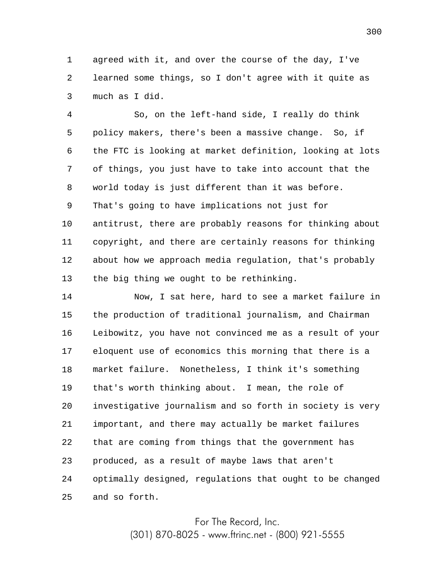1 2 3 agreed with it, and over the course of the day, I've learned some things, so I don't agree with it quite as much as I did.

4 5 6 7 8 9 10 11 12 13 So, on the left-hand side, I really do think policy makers, there's been a massive change. So, if the FTC is looking at market definition, looking at lots of things, you just have to take into account that the world today is just different than it was before. That's going to have implications not just for antitrust, there are probably reasons for thinking about copyright, and there are certainly reasons for thinking about how we approach media regulation, that's probably the big thing we ought to be rethinking.

14 15 16 17 18 19 20 21 22 23 24 25 Now, I sat here, hard to see a market failure in the production of traditional journalism, and Chairman Leibowitz, you have not convinced me as a result of your eloquent use of economics this morning that there is a market failure. Nonetheless, I think it's something that's worth thinking about. I mean, the role of investigative journalism and so forth in society is very important, and there may actually be market failures that are coming from things that the government has produced, as a result of maybe laws that aren't optimally designed, regulations that ought to be changed and so forth.

For The Record, Inc.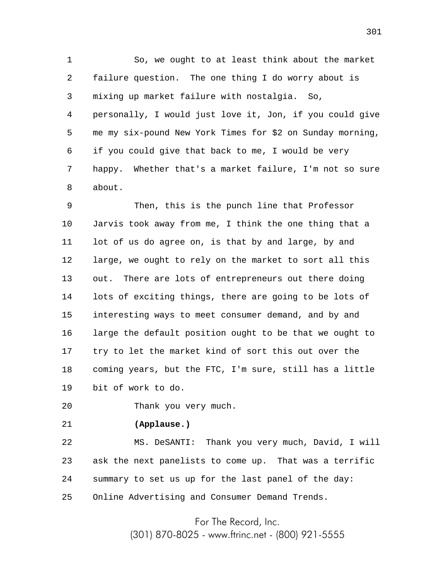1 2 3 4 5 6 7 8 So, we ought to at least think about the market failure question. The one thing I do worry about is mixing up market failure with nostalgia. So, personally, I would just love it, Jon, if you could give me my six-pound New York Times for \$2 on Sunday morning, if you could give that back to me, I would be very happy. Whether that's a market failure, I'm not so sure about.

9 10 11 12 13 14 15 16 17 18 19 Then, this is the punch line that Professor Jarvis took away from me, I think the one thing that a lot of us do agree on, is that by and large, by and large, we ought to rely on the market to sort all this out. There are lots of entrepreneurs out there doing lots of exciting things, there are going to be lots of interesting ways to meet consumer demand, and by and large the default position ought to be that we ought to try to let the market kind of sort this out over the coming years, but the FTC, I'm sure, still has a little bit of work to do.

20 Thank you very much.

21

## **(Applause.)**

22 23 24 25 MS. DeSANTI: Thank you very much, David, I will ask the next panelists to come up. That was a terrific summary to set us up for the last panel of the day: Online Advertising and Consumer Demand Trends.

For The Record, Inc.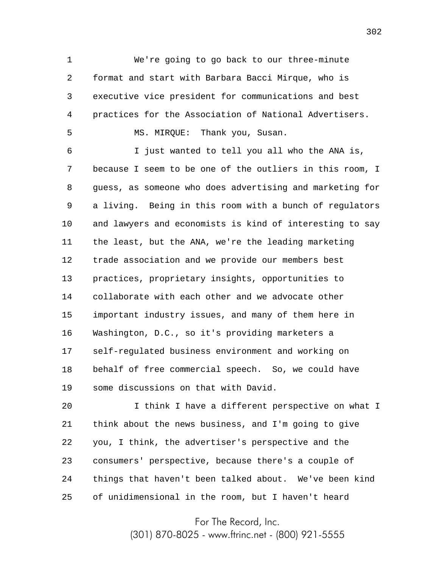1 2 3 4 5 We're going to go back to our three-minute format and start with Barbara Bacci Mirque, who is executive vice president for communications and best practices for the Association of National Advertisers. MS. MIRQUE: Thank you, Susan.

6 7 8 9 10 11 12 13 14 15 16 17 18 19 I just wanted to tell you all who the ANA is, because I seem to be one of the outliers in this room, I guess, as someone who does advertising and marketing for a living. Being in this room with a bunch of regulators and lawyers and economists is kind of interesting to say the least, but the ANA, we're the leading marketing trade association and we provide our members best practices, proprietary insights, opportunities to collaborate with each other and we advocate other important industry issues, and many of them here in Washington, D.C., so it's providing marketers a self-regulated business environment and working on behalf of free commercial speech. So, we could have some discussions on that with David.

20 21 22 23 24 25 I think I have a different perspective on what I think about the news business, and I'm going to give you, I think, the advertiser's perspective and the consumers' perspective, because there's a couple of things that haven't been talked about. We've been kind of unidimensional in the room, but I haven't heard

For The Record, Inc.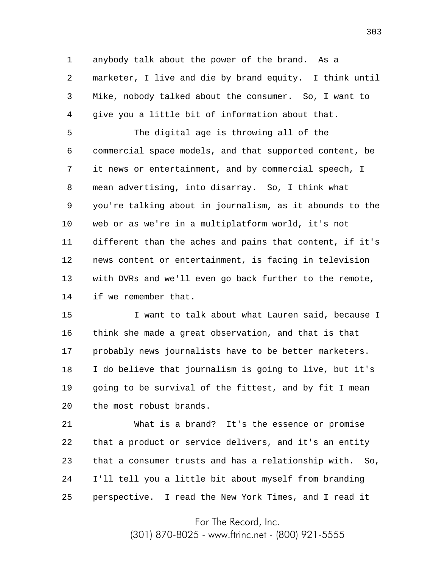1 2 3 4 anybody talk about the power of the brand. As a marketer, I live and die by brand equity. I think until Mike, nobody talked about the consumer. So, I want to give you a little bit of information about that.

5 6 7 8 9 10 11 12 13 14 The digital age is throwing all of the commercial space models, and that supported content, be it news or entertainment, and by commercial speech, I mean advertising, into disarray. So, I think what you're talking about in journalism, as it abounds to the web or as we're in a multiplatform world, it's not different than the aches and pains that content, if it's news content or entertainment, is facing in television with DVRs and we'll even go back further to the remote, if we remember that.

15 16 17 18 19 20 I want to talk about what Lauren said, because I think she made a great observation, and that is that probably news journalists have to be better marketers. I do believe that journalism is going to live, but it's going to be survival of the fittest, and by fit I mean the most robust brands.

21 22 23 24 25 What is a brand? It's the essence or promise that a product or service delivers, and it's an entity that a consumer trusts and has a relationship with. So, I'll tell you a little bit about myself from branding perspective. I read the New York Times, and I read it

For The Record, Inc.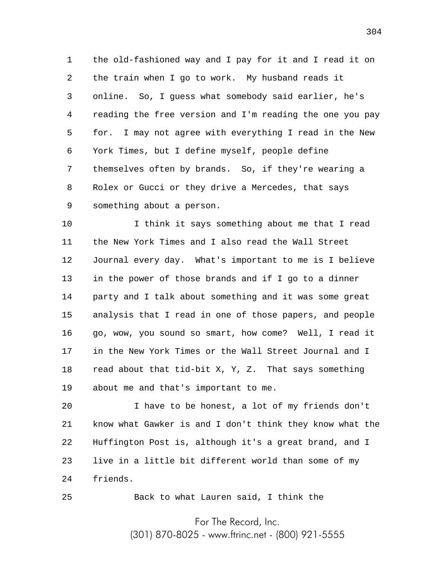1 2 3 4 5 6 7 8 9 the old-fashioned way and I pay for it and I read it on the train when I go to work. My husband reads it online. So, I guess what somebody said earlier, he's reading the free version and I'm reading the one you pay for. I may not agree with everything I read in the New York Times, but I define myself, people define themselves often by brands. So, if they're wearing a Rolex or Gucci or they drive a Mercedes, that says something about a person.

10 11 12 13 14 15 16 17 18 19 I think it says something about me that I read the New York Times and I also read the Wall Street Journal every day. What's important to me is I believe in the power of those brands and if I go to a dinner party and I talk about something and it was some great analysis that I read in one of those papers, and people go, wow, you sound so smart, how come? Well, I read it in the New York Times or the Wall Street Journal and I read about that tid-bit X, Y, Z. That says something about me and that's important to me.

20 21 22 23 24 I have to be honest, a lot of my friends don't know what Gawker is and I don't think they know what the Huffington Post is, although it's a great brand, and I live in a little bit different world than some of my friends.

Back to what Lauren said, I think the

25

For The Record, Inc. (301) 870-8025 - www.ftrinc.net - (800) 921-5555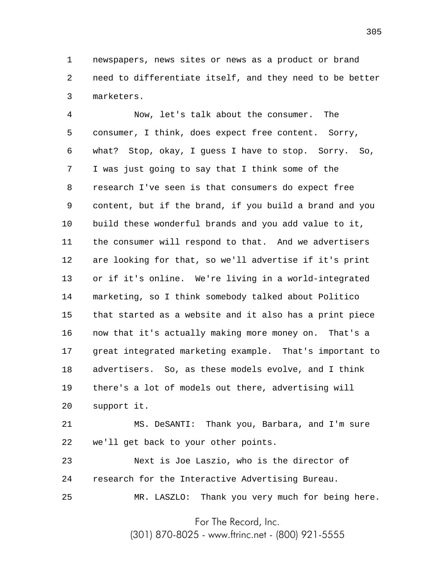1 2 3 newspapers, news sites or news as a product or brand need to differentiate itself, and they need to be better marketers.

4 5 6 7 8 9 10 11 12 13 14 15 16 17 18 19 20 Now, let's talk about the consumer. The consumer, I think, does expect free content. Sorry, what? Stop, okay, I quess I have to stop. Sorry. So, I was just going to say that I think some of the research I've seen is that consumers do expect free content, but if the brand, if you build a brand and you build these wonderful brands and you add value to it, the consumer will respond to that. And we advertisers are looking for that, so we'll advertise if it's print or if it's online. We're living in a world-integrated marketing, so I think somebody talked about Politico that started as a website and it also has a print piece now that it's actually making more money on. That's a great integrated marketing example. That's important to advertisers. So, as these models evolve, and I think there's a lot of models out there, advertising will support it.

21 22 MS. DeSANTI: Thank you, Barbara, and I'm sure we'll get back to your other points.

23 24 Next is Joe Laszio, who is the director of research for the Interactive Advertising Bureau.

25

MR. LASZLO: Thank you very much for being here.

For The Record, Inc.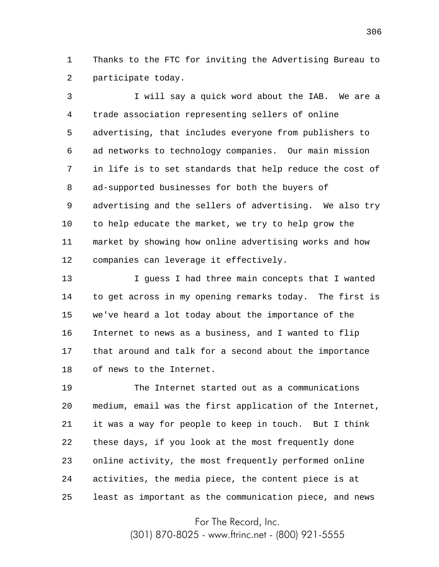1 2 Thanks to the FTC for inviting the Advertising Bureau to participate today.

3 4 5 6 7 8 9 10 11 12 I will say a quick word about the IAB. We are a trade association representing sellers of online advertising, that includes everyone from publishers to ad networks to technology companies. Our main mission in life is to set standards that help reduce the cost of ad-supported businesses for both the buyers of advertising and the sellers of advertising. We also try to help educate the market, we try to help grow the market by showing how online advertising works and how companies can leverage it effectively.

13 14 15 16 17 18 I guess I had three main concepts that I wanted to get across in my opening remarks today. The first is we've heard a lot today about the importance of the Internet to news as a business, and I wanted to flip that around and talk for a second about the importance of news to the Internet.

19 20 21 22 23 24 25 The Internet started out as a communications medium, email was the first application of the Internet, it was a way for people to keep in touch. But I think these days, if you look at the most frequently done online activity, the most frequently performed online activities, the media piece, the content piece is at least as important as the communication piece, and news

For The Record, Inc.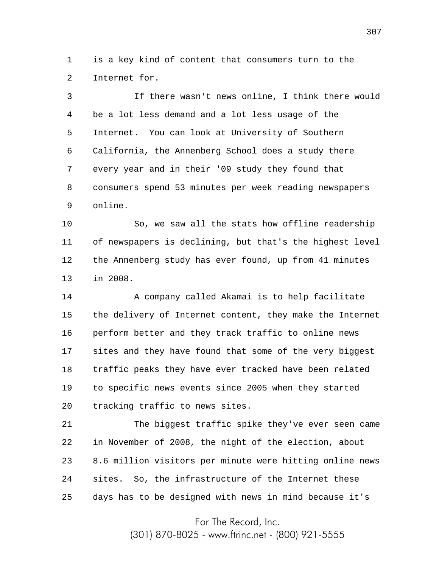1 2 is a key kind of content that consumers turn to the Internet for.

3 4 5 6 7 8 9 If there wasn't news online, I think there would be a lot less demand and a lot less usage of the Internet. You can look at University of Southern California, the Annenberg School does a study there every year and in their '09 study they found that consumers spend 53 minutes per week reading newspapers online.

10 11 12 13 So, we saw all the stats how offline readership of newspapers is declining, but that's the highest level the Annenberg study has ever found, up from 41 minutes in 2008.

14 15 16 17 18 19 20 A company called Akamai is to help facilitate the delivery of Internet content, they make the Internet perform better and they track traffic to online news sites and they have found that some of the very biggest traffic peaks they have ever tracked have been related to specific news events since 2005 when they started tracking traffic to news sites.

21 22 23 24 25 The biggest traffic spike they've ever seen came in November of 2008, the night of the election, about 8.6 million visitors per minute were hitting online news sites. So, the infrastructure of the Internet these days has to be designed with news in mind because it's

For The Record, Inc.

(301) 870-8025 - www.ftrinc.net - (800) 921-5555

307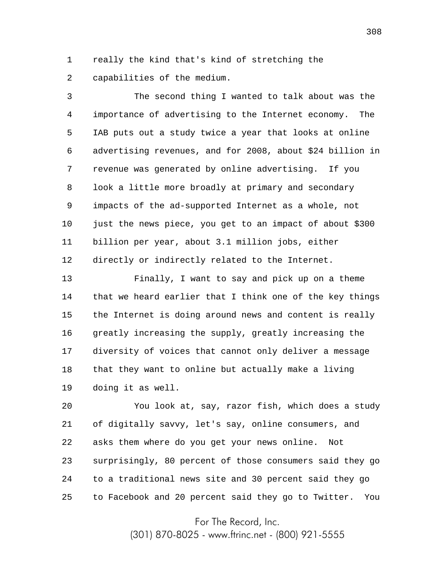1 2 really the kind that's kind of stretching the capabilities of the medium.

3 4 5 6 7 8 9 10 11 12 The second thing I wanted to talk about was the importance of advertising to the Internet economy. The IAB puts out a study twice a year that looks at online advertising revenues, and for 2008, about \$24 billion in revenue was generated by online advertising. If you look a little more broadly at primary and secondary impacts of the ad-supported Internet as a whole, not just the news piece, you get to an impact of about \$300 billion per year, about 3.1 million jobs, either directly or indirectly related to the Internet.

13 14 15 16 17 18 19 Finally, I want to say and pick up on a theme that we heard earlier that I think one of the key things the Internet is doing around news and content is really greatly increasing the supply, greatly increasing the diversity of voices that cannot only deliver a message that they want to online but actually make a living doing it as well.

20 21 22 23 24 25 You look at, say, razor fish, which does a study of digitally savvy, let's say, online consumers, and asks them where do you get your news online. Not surprisingly, 80 percent of those consumers said they go to a traditional news site and 30 percent said they go to Facebook and 20 percent said they go to Twitter. You

For The Record, Inc.

(301) 870-8025 - www.ftrinc.net - (800) 921-5555

308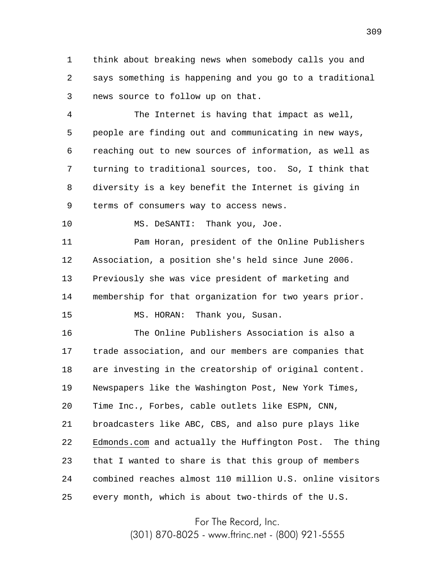1 2 3 think about breaking news when somebody calls you and says something is happening and you go to a traditional news source to follow up on that.

4 5 6 7 8 9 The Internet is having that impact as well, people are finding out and communicating in new ways, reaching out to new sources of information, as well as turning to traditional sources, too. So, I think that diversity is a key benefit the Internet is giving in terms of consumers way to access news.

10 MS. DeSANTI: Thank you, Joe.

11 12 13 14 15 Pam Horan, president of the Online Publishers Association, a position she's held since June 2006. Previously she was vice president of marketing and membership for that organization for two years prior. MS. HORAN: Thank you, Susan.

16 17 18 19 20 21 22 23 24 25 The Online Publishers Association is also a trade association, and our members are companies that are investing in the creatorship of original content. Newspapers like the Washington Post, New York Times, Time Inc., Forbes, cable outlets like ESPN, CNN, broadcasters like ABC, CBS, and also pure plays like Edmonds.com and actually the Huffington Post. The thing that I wanted to share is that this group of members combined reaches almost 110 million U.S. online visitors every month, which is about two-thirds of the U.S.

For The Record, Inc.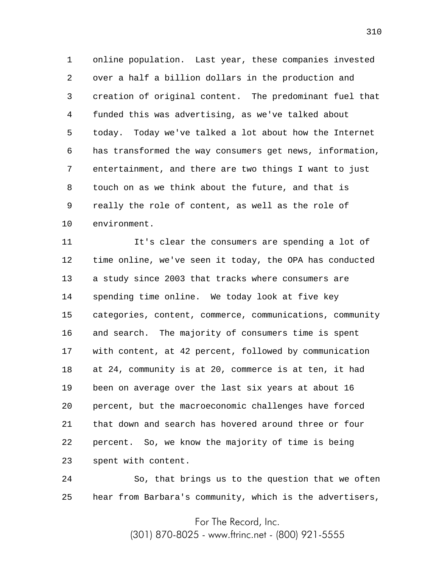1 2 3 4 5 6 7 8 9 10 online population. Last year, these companies invested over a half a billion dollars in the production and creation of original content. The predominant fuel that funded this was advertising, as we've talked about today. Today we've talked a lot about how the Internet has transformed the way consumers get news, information, entertainment, and there are two things I want to just touch on as we think about the future, and that is really the role of content, as well as the role of environment.

11 12 13 14 15 16 17 18 19 20 21 22 23 It's clear the consumers are spending a lot of time online, we've seen it today, the OPA has conducted a study since 2003 that tracks where consumers are spending time online. We today look at five key categories, content, commerce, communications, community and search. The majority of consumers time is spent with content, at 42 percent, followed by communication at 24, community is at 20, commerce is at ten, it had been on average over the last six years at about 16 percent, but the macroeconomic challenges have forced that down and search has hovered around three or four percent. So, we know the majority of time is being spent with content.

24 25 So, that brings us to the question that we often hear from Barbara's community, which is the advertisers,

For The Record, Inc.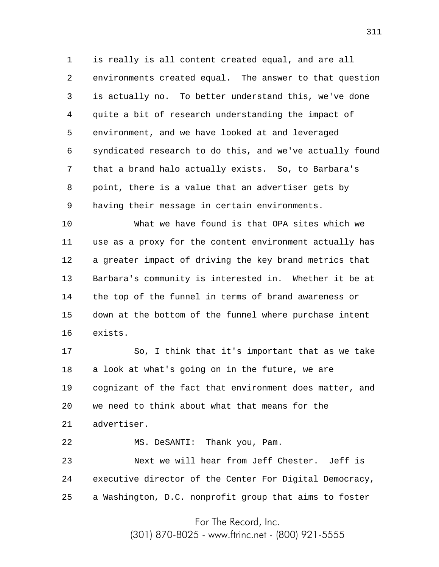1 2 3 4 5 6 7 8 9 is really is all content created equal, and are all environments created equal. The answer to that question is actually no. To better understand this, we've done quite a bit of research understanding the impact of environment, and we have looked at and leveraged syndicated research to do this, and we've actually found that a brand halo actually exists. So, to Barbara's point, there is a value that an advertiser gets by having their message in certain environments.

10 11 12 13 14 15 16 What we have found is that OPA sites which we use as a proxy for the content environment actually has a greater impact of driving the key brand metrics that Barbara's community is interested in. Whether it be at the top of the funnel in terms of brand awareness or down at the bottom of the funnel where purchase intent exists.

17 18 19 20 21 So, I think that it's important that as we take a look at what's going on in the future, we are cognizant of the fact that environment does matter, and we need to think about what that means for the advertiser.

22 MS. DeSANTI: Thank you, Pam.

23 24 25 Next we will hear from Jeff Chester. Jeff is executive director of the Center For Digital Democracy, a Washington, D.C. nonprofit group that aims to foster

For The Record, Inc.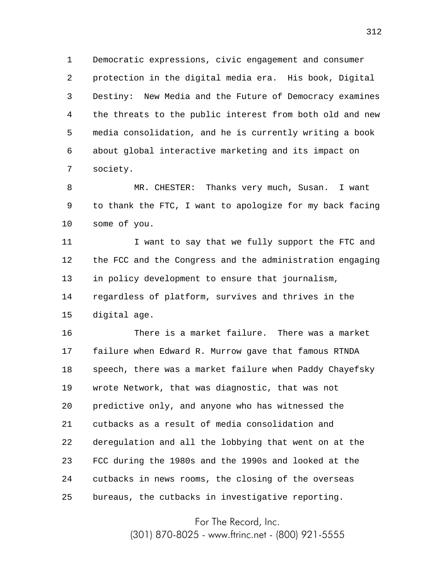1 2 3 4 5 6 7 Democratic expressions, civic engagement and consumer protection in the digital media era. His book, Digital Destiny: New Media and the Future of Democracy examines the threats to the public interest from both old and new media consolidation, and he is currently writing a book about global interactive marketing and its impact on society.

8 9 10 MR. CHESTER: Thanks very much, Susan. I want to thank the FTC, I want to apologize for my back facing some of you.

11 12 13 14 15 I want to say that we fully support the FTC and the FCC and the Congress and the administration engaging in policy development to ensure that journalism, regardless of platform, survives and thrives in the digital age.

16 17 18 19 20 21 22 23 24 25 There is a market failure. There was a market failure when Edward R. Murrow gave that famous RTNDA speech, there was a market failure when Paddy Chayefsky wrote Network, that was diagnostic, that was not predictive only, and anyone who has witnessed the cutbacks as a result of media consolidation and deregulation and all the lobbying that went on at the FCC during the 1980s and the 1990s and looked at the cutbacks in news rooms, the closing of the overseas bureaus, the cutbacks in investigative reporting.

For The Record, Inc.

(301) 870-8025 - www.ftrinc.net - (800) 921-5555

312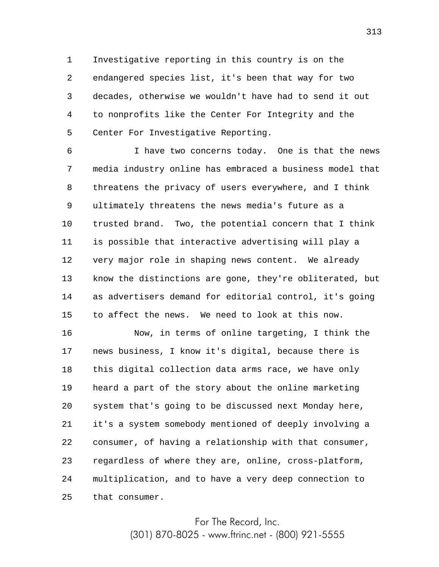1 2 3 4 5 Investigative reporting in this country is on the endangered species list, it's been that way for two decades, otherwise we wouldn't have had to send it out to nonprofits like the Center For Integrity and the Center For Investigative Reporting.

6 7 8 9 10 11 12 13 14 15 I have two concerns today. One is that the news media industry online has embraced a business model that threatens the privacy of users everywhere, and I think ultimately threatens the news media's future as a trusted brand. Two, the potential concern that I think is possible that interactive advertising will play a very major role in shaping news content. We already know the distinctions are gone, they're obliterated, but as advertisers demand for editorial control, it's going to affect the news. We need to look at this now.

16 17 18 19 20 21 22 23 24 25 Now, in terms of online targeting, I think the news business, I know it's digital, because there is this digital collection data arms race, we have only heard a part of the story about the online marketing system that's going to be discussed next Monday here, it's a system somebody mentioned of deeply involving a consumer, of having a relationship with that consumer, regardless of where they are, online, cross-platform, multiplication, and to have a very deep connection to that consumer.

> For The Record, Inc. (301) 870-8025 - www.ftrinc.net - (800) 921-5555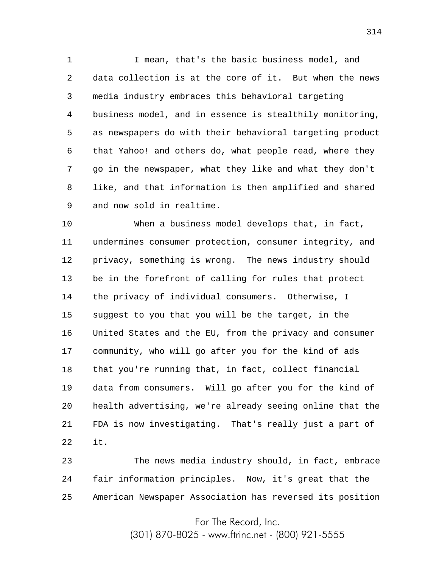1 2 3 4 5 6 7 8 9 I mean, that's the basic business model, and data collection is at the core of it. But when the news media industry embraces this behavioral targeting business model, and in essence is stealthily monitoring, as newspapers do with their behavioral targeting product that Yahoo! and others do, what people read, where they go in the newspaper, what they like and what they don't like, and that information is then amplified and shared and now sold in realtime.

10 11 12 13 14 15 16 17 18 19 20 21 22 When a business model develops that, in fact, undermines consumer protection, consumer integrity, and privacy, something is wrong. The news industry should be in the forefront of calling for rules that protect the privacy of individual consumers. Otherwise, I suggest to you that you will be the target, in the United States and the EU, from the privacy and consumer community, who will go after you for the kind of ads that you're running that, in fact, collect financial data from consumers. Will go after you for the kind of health advertising, we're already seeing online that the FDA is now investigating. That's really just a part of it.

23 24 25 The news media industry should, in fact, embrace fair information principles. Now, it's great that the American Newspaper Association has reversed its position

For The Record, Inc.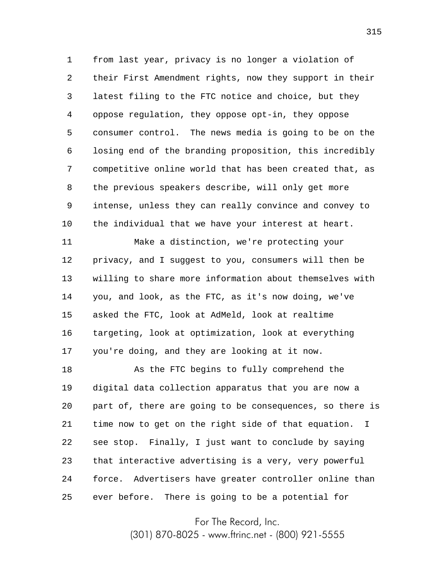1 2 3 4 5 6 7 8 9 10 from last year, privacy is no longer a violation of their First Amendment rights, now they support in their latest filing to the FTC notice and choice, but they oppose regulation, they oppose opt-in, they oppose consumer control. The news media is going to be on the losing end of the branding proposition, this incredibly competitive online world that has been created that, as the previous speakers describe, will only get more intense, unless they can really convince and convey to the individual that we have your interest at heart.

11 12 13 14 15 16 17 Make a distinction, we're protecting your privacy, and I suggest to you, consumers will then be willing to share more information about themselves with you, and look, as the FTC, as it's now doing, we've asked the FTC, look at AdMeld, look at realtime targeting, look at optimization, look at everything you're doing, and they are looking at it now.

18 19 20 21 22 23 24 25 As the FTC begins to fully comprehend the digital data collection apparatus that you are now a part of, there are going to be consequences, so there is time now to get on the right side of that equation. I see stop. Finally, I just want to conclude by saying that interactive advertising is a very, very powerful force. Advertisers have greater controller online than ever before. There is going to be a potential for

For The Record, Inc.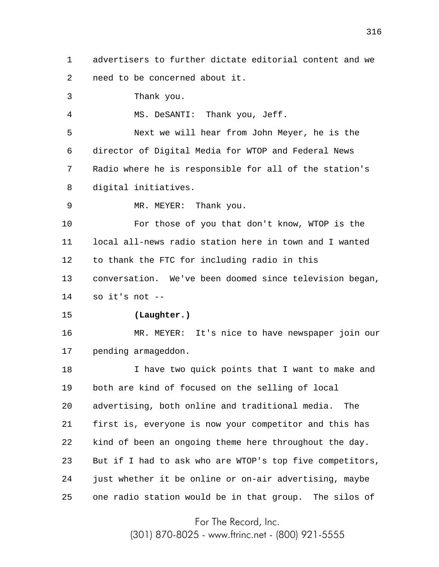1 2 3 4 5 6 7 8 9 10 11 12 13 14 15 16 17 18 19 20 21 22 23 24 25 advertisers to further dictate editorial content and we need to be concerned about it. Thank you. MS. DeSANTI: Thank you, Jeff. Next we will hear from John Meyer, he is the director of Digital Media for WTOP and Federal News Radio where he is responsible for all of the station's digital initiatives. MR. MEYER: Thank you. For those of you that don't know, WTOP is the local all-news radio station here in town and I wanted to thank the FTC for including radio in this conversation. We've been doomed since television began, so it's not  $-$ **(Laughter.)** MR. MEYER: It's nice to have newspaper join our pending armageddon. I have two quick points that I want to make and both are kind of focused on the selling of local advertising, both online and traditional media. The first is, everyone is now your competitor and this has kind of been an ongoing theme here throughout the day. But if I had to ask who are WTOP's top five competitors, just whether it be online or on-air advertising, maybe one radio station would be in that group. The silos of

For The Record, Inc.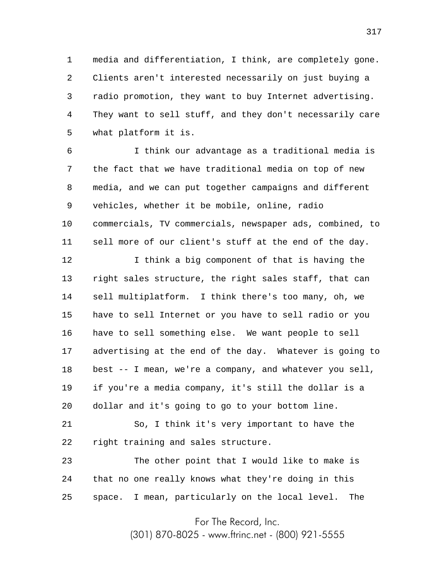1 2 3 4 5 media and differentiation, I think, are completely gone. Clients aren't interested necessarily on just buying a radio promotion, they want to buy Internet advertising. They want to sell stuff, and they don't necessarily care what platform it is.

6 7 8 9 10 11 I think our advantage as a traditional media is the fact that we have traditional media on top of new media, and we can put together campaigns and different vehicles, whether it be mobile, online, radio commercials, TV commercials, newspaper ads, combined, to sell more of our client's stuff at the end of the day.

12 13 14 15 16 17 18 19 20 I think a big component of that is having the right sales structure, the right sales staff, that can sell multiplatform. I think there's too many, oh, we have to sell Internet or you have to sell radio or you have to sell something else. We want people to sell advertising at the end of the day. Whatever is going to best -- I mean, we're a company, and whatever you sell, if you're a media company, it's still the dollar is a dollar and it's going to go to your bottom line.

21 22 So, I think it's very important to have the right training and sales structure.

23 24 25 The other point that I would like to make is that no one really knows what they're doing in this space. I mean, particularly on the local level. The

For The Record, Inc.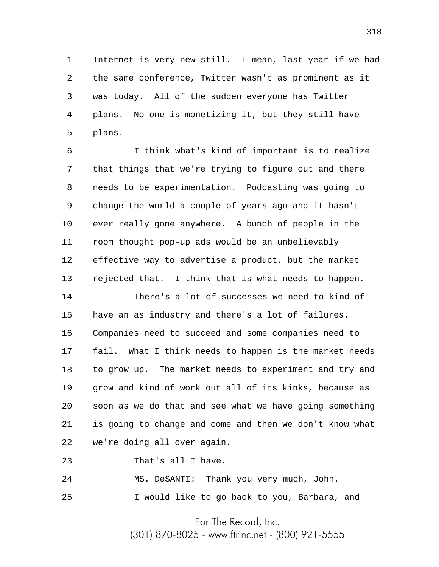1 2 3 4 5 Internet is very new still. I mean, last year if we had the same conference, Twitter wasn't as prominent as it was today. All of the sudden everyone has Twitter plans. No one is monetizing it, but they still have plans.

6 7 8 9 10 11 12 13 I think what's kind of important is to realize that things that we're trying to figure out and there needs to be experimentation. Podcasting was going to change the world a couple of years ago and it hasn't ever really gone anywhere. A bunch of people in the room thought pop-up ads would be an unbelievably effective way to advertise a product, but the market rejected that. I think that is what needs to happen.

14 15 16 17 18 19 20 21 22 There's a lot of successes we need to kind of have an as industry and there's a lot of failures. Companies need to succeed and some companies need to fail. What I think needs to happen is the market needs to grow up. The market needs to experiment and try and grow and kind of work out all of its kinks, because as soon as we do that and see what we have going something is going to change and come and then we don't know what we're doing all over again.

23 That's all I have.

24 25 MS. DeSANTI: Thank you very much, John. I would like to go back to you, Barbara, and

For The Record, Inc.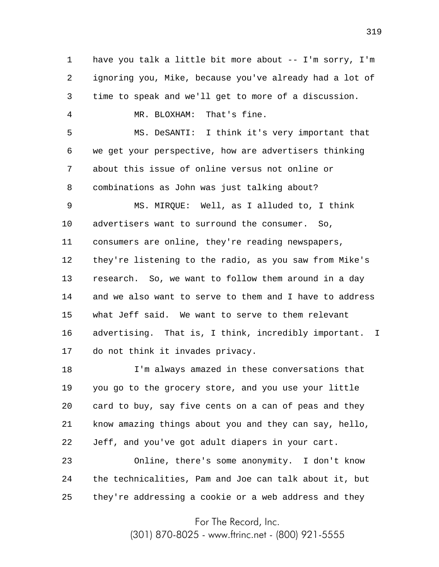1 2 3 have you talk a little bit more about -- I'm sorry, I'm ignoring you, Mike, because you've already had a lot of time to speak and we'll get to more of a discussion.

MR. BLOXHAM: That's fine.

4

5 6 7 8 MS. DeSANTI: I think it's very important that we get your perspective, how are advertisers thinking about this issue of online versus not online or combinations as John was just talking about?

9 10 11 12 13 14 15 16 17 MS. MIRQUE: Well, as I alluded to, I think advertisers want to surround the consumer. So, consumers are online, they're reading newspapers, they're listening to the radio, as you saw from Mike's research. So, we want to follow them around in a day and we also want to serve to them and I have to address what Jeff said. We want to serve to them relevant advertising. That is, I think, incredibly important. I do not think it invades privacy.

18 19 20 21 22 I'm always amazed in these conversations that you go to the grocery store, and you use your little card to buy, say five cents on a can of peas and they know amazing things about you and they can say, hello, Jeff, and you've got adult diapers in your cart.

23 24 25 Online, there's some anonymity. I don't know the technicalities, Pam and Joe can talk about it, but they're addressing a cookie or a web address and they

For The Record, Inc.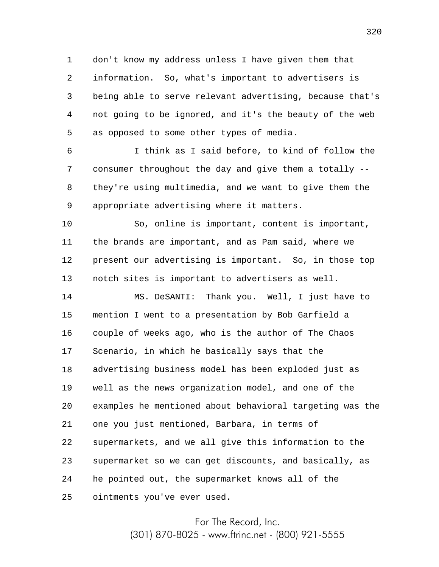1 2 3 4 5 don't know my address unless I have given them that information. So, what's important to advertisers is being able to serve relevant advertising, because that's not going to be ignored, and it's the beauty of the web as opposed to some other types of media.

6 7 8 9 I think as I said before, to kind of follow the consumer throughout the day and give them a totally - they're using multimedia, and we want to give them the appropriate advertising where it matters.

10 11 12 13 So, online is important, content is important, the brands are important, and as Pam said, where we present our advertising is important. So, in those top notch sites is important to advertisers as well.

14 15 16 17 18 19 20 21 22 23 24 25 MS. DeSANTI: Thank you. Well, I just have to mention I went to a presentation by Bob Garfield a couple of weeks ago, who is the author of The Chaos Scenario, in which he basically says that the advertising business model has been exploded just as well as the news organization model, and one of the examples he mentioned about behavioral targeting was the one you just mentioned, Barbara, in terms of supermarkets, and we all give this information to the supermarket so we can get discounts, and basically, as he pointed out, the supermarket knows all of the ointments you've ever used.

> For The Record, Inc. (301) 870-8025 - www.ftrinc.net - (800) 921-5555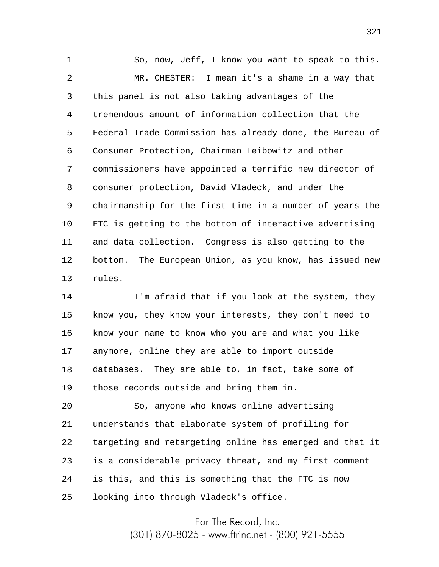1 2 3 4 5 6 7 8 9 10 11 12 13 So, now, Jeff, I know you want to speak to this. MR. CHESTER: I mean it's a shame in a way that this panel is not also taking advantages of the tremendous amount of information collection that the Federal Trade Commission has already done, the Bureau of Consumer Protection, Chairman Leibowitz and other commissioners have appointed a terrific new director of consumer protection, David Vladeck, and under the chairmanship for the first time in a number of years the FTC is getting to the bottom of interactive advertising and data collection. Congress is also getting to the bottom. The European Union, as you know, has issued new rules.

14 15 16 17 18 19 I'm afraid that if you look at the system, they know you, they know your interests, they don't need to know your name to know who you are and what you like anymore, online they are able to import outside databases. They are able to, in fact, take some of those records outside and bring them in.

20 21 22 23 24 25 So, anyone who knows online advertising understands that elaborate system of profiling for targeting and retargeting online has emerged and that it is a considerable privacy threat, and my first comment is this, and this is something that the FTC is now looking into through Vladeck's office.

> For The Record, Inc. (301) 870-8025 - www.ftrinc.net - (800) 921-5555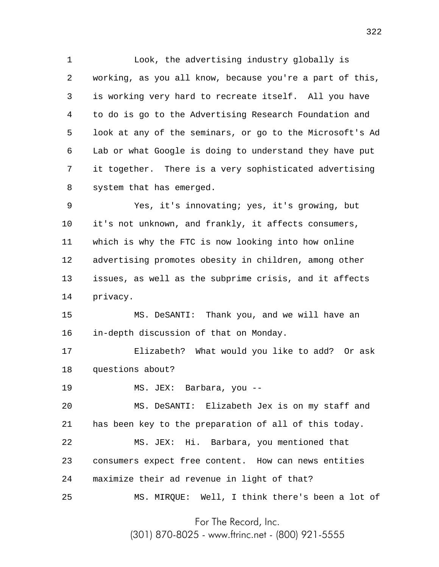1 2 3 4 5 6 7 8 Look, the advertising industry globally is working, as you all know, because you're a part of this, is working very hard to recreate itself. All you have to do is go to the Advertising Research Foundation and look at any of the seminars, or go to the Microsoft's Ad Lab or what Google is doing to understand they have put it together. There is a very sophisticated advertising system that has emerged.

9 10 11 12 13 14 Yes, it's innovating; yes, it's growing, but it's not unknown, and frankly, it affects consumers, which is why the FTC is now looking into how online advertising promotes obesity in children, among other issues, as well as the subprime crisis, and it affects privacy.

15 16 MS. DeSANTI: Thank you, and we will have an in-depth discussion of that on Monday.

17 18 Elizabeth? What would you like to add? Or ask questions about?

19 MS. JEX: Barbara, you --

20 21 22 23 24 25 MS. DeSANTI: Elizabeth Jex is on my staff and has been key to the preparation of all of this today. MS. JEX: Hi. Barbara, you mentioned that consumers expect free content. How can news entities maximize their ad revenue in light of that? MS. MIRQUE: Well, I think there's been a lot of

For The Record, Inc.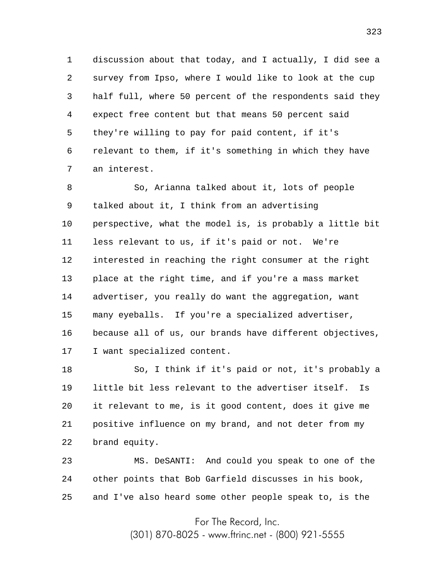1 2 3 4 5 6 7 discussion about that today, and I actually, I did see a survey from Ipso, where I would like to look at the cup half full, where 50 percent of the respondents said they expect free content but that means 50 percent said they're willing to pay for paid content, if it's relevant to them, if it's something in which they have an interest.

8 9 10 11 12 13 14 15 16 17 So, Arianna talked about it, lots of people talked about it, I think from an advertising perspective, what the model is, is probably a little bit less relevant to us, if it's paid or not. We're interested in reaching the right consumer at the right place at the right time, and if you're a mass market advertiser, you really do want the aggregation, want many eyeballs. If you're a specialized advertiser, because all of us, our brands have different objectives, I want specialized content.

18 19 20 21 22 So, I think if it's paid or not, it's probably a little bit less relevant to the advertiser itself. Is it relevant to me, is it good content, does it give me positive influence on my brand, and not deter from my brand equity.

23 24 25 MS. DeSANTI: And could you speak to one of the other points that Bob Garfield discusses in his book, and I've also heard some other people speak to, is the

For The Record, Inc.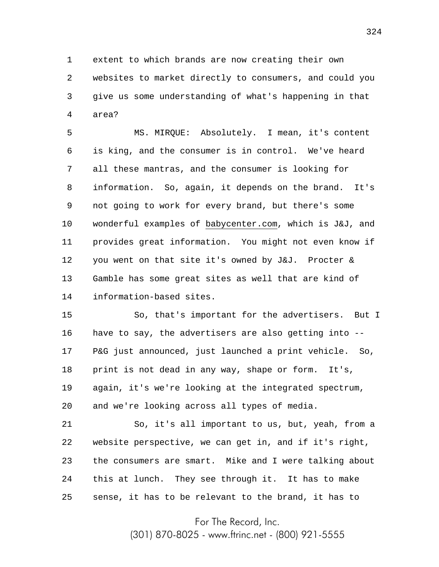1 2 3 4 extent to which brands are now creating their own websites to market directly to consumers, and could you give us some understanding of what's happening in that area?

5 6 7 8 9 10 11 12 13 14 MS. MIRQUE: Absolutely. I mean, it's content is king, and the consumer is in control. We've heard all these mantras, and the consumer is looking for information. So, again, it depends on the brand. It's not going to work for every brand, but there's some wonderful examples of babycenter.com, which is J&J, and provides great information. You might not even know if you went on that site it's owned by J&J. Procter & Gamble has some great sites as well that are kind of information-based sites.

15 16 17 18 19 20 So, that's important for the advertisers. But I have to say, the advertisers are also getting into -- P&G just announced, just launched a print vehicle. So, print is not dead in any way, shape or form. It's, again, it's we're looking at the integrated spectrum, and we're looking across all types of media.

21 22 23 24 25 So, it's all important to us, but, yeah, from a website perspective, we can get in, and if it's right, the consumers are smart. Mike and I were talking about this at lunch. They see through it. It has to make sense, it has to be relevant to the brand, it has to

For The Record, Inc.

(301) 870-8025 - www.ftrinc.net - (800) 921-5555

324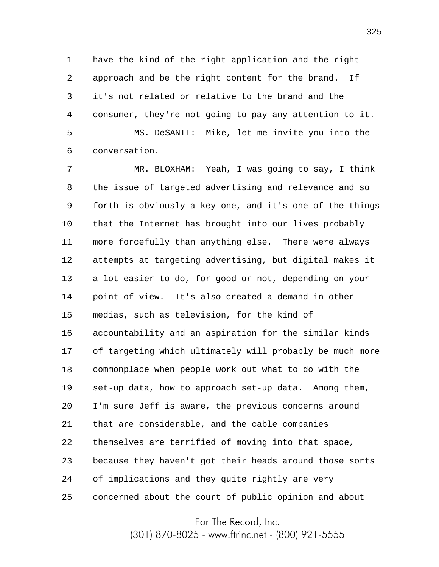1 2 3 4 5 have the kind of the right application and the right approach and be the right content for the brand. If it's not related or relative to the brand and the consumer, they're not going to pay any attention to it. MS. DeSANTI: Mike, let me invite you into the

6 conversation.

7 8 9 10 11 12 13 14 15 16 17 18 19 20 21 22 23 24 25 MR. BLOXHAM: Yeah, I was going to say, I think the issue of targeted advertising and relevance and so forth is obviously a key one, and it's one of the things that the Internet has brought into our lives probably more forcefully than anything else. There were always attempts at targeting advertising, but digital makes it a lot easier to do, for good or not, depending on your point of view. It's also created a demand in other medias, such as television, for the kind of accountability and an aspiration for the similar kinds of targeting which ultimately will probably be much more commonplace when people work out what to do with the set-up data, how to approach set-up data. Among them, I'm sure Jeff is aware, the previous concerns around that are considerable, and the cable companies themselves are terrified of moving into that space, because they haven't got their heads around those sorts of implications and they quite rightly are very concerned about the court of public opinion and about

For The Record, Inc.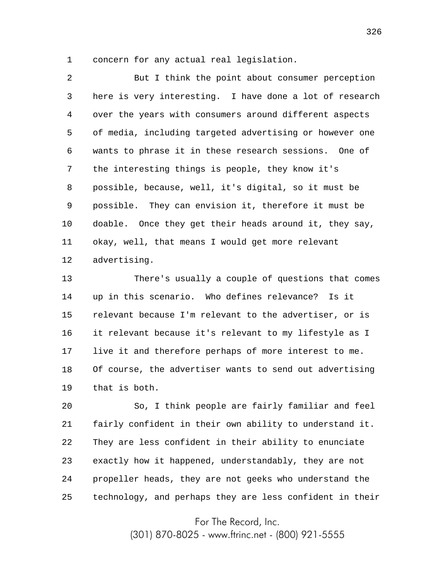1 concern for any actual real legislation.

2 3 4 5 6 7 8 9 10 11 12 But I think the point about consumer perception here is very interesting. I have done a lot of research over the years with consumers around different aspects of media, including targeted advertising or however one wants to phrase it in these research sessions. One of the interesting things is people, they know it's possible, because, well, it's digital, so it must be possible. They can envision it, therefore it must be doable. Once they get their heads around it, they say, okay, well, that means I would get more relevant advertising.

13 14 15 16 17 18 19 There's usually a couple of questions that comes up in this scenario. Who defines relevance? Is it relevant because I'm relevant to the advertiser, or is it relevant because it's relevant to my lifestyle as I live it and therefore perhaps of more interest to me. Of course, the advertiser wants to send out advertising that is both.

20 21 22 23 24 25 So, I think people are fairly familiar and feel fairly confident in their own ability to understand it. They are less confident in their ability to enunciate exactly how it happened, understandably, they are not propeller heads, they are not geeks who understand the technology, and perhaps they are less confident in their

For The Record, Inc.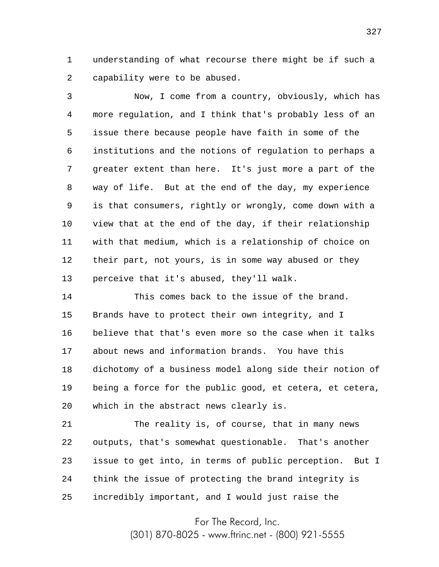1 2 understanding of what recourse there might be if such a capability were to be abused.

3 4 5 6 7 8 9 10 11 12 13 Now, I come from a country, obviously, which has more regulation, and I think that's probably less of an issue there because people have faith in some of the institutions and the notions of regulation to perhaps a greater extent than here. It's just more a part of the way of life. But at the end of the day, my experience is that consumers, rightly or wrongly, come down with a view that at the end of the day, if their relationship with that medium, which is a relationship of choice on their part, not yours, is in some way abused or they perceive that it's abused, they'll walk.

14 15 16 17 18 19 20 This comes back to the issue of the brand. Brands have to protect their own integrity, and I believe that that's even more so the case when it talks about news and information brands. You have this dichotomy of a business model along side their notion of being a force for the public good, et cetera, et cetera, which in the abstract news clearly is.

21 22 23 24 25 The reality is, of course, that in many news outputs, that's somewhat questionable. That's another issue to get into, in terms of public perception. But I think the issue of protecting the brand integrity is incredibly important, and I would just raise the

For The Record, Inc.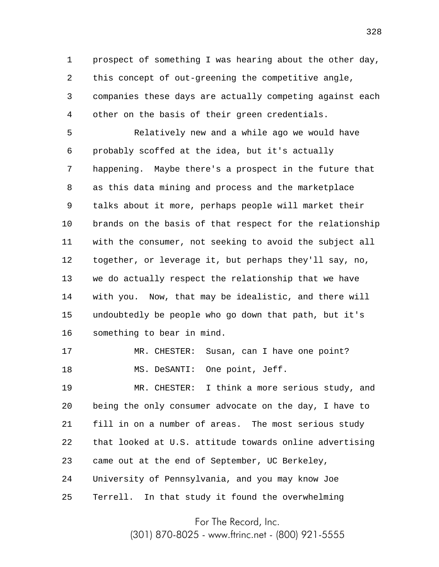1 2 3 4 prospect of something I was hearing about the other day, this concept of out-greening the competitive angle, companies these days are actually competing against each other on the basis of their green credentials.

5 6 7 8 9 10 11 12 13 14 15 16 Relatively new and a while ago we would have probably scoffed at the idea, but it's actually happening. Maybe there's a prospect in the future that as this data mining and process and the marketplace talks about it more, perhaps people will market their brands on the basis of that respect for the relationship with the consumer, not seeking to avoid the subject all together, or leverage it, but perhaps they'll say, no, we do actually respect the relationship that we have with you. Now, that may be idealistic, and there will undoubtedly be people who go down that path, but it's something to bear in mind.

17 18 MR. CHESTER: Susan, can I have one point? MS. DeSANTI: One point, Jeff.

19 20 21 22 23 24 25 MR. CHESTER: I think a more serious study, and being the only consumer advocate on the day, I have to fill in on a number of areas. The most serious study that looked at U.S. attitude towards online advertising came out at the end of September, UC Berkeley, University of Pennsylvania, and you may know Joe Terrell. In that study it found the overwhelming

For The Record, Inc.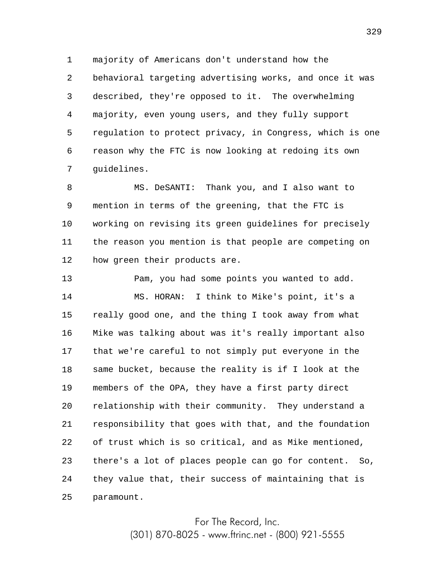1 2 3 4 5 6 7 majority of Americans don't understand how the behavioral targeting advertising works, and once it was described, they're opposed to it. The overwhelming majority, even young users, and they fully support regulation to protect privacy, in Congress, which is one reason why the FTC is now looking at redoing its own guidelines.

8 9 10 11 12 MS. DeSANTI: Thank you, and I also want to mention in terms of the greening, that the FTC is working on revising its green guidelines for precisely the reason you mention is that people are competing on how green their products are.

13 14 15 16 17 18 19 20 21 22 23 24 25 Pam, you had some points you wanted to add. MS. HORAN: I think to Mike's point, it's a really good one, and the thing I took away from what Mike was talking about was it's really important also that we're careful to not simply put everyone in the same bucket, because the reality is if I look at the members of the OPA, they have a first party direct relationship with their community. They understand a responsibility that goes with that, and the foundation of trust which is so critical, and as Mike mentioned, there's a lot of places people can go for content. So, they value that, their success of maintaining that is paramount.

> For The Record, Inc. (301) 870-8025 - www.ftrinc.net - (800) 921-5555

329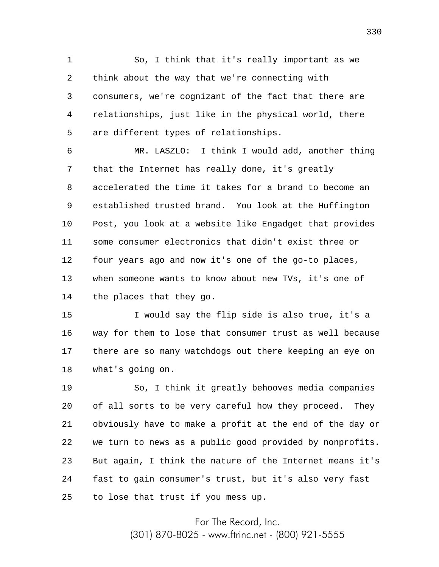1 2 3 4 5 So, I think that it's really important as we think about the way that we're connecting with consumers, we're cognizant of the fact that there are relationships, just like in the physical world, there are different types of relationships.

6 7 8 9 10 11 12 13 14 MR. LASZLO: I think I would add, another thing that the Internet has really done, it's greatly accelerated the time it takes for a brand to become an established trusted brand. You look at the Huffington Post, you look at a website like Engadget that provides some consumer electronics that didn't exist three or four years ago and now it's one of the go-to places, when someone wants to know about new TVs, it's one of the places that they go.

15 16 17 18 I would say the flip side is also true, it's a way for them to lose that consumer trust as well because there are so many watchdogs out there keeping an eye on what's going on.

19 20 21 22 23 24 25 So, I think it greatly behooves media companies of all sorts to be very careful how they proceed. They obviously have to make a profit at the end of the day or we turn to news as a public good provided by nonprofits. But again, I think the nature of the Internet means it's fast to gain consumer's trust, but it's also very fast to lose that trust if you mess up.

For The Record, Inc.

(301) 870-8025 - www.ftrinc.net - (800) 921-5555

330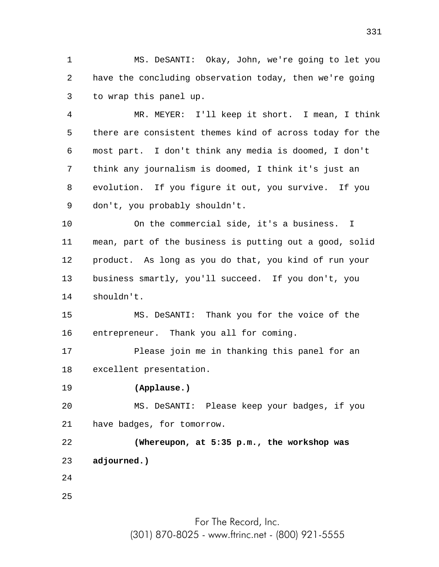1 2 3 MS. DeSANTI: Okay, John, we're going to let you have the concluding observation today, then we're going to wrap this panel up.

4 5 6 7 8 9 MR. MEYER: I'll keep it short. I mean, I think there are consistent themes kind of across today for the most part. I don't think any media is doomed, I don't think any journalism is doomed, I think it's just an evolution. If you figure it out, you survive. If you don't, you probably shouldn't.

10 11 12 13 14 On the commercial side, it's a business. I mean, part of the business is putting out a good, solid product. As long as you do that, you kind of run your business smartly, you'll succeed. If you don't, you shouldn't.

15 16 MS. DeSANTI: Thank you for the voice of the entrepreneur. Thank you all for coming.

17 18 Please join me in thanking this panel for an excellent presentation.

19 **(Applause.)**

20 21 MS. DeSANTI: Please keep your badges, if you have badges, for tomorrow.

22 23 24 **(Whereupon, at 5:35 p.m., the workshop was adjourned.)**

25

For The Record, Inc. (301) 870-8025 - www.ftrinc.net - (800) 921-5555